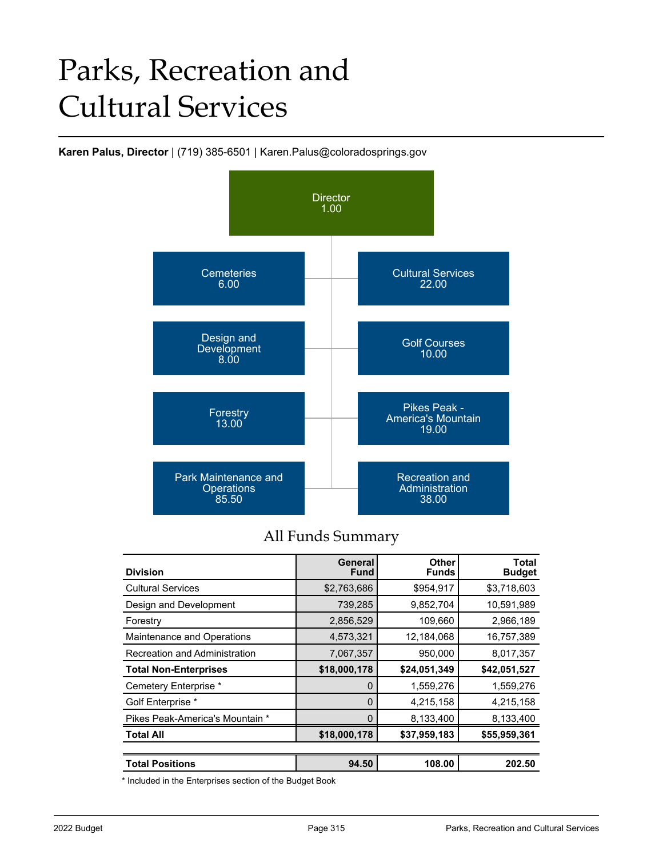# Parks, Recreation and Cultural Services

**Karen Palus, Director** | (719) 385-6501 | Karen.Palus@coloradosprings.gov



#### All Funds Summary

| <b>Division</b>                 | <b>General</b><br><b>Fund</b> | <b>Other</b><br><b>Funds</b> | <b>Total</b><br><b>Budget</b> |
|---------------------------------|-------------------------------|------------------------------|-------------------------------|
| <b>Cultural Services</b>        | \$2,763,686                   | \$954,917                    | \$3,718,603                   |
| Design and Development          | 739,285                       | 9,852,704                    | 10,591,989                    |
| Forestry                        | 2,856,529                     | 109,660                      | 2,966,189                     |
| Maintenance and Operations      | 4,573,321                     | 12,184,068                   | 16,757,389                    |
| Recreation and Administration   | 7,067,357                     | 950,000                      | 8,017,357                     |
| <b>Total Non-Enterprises</b>    | \$18,000,178                  | \$24,051,349                 | \$42,051,527                  |
| Cemetery Enterprise *           | 0                             | 1,559,276                    | 1,559,276                     |
| Golf Enterprise *               | $\Omega$                      | 4,215,158                    | 4,215,158                     |
| Pikes Peak-America's Mountain * | 0                             | 8,133,400                    | 8,133,400                     |
| <b>Total All</b>                | \$18,000,178                  | \$37,959,183                 | \$55,959,361                  |
|                                 |                               |                              |                               |
| <b>Total Positions</b>          | 94.50                         | 108.00                       | 202.50                        |

\* Included in the Enterprises section of the Budget Book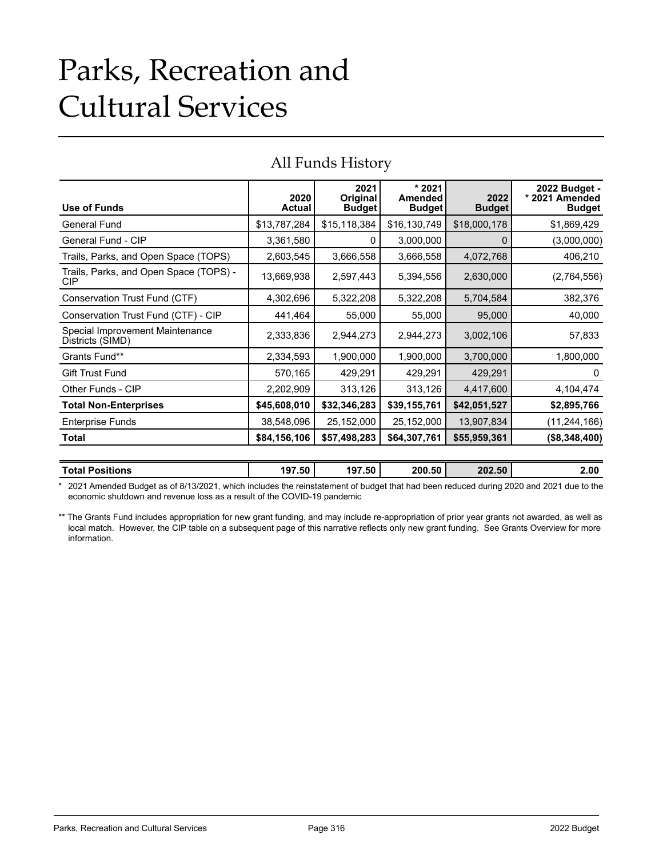# Parks, Recreation and Cultural Services

| Use of Funds                                        | 2020<br><b>Actual</b> | 2021<br>Original<br><b>Budget</b> | * 2021<br><b>Amended</b><br><b>Budget</b> | 2022<br><b>Budget</b> | 2022 Budget -<br>* 2021 Amended<br><b>Budget</b> |
|-----------------------------------------------------|-----------------------|-----------------------------------|-------------------------------------------|-----------------------|--------------------------------------------------|
| <b>General Fund</b>                                 | \$13,787,284          | \$15,118,384                      | \$16,130,749                              | \$18,000,178          | \$1,869,429                                      |
| General Fund - CIP                                  | 3,361,580             | 0                                 | 3,000,000                                 | O                     | (3,000,000)                                      |
| Trails, Parks, and Open Space (TOPS)                | 2,603,545             | 3,666,558                         | 3,666,558                                 | 4,072,768             | 406,210                                          |
| Trails, Parks, and Open Space (TOPS) -<br>CIP.      | 13,669,938            | 2,597,443                         | 5,394,556                                 | 2,630,000             | (2,764,556)                                      |
| Conservation Trust Fund (CTF)                       | 4,302,696             | 5,322,208                         | 5,322,208                                 | 5,704,584             | 382,376                                          |
| Conservation Trust Fund (CTF) - CIP                 | 441,464               | 55,000                            | 55,000                                    | 95,000                | 40,000                                           |
| Special Improvement Maintenance<br>Districts (SIMD) | 2,333,836             | 2,944,273                         | 2,944,273                                 | 3,002,106             | 57,833                                           |
| Grants Fund**                                       | 2,334,593             | 1,900,000                         | 1,900,000                                 | 3,700,000             | 1,800,000                                        |
| <b>Gift Trust Fund</b>                              | 570,165               | 429,291                           | 429,291                                   | 429,291               | 0                                                |
| Other Funds - CIP                                   | 2,202,909             | 313,126                           | 313,126                                   | 4,417,600             | 4,104,474                                        |
| <b>Total Non-Enterprises</b>                        | \$45,608,010          | \$32,346,283                      | \$39,155,761                              | \$42,051,527          | \$2,895,766                                      |
| <b>Enterprise Funds</b>                             | 38,548,096            | 25,152,000                        | 25,152,000                                | 13,907,834            | (11, 244, 166)                                   |
| Total                                               | \$84,156,106          | \$57,498,283                      | \$64,307,761                              | \$55,959,361          | (\$8,348,400)                                    |

## All Funds History

| Total.<br>.<br>Positions | 197.50 | 197.50 | 200.50 | 202.50 | 2.00 |
|--------------------------|--------|--------|--------|--------|------|
|                          |        |        |        |        |      |

\* 2021 Amended Budget as of 8/13/2021, which includes the reinstatement of budget that had been reduced during 2020 and 2021 due to the economic shutdown and revenue loss as a result of the COVID-19 pandemic

\*\* The Grants Fund includes appropriation for new grant funding, and may include re-appropriation of prior year grants not awarded, as well as local match. However, the CIP table on a subsequent page of this narrative reflects only new grant funding. See Grants Overview for more information.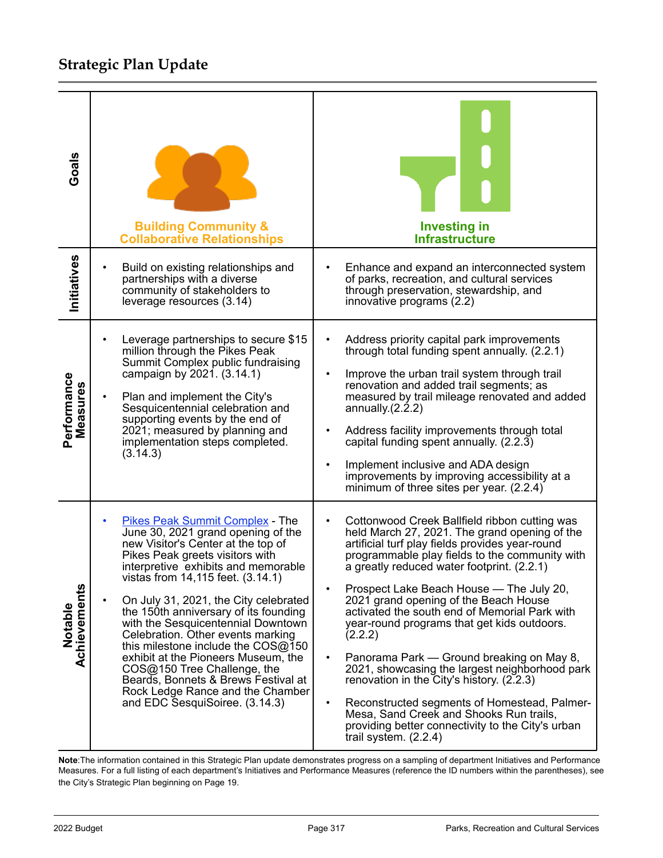# **Strategic Plan Update**

| Goals                   | <b>Building Community &amp;</b><br><b>Collaborative Relationships</b>                                                                                                                                                                                                                                                                                                                                                                                                                                                                                                                                                          | <b>Investing in</b><br><b>Infrastructure</b>                                                                                                                                                                                                                                                                                                                                                                                                                                                                                                                                                                                                                                                                                                                                          |
|-------------------------|--------------------------------------------------------------------------------------------------------------------------------------------------------------------------------------------------------------------------------------------------------------------------------------------------------------------------------------------------------------------------------------------------------------------------------------------------------------------------------------------------------------------------------------------------------------------------------------------------------------------------------|---------------------------------------------------------------------------------------------------------------------------------------------------------------------------------------------------------------------------------------------------------------------------------------------------------------------------------------------------------------------------------------------------------------------------------------------------------------------------------------------------------------------------------------------------------------------------------------------------------------------------------------------------------------------------------------------------------------------------------------------------------------------------------------|
| Initiatives             | Build on existing relationships and<br>partnerships with a diverse<br>community of stakeholders to<br>leverage resources (3.14)                                                                                                                                                                                                                                                                                                                                                                                                                                                                                                | Enhance and expand an interconnected system<br>of parks, recreation, and cultural services<br>through preservation, stewardship, and<br>innovative programs (2.2)                                                                                                                                                                                                                                                                                                                                                                                                                                                                                                                                                                                                                     |
| Performance<br>Measures | Leverage partnerships to secure \$15<br>million through the Pikes Peak<br>Summit Complex public fundraising<br>campaign by 2021. (3.14.1)<br>Plan and implement the City's<br>Sesquicentennial celebration and<br>supporting events by the end of<br>2021; measured by planning and<br>implementation steps completed.<br>(3.14.3)                                                                                                                                                                                                                                                                                             | Address priority capital park improvements<br>through total funding spent annually. (2.2.1)<br>Improve the urban trail system through trail<br>renovation and added trail segments; as<br>measured by trail mileage renovated and added<br>annually. $(2.2.2)$<br>Address facility improvements through total<br>$\bullet$<br>capital funding spent annually. (2.2.3)<br>Implement inclusive and ADA design<br>improvements by improving accessibility at a<br>minimum of three sites per year. (2.2.4)                                                                                                                                                                                                                                                                               |
| Achievements<br>Notable | <b>Pikes Peak Summit Complex - The</b><br>٠<br>June 30, 2021 grand opening of the<br>new Visitor's Center at the top of<br>Pikes Peak greets visitors with<br>interpretive exhibits and memorable<br>vistas from 14,115 feet. (3.14.1)<br>On July 31, 2021, the City celebrated<br>the 150th anniversary of its founding<br>with the Sesquicentennial Downtown<br>Celebration. Other events marking<br>this milestone include the $COS@150$<br>exhibit at the Pioneers Museum, the<br>COS@150 Tree Challenge, the<br>Beards, Bonnets & Brews Festival at<br>Rock Ledge Rance and the Chamber<br>and EDC SesquiSoiree. (3.14.3) | Cottonwood Creek Ballfield ribbon cutting was<br>$\bullet$<br>held March 27, 2021. The grand opening of the<br>artificial turf play fields provides year-round<br>programmable play fields to the community with<br>a greatly reduced water footprint. (2.2.1)<br>Prospect Lake Beach House - The July 20,<br>2021 grand opening of the Beach House<br>activated the south end of Memorial Park with<br>year-round programs that get kids outdoors.<br>(2.2.2)<br>Panorama Park - Ground breaking on May 8,<br>2021, showcasing the largest neighborhood park<br>renovation in the City's history. (2.2.3)<br>Reconstructed segments of Homestead, Palmer-<br>Mesa, Sand Creek and Shooks Run trails,<br>providing better connectivity to the City's urban<br>trail system. $(2.2.4)$ |

**Note**:The information contained in this Strategic Plan update demonstrates progress on a sampling of department Initiatives and Performance Measures. For a full listing of each department's Initiatives and Performance Measures (reference the ID numbers within the parentheses), see the City's Strategic Plan beginning on Page 19.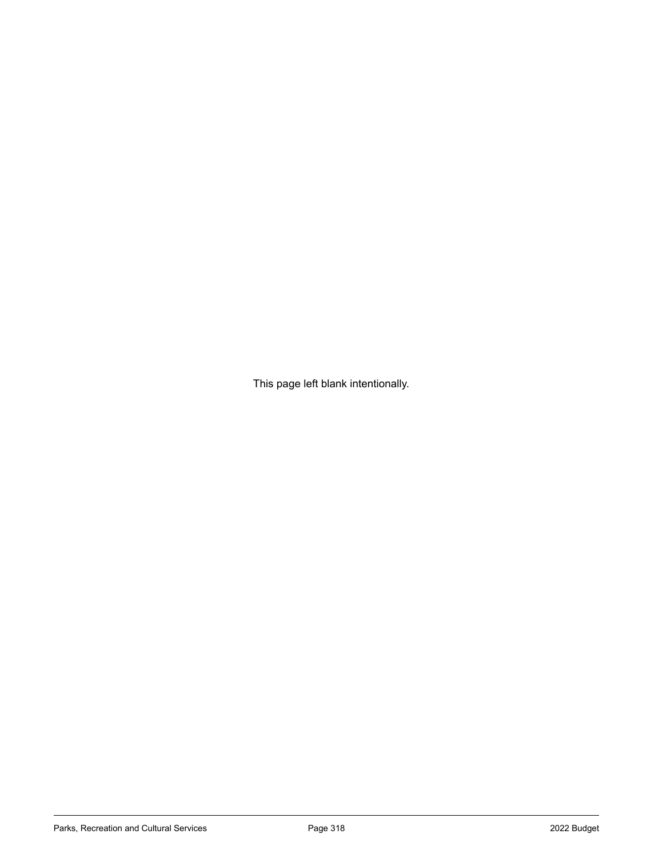This page left blank intentionally.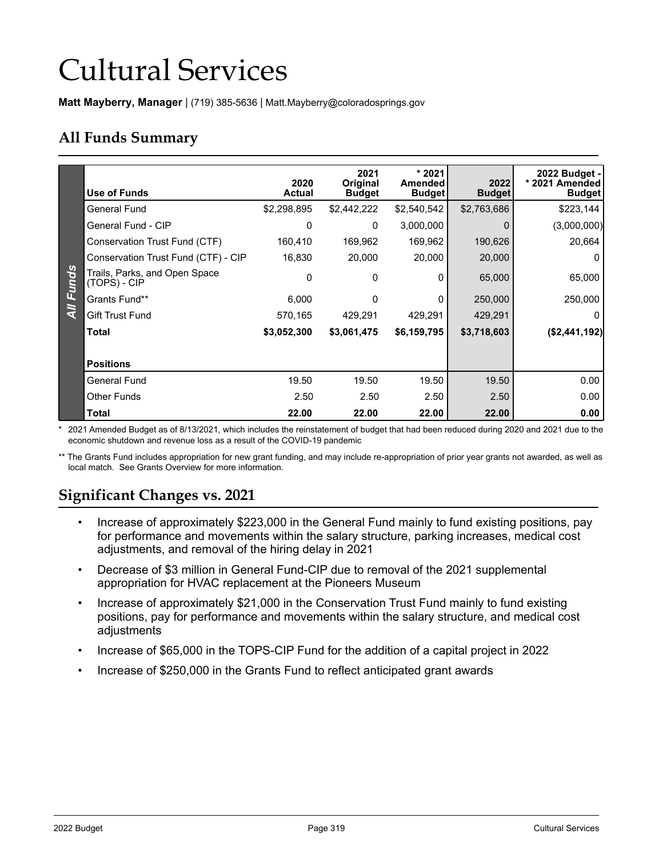# Cultural Services

**Matt Mayberry, Manager** | (719) 385-5636 | Matt.Mayberry@coloradosprings.gov

## **All Funds Summary**

|       | Use of Funds                                  | 2020<br><b>Actual</b> | 2021<br><b>Original</b><br><b>Budget</b> | $*2021$<br><b>Amended</b><br><b>Budget</b> | 2022<br><b>Budget</b> | 2022 Budget -<br>* 2021 Amended<br><b>Budget</b> |
|-------|-----------------------------------------------|-----------------------|------------------------------------------|--------------------------------------------|-----------------------|--------------------------------------------------|
|       | <b>General Fund</b>                           | \$2,298,895           | \$2,442,222                              | \$2,540,542                                | \$2,763,686           | \$223,144                                        |
|       | General Fund - CIP                            | 0                     | 0                                        | 3,000,000                                  | 0                     | (3,000,000)                                      |
|       | Conservation Trust Fund (CTF)                 | 160,410               | 169,962                                  | 169,962                                    | 190,626               | 20,664                                           |
|       | Conservation Trust Fund (CTF) - CIP           | 16,830                | 20,000                                   | 20,000                                     | 20,000                | 0                                                |
| Funds | Trails, Parks, and Open Space<br>(TOPS) - CIP | 0                     | 0                                        | 0                                          | 65,000                | 65,000                                           |
|       | Grants Fund**                                 | 6,000                 | 0                                        | 0                                          | 250,000               | 250,000                                          |
| λĪ    | <b>Gift Trust Fund</b>                        | 570,165               | 429,291                                  | 429,291                                    | 429,291               | 0                                                |
|       | <b>Total</b>                                  | \$3,052,300           | \$3,061,475                              | \$6,159,795                                | \$3,718,603           | (\$2,441,192)                                    |
|       |                                               |                       |                                          |                                            |                       |                                                  |
|       | <b>Positions</b>                              |                       |                                          |                                            |                       |                                                  |
|       | <b>General Fund</b>                           | 19.50                 | 19.50                                    | 19.50                                      | 19.50                 | 0.00                                             |
|       | <b>Other Funds</b>                            | 2.50                  | 2.50                                     | 2.50                                       | 2.50                  | 0.00                                             |
|       | Total                                         | 22.00                 | 22.00                                    | 22.00                                      | 22.00                 | 0.00                                             |

\* 2021 Amended Budget as of 8/13/2021, which includes the reinstatement of budget that had been reduced during 2020 and 2021 due to the economic shutdown and revenue loss as a result of the COVID-19 pandemic

\*\* The Grants Fund includes appropriation for new grant funding, and may include re-appropriation of prior year grants not awarded, as well as local match. See Grants Overview for more information.

#### **Significant Changes vs. 2021**

- Increase of approximately \$223,000 in the General Fund mainly to fund existing positions, pay for performance and movements within the salary structure, parking increases, medical cost adjustments, and removal of the hiring delay in 2021
- Decrease of \$3 million in General Fund-CIP due to removal of the 2021 supplemental appropriation for HVAC replacement at the Pioneers Museum
- Increase of approximately \$21,000 in the Conservation Trust Fund mainly to fund existing positions, pay for performance and movements within the salary structure, and medical cost adjustments
- Increase of \$65,000 in the TOPS-CIP Fund for the addition of a capital project in 2022
- Increase of \$250,000 in the Grants Fund to reflect anticipated grant awards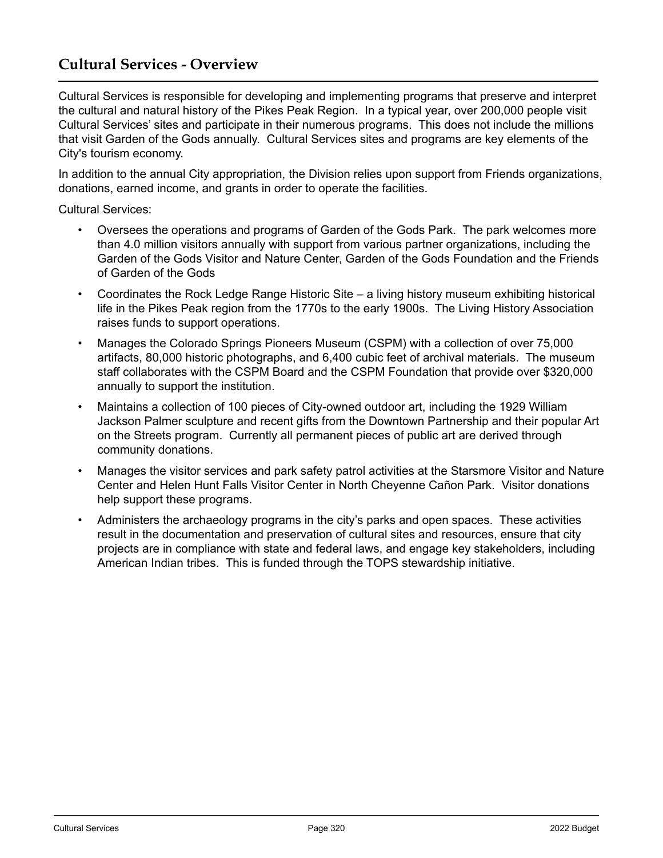#### **Cultural Services - Overview**

Cultural Services is responsible for developing and implementing programs that preserve and interpret the cultural and natural history of the Pikes Peak Region. In a typical year, over 200,000 people visit Cultural Services' sites and participate in their numerous programs. This does not include the millions that visit Garden of the Gods annually. Cultural Services sites and programs are key elements of the City's tourism economy.

In addition to the annual City appropriation, the Division relies upon support from Friends organizations, donations, earned income, and grants in order to operate the facilities.

Cultural Services:

- Oversees the operations and programs of Garden of the Gods Park. The park welcomes more than 4.0 million visitors annually with support from various partner organizations, including the Garden of the Gods Visitor and Nature Center, Garden of the Gods Foundation and the Friends of Garden of the Gods
- Coordinates the Rock Ledge Range Historic Site a living history museum exhibiting historical life in the Pikes Peak region from the 1770s to the early 1900s. The Living History Association raises funds to support operations.
- Manages the Colorado Springs Pioneers Museum (CSPM) with a collection of over 75,000 artifacts, 80,000 historic photographs, and 6,400 cubic feet of archival materials. The museum staff collaborates with the CSPM Board and the CSPM Foundation that provide over \$320,000 annually to support the institution.
- Maintains a collection of 100 pieces of City-owned outdoor art, including the 1929 William Jackson Palmer sculpture and recent gifts from the Downtown Partnership and their popular Art on the Streets program. Currently all permanent pieces of public art are derived through community donations.
- Manages the visitor services and park safety patrol activities at the Starsmore Visitor and Nature Center and Helen Hunt Falls Visitor Center in North Cheyenne Cañon Park. Visitor donations help support these programs.
- Administers the archaeology programs in the city's parks and open spaces. These activities result in the documentation and preservation of cultural sites and resources, ensure that city projects are in compliance with state and federal laws, and engage key stakeholders, including American Indian tribes. This is funded through the TOPS stewardship initiative.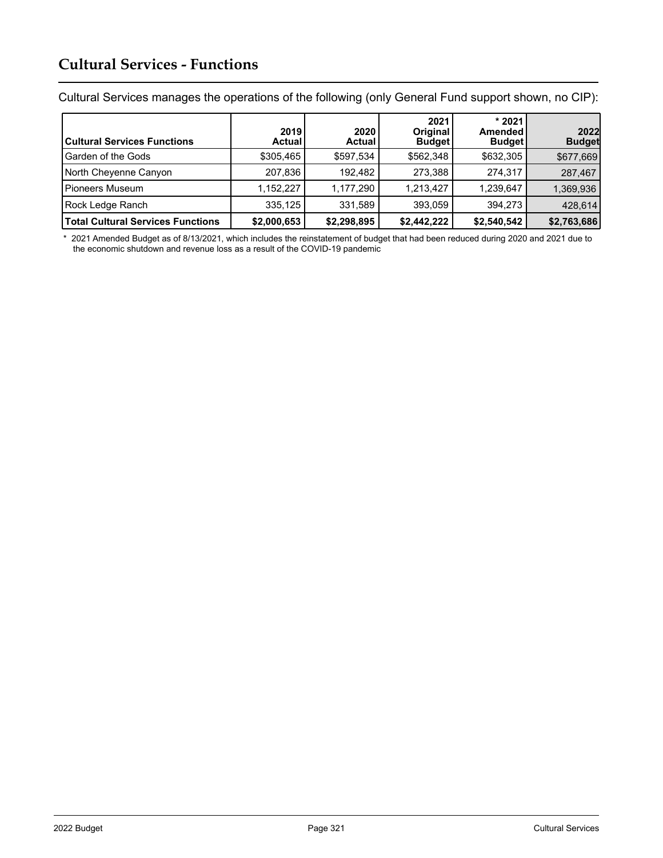# **Cultural Services - Functions**

Cultural Services manages the operations of the following (only General Fund support shown, no CIP):

| <b>Cultural Services Functions</b>       | 2019<br><b>Actual</b> | <b>2020</b><br><b>Actual</b> | 2021<br>Original<br><b>Budget</b> | $*2021$<br><b>Amended</b><br><b>Budget</b> | <b>2022</b><br><b>Budget</b> |
|------------------------------------------|-----------------------|------------------------------|-----------------------------------|--------------------------------------------|------------------------------|
| Garden of the Gods                       | \$305.465             | \$597.534                    | \$562.348                         | \$632.305                                  | \$677,669                    |
| North Cheyenne Canyon                    | 207.836               | 192.482                      | 273.388                           | 274.317                                    | 287,467                      |
| l Pioneers Museum                        | 1,152,227             | 1.177.290                    | 1,213,427                         | 1,239,647                                  | 1,369,936                    |
| Rock Ledge Ranch                         | 335,125               | 331.589                      | 393.059                           | 394.273                                    | 428.614                      |
| <b>Total Cultural Services Functions</b> | \$2,000,653           | \$2,298,895                  | \$2,442,222                       | \$2,540,542                                | \$2,763,686                  |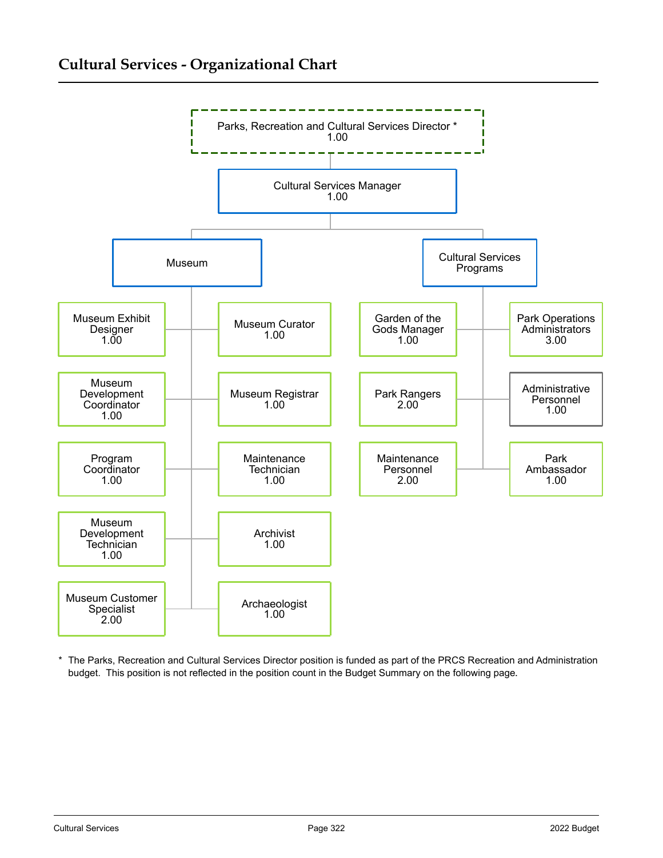#### **Cultural Services - Organizational Chart**



\* The Parks, Recreation and Cultural Services Director position is funded as part of the PRCS Recreation and Administration budget. This position is not reflected in the position count in the Budget Summary on the following page.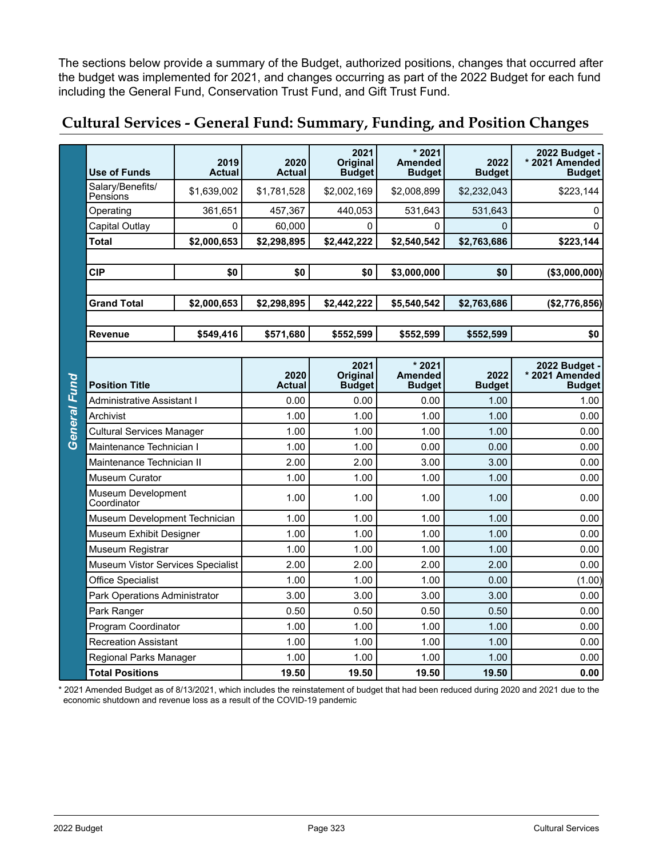The sections below provide a summary of the Budget, authorized positions, changes that occurred after the budget was implemented for 2021, and changes occurring as part of the 2022 Budget for each fund including the General Fund, Conservation Trust Fund, and Gift Trust Fund.

|                     | <b>Use of Funds</b>                      | 2019<br><b>Actual</b> | 2020<br><b>Actual</b> | 2021<br><b>Original</b><br><b>Budget</b> | $*2021$<br><b>Amended</b><br><b>Budget</b> | 2022<br><b>Budget</b> | 2022 Budget -<br>* 2021 Amended<br><b>Budget</b> |
|---------------------|------------------------------------------|-----------------------|-----------------------|------------------------------------------|--------------------------------------------|-----------------------|--------------------------------------------------|
|                     | Salary/Benefits/<br>Pensions             | \$1,639,002           | \$1,781,528           | \$2,002,169                              | \$2,008,899                                | \$2,232,043           | \$223,144                                        |
|                     | Operating                                | 361.651               | 457,367               | 440.053                                  | 531,643                                    | 531,643               | 0                                                |
|                     | Capital Outlay                           | 0                     | 60.000                | 0                                        | $\Omega$                                   | $\Omega$              | $\Omega$                                         |
|                     | <b>Total</b>                             | \$2,000,653           | \$2,298,895           | \$2,442,222                              | \$2,540,542                                | \$2,763,686           | \$223,144                                        |
|                     |                                          |                       |                       |                                          |                                            |                       |                                                  |
|                     | <b>CIP</b>                               | \$0                   | \$0                   | \$0                                      | \$3,000,000                                | \$0                   | (\$3,000,000)                                    |
|                     |                                          |                       |                       |                                          |                                            |                       |                                                  |
|                     | <b>Grand Total</b>                       | \$2,000,653           | \$2,298,895           | \$2,442,222                              | \$5,540,542                                | \$2,763,686           | (\$2,776,856)                                    |
|                     |                                          |                       |                       |                                          |                                            |                       |                                                  |
|                     | <b>Revenue</b>                           | \$549,416             | \$571,680             | \$552,599                                | \$552,599                                  | \$552,599             | \$0                                              |
|                     |                                          |                       |                       |                                          |                                            |                       |                                                  |
| <b>General Fund</b> | <b>Position Title</b>                    |                       | 2020<br><b>Actual</b> | 2021<br>Original<br><b>Budget</b>        | $*2021$<br><b>Amended</b><br><b>Budget</b> | 2022<br><b>Budget</b> | 2022 Budget -<br>* 2021 Amended<br><b>Budget</b> |
|                     | Administrative Assistant I               |                       | 0.00                  | 0.00                                     | 0.00                                       | 1.00                  | 1.00                                             |
|                     | Archivist                                |                       | 1.00                  | 1.00                                     | 1.00                                       | 1.00                  | 0.00                                             |
|                     | <b>Cultural Services Manager</b>         |                       | 1.00                  | 1.00                                     | 1.00                                       | 1.00                  | 0.00                                             |
|                     | Maintenance Technician I                 |                       | 1.00                  | 1.00                                     | 0.00                                       | 0.00                  | 0.00                                             |
|                     | Maintenance Technician II                |                       | 2.00                  | 2.00                                     | 3.00                                       | 3.00                  | 0.00                                             |
|                     | <b>Museum Curator</b>                    |                       | 1.00                  | 1.00                                     | 1.00                                       | 1.00                  | 0.00                                             |
|                     | <b>Museum Development</b><br>Coordinator |                       | 1.00                  | 1.00                                     | 1.00                                       | 1.00                  | 0.00                                             |
|                     | Museum Development Technician            |                       | 1.00                  | 1.00                                     | 1.00                                       | 1.00                  | 0.00                                             |
|                     | Museum Exhibit Designer                  |                       | 1.00                  | 1.00                                     | 1.00                                       | 1.00                  | 0.00                                             |
|                     | Museum Registrar                         |                       | 1.00                  | 1.00                                     | 1.00                                       | 1.00                  | 0.00                                             |
|                     | Museum Vistor Services Specialist        |                       | 2.00                  | 2.00                                     | 2.00                                       | 2.00                  | 0.00                                             |
|                     | <b>Office Specialist</b>                 |                       | 1.00                  | 1.00                                     | 1.00                                       | 0.00                  | (1.00)                                           |
|                     | Park Operations Administrator            |                       | 3.00                  | 3.00                                     | 3.00                                       | 3.00                  | 0.00                                             |
|                     | Park Ranger                              |                       | 0.50                  | 0.50                                     | 0.50                                       | 0.50                  | 0.00                                             |
|                     | Program Coordinator                      |                       | 1.00                  | 1.00                                     | 1.00                                       | 1.00                  | 0.00                                             |
|                     | <b>Recreation Assistant</b>              |                       | 1.00                  | 1.00                                     | 1.00                                       | 1.00                  | 0.00                                             |
|                     | Regional Parks Manager                   |                       | 1.00                  | 1.00                                     | 1.00                                       | 1.00                  | 0.00                                             |
|                     | <b>Total Positions</b>                   |                       | 19.50                 | 19.50                                    | 19.50                                      | 19.50                 | 0.00                                             |

## **Cultural Services - General Fund: Summary, Funding, and Position Changes**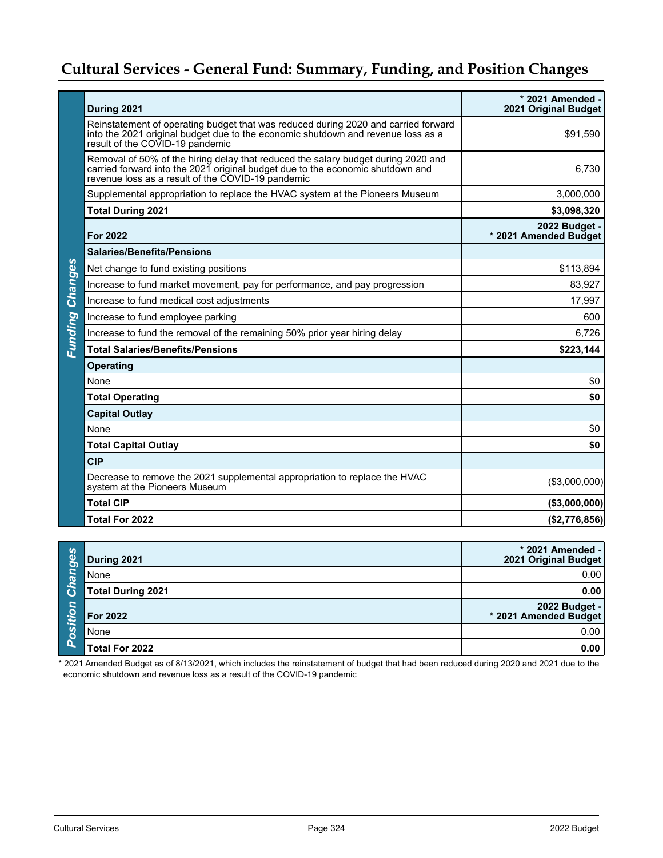# **Cultural Services - General Fund: Summary, Funding, and Position Changes**

|                        | During 2021                                                                                                                                                                                                              | * 2021 Amended -<br>2021 Original Budget |
|------------------------|--------------------------------------------------------------------------------------------------------------------------------------------------------------------------------------------------------------------------|------------------------------------------|
|                        | Reinstatement of operating budget that was reduced during 2020 and carried forward<br>into the 2021 original budget due to the economic shutdown and revenue loss as a<br>result of the COVID-19 pandemic                | \$91.590                                 |
|                        | Removal of 50% of the hiring delay that reduced the salary budget during 2020 and<br>carried forward into the 2021 original budget due to the economic shutdown and<br>revenue loss as a result of the COVID-19 pandemic | 6,730                                    |
|                        | Supplemental appropriation to replace the HVAC system at the Pioneers Museum                                                                                                                                             | 3,000,000                                |
|                        | <b>Total During 2021</b>                                                                                                                                                                                                 | \$3,098,320                              |
|                        | <b>For 2022</b>                                                                                                                                                                                                          | 2022 Budget -<br>* 2021 Amended Budget   |
|                        | <b>Salaries/Benefits/Pensions</b>                                                                                                                                                                                        |                                          |
| <b>Funding Changes</b> | Net change to fund existing positions                                                                                                                                                                                    | \$113,894                                |
|                        | Increase to fund market movement, pay for performance, and pay progression                                                                                                                                               | 83,927                                   |
|                        | Increase to fund medical cost adjustments                                                                                                                                                                                | 17,997                                   |
|                        | Increase to fund employee parking                                                                                                                                                                                        | 600                                      |
|                        | Increase to fund the removal of the remaining 50% prior year hiring delay                                                                                                                                                | 6.726                                    |
|                        | <b>Total Salaries/Benefits/Pensions</b>                                                                                                                                                                                  | \$223,144                                |
|                        | <b>Operating</b>                                                                                                                                                                                                         |                                          |
|                        | None                                                                                                                                                                                                                     | \$0                                      |
|                        | <b>Total Operating</b>                                                                                                                                                                                                   | \$0                                      |
|                        | <b>Capital Outlay</b>                                                                                                                                                                                                    |                                          |
|                        | <b>None</b>                                                                                                                                                                                                              | \$0                                      |
|                        | <b>Total Capital Outlay</b>                                                                                                                                                                                              | \$0                                      |
|                        | <b>CIP</b>                                                                                                                                                                                                               |                                          |
|                        | Decrease to remove the 2021 supplemental appropriation to replace the HVAC<br>system at the Pioneers Museum                                                                                                              | (\$3,000,000)                            |
|                        | <b>Total CIP</b>                                                                                                                                                                                                         | (\$3,000,000)                            |
|                        | Total For 2022                                                                                                                                                                                                           | (\$2,776,856)                            |

| ges                            | During 2021              | * 2021 Amended -<br>2021 Original Budget |
|--------------------------------|--------------------------|------------------------------------------|
| c<br>$\overline{\mathfrak{a}}$ | None                     | 0.00                                     |
|                                | <b>Total During 2021</b> | 0.00                                     |
| O<br><u>ဖိ</u>                 | <b>For 2022</b>          | - 2022 Budget<br>2021 Amended Budget     |
|                                | None                     | 0.00                                     |
|                                | Total For 2022           | 0.00                                     |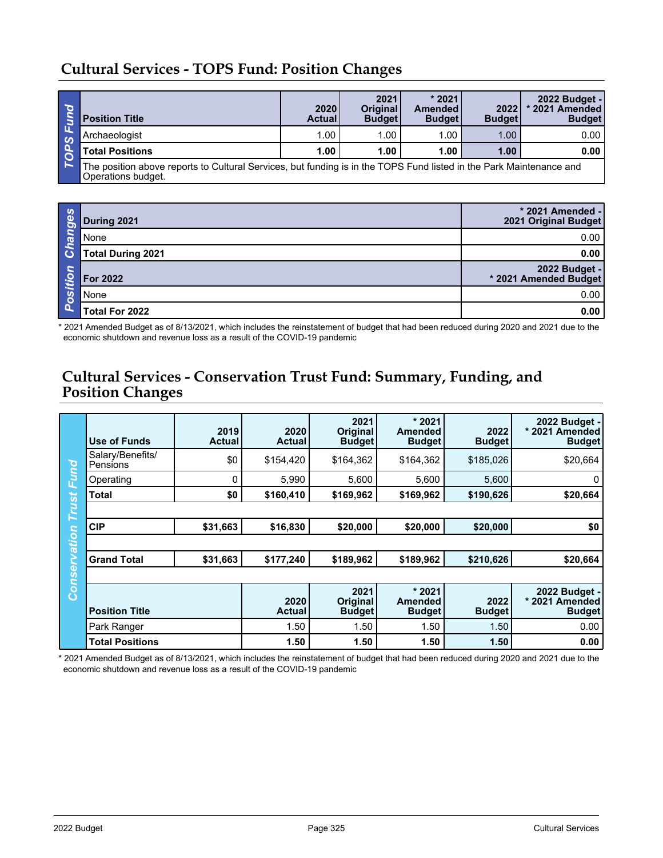## **Cultural Services - TOPS Fund: Position Changes**

| ြပာ | <b>Position Title</b>                                                                                                                     | 2020<br><b>Actual</b> | 2021<br><b>Original</b><br><b>Budget</b> | $*2021$<br><b>Amended</b><br><b>Budget</b> | <b>Budget</b> | 2022 Budget -<br>2022 * 2021 Amended<br><b>Budget</b> |  |  |
|-----|-------------------------------------------------------------------------------------------------------------------------------------------|-----------------------|------------------------------------------|--------------------------------------------|---------------|-------------------------------------------------------|--|--|
|     | Archaeologist                                                                                                                             | 1.00                  | 1.00                                     | 1.00                                       | 1.00          | 0.001                                                 |  |  |
|     | <b>Total Positions</b>                                                                                                                    | 1.00                  | 1.00                                     | 1.00                                       | 1.00          | 0.00                                                  |  |  |
|     | The position above reports to Cultural Services, but funding is in the TOPS Fund listed in the Park Maintenance and<br>Operations budget. |                       |                                          |                                            |               |                                                       |  |  |

| ്ട്<br>Φ<br><b>igr</b> | During 2021              | * 2021 Amended -<br>2021 Original Budget |
|------------------------|--------------------------|------------------------------------------|
|                        | None                     | 0.00                                     |
| Chai                   | <b>Total During 2021</b> | 0.00                                     |
| itio                   | For 2022                 | 2022 Budget -<br>* 2021 Amended Budget   |
| Pos                    | None                     | 0.00                                     |
|                        | Total For 2022           | 0.00                                     |

\* 2021 Amended Budget as of 8/13/2021, which includes the reinstatement of budget that had been reduced during 2020 and 2021 due to the economic shutdown and revenue loss as a result of the COVID-19 pandemic

#### **Cultural Services - Conservation Trust Fund: Summary, Funding, and Position Changes**

|              | Use of Funds                 | 2019<br><b>Actual</b> | 2020<br><b>Actual</b> | 2021<br><b>Original</b><br><b>Budget</b> | $*2021$<br><b>Amended</b><br><b>Budget</b> | 2022<br><b>Budget</b> | 2022 Budget -<br>* 2021 Amended<br><b>Budget</b> |
|--------------|------------------------------|-----------------------|-----------------------|------------------------------------------|--------------------------------------------|-----------------------|--------------------------------------------------|
|              | Salary/Benefits/<br>Pensions | \$0                   | \$154,420             | \$164,362                                | \$164,362                                  | \$185,026             | \$20,664                                         |
| Fund         | Operating                    | 0                     | 5,990                 | 5,600                                    | 5,600                                      | 5,600                 | 0                                                |
|              | <b>Total</b>                 | \$0                   | \$160,410             | \$169,962                                | \$169,962                                  | \$190,626             | \$20,664                                         |
| Trust        |                              |                       |                       |                                          |                                            |                       |                                                  |
|              | <b>CIP</b>                   | \$31,663              | \$16,830              | \$20,000                                 | \$20,000                                   | \$20,000              | \$0                                              |
|              |                              |                       |                       |                                          |                                            |                       |                                                  |
|              | <b>Grand Total</b>           | \$31,663              | \$177,240             | \$189,962                                | \$189,962                                  | \$210,626             | \$20,664                                         |
|              |                              |                       |                       |                                          |                                            |                       |                                                  |
| Conservation | <b>Position Title</b>        |                       | 2020<br><b>Actual</b> | 2021<br>Original<br><b>Budget</b>        | $*2021$<br><b>Amended</b><br><b>Budget</b> | 2022<br><b>Budget</b> | 2022 Budget -<br>* 2021 Amended<br><b>Budget</b> |
|              | Park Ranger                  |                       | 1.50                  | 1.50                                     | 1.50                                       | 1.50                  | 0.00                                             |
|              | <b>Total Positions</b>       |                       | 1.50                  | 1.50                                     | 1.50                                       | 1.50                  | 0.00                                             |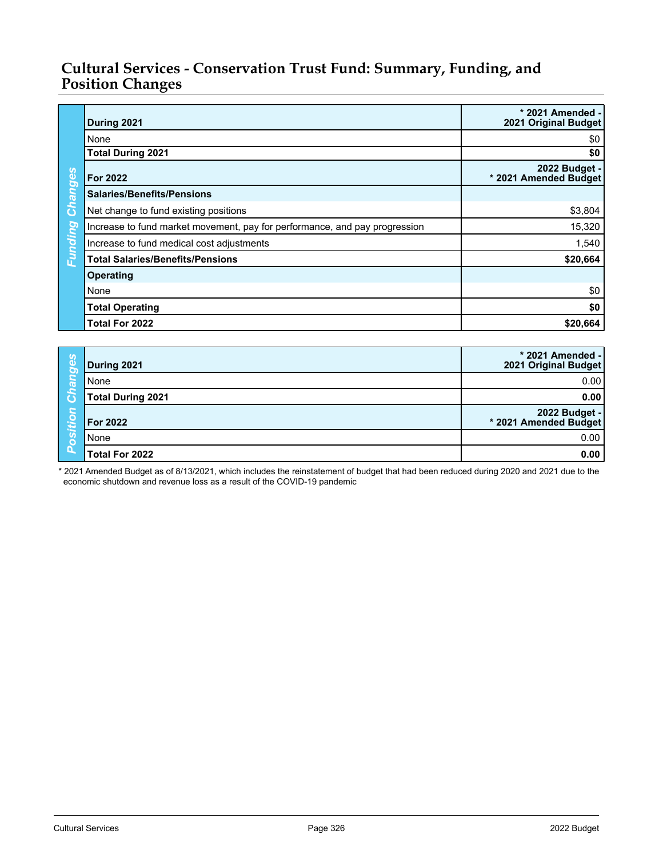#### **Cultural Services - Conservation Trust Fund: Summary, Funding, and Position Changes**

|                | During 2021                                                                | * 2021 Amended -<br>2021 Original Budget |
|----------------|----------------------------------------------------------------------------|------------------------------------------|
|                | None                                                                       | \$0                                      |
|                | <b>Total During 2021</b>                                                   | \$0                                      |
| Changes        | <b>For 2022</b>                                                            | 2022 Budget -<br>* 2021 Amended Budget   |
|                | <b>Salaries/Benefits/Pensions</b>                                          |                                          |
|                | Net change to fund existing positions                                      | \$3,804                                  |
|                | Increase to fund market movement, pay for performance, and pay progression | 15,320                                   |
| <u>Funding</u> | Increase to fund medical cost adjustments                                  | 1.540                                    |
|                | <b>Total Salaries/Benefits/Pensions</b>                                    | \$20,664                                 |
|                | <b>Operating</b>                                                           |                                          |
|                | None                                                                       | \$0                                      |
|                | <b>Total Operating</b>                                                     | \$0                                      |
|                | <b>Total For 2022</b>                                                      | \$20,664                                 |

| <b>hanges</b> | During 2021              | * 2021 Amended -<br>2021 Original Budget |
|---------------|--------------------------|------------------------------------------|
|               | None                     | 0.00                                     |
| G             | <b>Total During 2021</b> | 0.00                                     |
| is,<br>Ĕ      | l For 2022               | 2022 Budget -<br>* 2021 Amended Budget   |
| ပ္လိ          | None                     | 0.00                                     |
|               | Total For 2022           | 0.00                                     |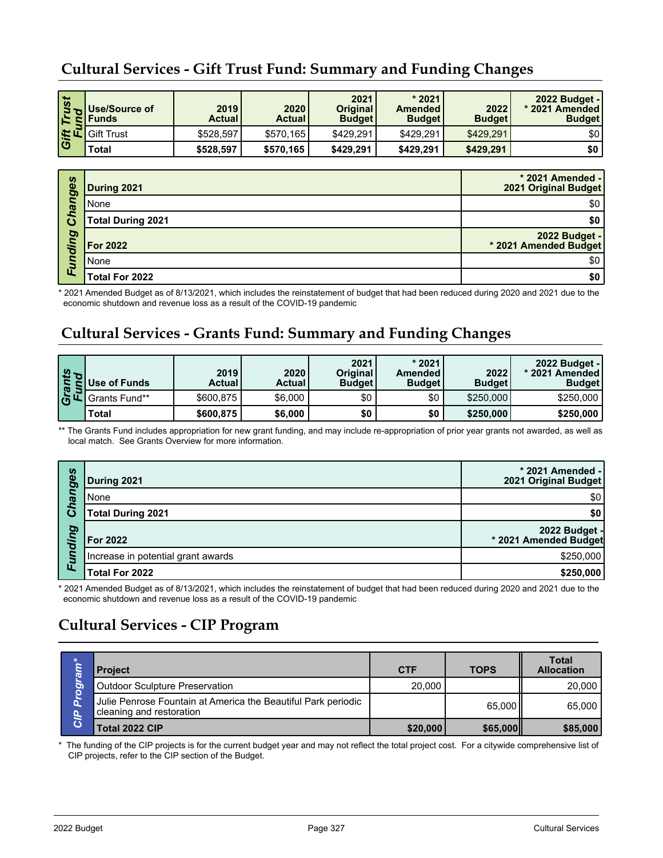#### **Cultural Services - Gift Trust Fund: Summary and Funding Changes**

| ಜ<br>$\overline{r}$<br><b>Gift</b> | Use/Source of<br>$E$  Funds | 2019<br><b>Actual</b> | <b>2020</b><br><b>Actual</b> | 2021<br>Original<br><b>Budget</b> | $*2021$<br><b>Amended</b><br><b>Budget</b> | 2022<br><b>Budget</b> | 2022 Budget -<br>* 2021 Amended<br><b>Budget</b> |
|------------------------------------|-----------------------------|-----------------------|------------------------------|-----------------------------------|--------------------------------------------|-----------------------|--------------------------------------------------|
|                                    | I Gift Trust                | \$528.597             | \$570.165                    | \$429.291                         | \$429.291                                  | \$429.291             | \$0 <sub>2</sub>                                 |
|                                    | Total                       | \$528.597             | \$570.165                    | \$429.291                         | \$429.291                                  | \$429,291             | \$0                                              |

| Changes       | During 2021              | * 2021 Amended -<br>2021 Original Budget |
|---------------|--------------------------|------------------------------------------|
|               | None                     | \$0                                      |
|               | <b>Total During 2021</b> | \$0                                      |
| <b>Burpun</b> | <b>For 2022</b>          | - 2022 Budget<br>2021 Amended Budget     |
|               | None                     | \$0                                      |
| ш             | Total For 2022           | \$0                                      |

\* 2021 Amended Budget as of 8/13/2021, which includes the reinstatement of budget that had been reduced during 2020 and 2021 due to the economic shutdown and revenue loss as a result of the COVID-19 pandemic

## **Cultural Services - Grants Fund: Summary and Funding Changes**

| $\frac{1}{12}$<br><b>Gra</b> | <b>Use of Funds</b> | 2019<br><b>Actual</b> | <b>2020</b><br><b>Actual</b> | 2021<br><b>Original</b><br><b>Budget</b> | $*2021$<br>Amended I<br><b>Budget</b> | 2022<br><b>Budget</b> | 2022 Budget -<br>* 2021 Amended<br><b>Budget</b> |
|------------------------------|---------------------|-----------------------|------------------------------|------------------------------------------|---------------------------------------|-----------------------|--------------------------------------------------|
|                              | I Grants Fund**     | \$600.875             | \$6,000                      | \$0                                      | \$0                                   | \$250,000             | \$250,000                                        |
|                              | Total               | \$600.875             | \$6,000                      | \$0                                      | \$0                                   | \$250,000             | \$250,000                                        |

\*\* The Grants Fund includes appropriation for new grant funding, and may include re-appropriation of prior year grants not awarded, as well as local match. See Grants Overview for more information.

| ges     | During 2021                        | * 2021 Amended -<br>2021 Original Budget |
|---------|------------------------------------|------------------------------------------|
| Chan    | None                               | \$0                                      |
|         | <b>Total During 2021</b>           | \$0                                      |
| Funding | <b>For 2022</b>                    | 2022 Budget -<br>* 2021 Amended Budget   |
|         | Increase in potential grant awards | \$250,000                                |
|         | Total For 2022                     | \$250,000                                |

\* 2021 Amended Budget as of 8/13/2021, which includes the reinstatement of budget that had been reduced during 2020 and 2021 due to the economic shutdown and revenue loss as a result of the COVID-19 pandemic

# **Cultural Services - CIP Program**

| $\ast$<br>$\overline{\phantom{0}}$<br><b>G</b> | <b>Project</b>                                                                            | <b>CTF</b> | <b>TOPS</b> | <b>Total</b><br><b>Allocation</b> |
|------------------------------------------------|-------------------------------------------------------------------------------------------|------------|-------------|-----------------------------------|
| ত                                              | <b>Outdoor Sculpture Preservation</b>                                                     | 20,000     |             | 20,000                            |
|                                                | Julie Penrose Fountain at America the Beautiful Park periodic<br>cleaning and restoration |            | 65.000      | 65,000                            |
| G                                              | Total 2022 CIP                                                                            | \$20,000   | \$65,000    | \$85,000                          |

\* The funding of the CIP projects is for the current budget year and may not reflect the total project cost. For a citywide comprehensive list of CIP projects, refer to the CIP section of the Budget.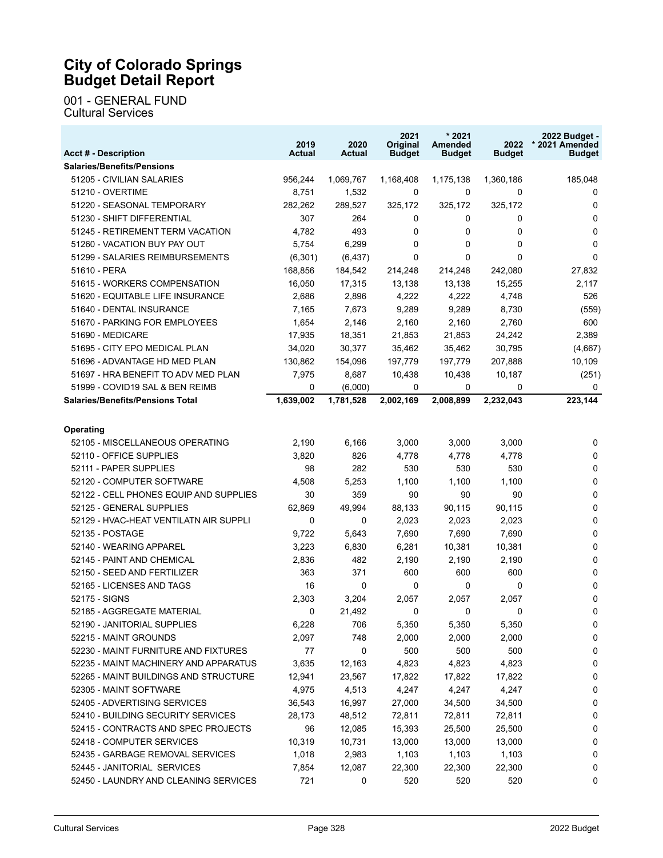#### 001 - GENERAL FUND Cultural Services

| 51205 - CIVILIAN SALARIES<br>956,244<br>1,069,767<br>1,168,408<br>1,360,186<br>185,048<br>1,175,138<br>51210 - OVERTIME<br>1,532<br>0<br>8,751<br>0<br>0<br>0<br>51220 - SEASONAL TEMPORARY<br>282,262<br>289,527<br>325,172<br>325,172<br>325,172<br>0<br>51230 - SHIFT DIFFERENTIAL<br>307<br>264<br>0<br>0<br>0<br>0<br>51245 - RETIREMENT TERM VACATION<br>4,782<br>493<br>0<br>0<br>0<br>0<br>51260 - VACATION BUY PAY OUT<br>6,299<br>0<br>0<br>0<br>0<br>5,754<br>51299 - SALARIES REIMBURSEMENTS<br>0<br>0<br>0<br>0<br>(6,301)<br>(6, 437)<br>51610 - PERA<br>168,856<br>184,542<br>214,248<br>242,080<br>27,832<br>214,248<br>51615 - WORKERS COMPENSATION<br>17,315<br>15,255<br>16,050<br>13,138<br>13,138<br>2,117<br>51620 - EQUITABLE LIFE INSURANCE<br>2,896<br>4,222<br>4,748<br>526<br>2,686<br>4,222<br>51640 - DENTAL INSURANCE<br>7,673<br>9,289<br>9,289<br>8,730<br>7,165<br>(559)<br>51670 - PARKING FOR EMPLOYEES<br>2,146<br>2,160<br>2,160<br>2,760<br>600<br>1,654<br>51690 - MEDICARE<br>17,935<br>18,351<br>21,853<br>24,242<br>2,389<br>21,853<br>51695 - CITY EPO MEDICAL PLAN<br>34,020<br>30,377<br>35,462<br>30,795<br>35,462<br>(4,667)<br>51696 - ADVANTAGE HD MED PLAN<br>130,862<br>154,096<br>197,779<br>197,779<br>207,888<br>10,109<br>51697 - HRA BENEFIT TO ADV MED PLAN<br>7,975<br>8,687<br>10,438<br>10,187<br>10,438<br>(251)<br>51999 - COVID19 SAL & BEN REIMB<br>0<br>0<br>(6,000)<br>0<br>0<br>0<br><b>Salaries/Benefits/Pensions Total</b><br>1,639,002<br>1,781,528<br>2,002,169<br>2,008,899<br>2,232,043<br>223,144<br>Operating<br>52105 - MISCELLANEOUS OPERATING<br>3,000<br>3,000<br>3,000<br>0<br>2,190<br>6,166<br>52110 - OFFICE SUPPLIES<br>3,820<br>826<br>4,778<br>4,778<br>4,778<br>0<br>530<br>52111 - PAPER SUPPLIES<br>98<br>282<br>530<br>530<br>0<br>0<br>52120 - COMPUTER SOFTWARE<br>4,508<br>5,253<br>1,100<br>1,100<br>1,100<br>0<br>52122 - CELL PHONES EQUIP AND SUPPLIES<br>30<br>359<br>90<br>90<br>90<br>0<br>52125 - GENERAL SUPPLIES<br>62,869<br>49,994<br>88,133<br>90,115<br>90,115<br>52129 - HVAC-HEAT VENTILATN AIR SUPPLI<br>0<br>2,023<br>2,023<br>0<br>0<br>2,023<br>52135 - POSTAGE<br>5,643<br>7,690<br>7,690<br>7,690<br>0<br>9,722<br>52140 - WEARING APPAREL<br>6,281<br>10,381<br>10,381<br>0<br>3,223<br>6,830<br>52145 - PAINT AND CHEMICAL<br>482<br>2,190<br>2,190<br>2,190<br>0<br>2,836<br>52150 - SEED AND FERTILIZER<br>363<br>371<br>600<br>600<br>600<br>0<br>52165 - LICENSES AND TAGS<br>16<br>0<br>0<br>0<br>0<br>0<br>52175 - SIGNS<br>2,303<br>3,204<br>2,057<br>2,057<br>2.057<br>0<br>52185 - AGGREGATE MATERIAL<br>21,492<br>$\Omega$<br>$\Omega$<br>0<br>0<br>0<br>52190 - JANITORIAL SUPPLIES<br>6,228<br>706<br>5,350<br>5,350<br>5,350<br>0<br>52215 - MAINT GROUNDS<br>2,097<br>748<br>2,000<br>2,000<br>2,000<br>0<br>0<br>500<br>500<br>500<br>52230 - MAINT FURNITURE AND FIXTURES<br>77<br>0<br>4,823<br>52235 - MAINT MACHINERY AND APPARATUS<br>3,635<br>12,163<br>4,823<br>4,823<br>0<br>52265 - MAINT BUILDINGS AND STRUCTURE<br>12,941<br>23,567<br>17,822<br>17,822<br>17,822<br>0<br>4,513<br>4,247<br>4,247<br>52305 - MAINT SOFTWARE<br>4,975<br>4,247<br>0<br>16,997<br>27,000<br>34,500<br>52405 - ADVERTISING SERVICES<br>36,543<br>34,500<br>0<br>72,811<br>72,811<br>52410 - BUILDING SECURITY SERVICES<br>28,173<br>48,512<br>72,811<br>0<br>15,393<br>25,500<br>52415 - CONTRACTS AND SPEC PROJECTS<br>96<br>12,085<br>25,500<br>0<br>10,731<br>13,000<br>52418 - COMPUTER SERVICES<br>10,319<br>13,000<br>13,000<br>0<br>2,983<br>1,103<br>1,103<br>52435 - GARBAGE REMOVAL SERVICES<br>1,018<br>1,103<br>0<br>52445 - JANITORIAL SERVICES<br>7,854<br>12,087<br>22,300<br>22,300<br>22,300<br>0 | <b>Acct # - Description</b>           | 2019<br>Actual | 2020<br>Actual | 2021<br>Original<br><b>Budget</b> | * 2021<br>Amended<br><b>Budget</b> | 2022<br><b>Budget</b> | 2022 Budget -<br>* 2021 Amended<br><b>Budget</b> |
|------------------------------------------------------------------------------------------------------------------------------------------------------------------------------------------------------------------------------------------------------------------------------------------------------------------------------------------------------------------------------------------------------------------------------------------------------------------------------------------------------------------------------------------------------------------------------------------------------------------------------------------------------------------------------------------------------------------------------------------------------------------------------------------------------------------------------------------------------------------------------------------------------------------------------------------------------------------------------------------------------------------------------------------------------------------------------------------------------------------------------------------------------------------------------------------------------------------------------------------------------------------------------------------------------------------------------------------------------------------------------------------------------------------------------------------------------------------------------------------------------------------------------------------------------------------------------------------------------------------------------------------------------------------------------------------------------------------------------------------------------------------------------------------------------------------------------------------------------------------------------------------------------------------------------------------------------------------------------------------------------------------------------------------------------------------------------------------------------------------------------------------------------------------------------------------------------------------------------------------------------------------------------------------------------------------------------------------------------------------------------------------------------------------------------------------------------------------------------------------------------------------------------------------------------------------------------------------------------------------------------------------------------------------------------------------------------------------------------------------------------------------------------------------------------------------------------------------------------------------------------------------------------------------------------------------------------------------------------------------------------------------------------------------------------------------------------------------------------------------------------------------------------------------------------------------------------------------------------------------------------------------------------------------------------------------------------------------------------------------------------------------------------------------------------------------------------------------------------------------------------------------------------------------------------------------------------------------------------------------------------------------------------------------------------------------------------------------------------------------------|---------------------------------------|----------------|----------------|-----------------------------------|------------------------------------|-----------------------|--------------------------------------------------|
|                                                                                                                                                                                                                                                                                                                                                                                                                                                                                                                                                                                                                                                                                                                                                                                                                                                                                                                                                                                                                                                                                                                                                                                                                                                                                                                                                                                                                                                                                                                                                                                                                                                                                                                                                                                                                                                                                                                                                                                                                                                                                                                                                                                                                                                                                                                                                                                                                                                                                                                                                                                                                                                                                                                                                                                                                                                                                                                                                                                                                                                                                                                                                                                                                                                                                                                                                                                                                                                                                                                                                                                                                                                                                                                                                | <b>Salaries/Benefits/Pensions</b>     |                |                |                                   |                                    |                       |                                                  |
|                                                                                                                                                                                                                                                                                                                                                                                                                                                                                                                                                                                                                                                                                                                                                                                                                                                                                                                                                                                                                                                                                                                                                                                                                                                                                                                                                                                                                                                                                                                                                                                                                                                                                                                                                                                                                                                                                                                                                                                                                                                                                                                                                                                                                                                                                                                                                                                                                                                                                                                                                                                                                                                                                                                                                                                                                                                                                                                                                                                                                                                                                                                                                                                                                                                                                                                                                                                                                                                                                                                                                                                                                                                                                                                                                |                                       |                |                |                                   |                                    |                       |                                                  |
|                                                                                                                                                                                                                                                                                                                                                                                                                                                                                                                                                                                                                                                                                                                                                                                                                                                                                                                                                                                                                                                                                                                                                                                                                                                                                                                                                                                                                                                                                                                                                                                                                                                                                                                                                                                                                                                                                                                                                                                                                                                                                                                                                                                                                                                                                                                                                                                                                                                                                                                                                                                                                                                                                                                                                                                                                                                                                                                                                                                                                                                                                                                                                                                                                                                                                                                                                                                                                                                                                                                                                                                                                                                                                                                                                |                                       |                |                |                                   |                                    |                       |                                                  |
|                                                                                                                                                                                                                                                                                                                                                                                                                                                                                                                                                                                                                                                                                                                                                                                                                                                                                                                                                                                                                                                                                                                                                                                                                                                                                                                                                                                                                                                                                                                                                                                                                                                                                                                                                                                                                                                                                                                                                                                                                                                                                                                                                                                                                                                                                                                                                                                                                                                                                                                                                                                                                                                                                                                                                                                                                                                                                                                                                                                                                                                                                                                                                                                                                                                                                                                                                                                                                                                                                                                                                                                                                                                                                                                                                |                                       |                |                |                                   |                                    |                       |                                                  |
|                                                                                                                                                                                                                                                                                                                                                                                                                                                                                                                                                                                                                                                                                                                                                                                                                                                                                                                                                                                                                                                                                                                                                                                                                                                                                                                                                                                                                                                                                                                                                                                                                                                                                                                                                                                                                                                                                                                                                                                                                                                                                                                                                                                                                                                                                                                                                                                                                                                                                                                                                                                                                                                                                                                                                                                                                                                                                                                                                                                                                                                                                                                                                                                                                                                                                                                                                                                                                                                                                                                                                                                                                                                                                                                                                |                                       |                |                |                                   |                                    |                       |                                                  |
|                                                                                                                                                                                                                                                                                                                                                                                                                                                                                                                                                                                                                                                                                                                                                                                                                                                                                                                                                                                                                                                                                                                                                                                                                                                                                                                                                                                                                                                                                                                                                                                                                                                                                                                                                                                                                                                                                                                                                                                                                                                                                                                                                                                                                                                                                                                                                                                                                                                                                                                                                                                                                                                                                                                                                                                                                                                                                                                                                                                                                                                                                                                                                                                                                                                                                                                                                                                                                                                                                                                                                                                                                                                                                                                                                |                                       |                |                |                                   |                                    |                       |                                                  |
|                                                                                                                                                                                                                                                                                                                                                                                                                                                                                                                                                                                                                                                                                                                                                                                                                                                                                                                                                                                                                                                                                                                                                                                                                                                                                                                                                                                                                                                                                                                                                                                                                                                                                                                                                                                                                                                                                                                                                                                                                                                                                                                                                                                                                                                                                                                                                                                                                                                                                                                                                                                                                                                                                                                                                                                                                                                                                                                                                                                                                                                                                                                                                                                                                                                                                                                                                                                                                                                                                                                                                                                                                                                                                                                                                |                                       |                |                |                                   |                                    |                       |                                                  |
|                                                                                                                                                                                                                                                                                                                                                                                                                                                                                                                                                                                                                                                                                                                                                                                                                                                                                                                                                                                                                                                                                                                                                                                                                                                                                                                                                                                                                                                                                                                                                                                                                                                                                                                                                                                                                                                                                                                                                                                                                                                                                                                                                                                                                                                                                                                                                                                                                                                                                                                                                                                                                                                                                                                                                                                                                                                                                                                                                                                                                                                                                                                                                                                                                                                                                                                                                                                                                                                                                                                                                                                                                                                                                                                                                |                                       |                |                |                                   |                                    |                       |                                                  |
|                                                                                                                                                                                                                                                                                                                                                                                                                                                                                                                                                                                                                                                                                                                                                                                                                                                                                                                                                                                                                                                                                                                                                                                                                                                                                                                                                                                                                                                                                                                                                                                                                                                                                                                                                                                                                                                                                                                                                                                                                                                                                                                                                                                                                                                                                                                                                                                                                                                                                                                                                                                                                                                                                                                                                                                                                                                                                                                                                                                                                                                                                                                                                                                                                                                                                                                                                                                                                                                                                                                                                                                                                                                                                                                                                |                                       |                |                |                                   |                                    |                       |                                                  |
|                                                                                                                                                                                                                                                                                                                                                                                                                                                                                                                                                                                                                                                                                                                                                                                                                                                                                                                                                                                                                                                                                                                                                                                                                                                                                                                                                                                                                                                                                                                                                                                                                                                                                                                                                                                                                                                                                                                                                                                                                                                                                                                                                                                                                                                                                                                                                                                                                                                                                                                                                                                                                                                                                                                                                                                                                                                                                                                                                                                                                                                                                                                                                                                                                                                                                                                                                                                                                                                                                                                                                                                                                                                                                                                                                |                                       |                |                |                                   |                                    |                       |                                                  |
|                                                                                                                                                                                                                                                                                                                                                                                                                                                                                                                                                                                                                                                                                                                                                                                                                                                                                                                                                                                                                                                                                                                                                                                                                                                                                                                                                                                                                                                                                                                                                                                                                                                                                                                                                                                                                                                                                                                                                                                                                                                                                                                                                                                                                                                                                                                                                                                                                                                                                                                                                                                                                                                                                                                                                                                                                                                                                                                                                                                                                                                                                                                                                                                                                                                                                                                                                                                                                                                                                                                                                                                                                                                                                                                                                |                                       |                |                |                                   |                                    |                       |                                                  |
|                                                                                                                                                                                                                                                                                                                                                                                                                                                                                                                                                                                                                                                                                                                                                                                                                                                                                                                                                                                                                                                                                                                                                                                                                                                                                                                                                                                                                                                                                                                                                                                                                                                                                                                                                                                                                                                                                                                                                                                                                                                                                                                                                                                                                                                                                                                                                                                                                                                                                                                                                                                                                                                                                                                                                                                                                                                                                                                                                                                                                                                                                                                                                                                                                                                                                                                                                                                                                                                                                                                                                                                                                                                                                                                                                |                                       |                |                |                                   |                                    |                       |                                                  |
|                                                                                                                                                                                                                                                                                                                                                                                                                                                                                                                                                                                                                                                                                                                                                                                                                                                                                                                                                                                                                                                                                                                                                                                                                                                                                                                                                                                                                                                                                                                                                                                                                                                                                                                                                                                                                                                                                                                                                                                                                                                                                                                                                                                                                                                                                                                                                                                                                                                                                                                                                                                                                                                                                                                                                                                                                                                                                                                                                                                                                                                                                                                                                                                                                                                                                                                                                                                                                                                                                                                                                                                                                                                                                                                                                |                                       |                |                |                                   |                                    |                       |                                                  |
|                                                                                                                                                                                                                                                                                                                                                                                                                                                                                                                                                                                                                                                                                                                                                                                                                                                                                                                                                                                                                                                                                                                                                                                                                                                                                                                                                                                                                                                                                                                                                                                                                                                                                                                                                                                                                                                                                                                                                                                                                                                                                                                                                                                                                                                                                                                                                                                                                                                                                                                                                                                                                                                                                                                                                                                                                                                                                                                                                                                                                                                                                                                                                                                                                                                                                                                                                                                                                                                                                                                                                                                                                                                                                                                                                |                                       |                |                |                                   |                                    |                       |                                                  |
|                                                                                                                                                                                                                                                                                                                                                                                                                                                                                                                                                                                                                                                                                                                                                                                                                                                                                                                                                                                                                                                                                                                                                                                                                                                                                                                                                                                                                                                                                                                                                                                                                                                                                                                                                                                                                                                                                                                                                                                                                                                                                                                                                                                                                                                                                                                                                                                                                                                                                                                                                                                                                                                                                                                                                                                                                                                                                                                                                                                                                                                                                                                                                                                                                                                                                                                                                                                                                                                                                                                                                                                                                                                                                                                                                |                                       |                |                |                                   |                                    |                       |                                                  |
|                                                                                                                                                                                                                                                                                                                                                                                                                                                                                                                                                                                                                                                                                                                                                                                                                                                                                                                                                                                                                                                                                                                                                                                                                                                                                                                                                                                                                                                                                                                                                                                                                                                                                                                                                                                                                                                                                                                                                                                                                                                                                                                                                                                                                                                                                                                                                                                                                                                                                                                                                                                                                                                                                                                                                                                                                                                                                                                                                                                                                                                                                                                                                                                                                                                                                                                                                                                                                                                                                                                                                                                                                                                                                                                                                |                                       |                |                |                                   |                                    |                       |                                                  |
|                                                                                                                                                                                                                                                                                                                                                                                                                                                                                                                                                                                                                                                                                                                                                                                                                                                                                                                                                                                                                                                                                                                                                                                                                                                                                                                                                                                                                                                                                                                                                                                                                                                                                                                                                                                                                                                                                                                                                                                                                                                                                                                                                                                                                                                                                                                                                                                                                                                                                                                                                                                                                                                                                                                                                                                                                                                                                                                                                                                                                                                                                                                                                                                                                                                                                                                                                                                                                                                                                                                                                                                                                                                                                                                                                |                                       |                |                |                                   |                                    |                       |                                                  |
|                                                                                                                                                                                                                                                                                                                                                                                                                                                                                                                                                                                                                                                                                                                                                                                                                                                                                                                                                                                                                                                                                                                                                                                                                                                                                                                                                                                                                                                                                                                                                                                                                                                                                                                                                                                                                                                                                                                                                                                                                                                                                                                                                                                                                                                                                                                                                                                                                                                                                                                                                                                                                                                                                                                                                                                                                                                                                                                                                                                                                                                                                                                                                                                                                                                                                                                                                                                                                                                                                                                                                                                                                                                                                                                                                |                                       |                |                |                                   |                                    |                       |                                                  |
|                                                                                                                                                                                                                                                                                                                                                                                                                                                                                                                                                                                                                                                                                                                                                                                                                                                                                                                                                                                                                                                                                                                                                                                                                                                                                                                                                                                                                                                                                                                                                                                                                                                                                                                                                                                                                                                                                                                                                                                                                                                                                                                                                                                                                                                                                                                                                                                                                                                                                                                                                                                                                                                                                                                                                                                                                                                                                                                                                                                                                                                                                                                                                                                                                                                                                                                                                                                                                                                                                                                                                                                                                                                                                                                                                |                                       |                |                |                                   |                                    |                       |                                                  |
|                                                                                                                                                                                                                                                                                                                                                                                                                                                                                                                                                                                                                                                                                                                                                                                                                                                                                                                                                                                                                                                                                                                                                                                                                                                                                                                                                                                                                                                                                                                                                                                                                                                                                                                                                                                                                                                                                                                                                                                                                                                                                                                                                                                                                                                                                                                                                                                                                                                                                                                                                                                                                                                                                                                                                                                                                                                                                                                                                                                                                                                                                                                                                                                                                                                                                                                                                                                                                                                                                                                                                                                                                                                                                                                                                |                                       |                |                |                                   |                                    |                       |                                                  |
|                                                                                                                                                                                                                                                                                                                                                                                                                                                                                                                                                                                                                                                                                                                                                                                                                                                                                                                                                                                                                                                                                                                                                                                                                                                                                                                                                                                                                                                                                                                                                                                                                                                                                                                                                                                                                                                                                                                                                                                                                                                                                                                                                                                                                                                                                                                                                                                                                                                                                                                                                                                                                                                                                                                                                                                                                                                                                                                                                                                                                                                                                                                                                                                                                                                                                                                                                                                                                                                                                                                                                                                                                                                                                                                                                |                                       |                |                |                                   |                                    |                       |                                                  |
|                                                                                                                                                                                                                                                                                                                                                                                                                                                                                                                                                                                                                                                                                                                                                                                                                                                                                                                                                                                                                                                                                                                                                                                                                                                                                                                                                                                                                                                                                                                                                                                                                                                                                                                                                                                                                                                                                                                                                                                                                                                                                                                                                                                                                                                                                                                                                                                                                                                                                                                                                                                                                                                                                                                                                                                                                                                                                                                                                                                                                                                                                                                                                                                                                                                                                                                                                                                                                                                                                                                                                                                                                                                                                                                                                |                                       |                |                |                                   |                                    |                       |                                                  |
|                                                                                                                                                                                                                                                                                                                                                                                                                                                                                                                                                                                                                                                                                                                                                                                                                                                                                                                                                                                                                                                                                                                                                                                                                                                                                                                                                                                                                                                                                                                                                                                                                                                                                                                                                                                                                                                                                                                                                                                                                                                                                                                                                                                                                                                                                                                                                                                                                                                                                                                                                                                                                                                                                                                                                                                                                                                                                                                                                                                                                                                                                                                                                                                                                                                                                                                                                                                                                                                                                                                                                                                                                                                                                                                                                |                                       |                |                |                                   |                                    |                       |                                                  |
|                                                                                                                                                                                                                                                                                                                                                                                                                                                                                                                                                                                                                                                                                                                                                                                                                                                                                                                                                                                                                                                                                                                                                                                                                                                                                                                                                                                                                                                                                                                                                                                                                                                                                                                                                                                                                                                                                                                                                                                                                                                                                                                                                                                                                                                                                                                                                                                                                                                                                                                                                                                                                                                                                                                                                                                                                                                                                                                                                                                                                                                                                                                                                                                                                                                                                                                                                                                                                                                                                                                                                                                                                                                                                                                                                |                                       |                |                |                                   |                                    |                       |                                                  |
|                                                                                                                                                                                                                                                                                                                                                                                                                                                                                                                                                                                                                                                                                                                                                                                                                                                                                                                                                                                                                                                                                                                                                                                                                                                                                                                                                                                                                                                                                                                                                                                                                                                                                                                                                                                                                                                                                                                                                                                                                                                                                                                                                                                                                                                                                                                                                                                                                                                                                                                                                                                                                                                                                                                                                                                                                                                                                                                                                                                                                                                                                                                                                                                                                                                                                                                                                                                                                                                                                                                                                                                                                                                                                                                                                |                                       |                |                |                                   |                                    |                       |                                                  |
|                                                                                                                                                                                                                                                                                                                                                                                                                                                                                                                                                                                                                                                                                                                                                                                                                                                                                                                                                                                                                                                                                                                                                                                                                                                                                                                                                                                                                                                                                                                                                                                                                                                                                                                                                                                                                                                                                                                                                                                                                                                                                                                                                                                                                                                                                                                                                                                                                                                                                                                                                                                                                                                                                                                                                                                                                                                                                                                                                                                                                                                                                                                                                                                                                                                                                                                                                                                                                                                                                                                                                                                                                                                                                                                                                |                                       |                |                |                                   |                                    |                       |                                                  |
|                                                                                                                                                                                                                                                                                                                                                                                                                                                                                                                                                                                                                                                                                                                                                                                                                                                                                                                                                                                                                                                                                                                                                                                                                                                                                                                                                                                                                                                                                                                                                                                                                                                                                                                                                                                                                                                                                                                                                                                                                                                                                                                                                                                                                                                                                                                                                                                                                                                                                                                                                                                                                                                                                                                                                                                                                                                                                                                                                                                                                                                                                                                                                                                                                                                                                                                                                                                                                                                                                                                                                                                                                                                                                                                                                |                                       |                |                |                                   |                                    |                       |                                                  |
|                                                                                                                                                                                                                                                                                                                                                                                                                                                                                                                                                                                                                                                                                                                                                                                                                                                                                                                                                                                                                                                                                                                                                                                                                                                                                                                                                                                                                                                                                                                                                                                                                                                                                                                                                                                                                                                                                                                                                                                                                                                                                                                                                                                                                                                                                                                                                                                                                                                                                                                                                                                                                                                                                                                                                                                                                                                                                                                                                                                                                                                                                                                                                                                                                                                                                                                                                                                                                                                                                                                                                                                                                                                                                                                                                |                                       |                |                |                                   |                                    |                       |                                                  |
|                                                                                                                                                                                                                                                                                                                                                                                                                                                                                                                                                                                                                                                                                                                                                                                                                                                                                                                                                                                                                                                                                                                                                                                                                                                                                                                                                                                                                                                                                                                                                                                                                                                                                                                                                                                                                                                                                                                                                                                                                                                                                                                                                                                                                                                                                                                                                                                                                                                                                                                                                                                                                                                                                                                                                                                                                                                                                                                                                                                                                                                                                                                                                                                                                                                                                                                                                                                                                                                                                                                                                                                                                                                                                                                                                |                                       |                |                |                                   |                                    |                       |                                                  |
|                                                                                                                                                                                                                                                                                                                                                                                                                                                                                                                                                                                                                                                                                                                                                                                                                                                                                                                                                                                                                                                                                                                                                                                                                                                                                                                                                                                                                                                                                                                                                                                                                                                                                                                                                                                                                                                                                                                                                                                                                                                                                                                                                                                                                                                                                                                                                                                                                                                                                                                                                                                                                                                                                                                                                                                                                                                                                                                                                                                                                                                                                                                                                                                                                                                                                                                                                                                                                                                                                                                                                                                                                                                                                                                                                |                                       |                |                |                                   |                                    |                       |                                                  |
|                                                                                                                                                                                                                                                                                                                                                                                                                                                                                                                                                                                                                                                                                                                                                                                                                                                                                                                                                                                                                                                                                                                                                                                                                                                                                                                                                                                                                                                                                                                                                                                                                                                                                                                                                                                                                                                                                                                                                                                                                                                                                                                                                                                                                                                                                                                                                                                                                                                                                                                                                                                                                                                                                                                                                                                                                                                                                                                                                                                                                                                                                                                                                                                                                                                                                                                                                                                                                                                                                                                                                                                                                                                                                                                                                |                                       |                |                |                                   |                                    |                       |                                                  |
|                                                                                                                                                                                                                                                                                                                                                                                                                                                                                                                                                                                                                                                                                                                                                                                                                                                                                                                                                                                                                                                                                                                                                                                                                                                                                                                                                                                                                                                                                                                                                                                                                                                                                                                                                                                                                                                                                                                                                                                                                                                                                                                                                                                                                                                                                                                                                                                                                                                                                                                                                                                                                                                                                                                                                                                                                                                                                                                                                                                                                                                                                                                                                                                                                                                                                                                                                                                                                                                                                                                                                                                                                                                                                                                                                |                                       |                |                |                                   |                                    |                       |                                                  |
|                                                                                                                                                                                                                                                                                                                                                                                                                                                                                                                                                                                                                                                                                                                                                                                                                                                                                                                                                                                                                                                                                                                                                                                                                                                                                                                                                                                                                                                                                                                                                                                                                                                                                                                                                                                                                                                                                                                                                                                                                                                                                                                                                                                                                                                                                                                                                                                                                                                                                                                                                                                                                                                                                                                                                                                                                                                                                                                                                                                                                                                                                                                                                                                                                                                                                                                                                                                                                                                                                                                                                                                                                                                                                                                                                |                                       |                |                |                                   |                                    |                       |                                                  |
|                                                                                                                                                                                                                                                                                                                                                                                                                                                                                                                                                                                                                                                                                                                                                                                                                                                                                                                                                                                                                                                                                                                                                                                                                                                                                                                                                                                                                                                                                                                                                                                                                                                                                                                                                                                                                                                                                                                                                                                                                                                                                                                                                                                                                                                                                                                                                                                                                                                                                                                                                                                                                                                                                                                                                                                                                                                                                                                                                                                                                                                                                                                                                                                                                                                                                                                                                                                                                                                                                                                                                                                                                                                                                                                                                |                                       |                |                |                                   |                                    |                       |                                                  |
|                                                                                                                                                                                                                                                                                                                                                                                                                                                                                                                                                                                                                                                                                                                                                                                                                                                                                                                                                                                                                                                                                                                                                                                                                                                                                                                                                                                                                                                                                                                                                                                                                                                                                                                                                                                                                                                                                                                                                                                                                                                                                                                                                                                                                                                                                                                                                                                                                                                                                                                                                                                                                                                                                                                                                                                                                                                                                                                                                                                                                                                                                                                                                                                                                                                                                                                                                                                                                                                                                                                                                                                                                                                                                                                                                |                                       |                |                |                                   |                                    |                       |                                                  |
|                                                                                                                                                                                                                                                                                                                                                                                                                                                                                                                                                                                                                                                                                                                                                                                                                                                                                                                                                                                                                                                                                                                                                                                                                                                                                                                                                                                                                                                                                                                                                                                                                                                                                                                                                                                                                                                                                                                                                                                                                                                                                                                                                                                                                                                                                                                                                                                                                                                                                                                                                                                                                                                                                                                                                                                                                                                                                                                                                                                                                                                                                                                                                                                                                                                                                                                                                                                                                                                                                                                                                                                                                                                                                                                                                |                                       |                |                |                                   |                                    |                       |                                                  |
|                                                                                                                                                                                                                                                                                                                                                                                                                                                                                                                                                                                                                                                                                                                                                                                                                                                                                                                                                                                                                                                                                                                                                                                                                                                                                                                                                                                                                                                                                                                                                                                                                                                                                                                                                                                                                                                                                                                                                                                                                                                                                                                                                                                                                                                                                                                                                                                                                                                                                                                                                                                                                                                                                                                                                                                                                                                                                                                                                                                                                                                                                                                                                                                                                                                                                                                                                                                                                                                                                                                                                                                                                                                                                                                                                |                                       |                |                |                                   |                                    |                       |                                                  |
|                                                                                                                                                                                                                                                                                                                                                                                                                                                                                                                                                                                                                                                                                                                                                                                                                                                                                                                                                                                                                                                                                                                                                                                                                                                                                                                                                                                                                                                                                                                                                                                                                                                                                                                                                                                                                                                                                                                                                                                                                                                                                                                                                                                                                                                                                                                                                                                                                                                                                                                                                                                                                                                                                                                                                                                                                                                                                                                                                                                                                                                                                                                                                                                                                                                                                                                                                                                                                                                                                                                                                                                                                                                                                                                                                |                                       |                |                |                                   |                                    |                       |                                                  |
|                                                                                                                                                                                                                                                                                                                                                                                                                                                                                                                                                                                                                                                                                                                                                                                                                                                                                                                                                                                                                                                                                                                                                                                                                                                                                                                                                                                                                                                                                                                                                                                                                                                                                                                                                                                                                                                                                                                                                                                                                                                                                                                                                                                                                                                                                                                                                                                                                                                                                                                                                                                                                                                                                                                                                                                                                                                                                                                                                                                                                                                                                                                                                                                                                                                                                                                                                                                                                                                                                                                                                                                                                                                                                                                                                |                                       |                |                |                                   |                                    |                       |                                                  |
|                                                                                                                                                                                                                                                                                                                                                                                                                                                                                                                                                                                                                                                                                                                                                                                                                                                                                                                                                                                                                                                                                                                                                                                                                                                                                                                                                                                                                                                                                                                                                                                                                                                                                                                                                                                                                                                                                                                                                                                                                                                                                                                                                                                                                                                                                                                                                                                                                                                                                                                                                                                                                                                                                                                                                                                                                                                                                                                                                                                                                                                                                                                                                                                                                                                                                                                                                                                                                                                                                                                                                                                                                                                                                                                                                |                                       |                |                |                                   |                                    |                       |                                                  |
|                                                                                                                                                                                                                                                                                                                                                                                                                                                                                                                                                                                                                                                                                                                                                                                                                                                                                                                                                                                                                                                                                                                                                                                                                                                                                                                                                                                                                                                                                                                                                                                                                                                                                                                                                                                                                                                                                                                                                                                                                                                                                                                                                                                                                                                                                                                                                                                                                                                                                                                                                                                                                                                                                                                                                                                                                                                                                                                                                                                                                                                                                                                                                                                                                                                                                                                                                                                                                                                                                                                                                                                                                                                                                                                                                |                                       |                |                |                                   |                                    |                       |                                                  |
|                                                                                                                                                                                                                                                                                                                                                                                                                                                                                                                                                                                                                                                                                                                                                                                                                                                                                                                                                                                                                                                                                                                                                                                                                                                                                                                                                                                                                                                                                                                                                                                                                                                                                                                                                                                                                                                                                                                                                                                                                                                                                                                                                                                                                                                                                                                                                                                                                                                                                                                                                                                                                                                                                                                                                                                                                                                                                                                                                                                                                                                                                                                                                                                                                                                                                                                                                                                                                                                                                                                                                                                                                                                                                                                                                |                                       |                |                |                                   |                                    |                       |                                                  |
|                                                                                                                                                                                                                                                                                                                                                                                                                                                                                                                                                                                                                                                                                                                                                                                                                                                                                                                                                                                                                                                                                                                                                                                                                                                                                                                                                                                                                                                                                                                                                                                                                                                                                                                                                                                                                                                                                                                                                                                                                                                                                                                                                                                                                                                                                                                                                                                                                                                                                                                                                                                                                                                                                                                                                                                                                                                                                                                                                                                                                                                                                                                                                                                                                                                                                                                                                                                                                                                                                                                                                                                                                                                                                                                                                |                                       |                |                |                                   |                                    |                       |                                                  |
|                                                                                                                                                                                                                                                                                                                                                                                                                                                                                                                                                                                                                                                                                                                                                                                                                                                                                                                                                                                                                                                                                                                                                                                                                                                                                                                                                                                                                                                                                                                                                                                                                                                                                                                                                                                                                                                                                                                                                                                                                                                                                                                                                                                                                                                                                                                                                                                                                                                                                                                                                                                                                                                                                                                                                                                                                                                                                                                                                                                                                                                                                                                                                                                                                                                                                                                                                                                                                                                                                                                                                                                                                                                                                                                                                |                                       |                |                |                                   |                                    |                       |                                                  |
|                                                                                                                                                                                                                                                                                                                                                                                                                                                                                                                                                                                                                                                                                                                                                                                                                                                                                                                                                                                                                                                                                                                                                                                                                                                                                                                                                                                                                                                                                                                                                                                                                                                                                                                                                                                                                                                                                                                                                                                                                                                                                                                                                                                                                                                                                                                                                                                                                                                                                                                                                                                                                                                                                                                                                                                                                                                                                                                                                                                                                                                                                                                                                                                                                                                                                                                                                                                                                                                                                                                                                                                                                                                                                                                                                |                                       |                |                |                                   |                                    |                       |                                                  |
|                                                                                                                                                                                                                                                                                                                                                                                                                                                                                                                                                                                                                                                                                                                                                                                                                                                                                                                                                                                                                                                                                                                                                                                                                                                                                                                                                                                                                                                                                                                                                                                                                                                                                                                                                                                                                                                                                                                                                                                                                                                                                                                                                                                                                                                                                                                                                                                                                                                                                                                                                                                                                                                                                                                                                                                                                                                                                                                                                                                                                                                                                                                                                                                                                                                                                                                                                                                                                                                                                                                                                                                                                                                                                                                                                |                                       |                |                |                                   |                                    |                       |                                                  |
|                                                                                                                                                                                                                                                                                                                                                                                                                                                                                                                                                                                                                                                                                                                                                                                                                                                                                                                                                                                                                                                                                                                                                                                                                                                                                                                                                                                                                                                                                                                                                                                                                                                                                                                                                                                                                                                                                                                                                                                                                                                                                                                                                                                                                                                                                                                                                                                                                                                                                                                                                                                                                                                                                                                                                                                                                                                                                                                                                                                                                                                                                                                                                                                                                                                                                                                                                                                                                                                                                                                                                                                                                                                                                                                                                | 52450 - LAUNDRY AND CLEANING SERVICES | 721            | 0              | 520                               | 520                                | 520                   | 0                                                |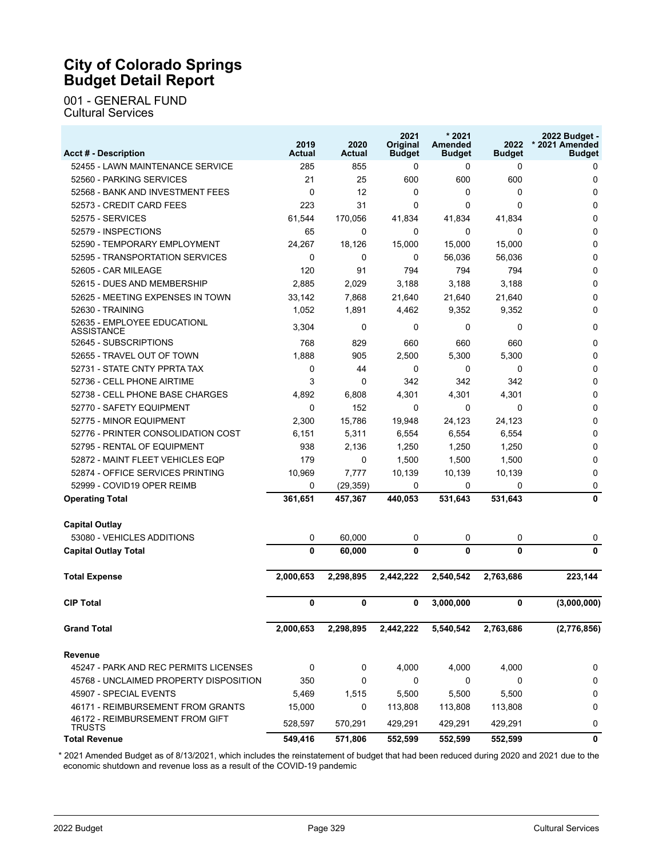001 - GENERAL FUND Cultural Services

| <b>Acct # - Description</b>                      | 2019<br>Actual | 2020<br>Actual | 2021<br>Original<br><b>Budget</b> | * 2021<br>Amended<br><b>Budget</b> | 2022<br><b>Budget</b> | 2022 Budget -<br>* 2021 Amended<br><b>Budget</b> |
|--------------------------------------------------|----------------|----------------|-----------------------------------|------------------------------------|-----------------------|--------------------------------------------------|
| 52455 - LAWN MAINTENANCE SERVICE                 | 285            | 855            | $\Omega$                          | 0                                  | 0                     | 0                                                |
| 52560 - PARKING SERVICES                         | 21             | 25             | 600                               | 600                                | 600                   | $\mathbf 0$                                      |
| 52568 - BANK AND INVESTMENT FEES                 | 0              | 12             | 0                                 | 0                                  | $\mathbf{0}$          | $\Omega$                                         |
| 52573 - CREDIT CARD FEES                         | 223            | 31             | 0                                 | 0                                  | $\mathbf{0}$          | $\Omega$                                         |
| 52575 - SERVICES                                 | 61.544         | 170.056        | 41,834                            | 41,834                             | 41,834                | 0                                                |
| 52579 - INSPECTIONS                              | 65             | $\Omega$       | 0                                 | 0                                  | $\mathbf{0}$          | 0                                                |
| 52590 - TEMPORARY EMPLOYMENT                     | 24,267         | 18,126         | 15,000                            | 15,000                             | 15,000                | 0                                                |
| 52595 - TRANSPORTATION SERVICES                  | 0              | $\Omega$       | 0                                 | 56,036                             | 56,036                | 0                                                |
| 52605 - CAR MILEAGE                              | 120            | 91             | 794                               | 794                                | 794                   | 0                                                |
| 52615 - DUES AND MEMBERSHIP                      | 2,885          | 2,029          | 3,188                             | 3,188                              | 3,188                 | $\mathbf 0$                                      |
| 52625 - MEETING EXPENSES IN TOWN                 | 33,142         | 7,868          | 21,640                            | 21,640                             | 21,640                | 0                                                |
| 52630 - TRAINING                                 | 1,052          | 1,891          | 4,462                             | 9,352                              | 9,352                 | 0                                                |
| 52635 - EMPLOYEE EDUCATIONL<br>ASSISTANCE        | 3,304          | 0              | 0                                 | 0                                  | 0                     | 0                                                |
| 52645 - SUBSCRIPTIONS                            | 768            | 829            | 660                               | 660                                | 660                   | 0                                                |
| 52655 - TRAVEL OUT OF TOWN                       | 1,888          | 905            | 2,500                             | 5,300                              | 5,300                 | 0                                                |
| 52731 - STATE CNTY PPRTA TAX                     | 0              | 44             | 0                                 | 0                                  | 0                     | $\mathbf 0$                                      |
| 52736 - CELL PHONE AIRTIME                       | 3              | $\Omega$       | 342                               | 342                                | 342                   | $\mathbf 0$                                      |
| 52738 - CELL PHONE BASE CHARGES                  | 4,892          | 6,808          | 4,301                             | 4,301                              | 4,301                 | $\mathbf 0$                                      |
| 52770 - SAFETY EQUIPMENT                         | $\mathbf 0$    | 152            | 0                                 | 0                                  | 0                     | $\mathbf 0$                                      |
| 52775 - MINOR EQUIPMENT                          | 2,300          | 15.786         | 19,948                            | 24,123                             | 24,123                | $\mathbf 0$                                      |
| 52776 - PRINTER CONSOLIDATION COST               | 6,151          | 5,311          | 6,554                             | 6,554                              | 6,554                 | 0                                                |
| 52795 - RENTAL OF EQUIPMENT                      | 938            | 2,136          | 1,250                             | 1,250                              | 1,250                 | $\mathbf 0$                                      |
| 52872 - MAINT FLEET VEHICLES EQP                 | 179            | 0              | 1,500                             | 1,500                              | 1,500                 | $\mathbf 0$                                      |
| 52874 - OFFICE SERVICES PRINTING                 | 10,969         | 7,777          | 10,139                            | 10,139                             | 10,139                | $\mathbf 0$                                      |
| 52999 - COVID19 OPER REIMB                       | 0              | (29, 359)      | 0                                 | 0                                  | 0                     | 0                                                |
| <b>Operating Total</b>                           | 361,651        | 457,367        | 440,053                           | 531,643                            | 531,643               | 0                                                |
| <b>Capital Outlay</b>                            |                |                |                                   |                                    |                       |                                                  |
| 53080 - VEHICLES ADDITIONS                       | 0              | 60,000         | 0                                 | 0                                  | 0                     | 0                                                |
| <b>Capital Outlay Total</b>                      | 0              | 60,000         | 0                                 | $\bf{0}$                           | $\bf{0}$              | 0                                                |
| <b>Total Expense</b>                             | 2,000,653      | 2,298,895      | 2,442,222                         | 2,540,542                          | 2,763,686             | 223,144                                          |
| <b>CIP Total</b>                                 | 0              | $\bf{0}$       | 0                                 | 3,000,000                          | $\bf{0}$              | (3,000,000)                                      |
| <b>Grand Total</b>                               | 2,000,653      | 2,298,895      | 2,442,222                         | 5,540,542                          | 2,763,686             | (2,776,856)                                      |
| Revenue                                          |                |                |                                   |                                    |                       |                                                  |
| 45247 - PARK AND REC PERMITS LICENSES            | 0              | 0              | 4,000                             | 4,000                              | 4,000                 | 0                                                |
| 45768 - UNCLAIMED PROPERTY DISPOSITION           | 350            | 0              | 0                                 | 0                                  | 0                     | 0                                                |
| 45907 - SPECIAL EVENTS                           | 5,469          | 1,515          | 5,500                             | 5,500                              | 5,500                 | 0                                                |
| 46171 - REIMBURSEMENT FROM GRANTS                | 15,000         | 0              | 113,808                           | 113,808                            | 113,808               | 0                                                |
| 46172 - REIMBURSEMENT FROM GIFT<br><b>TRUSTS</b> | 528,597        | 570,291        | 429,291                           | 429,291                            | 429,291               | 0                                                |
| <b>Total Revenue</b>                             | 549,416        | 571,806        | 552,599                           | 552,599                            | 552,599               | 0                                                |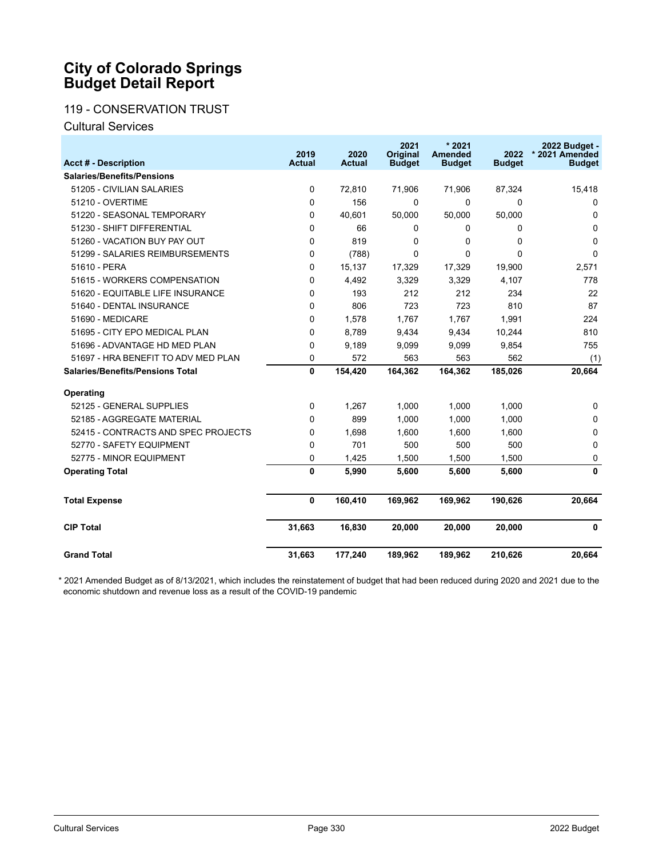#### 119 - CONSERVATION TRUST

Cultural Services

|                                         | 2019          | 2020          | 2021<br><b>Original</b> | $*2021$<br><b>Amended</b> | 2022          | 2022 Budget -<br>* 2021 Amended |
|-----------------------------------------|---------------|---------------|-------------------------|---------------------------|---------------|---------------------------------|
| <b>Acct # - Description</b>             | <b>Actual</b> | <b>Actual</b> | <b>Budget</b>           | <b>Budget</b>             | <b>Budget</b> | <b>Budget</b>                   |
| <b>Salaries/Benefits/Pensions</b>       |               |               |                         |                           |               |                                 |
| 51205 - CIVILIAN SALARIES               | 0             | 72,810        | 71,906                  | 71,906                    | 87,324        | 15,418                          |
| 51210 - OVERTIME                        | 0             | 156           | $\Omega$                | 0                         | 0             | 0                               |
| 51220 - SEASONAL TEMPORARY              | $\Omega$      | 40.601        | 50,000                  | 50,000                    | 50,000        | $\Omega$                        |
| 51230 - SHIFT DIFFERENTIAL              | 0             | 66            | 0                       | 0                         | 0             | 0                               |
| 51260 - VACATION BUY PAY OUT            | 0             | 819           | $\Omega$                | 0                         | $\mathbf{0}$  | 0                               |
| 51299 - SALARIES REIMBURSEMENTS         | 0             | (788)         | 0                       | 0                         | $\Omega$      | $\Omega$                        |
| 51610 - PERA                            | 0             | 15,137        | 17,329                  | 17,329                    | 19,900        | 2,571                           |
| 51615 - WORKERS COMPENSATION            | 0             | 4.492         | 3,329                   | 3,329                     | 4,107         | 778                             |
| 51620 - EQUITABLE LIFE INSURANCE        | 0             | 193           | 212                     | 212                       | 234           | 22                              |
| 51640 - DENTAL INSURANCE                | $\Omega$      | 806           | 723                     | 723                       | 810           | 87                              |
| 51690 - MEDICARE                        | 0             | 1,578         | 1,767                   | 1,767                     | 1,991         | 224                             |
| 51695 - CITY EPO MEDICAL PLAN           | 0             | 8,789         | 9,434                   | 9,434                     | 10,244        | 810                             |
| 51696 - ADVANTAGE HD MED PLAN           | 0             | 9,189         | 9,099                   | 9,099                     | 9,854         | 755                             |
| 51697 - HRA BENEFIT TO ADV MED PLAN     | 0             | 572           | 563                     | 563                       | 562           | (1)                             |
| <b>Salaries/Benefits/Pensions Total</b> | $\bf{0}$      | 154,420       | 164,362                 | 164,362                   | 185,026       | 20,664                          |
| Operating                               |               |               |                         |                           |               |                                 |
| 52125 - GENERAL SUPPLIES                | 0             | 1,267         | 1,000                   | 1,000                     | 1,000         | 0                               |
| 52185 - AGGREGATE MATERIAL              | $\Omega$      | 899           | 1.000                   | 1.000                     | 1.000         | 0                               |
| 52415 - CONTRACTS AND SPEC PROJECTS     | 0             | 1,698         | 1,600                   | 1,600                     | 1,600         | 0                               |
| 52770 - SAFETY EQUIPMENT                | 0             | 701           | 500                     | 500                       | 500           | 0                               |
| 52775 - MINOR EQUIPMENT                 | 0             | 1,425         | 1,500                   | 1,500                     | 1,500         | 0                               |
| <b>Operating Total</b>                  | $\bf{0}$      | 5,990         | 5,600                   | 5,600                     | 5,600         | $\bf{0}$                        |
| <b>Total Expense</b>                    | $\mathbf 0$   | 160,410       | 169,962                 | 169,962                   | 190,626       | 20,664                          |
| <b>CIP Total</b>                        | 31,663        | 16,830        | 20,000                  | 20,000                    | 20,000        | 0                               |
| <b>Grand Total</b>                      | 31,663        | 177,240       | 189,962                 | 189,962                   | 210,626       | 20,664                          |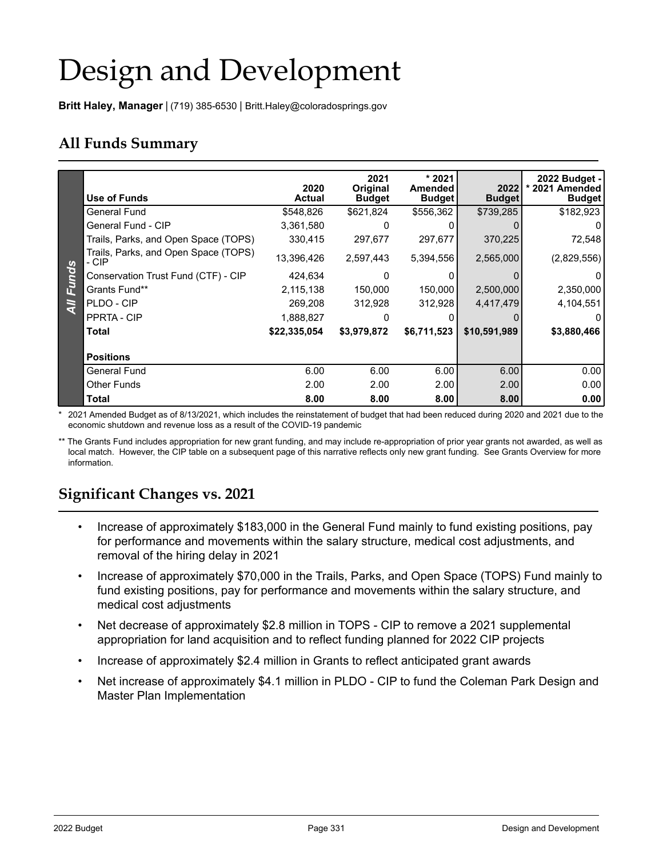# Design and Development

**Britt Haley, Manager** | (719) 385-6530 | Britt.Haley@coloradosprings.gov

#### **All Funds Summary**

|                | Use of Funds                                  | 2020<br><b>Actual</b> | 2021<br>Original<br><b>Budget</b> | $*2021$<br><b>Amended</b><br><b>Budget</b> | 2022<br><b>Budget</b> | 2022 Budget -<br>* 2021 Amended<br><b>Budget</b> |
|----------------|-----------------------------------------------|-----------------------|-----------------------------------|--------------------------------------------|-----------------------|--------------------------------------------------|
|                | <b>General Fund</b>                           | \$548,826             | \$621,824                         | \$556,362                                  | \$739,285             | \$182,923                                        |
|                | General Fund - CIP                            | 3,361,580             | O                                 |                                            |                       | 0                                                |
|                | Trails, Parks, and Open Space (TOPS)          | 330,415               | 297,677                           | 297,677                                    | 370,225               | 72,548                                           |
|                | Trails, Parks, and Open Space (TOPS)<br>- CIP | 13,396,426            | 2,597,443                         | 5,394,556                                  | 2,565,000             | (2,829,556)                                      |
| Funds          | Conservation Trust Fund (CTF) - CIP           | 424,634               | <sup>0</sup>                      |                                            |                       | $\Omega$                                         |
|                | Grants Fund**                                 | 2,115,138             | 150,000                           | 150,000                                    | 2,500,000             | 2,350,000                                        |
| $\overline{4}$ | PLDO - CIP                                    | 269,208               | 312,928                           | 312,928                                    | 4,417,479             | 4,104,551                                        |
|                | PPRTA - CIP                                   | 1,888,827             | 0                                 |                                            |                       | 0                                                |
|                | <b>Total</b>                                  | \$22,335,054          | \$3,979,872                       | \$6,711,523                                | \$10,591,989          | \$3,880,466                                      |
|                |                                               |                       |                                   |                                            |                       |                                                  |
|                | <b>Positions</b>                              |                       |                                   |                                            |                       |                                                  |
|                | <b>General Fund</b>                           | 6.00                  | 6.00                              | 6.00                                       | 6.00                  | 0.00                                             |
|                | <b>Other Funds</b>                            | 2.00                  | 2.00                              | 2.00                                       | 2.00                  | 0.00                                             |
|                | Total                                         | 8.00                  | 8.00                              | 8.00                                       | 8.00                  | 0.00                                             |

\* 2021 Amended Budget as of 8/13/2021, which includes the reinstatement of budget that had been reduced during 2020 and 2021 due to the economic shutdown and revenue loss as a result of the COVID-19 pandemic

\*\* The Grants Fund includes appropriation for new grant funding, and may include re-appropriation of prior year grants not awarded, as well as local match. However, the CIP table on a subsequent page of this narrative reflects only new grant funding. See Grants Overview for more information.

#### **Significant Changes vs. 2021**

- Increase of approximately \$183,000 in the General Fund mainly to fund existing positions, pay for performance and movements within the salary structure, medical cost adjustments, and removal of the hiring delay in 2021
- Increase of approximately \$70,000 in the Trails, Parks, and Open Space (TOPS) Fund mainly to fund existing positions, pay for performance and movements within the salary structure, and medical cost adjustments
- Net decrease of approximately \$2.8 million in TOPS CIP to remove a 2021 supplemental appropriation for land acquisition and to reflect funding planned for 2022 CIP projects
- Increase of approximately \$2.4 million in Grants to reflect anticipated grant awards
- Net increase of approximately \$4.1 million in PLDO CIP to fund the Coleman Park Design and Master Plan Implementation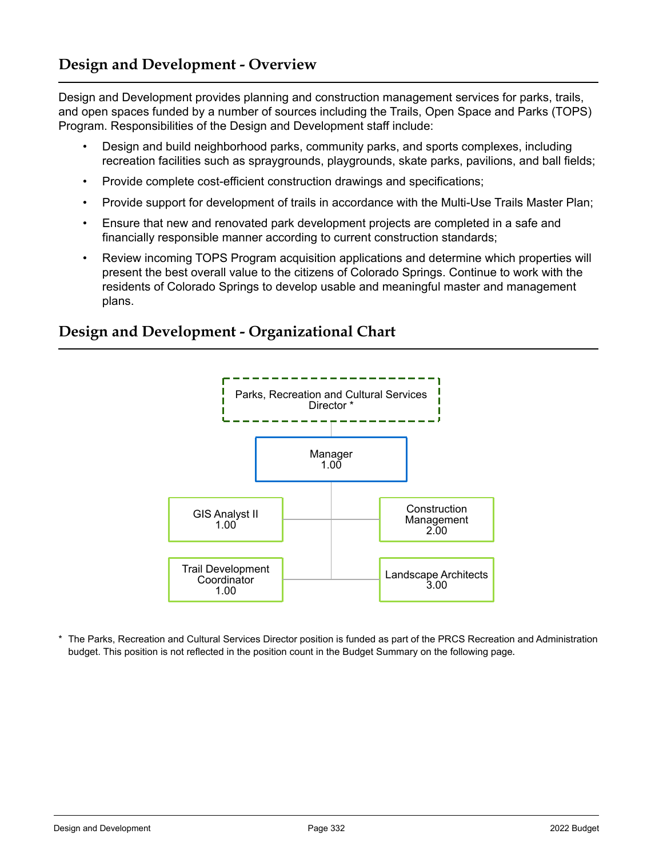Design and Development provides planning and construction management services for parks, trails, and open spaces funded by a number of sources including the Trails, Open Space and Parks (TOPS) Program. Responsibilities of the Design and Development staff include:

- Design and build neighborhood parks, community parks, and sports complexes, including recreation facilities such as spraygrounds, playgrounds, skate parks, pavilions, and ball fields;
- Provide complete cost-efficient construction drawings and specifications;
- Provide support for development of trails in accordance with the Multi-Use Trails Master Plan;
- Ensure that new and renovated park development projects are completed in a safe and financially responsible manner according to current construction standards;
- Review incoming TOPS Program acquisition applications and determine which properties will present the best overall value to the citizens of Colorado Springs. Continue to work with the residents of Colorado Springs to develop usable and meaningful master and management plans.

#### **Design and Development - Organizational Chart**



The Parks, Recreation and Cultural Services Director position is funded as part of the PRCS Recreation and Administration budget. This position is not reflected in the position count in the Budget Summary on the following page.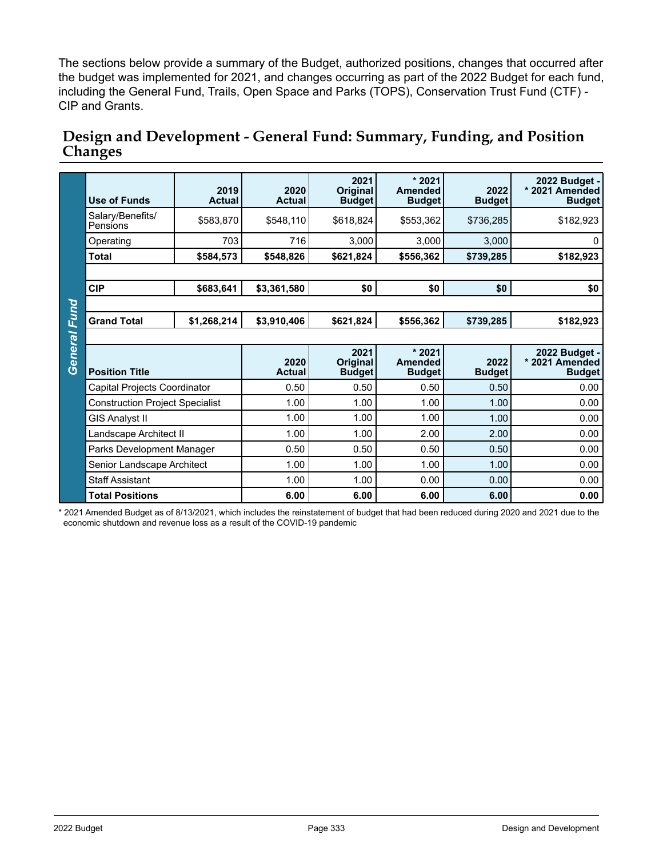The sections below provide a summary of the Budget, authorized positions, changes that occurred after the budget was implemented for 2021, and changes occurring as part of the 2022 Budget for each fund, including the General Fund, Trails, Open Space and Parks (TOPS), Conservation Trust Fund (CTF) - CIP and Grants.

|         | <b>Use of Funds</b>                    | 2019<br><b>Actual</b> | 2020<br><b>Actual</b> | 2021<br>Original<br><b>Budget</b>        | $*2021$<br><b>Amended</b><br><b>Budget</b> | 2022<br><b>Budget</b> | 2022 Budget -<br>* 2021 Amended<br><b>Budget</b> |  |  |  |
|---------|----------------------------------------|-----------------------|-----------------------|------------------------------------------|--------------------------------------------|-----------------------|--------------------------------------------------|--|--|--|
|         | Salary/Benefits/<br>Pensions           | \$583,870             | \$548,110             | \$618,824                                | \$553,362                                  | \$736,285             | \$182,923                                        |  |  |  |
|         | Operating                              | 703                   | 716                   | 3,000                                    | 3,000                                      | 3,000                 | 0                                                |  |  |  |
|         | <b>Total</b>                           | \$584,573             | \$548,826             | \$621,824                                | \$556,362                                  | \$739,285             | \$182,923                                        |  |  |  |
|         |                                        |                       |                       |                                          |                                            |                       |                                                  |  |  |  |
|         | <b>CIP</b>                             | \$683,641             | \$3,361,580           | \$0                                      | \$0                                        | \$0                   | \$0                                              |  |  |  |
|         |                                        |                       |                       |                                          |                                            |                       |                                                  |  |  |  |
| Fund    | <b>Grand Total</b>                     | \$1,268,214           | \$3,910,406           | \$621,824                                | \$556,362                                  | \$739,285             | \$182,923                                        |  |  |  |
|         |                                        |                       |                       |                                          |                                            |                       |                                                  |  |  |  |
| General | <b>Position Title</b>                  |                       | 2020<br><b>Actual</b> | 2021<br><b>Original</b><br><b>Budget</b> | $*2021$<br><b>Amended</b><br><b>Budget</b> | 2022<br><b>Budget</b> | 2022 Budget -<br>* 2021 Amended<br><b>Budget</b> |  |  |  |
|         | Capital Projects Coordinator           |                       | 0.50                  | 0.50                                     | 0.50                                       | 0.50                  | 0.00                                             |  |  |  |
|         | <b>Construction Project Specialist</b> |                       | 1.00                  | 1.00                                     | 1.00                                       | 1.00                  | 0.00                                             |  |  |  |
|         | <b>GIS Analyst II</b>                  |                       | 1.00                  | 1.00                                     | 1.00                                       | 1.00                  | 0.00                                             |  |  |  |
|         | Landscape Architect II                 |                       | 1.00                  | 1.00                                     | 2.00                                       | 2.00                  | 0.00                                             |  |  |  |
|         | Parks Development Manager              |                       | 0.50                  | 0.50                                     | 0.50                                       | 0.50                  | 0.00                                             |  |  |  |
|         | Senior Landscape Architect             |                       | 1.00                  | 1.00                                     | 1.00                                       | 1.00                  | 0.00                                             |  |  |  |
|         | <b>Staff Assistant</b>                 |                       | 1.00                  | 1.00                                     | 0.00                                       | 0.00                  | 0.00                                             |  |  |  |
|         | <b>Total Positions</b>                 |                       | 6.00                  | 6.00                                     | 6.00                                       | 6.00                  | 0.00                                             |  |  |  |

#### **Design and Development - General Fund: Summary, Funding, and Position Changes**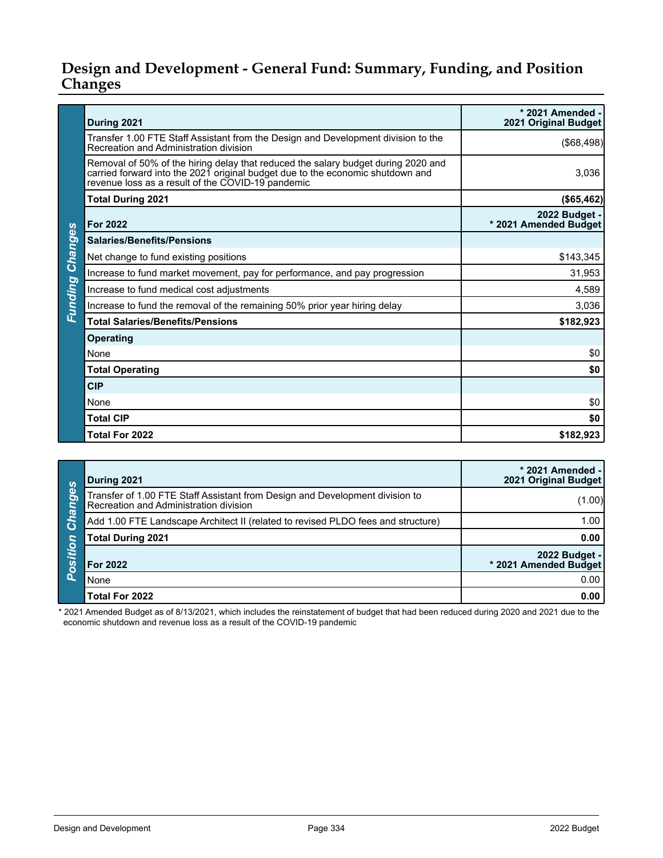## **Design and Development - General Fund: Summary, Funding, and Position Changes**

|                        | During 2021                                                                                                                                                                                                              | * 2021 Amended -<br>2021 Original Budget |
|------------------------|--------------------------------------------------------------------------------------------------------------------------------------------------------------------------------------------------------------------------|------------------------------------------|
|                        | Transfer 1.00 FTE Staff Assistant from the Design and Development division to the<br>Recreation and Administration division                                                                                              | (\$68,498)                               |
|                        | Removal of 50% of the hiring delay that reduced the salary budget during 2020 and<br>carried forward into the 2021 original budget due to the economic shutdown and<br>revenue loss as a result of the COVID-19 pandemic | 3,036                                    |
|                        | <b>Total During 2021</b>                                                                                                                                                                                                 | $($ \$65,462) $ $                        |
|                        | <b>For 2022</b>                                                                                                                                                                                                          | 2022 Budget -<br>* 2021 Amended Budget   |
|                        | <b>Salaries/Benefits/Pensions</b>                                                                                                                                                                                        |                                          |
| <b>Funding Changes</b> | Net change to fund existing positions                                                                                                                                                                                    | \$143,345                                |
|                        | Increase to fund market movement, pay for performance, and pay progression                                                                                                                                               | 31,953                                   |
|                        | Increase to fund medical cost adjustments                                                                                                                                                                                | 4,589                                    |
|                        | Increase to fund the removal of the remaining 50% prior year hiring delay                                                                                                                                                | 3,036                                    |
|                        | <b>Total Salaries/Benefits/Pensions</b>                                                                                                                                                                                  | \$182,923                                |
|                        | <b>Operating</b>                                                                                                                                                                                                         |                                          |
|                        | None                                                                                                                                                                                                                     | \$0                                      |
|                        | <b>Total Operating</b>                                                                                                                                                                                                   | \$0                                      |
|                        | <b>CIP</b>                                                                                                                                                                                                               |                                          |
|                        | None                                                                                                                                                                                                                     | \$0                                      |
|                        | <b>Total CIP</b>                                                                                                                                                                                                         | \$0                                      |
|                        | Total For 2022                                                                                                                                                                                                           | \$182,923                                |

| 8g<br><b>Change</b> | During 2021                                                                                                            | * 2021 Amended -<br>2021 Original Budget |
|---------------------|------------------------------------------------------------------------------------------------------------------------|------------------------------------------|
|                     | Transfer of 1.00 FTE Staff Assistant from Design and Development division to<br>Recreation and Administration division | (1.00)                                   |
|                     | Add 1.00 FTE Landscape Architect II (related to revised PLDO fees and structure)                                       | 1.00                                     |
| ition<br><b>OS</b>  | Total During 2021                                                                                                      | 0.00                                     |
|                     | For 2022                                                                                                               | 2022 Budget -<br>* 2021 Amended Budget   |
|                     | None                                                                                                                   | 0.00                                     |
|                     | Total For 2022                                                                                                         | 0.00                                     |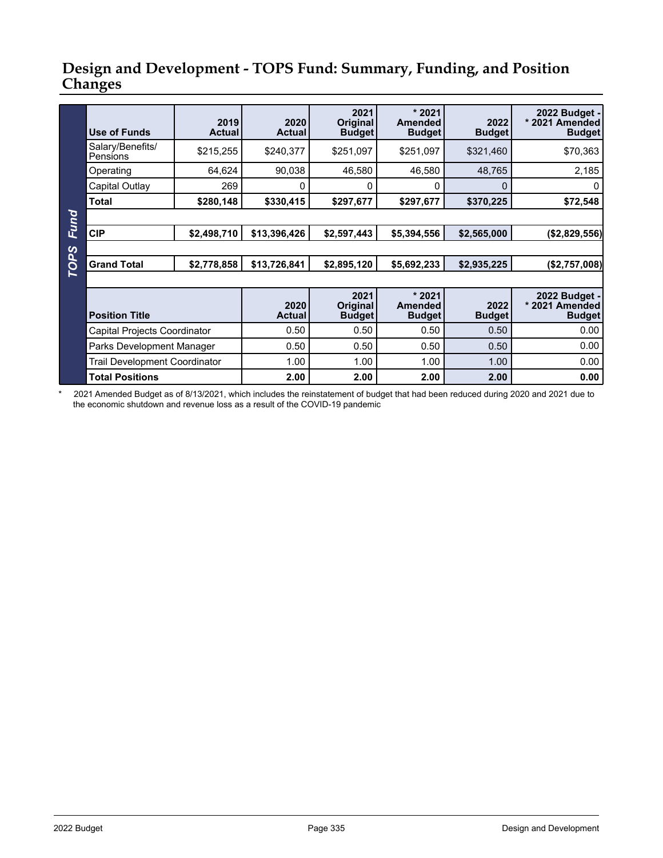# **Design and Development - TOPS Fund: Summary, Funding, and Position Changes**

|             | Use of Funds                         | 2019<br><b>Actual</b> | 2020<br><b>Actual</b> | 2021<br>Original<br><b>Budget</b> | $*2021$<br><b>Amended</b><br><b>Budget</b> | 2022<br><b>Budget</b> | 2022 Budget -<br>* 2021 Amended<br><b>Budget</b> |  |  |
|-------------|--------------------------------------|-----------------------|-----------------------|-----------------------------------|--------------------------------------------|-----------------------|--------------------------------------------------|--|--|
|             | Salary/Benefits/<br>Pensions         | \$215,255             | \$240,377             | \$251,097                         | \$251,097                                  | \$321,460             | \$70,363                                         |  |  |
|             | Operating                            | 64,624                | 90,038                | 46,580                            | 46,580                                     | 48,765                | 2,185                                            |  |  |
|             | Capital Outlay                       | 269                   | 0                     | 0                                 | 0                                          | 0                     | 0                                                |  |  |
|             | Total                                | \$280,148             | \$330,415             | \$297,677                         | \$297,677                                  | \$370,225             | \$72,548                                         |  |  |
| Fund        |                                      |                       |                       |                                   |                                            |                       |                                                  |  |  |
|             | <b>CIP</b>                           | \$2,498,710           | \$13,396,426          | \$2,597,443                       | \$5,394,556                                | \$2,565,000           | (\$2,829,556)                                    |  |  |
|             |                                      |                       |                       |                                   |                                            |                       |                                                  |  |  |
| <b>TOPS</b> | <b>Grand Total</b>                   | \$2,778,858           | \$13,726,841          | \$2,895,120                       | \$5,692,233                                | \$2,935,225           | (\$2,757,008)                                    |  |  |
|             |                                      |                       |                       |                                   |                                            |                       |                                                  |  |  |
|             | <b>Position Title</b>                |                       | 2020<br><b>Actual</b> | 2021<br>Original<br><b>Budget</b> | $*2021$<br><b>Amended</b><br><b>Budget</b> | 2022<br><b>Budget</b> | 2022 Budget -<br>* 2021 Amended<br><b>Budget</b> |  |  |
|             | Capital Projects Coordinator         |                       | 0.50                  | 0.50                              | 0.50                                       | 0.50                  | 0.00                                             |  |  |
|             | Parks Development Manager            |                       | 0.50                  | 0.50                              | 0.50                                       | 0.50                  | 0.00                                             |  |  |
|             | <b>Trail Development Coordinator</b> |                       | 1.00                  | 1.00                              | 1.00                                       | 1.00                  | 0.00                                             |  |  |
|             | <b>Total Positions</b>               |                       | 2.00                  | 2.00                              | 2.00                                       | 2.00                  | 0.00                                             |  |  |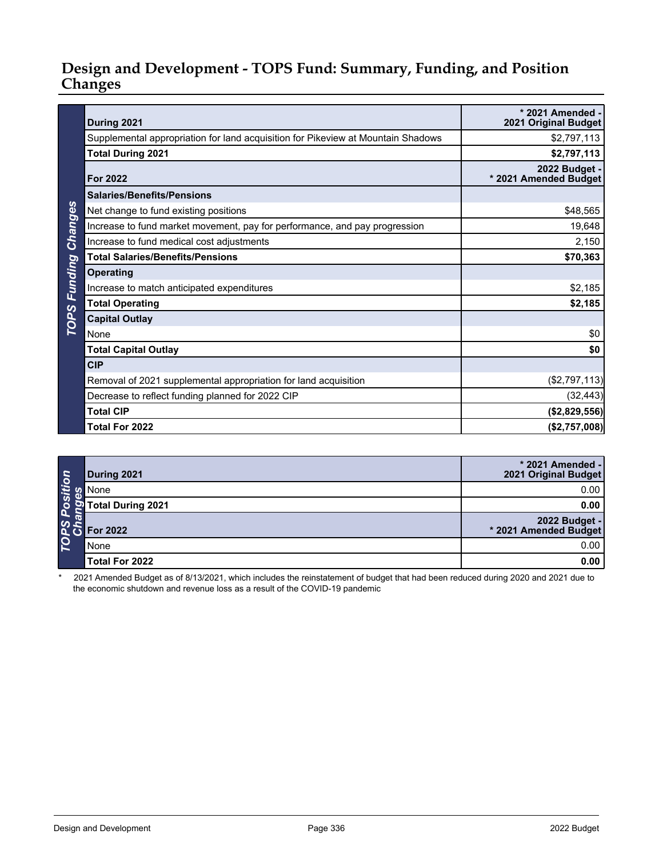## **Design and Development - TOPS Fund: Summary, Funding, and Position Changes**

| During 2021                                                                           | * 2021 Amended -<br>2021 Original Budget |
|---------------------------------------------------------------------------------------|------------------------------------------|
| Supplemental appropriation for land acquisition for Pikeview at Mountain Shadows      | \$2,797,113                              |
| <b>Total During 2021</b>                                                              | \$2,797,113                              |
| For 2022                                                                              | 2022 Budget -<br>* 2021 Amended Budget   |
| <b>Salaries/Benefits/Pensions</b>                                                     |                                          |
| Net change to fund existing positions                                                 | \$48,565                                 |
| Changes<br>Increase to fund market movement, pay for performance, and pay progression | 19,648                                   |
| Increase to fund medical cost adjustments                                             | 2,150                                    |
| <b>Total Salaries/Benefits/Pensions</b>                                               | \$70,363                                 |
| <u>TOPS Funding</u><br><b>Operating</b>                                               |                                          |
| Increase to match anticipated expenditures                                            | \$2,185                                  |
| <b>Total Operating</b>                                                                | \$2,185                                  |
| <b>Capital Outlay</b>                                                                 |                                          |
| None                                                                                  | \$0                                      |
| <b>Total Capital Outlay</b>                                                           | \$0                                      |
| <b>CIP</b>                                                                            |                                          |
| Removal of 2021 supplemental appropriation for land acquisition                       | (\$2,797,113)                            |
| Decrease to reflect funding planned for 2022 CIP                                      | (32, 443)                                |
| <b>Total CIP</b>                                                                      | (\$2,829,556)                            |
| <b>Total For 2022</b>                                                                 | (\$2,757,008)                            |

|                                 | During 2021              | * 2021 Amended -<br>2021 Original Budget |
|---------------------------------|--------------------------|------------------------------------------|
|                                 | None                     | 0.00                                     |
|                                 | <b>Total During 2021</b> | 0.00                                     |
| <b>TOPS Position</b><br>Changes | <b>For 2022</b>          | - 2022 Budget<br>2021 Amended Budget     |
|                                 | None                     | 0.00                                     |
|                                 | Total For 2022           | 0.00                                     |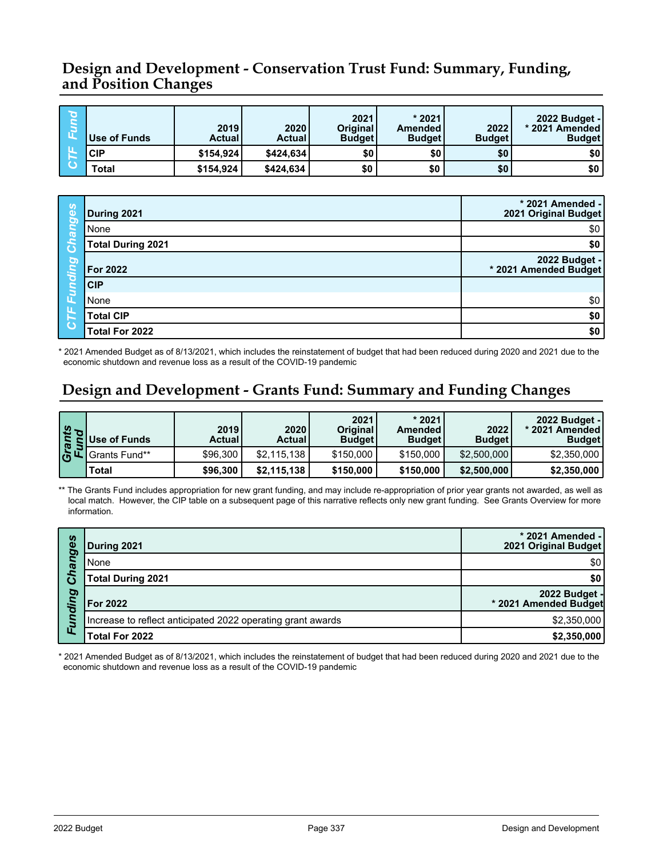#### **Design and Development - Conservation Trust Fund: Summary, Funding, and Position Changes**

| ਨ | <b>Use of Funds</b> | 2019<br><b>Actual</b> | 2020<br><b>Actual</b> | 2021<br>Original<br><b>Budget</b> | $*2021$<br>Amended I<br><b>Budget</b> | 2022<br><b>Budget</b> | 2022 Budget -<br>* 2021 Amended<br><b>Budget</b> |
|---|---------------------|-----------------------|-----------------------|-----------------------------------|---------------------------------------|-----------------------|--------------------------------------------------|
|   | <b>CIP</b>          | \$154.924             | \$424.634             | \$0                               | \$0 <sub>1</sub>                      | \$0                   | \$0                                              |
|   | <b>Total</b>        | \$154.924             | \$424.634             | \$0                               | \$0                                   | \$0                   | \$0                                              |

| Changes        | During 2021              | * 2021 Amended -<br>2021 Original Budget |
|----------------|--------------------------|------------------------------------------|
|                | None                     | \$0                                      |
|                | <b>Total During 2021</b> | \$0                                      |
| <b>Eunding</b> | <b>For 2022</b>          | - 2022 Budget<br>2021 Amended Budget     |
|                | <b>CIP</b>               |                                          |
| е              | None                     | \$0                                      |
|                | <b>Total CIP</b>         | \$0                                      |
| Ø              | Total For 2022           | \$0                                      |

\* 2021 Amended Budget as of 8/13/2021, which includes the reinstatement of budget that had been reduced during 2020 and 2021 due to the economic shutdown and revenue loss as a result of the COVID-19 pandemic

#### **Design and Development - Grants Fund: Summary and Funding Changes**

|  | $\left \frac{16}{5}\right $ Use of Funds                  | 2019<br>Actual! | 2020<br><b>Actual</b> | 2021<br>Original<br><b>Budget</b> | $*2021$<br>Amended I<br><b>Budget</b> | 2022<br><b>Budget</b> | 2022 Budget -<br>* 2021 Amended<br><b>Budget</b> |
|--|-----------------------------------------------------------|-----------------|-----------------------|-----------------------------------|---------------------------------------|-----------------------|--------------------------------------------------|
|  | $\begin{array}{ c c }\n\hline\n\end{array}$ Grants Fund** | \$96,300        | \$2,115,138           | \$150,000                         | \$150,000                             | \$2,500,000           | \$2,350,000                                      |
|  | <b>Total</b>                                              | \$96.300        | \$2,115,138           | \$150,000                         | \$150,000                             | \$2,500,000           | \$2,350,000                                      |

\*\* The Grants Fund includes appropriation for new grant funding, and may include re-appropriation of prior year grants not awarded, as well as local match. However, the CIP table on a subsequent page of this narrative reflects only new grant funding. See Grants Overview for more information.

| ges    | During 2021                                                 | * 2021 Amended -<br>2021 Original Budget |
|--------|-------------------------------------------------------------|------------------------------------------|
| nan    | l None                                                      | \$0                                      |
| نَ     | <b>Total During 2021</b>                                    | \$0                                      |
| Burpun | <b>For 2022</b>                                             | 2022 Budget -<br>* 2021 Amended Budget   |
|        | Increase to reflect anticipated 2022 operating grant awards | \$2,350,000                              |
| lī     | Total For 2022                                              | \$2,350,000                              |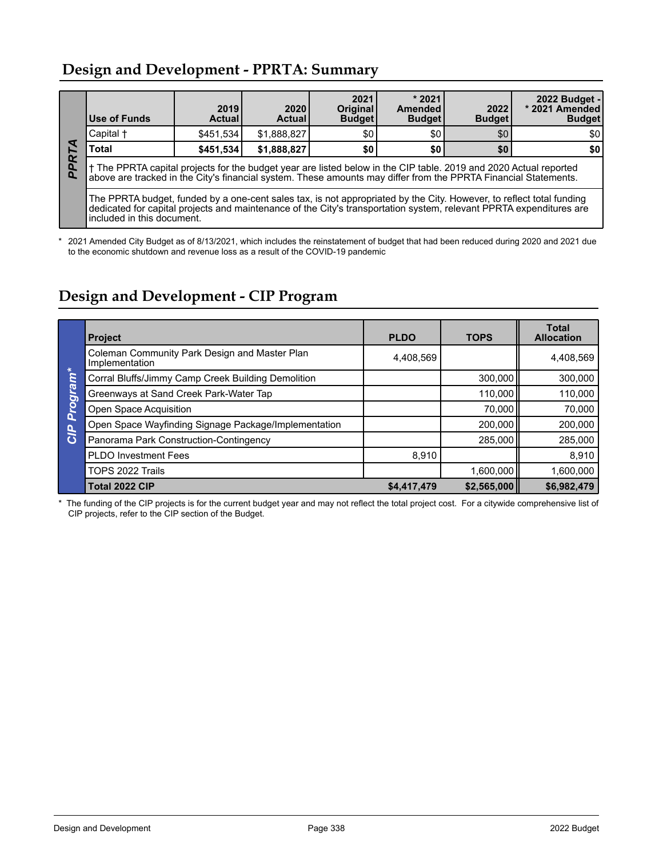# **Design and Development - PPRTA: Summary**

|         | Use of Funds                                                                                                                                                                                                                                                              | 2019<br><b>Actual</b> | 2020<br><b>Actual</b> | 2021<br>Original<br><b>Budget</b> | $*2021$<br><b>Amended</b><br><b>Budget</b> | 2022<br><b>Budget</b> | 2022 Budget -<br>* 2021 Amended<br><b>Budget</b> |  |
|---------|---------------------------------------------------------------------------------------------------------------------------------------------------------------------------------------------------------------------------------------------------------------------------|-----------------------|-----------------------|-----------------------------------|--------------------------------------------|-----------------------|--------------------------------------------------|--|
|         | Capital +                                                                                                                                                                                                                                                                 | \$451,534             | \$1,888,827           | \$0                               | \$0                                        | \$0                   | \$0                                              |  |
| ্ব      | Гоtal                                                                                                                                                                                                                                                                     | \$451,534             | \$1,888,827           | \$0                               | \$0                                        | \$0                   | \$0                                              |  |
| Æ<br>D. | † The PPRTA capital projects for the budget year are listed below in the CIP table. 2019 and 2020 Actual reported<br>  above are tracked in the City's financial system. These amounts may differ from the PPRTA Financial Statem                                         |                       |                       |                                   |                                            |                       |                                                  |  |
|         | The PPRTA budget, funded by a one-cent sales tax, is not appropriated by the City. However, to reflect total funding<br>dedicated for capital projects and maintenance of the City's transportation system, relevant PPRTA expenditures are<br>included in this document. |                       |                       |                                   |                                            |                       |                                                  |  |

2021 Amended City Budget as of 8/13/2021, which includes the reinstatement of budget that had been reduced during 2020 and 2021 due to the economic shutdown and revenue loss as a result of the COVID-19 pandemic

# **Design and Development - CIP Program**

|              | <b>Project</b>                                                  | <b>PLDO</b> | <b>TOPS</b> | <b>Total</b><br><b>Allocation</b> |
|--------------|-----------------------------------------------------------------|-------------|-------------|-----------------------------------|
|              | Coleman Community Park Design and Master Plan<br>Implementation | 4,408,569   |             | 4,408,569                         |
|              | Corral Bluffs/Jimmy Camp Creek Building Demolition              |             | 300,000     | 300,000                           |
|              | Greenways at Sand Creek Park-Water Tap                          |             | 110.000     | 110,000                           |
| CIP Program* | Open Space Acquisition                                          |             | 70,000      | 70,000                            |
|              | Open Space Wayfinding Signage Package/Implementation            |             | 200,000     | 200,000                           |
|              | Panorama Park Construction-Contingency                          |             | 285,000     | 285,000                           |
|              | <b>PLDO</b> Investment Fees                                     | 8.910       |             | 8,910                             |
|              | TOPS 2022 Trails                                                |             | 1,600,000   | 1,600,000                         |
|              | Total 2022 CIP                                                  | \$4,417,479 | \$2,565,000 | \$6,982,479                       |

\* The funding of the CIP projects is for the current budget year and may not reflect the total project cost. For a citywide comprehensive list of CIP projects, refer to the CIP section of the Budget.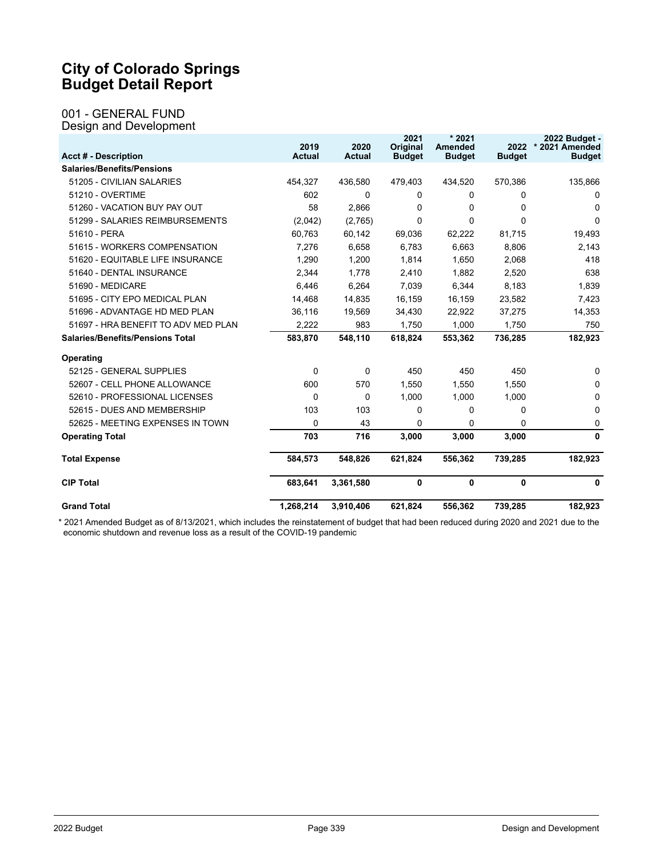#### 001 - GENERAL FUND

Design and Development

| <b>Acct # - Description</b>             | 2019<br><b>Actual</b> | 2020<br><b>Actual</b> | 2021<br><b>Original</b><br><b>Budget</b> | $*2021$<br>Amended<br><b>Budget</b> | 2022<br><b>Budget</b> | 2022 Budget -<br>* 2021 Amended<br><b>Budget</b> |
|-----------------------------------------|-----------------------|-----------------------|------------------------------------------|-------------------------------------|-----------------------|--------------------------------------------------|
| <b>Salaries/Benefits/Pensions</b>       |                       |                       |                                          |                                     |                       |                                                  |
| 51205 - CIVILIAN SALARIES               | 454,327               | 436,580               | 479,403                                  | 434,520                             | 570,386               | 135,866                                          |
| 51210 - OVERTIME                        | 602                   | 0                     | 0                                        | 0                                   | 0                     | 0                                                |
| 51260 - VACATION BUY PAY OUT            | 58                    | 2,866                 | $\Omega$                                 | 0                                   | 0                     | 0                                                |
| 51299 - SALARIES REIMBURSEMENTS         | (2,042)               | (2,765)               | $\Omega$                                 | $\Omega$                            | $\Omega$              | $\Omega$                                         |
| 51610 - PERA                            | 60,763                | 60,142                | 69,036                                   | 62,222                              | 81,715                | 19,493                                           |
| 51615 - WORKERS COMPENSATION            | 7,276                 | 6,658                 | 6,783                                    | 6,663                               | 8,806                 | 2,143                                            |
| 51620 - EQUITABLE LIFE INSURANCE        | 1,290                 | 1,200                 | 1.814                                    | 1,650                               | 2,068                 | 418                                              |
| 51640 - DENTAL INSURANCE                | 2,344                 | 1,778                 | 2,410                                    | 1,882                               | 2,520                 | 638                                              |
| 51690 - MEDICARE                        | 6,446                 | 6,264                 | 7,039                                    | 6,344                               | 8,183                 | 1,839                                            |
| 51695 - CITY EPO MEDICAL PLAN           | 14,468                | 14,835                | 16,159                                   | 16,159                              | 23,582                | 7,423                                            |
| 51696 - ADVANTAGE HD MED PLAN           | 36,116                | 19,569                | 34,430                                   | 22.922                              | 37.275                | 14,353                                           |
| 51697 - HRA BENEFIT TO ADV MED PLAN     | 2,222                 | 983                   | 1,750                                    | 1,000                               | 1,750                 | 750                                              |
| <b>Salaries/Benefits/Pensions Total</b> | 583,870               | 548,110               | 618,824                                  | 553,362                             | 736,285               | 182,923                                          |
| Operating                               |                       |                       |                                          |                                     |                       |                                                  |
| 52125 - GENERAL SUPPLIES                | 0                     | 0                     | 450                                      | 450                                 | 450                   | 0                                                |
| 52607 - CELL PHONE ALLOWANCE            | 600                   | 570                   | 1,550                                    | 1,550                               | 1,550                 | 0                                                |
| 52610 - PROFESSIONAL LICENSES           | $\Omega$              | 0                     | 1,000                                    | 1,000                               | 1,000                 | 0                                                |
| 52615 - DUES AND MEMBERSHIP             | 103                   | 103                   | 0                                        | 0                                   | $\Omega$              | 0                                                |
| 52625 - MEETING EXPENSES IN TOWN        | 0                     | 43                    | 0                                        | 0                                   | $\Omega$              | 0                                                |
| <b>Operating Total</b>                  | 703                   | 716                   | 3,000                                    | 3,000                               | 3,000                 | $\bf{0}$                                         |
| <b>Total Expense</b>                    | 584,573               | 548,826               | 621,824                                  | 556,362                             | 739,285               | 182,923                                          |
| <b>CIP Total</b>                        | 683,641               | 3,361,580             | $\bf{0}$                                 | 0                                   | $\bf{0}$              | 0                                                |
| <b>Grand Total</b>                      | 1.268.214             | 3.910.406             | 621.824                                  | 556.362                             | 739.285               | 182.923                                          |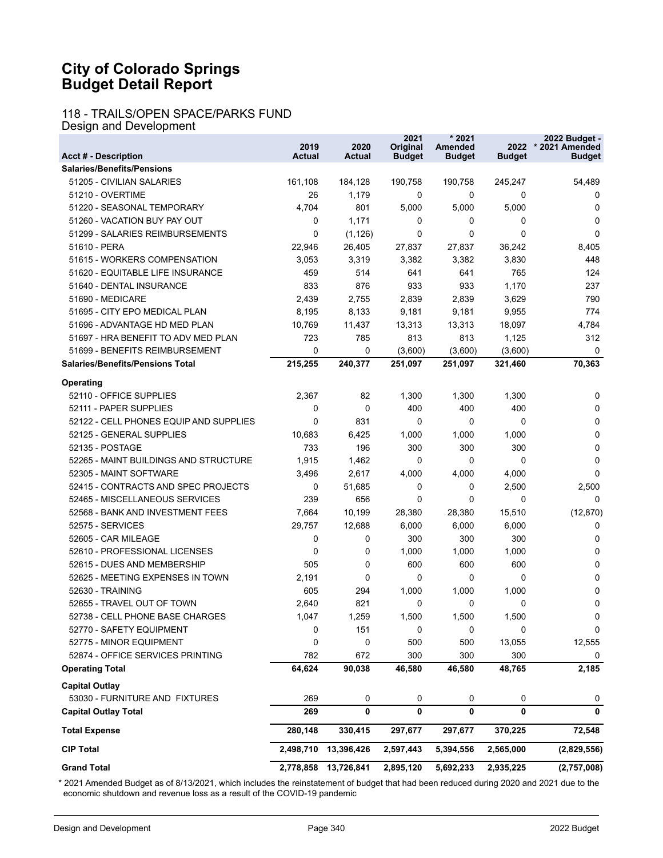#### 118 - TRAILS/OPEN SPACE/PARKS FUND Design and Development

| <b>Acct # - Description</b>             | 2019<br><b>Actual</b> | 2020<br><b>Actual</b> | 2021<br>Original<br><b>Budget</b> | * 2021<br><b>Amended</b><br><b>Budget</b> | <b>Budget</b> | 2022 Budget -<br>2022 * 2021 Amended<br><b>Budget</b> |
|-----------------------------------------|-----------------------|-----------------------|-----------------------------------|-------------------------------------------|---------------|-------------------------------------------------------|
| <b>Salaries/Benefits/Pensions</b>       |                       |                       |                                   |                                           |               |                                                       |
| 51205 - CIVILIAN SALARIES               | 161,108               | 184,128               | 190,758                           | 190,758                                   | 245,247       | 54,489                                                |
| 51210 - OVERTIME                        | 26                    | 1,179                 | 0                                 | 0                                         | 0             | 0                                                     |
| 51220 - SEASONAL TEMPORARY              | 4,704                 | 801                   | 5,000                             | 5,000                                     | 5,000         | 0                                                     |
| 51260 - VACATION BUY PAY OUT            | 0                     | 1,171                 | 0                                 | 0                                         | 0             | 0                                                     |
| 51299 - SALARIES REIMBURSEMENTS         | $\Omega$              | (1, 126)              | $\mathbf{0}$                      | $\Omega$                                  | 0             | $\Omega$                                              |
| 51610 - PERA                            | 22,946                | 26,405                | 27,837                            | 27,837                                    | 36,242        | 8,405                                                 |
| 51615 - WORKERS COMPENSATION            | 3,053                 | 3,319                 | 3,382                             | 3,382                                     | 3,830         | 448                                                   |
| 51620 - EQUITABLE LIFE INSURANCE        | 459                   | 514                   | 641                               | 641                                       | 765           | 124                                                   |
| 51640 - DENTAL INSURANCE                | 833                   | 876                   | 933                               | 933                                       | 1,170         | 237                                                   |
| 51690 - MEDICARE                        | 2,439                 | 2,755                 | 2,839                             | 2,839                                     | 3,629         | 790                                                   |
| 51695 - CITY EPO MEDICAL PLAN           | 8,195                 | 8,133                 | 9,181                             | 9,181                                     | 9,955         | 774                                                   |
| 51696 - ADVANTAGE HD MED PLAN           | 10,769                | 11,437                | 13,313                            | 13,313                                    | 18,097        | 4,784                                                 |
| 51697 - HRA BENEFIT TO ADV MED PLAN     | 723                   | 785                   | 813                               | 813                                       | 1,125         | 312                                                   |
| 51699 - BENEFITS REIMBURSEMENT          | 0                     | 0                     | (3,600)                           | (3,600)                                   | (3,600)       | 0                                                     |
| <b>Salaries/Benefits/Pensions Total</b> | 215,255               | 240,377               | 251,097                           | 251,097                                   | 321,460       | 70,363                                                |
|                                         |                       |                       |                                   |                                           |               |                                                       |
| <b>Operating</b>                        |                       |                       |                                   |                                           |               |                                                       |
| 52110 - OFFICE SUPPLIES                 | 2,367                 | 82                    | 1,300                             | 1,300                                     | 1,300         | 0                                                     |
| 52111 - PAPER SUPPLIES                  | 0                     | $\mathbf 0$           | 400                               | 400                                       | 400           | 0                                                     |
| 52122 - CELL PHONES EQUIP AND SUPPLIES  | 0                     | 831                   | 0                                 | 0                                         | 0             | $\mathbf 0$                                           |
| 52125 - GENERAL SUPPLIES                | 10,683                | 6,425                 | 1,000                             | 1,000                                     | 1,000         | 0                                                     |
| 52135 - POSTAGE                         | 733                   | 196                   | 300                               | 300                                       | 300           | $\mathbf 0$                                           |
| 52265 - MAINT BUILDINGS AND STRUCTURE   | 1,915                 | 1,462                 | 0                                 | 0                                         | 0             | 0                                                     |
| 52305 - MAINT SOFTWARE                  | 3,496                 | 2,617                 | 4,000                             | 4,000                                     | 4,000         | $\Omega$                                              |
| 52415 - CONTRACTS AND SPEC PROJECTS     | 0                     | 51,685                | 0                                 | 0                                         | 2,500         | 2,500                                                 |
| 52465 - MISCELLANEOUS SERVICES          | 239                   | 656                   | 0                                 | 0                                         | 0             | 0                                                     |
| 52568 - BANK AND INVESTMENT FEES        | 7,664                 | 10,199                | 28,380                            | 28,380                                    | 15,510        | (12, 870)                                             |
| 52575 - SERVICES                        | 29,757                | 12,688                | 6,000                             | 6,000                                     | 6,000         | 0                                                     |
| 52605 - CAR MILEAGE                     | 0                     | 0                     | 300                               | 300                                       | 300           | 0                                                     |
| 52610 - PROFESSIONAL LICENSES           | 0                     | 0                     | 1,000                             | 1,000                                     | 1,000         | 0                                                     |
| 52615 - DUES AND MEMBERSHIP             | 505                   | 0                     | 600                               | 600                                       | 600           | 0                                                     |
| 52625 - MEETING EXPENSES IN TOWN        | 2,191                 | 0                     | 0                                 | 0                                         | 0             | 0                                                     |
| 52630 - TRAINING                        | 605                   | 294                   | 1,000                             | 1,000                                     | 1,000         | 0                                                     |
| 52655 - TRAVEL OUT OF TOWN              | 2,640                 | 821                   | 0                                 | 0                                         | 0             | $\mathbf 0$                                           |
| 52738 - CELL PHONE BASE CHARGES         | 1,047                 | 1,259                 | 1,500                             | 1,500                                     | 1,500         | 0                                                     |
| 52770 - SAFETY EQUIPMENT                | 0                     | 151                   | 0                                 | 0                                         | 0             | 0                                                     |
| 52775 - MINOR EQUIPMENT                 | 0                     | 0                     | 500                               | 500                                       | 13,055        | 12,555                                                |
| 52874 - OFFICE SERVICES PRINTING        | 782                   | 672                   | 300                               | 300                                       | 300           | 0                                                     |
| <b>Operating Total</b>                  | 64,624                | 90,038                | 46,580                            | 46,580                                    | 48,765        | 2,185                                                 |
| <b>Capital Outlay</b>                   |                       |                       |                                   |                                           |               |                                                       |
| 53030 - FURNITURE AND FIXTURES          | 269                   | 0                     | 0                                 | 0                                         | 0             | 0                                                     |
| <b>Capital Outlay Total</b>             | 269                   | 0                     | 0                                 | 0                                         | 0             | $\bf{0}$                                              |
| <b>Total Expense</b>                    | 280,148               | 330,415               | 297,677                           | 297,677                                   | 370,225       | 72,548                                                |
| <b>CIP Total</b>                        | 2,498,710             | 13,396,426            | 2,597,443                         | 5,394,556                                 | 2,565,000     | (2,829,556)                                           |
| <b>Grand Total</b>                      | 2,778,858             | 13,726,841            | 2,895,120                         | 5,692,233                                 | 2,935,225     | (2,757,008)                                           |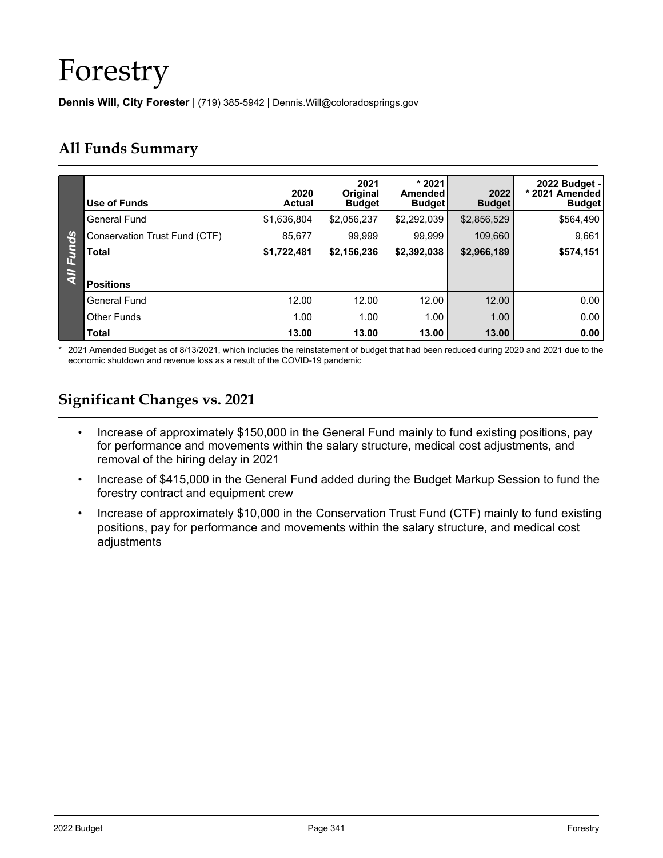# Forestry

**Dennis Will, City Forester** | (719) 385-5942 | Dennis.Will@coloradosprings.gov

## **All Funds Summary**

|                | Use of Funds                  | 2020<br><b>Actual</b> | 2021<br>Original<br><b>Budget</b> | $*2021$<br><b>Amended</b><br><b>Budget</b> | 2022<br><b>Budget</b> | 2022 Budget -<br>* 2021 Amended<br><b>Budget</b> |
|----------------|-------------------------------|-----------------------|-----------------------------------|--------------------------------------------|-----------------------|--------------------------------------------------|
|                | General Fund                  | \$1,636,804           | \$2,056,237                       | \$2,292,039                                | \$2,856,529           | \$564,490                                        |
|                | Conservation Trust Fund (CTF) | 85,677                | 99.999                            | 99.999                                     | 109.660               | 9,661                                            |
| Funds          | <b>Total</b>                  | \$1,722,481           | \$2,156,236                       | \$2,392,038                                | \$2,966,189           | \$574,151                                        |
| $\overline{4}$ |                               |                       |                                   |                                            |                       |                                                  |
|                | <b>Positions</b>              |                       |                                   |                                            |                       |                                                  |
|                | General Fund                  | 12.00                 | 12.00                             | 12.00                                      | 12.00                 | 0.00                                             |
|                | Other Funds                   | 1.00                  | 1.00                              | 1.00                                       | 1.00                  | 0.00                                             |
|                | <b>Total</b>                  | 13.00                 | 13.00                             | 13.00                                      | 13.00                 | 0.00                                             |

\* 2021 Amended Budget as of 8/13/2021, which includes the reinstatement of budget that had been reduced during 2020 and 2021 due to the economic shutdown and revenue loss as a result of the COVID-19 pandemic

#### **Significant Changes vs. 2021**

- Increase of approximately \$150,000 in the General Fund mainly to fund existing positions, pay for performance and movements within the salary structure, medical cost adjustments, and removal of the hiring delay in 2021
- Increase of \$415,000 in the General Fund added during the Budget Markup Session to fund the forestry contract and equipment crew
- Increase of approximately \$10,000 in the Conservation Trust Fund (CTF) mainly to fund existing positions, pay for performance and movements within the salary structure, and medical cost adjustments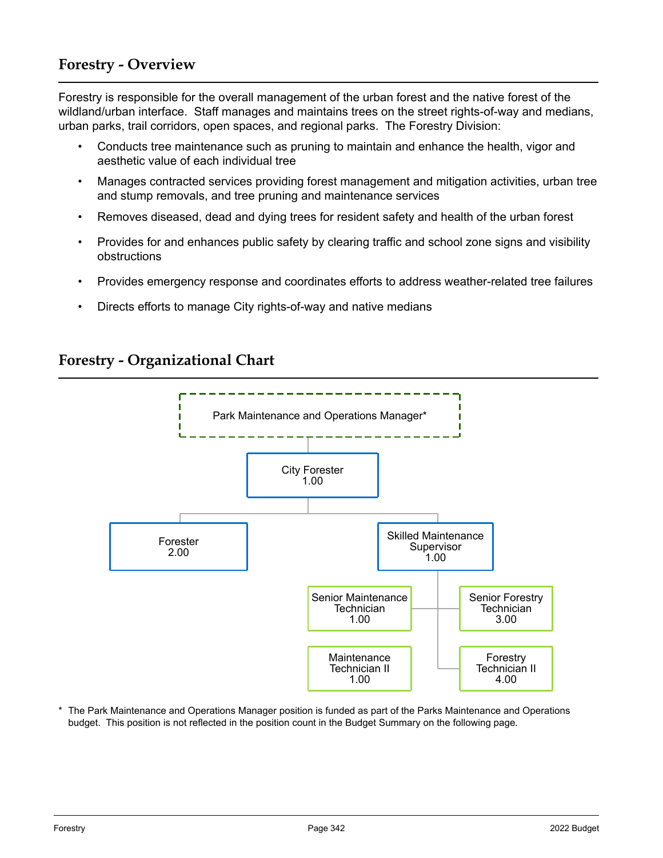#### **Forestry - Overview**

Forestry is responsible for the overall management of the urban forest and the native forest of the wildland/urban interface. Staff manages and maintains trees on the street rights-of-way and medians, urban parks, trail corridors, open spaces, and regional parks. The Forestry Division:

- Conducts tree maintenance such as pruning to maintain and enhance the health, vigor and aesthetic value of each individual tree
- Manages contracted services providing forest management and mitigation activities, urban tree and stump removals, and tree pruning and maintenance services
- Removes diseased, dead and dying trees for resident safety and health of the urban forest
- Provides for and enhances public safety by clearing traffic and school zone signs and visibility obstructions
- Provides emergency response and coordinates efforts to address weather-related tree failures
- Directs efforts to manage City rights-of-way and native medians

#### **Forestry - Organizational Chart**



\* The Park Maintenance and Operations Manager position is funded as part of the Parks Maintenance and Operations budget. This position is not reflected in the position count in the Budget Summary on the following page.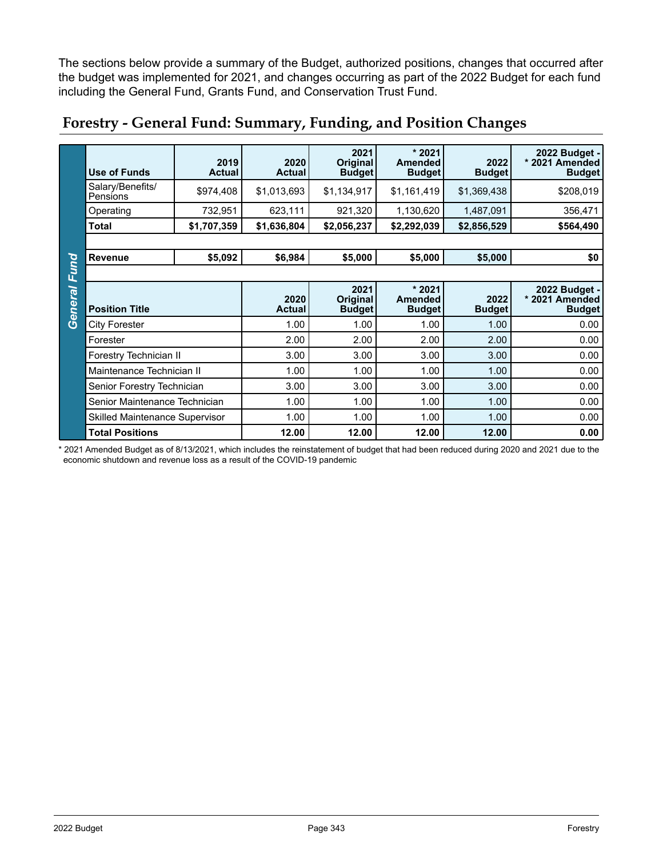The sections below provide a summary of the Budget, authorized positions, changes that occurred after the budget was implemented for 2021, and changes occurring as part of the 2022 Budget for each fund including the General Fund, Grants Fund, and Conservation Trust Fund.

|              | Use of Funds                   | 2019<br><b>Actual</b> | 2020<br><b>Actual</b> | 2021<br>Original<br><b>Budget</b> | $*2021$<br><b>Amended</b><br><b>Budget</b> | 2022<br><b>Budget</b> | 2022 Budget -<br>* 2021 Amended<br><b>Budget</b> |  |  |
|--------------|--------------------------------|-----------------------|-----------------------|-----------------------------------|--------------------------------------------|-----------------------|--------------------------------------------------|--|--|
|              | Salary/Benefits/<br>Pensions   | \$974,408             | \$1,013,693           | \$1,134,917                       | \$1,161,419                                | \$1,369,438           | \$208,019                                        |  |  |
|              | Operating                      | 732,951               | 623,111               | 921,320                           | 1,130,620                                  | 1,487,091             | 356,471                                          |  |  |
|              | <b>Total</b>                   | \$1,707,359           | \$1,636,804           | \$2,056,237                       | \$2,292,039                                | \$2,856,529           | \$564,490                                        |  |  |
|              |                                |                       |                       |                                   |                                            |                       |                                                  |  |  |
|              | <b>Revenue</b>                 | \$5,092               | \$6,984               | \$5,000                           | \$5,000                                    | \$5,000               | \$0                                              |  |  |
|              |                                |                       |                       |                                   |                                            |                       |                                                  |  |  |
| General Fund | <b>Position Title</b>          |                       | 2020<br><b>Actual</b> | 2021<br>Original<br><b>Budget</b> | $*2021$<br><b>Amended</b><br><b>Budget</b> | 2022<br><b>Budget</b> | 2022 Budget -<br>* 2021 Amended<br><b>Budget</b> |  |  |
|              | <b>City Forester</b>           |                       | 1.00                  | 1.00                              | 1.00                                       | 1.00                  | 0.00                                             |  |  |
|              | Forester                       |                       | 2.00                  | 2.00                              | 2.00                                       | 2.00                  | 0.00                                             |  |  |
|              | Forestry Technician II         |                       | 3.00                  | 3.00                              | 3.00                                       | 3.00                  | 0.00                                             |  |  |
|              | Maintenance Technician II      |                       | 1.00                  | 1.00                              | 1.00                                       | 1.00                  | 0.00                                             |  |  |
|              | Senior Forestry Technician     |                       | 3.00                  | 3.00                              | 3.00                                       | 3.00                  | 0.00                                             |  |  |
|              | Senior Maintenance Technician  |                       | 1.00                  | 1.00                              | 1.00                                       | 1.00                  | 0.00                                             |  |  |
|              | Skilled Maintenance Supervisor |                       | 1.00                  | 1.00                              | 1.00                                       | 1.00                  | 0.00                                             |  |  |
|              | <b>Total Positions</b>         |                       | 12.00                 | 12.00                             | 12.00                                      | 12.00                 | 0.00                                             |  |  |

# **Forestry - General Fund: Summary, Funding, and Position Changes**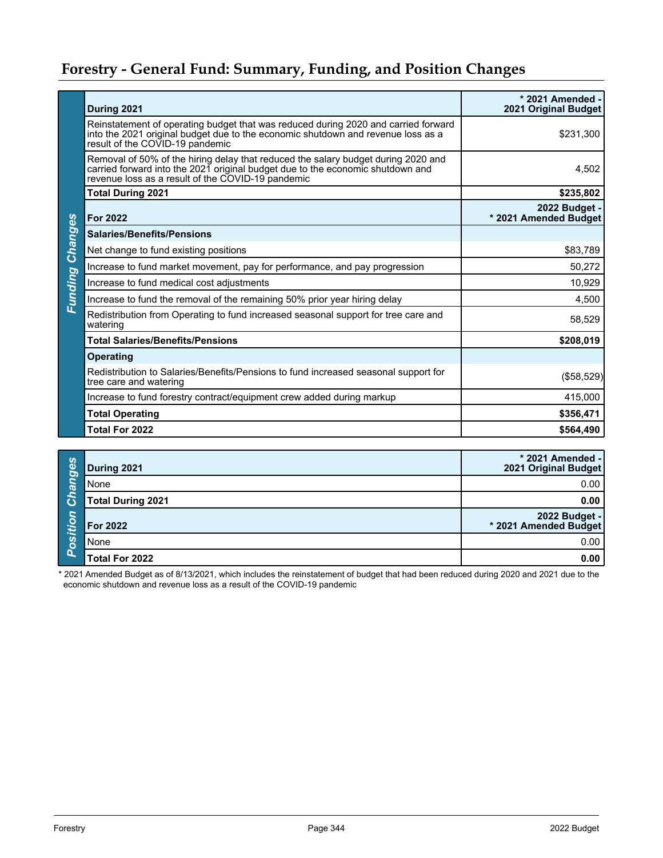# **Forestry - General Fund: Summary, Funding, and Position Changes**

|                        | During 2021                                                                                                                                                                                                              | * 2021 Amended -<br>2021 Original Budget |
|------------------------|--------------------------------------------------------------------------------------------------------------------------------------------------------------------------------------------------------------------------|------------------------------------------|
|                        | Reinstatement of operating budget that was reduced during 2020 and carried forward<br>into the 2021 original budget due to the economic shutdown and revenue loss as a<br>result of the COVID-19 pandemic                | \$231,300                                |
|                        | Removal of 50% of the hiring delay that reduced the salary budget during 2020 and<br>carried forward into the 2021 original budget due to the economic shutdown and<br>revenue loss as a result of the COVID-19 pandemic | 4,502                                    |
|                        | <b>Total During 2021</b>                                                                                                                                                                                                 | \$235,802                                |
|                        | <b>For 2022</b>                                                                                                                                                                                                          | 2022 Budget -<br>* 2021 Amended Budget   |
|                        | <b>Salaries/Benefits/Pensions</b>                                                                                                                                                                                        |                                          |
|                        | Net change to fund existing positions                                                                                                                                                                                    | \$83,789                                 |
| <b>Funding Changes</b> | Increase to fund market movement, pay for performance, and pay progression                                                                                                                                               | 50,272                                   |
|                        | Increase to fund medical cost adjustments                                                                                                                                                                                | 10,929                                   |
|                        | Increase to fund the removal of the remaining 50% prior year hiring delay                                                                                                                                                | 4,500                                    |
|                        | Redistribution from Operating to fund increased seasonal support for tree care and<br>watering                                                                                                                           | 58,529                                   |
|                        | <b>Total Salaries/Benefits/Pensions</b>                                                                                                                                                                                  | \$208,019                                |
|                        | Operating                                                                                                                                                                                                                |                                          |
|                        | Redistribution to Salaries/Benefits/Pensions to fund increased seasonal support for<br>tree care and watering                                                                                                            | (\$58,529)                               |
|                        | Increase to fund forestry contract/equipment crew added during markup                                                                                                                                                    | 415,000                                  |
|                        | <b>Total Operating</b>                                                                                                                                                                                                   | \$356,471                                |
|                        | Total For 2022                                                                                                                                                                                                           | \$564,490                                |
|                        |                                                                                                                                                                                                                          |                                          |
| <b>Seb</b>             | During 2021                                                                                                                                                                                                              | * 2021 Amended -<br>2021 Original Budget |
|                        | None.                                                                                                                                                                                                                    | 0.00                                     |

| ranges | During 2021              | ™ ZUZT Amended -⊺<br>2021 Original Budget |
|--------|--------------------------|-------------------------------------------|
|        | None                     | 0.00                                      |
| G      | <b>Total During 2021</b> | 0.00                                      |
| itio   | For 2022                 | 2022 Budget -<br>* 2021 Amended Budget    |
| Posi   | None                     | 0.00 <sub>1</sub>                         |
|        | Total For 2022           | 0.00                                      |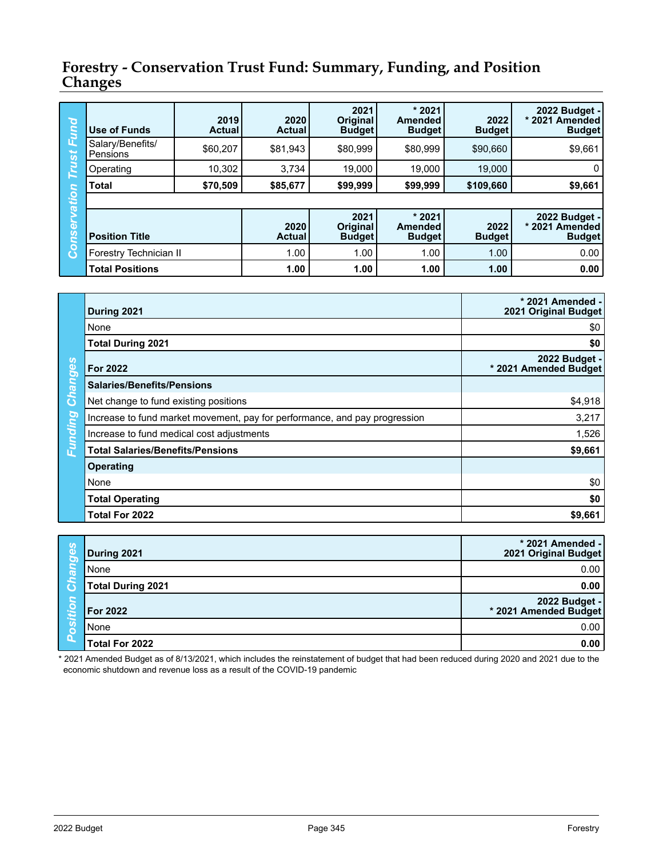## **Forestry - Conservation Trust Fund: Summary, Funding, and Position Changes**

| Fund   | <b>Use of Funds</b>          | 2019<br><b>Actual</b> | 2020<br><b>Actual</b> | 2021<br>Original<br><b>Budget</b> | $*2021$<br><b>Amended</b><br><b>Budget</b> | 2022<br><b>Budget</b> | 2022 Budget -<br>* 2021 Amended<br><b>Budget</b> |
|--------|------------------------------|-----------------------|-----------------------|-----------------------------------|--------------------------------------------|-----------------------|--------------------------------------------------|
|        | Salary/Benefits/<br>Pensions | \$60,207              | \$81.943              | \$80.999                          | \$80.999                                   | \$90,660              | \$9,661                                          |
| Trust  | Operating                    | 10.302                | 3,734                 | 19.000                            | 19,000                                     | 19.000                | 0                                                |
|        | <b>Total</b>                 | \$70,509              | \$85,677              | \$99,999                          | \$99,999                                   | \$109,660             | \$9,661                                          |
| ation  |                              |                       |                       |                                   |                                            |                       |                                                  |
| Consei | <b>Position Title</b>        |                       | 2020<br><b>Actual</b> | 2021<br>Original<br><b>Budget</b> | $*2021$<br>Amended<br><b>Budget</b>        | 2022<br><b>Budget</b> | 2022 Budget -<br>2021 Amended<br><b>Budget</b>   |
|        | Forestry Technician II       |                       | 1.00                  | 1.00                              | 1.00                                       | 1.00                  | 0.00                                             |
|        | <b>Total Positions</b>       |                       | 1.00                  | 1.00                              | 1.00                                       | 1.00                  | 0.00                                             |

|                | During 2021                                                                | * 2021 Amended -<br>2021 Original Budget |
|----------------|----------------------------------------------------------------------------|------------------------------------------|
|                | None                                                                       | \$0                                      |
|                | <b>Total During 2021</b>                                                   | \$0                                      |
| Changes        | <b>For 2022</b>                                                            | 2022 Budget -<br>* 2021 Amended Budget   |
|                | <b>Salaries/Benefits/Pensions</b>                                          |                                          |
|                | Net change to fund existing positions                                      | \$4,918                                  |
|                | Increase to fund market movement, pay for performance, and pay progression | 3,217                                    |
| <b>Eunding</b> | Increase to fund medical cost adjustments                                  | 1,526                                    |
|                | <b>Total Salaries/Benefits/Pensions</b>                                    | \$9,661                                  |
|                | <b>Operating</b>                                                           |                                          |
|                | None                                                                       | \$0                                      |
|                | <b>Total Operating</b>                                                     | \$0                                      |
|                | Total For 2022                                                             | \$9,661                                  |

| 89<br>ŏ  | During 2021              | * 2021 Amended -<br>2021 Original Budget |
|----------|--------------------------|------------------------------------------|
| <b>I</b> | None                     | 0.00                                     |
|          | <b>Total During 2021</b> | 0.00                                     |
| itio     | <b>For 2022</b>          | 2022 Budget -<br>* 2021 Amended Budget   |
| Ø<br>õ   | None                     | 0.00                                     |
|          | Total For 2022           | 0.00                                     |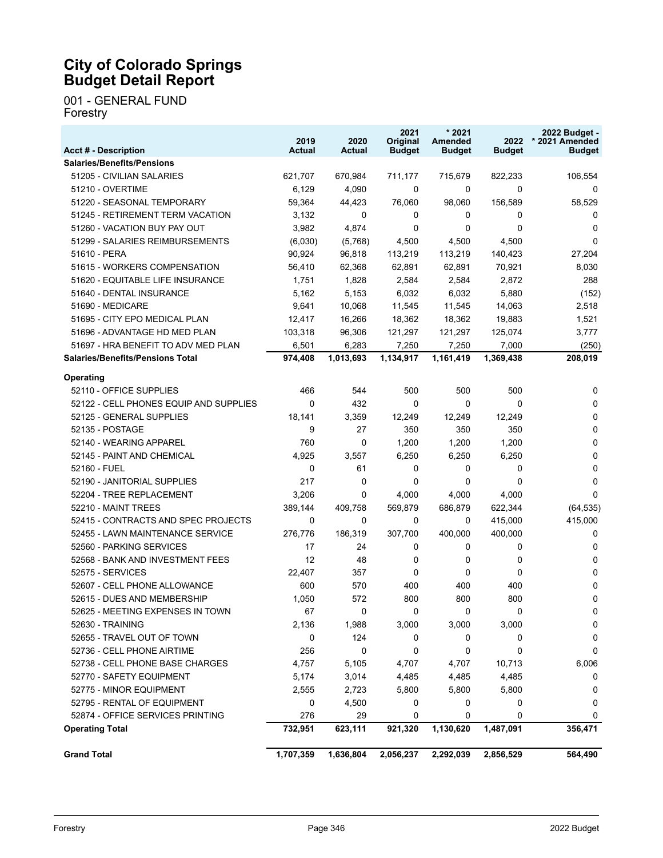#### 001 - GENERAL FUND Forestry

| <b>Acct # - Description</b>                | 2019<br><b>Actual</b> | 2020<br>Actual | 2021<br>Original<br><b>Budget</b> | $*2021$<br>Amended<br><b>Budget</b> | 2022<br><b>Budget</b> | 2022 Budget -<br>* 2021 Amended<br><b>Budget</b> |
|--------------------------------------------|-----------------------|----------------|-----------------------------------|-------------------------------------|-----------------------|--------------------------------------------------|
| <b>Salaries/Benefits/Pensions</b>          |                       |                |                                   |                                     |                       |                                                  |
| 51205 - CIVILIAN SALARIES                  | 621,707               | 670,984        | 711,177                           | 715,679                             | 822,233               | 106,554                                          |
| 51210 - OVERTIME                           | 6,129                 | 4,090          | 0                                 | 0                                   | 0                     | 0                                                |
| 51220 - SEASONAL TEMPORARY                 | 59,364                | 44,423         | 76,060                            | 98,060                              | 156,589               | 58,529                                           |
| 51245 - RETIREMENT TERM VACATION           | 3,132                 | 0              | 0                                 | 0                                   | 0                     | 0                                                |
| 51260 - VACATION BUY PAY OUT               | 3,982                 | 4,874          | 0                                 | 0                                   | 0                     | 0                                                |
| 51299 - SALARIES REIMBURSEMENTS            | (6,030)               | (5,768)        | 4,500                             | 4,500                               | 4,500                 | 0                                                |
| 51610 - PERA                               | 90,924                | 96,818         | 113,219                           | 113,219                             | 140,423               | 27,204                                           |
| 51615 - WORKERS COMPENSATION               | 56,410                | 62,368         | 62,891                            | 62,891                              | 70,921                | 8,030                                            |
| 51620 - EQUITABLE LIFE INSURANCE           | 1,751                 | 1,828          | 2,584                             | 2,584                               | 2,872                 | 288                                              |
| 51640 - DENTAL INSURANCE                   | 5,162                 | 5,153          | 6,032                             | 6,032                               | 5,880                 | (152)                                            |
| 51690 - MEDICARE                           | 9,641                 | 10,068         | 11,545                            | 11,545                              | 14,063                | 2,518                                            |
| 51695 - CITY EPO MEDICAL PLAN              | 12,417                | 16,266         | 18,362                            | 18,362                              | 19,883                | 1,521                                            |
| 51696 - ADVANTAGE HD MED PLAN              | 103,318               | 96,306         | 121,297                           | 121,297                             | 125,074               | 3,777                                            |
| 51697 - HRA BENEFIT TO ADV MED PLAN        | 6,501                 | 6,283          | 7,250                             | 7,250                               | 7,000                 | (250)                                            |
| <b>Salaries/Benefits/Pensions Total</b>    | 974,408               | 1,013,693      | 1,134,917                         | 1,161,419                           | 1,369,438             | 208,019                                          |
|                                            |                       |                |                                   |                                     |                       |                                                  |
| Operating<br>52110 - OFFICE SUPPLIES       | 466                   | 544            | 500                               | 500                                 | 500                   | 0                                                |
| 52122 - CELL PHONES EQUIP AND SUPPLIES     | $\mathbf 0$           | 432            | 0                                 | 0                                   | 0                     | 0                                                |
| 52125 - GENERAL SUPPLIES                   | 18,141                | 3,359          | 12,249                            | 12,249                              | 12,249                | 0                                                |
| 52135 - POSTAGE                            | 9                     | 27             | 350                               | 350                                 | 350                   | 0                                                |
| 52140 - WEARING APPAREL                    | 760                   | $\Omega$       | 1,200                             | 1,200                               | 1,200                 | 0                                                |
|                                            |                       |                |                                   |                                     |                       |                                                  |
| 52145 - PAINT AND CHEMICAL<br>52160 - FUEL | 4,925<br>0            | 3,557          | 6,250                             | 6,250                               | 6,250                 | 0<br>0                                           |
|                                            |                       | 61             | 0                                 | 0                                   | 0                     |                                                  |
| 52190 - JANITORIAL SUPPLIES                | 217                   | 0              | 0                                 | 0                                   | 0                     | 0                                                |
| 52204 - TREE REPLACEMENT                   | 3,206                 | 0              | 4,000                             | 4,000                               | 4,000                 | 0                                                |
| 52210 - MAINT TREES                        | 389,144               | 409,758        | 569,879                           | 686,879                             | 622,344               | (64, 535)                                        |
| 52415 - CONTRACTS AND SPEC PROJECTS        | 0                     | 0              | 0                                 | 0                                   | 415,000               | 415,000                                          |
| 52455 - LAWN MAINTENANCE SERVICE           | 276,776               | 186,319        | 307,700                           | 400,000                             | 400,000               | 0                                                |
| 52560 - PARKING SERVICES                   | 17                    | 24             | 0                                 | 0                                   | 0                     | 0                                                |
| 52568 - BANK AND INVESTMENT FEES           | 12                    | 48             | 0                                 | 0                                   | 0                     | 0                                                |
| 52575 - SERVICES                           | 22,407                | 357            | 0                                 | 0                                   | 0                     | 0                                                |
| 52607 - CELL PHONE ALLOWANCE               | 600                   | 570            | 400                               | 400                                 | 400                   | 0                                                |
| 52615 - DUES AND MEMBERSHIP                | 1,050                 | 572            | 800                               | 800                                 | 800                   | 0                                                |
| 52625 - MEETING EXPENSES IN TOWN           | 67                    | 0              | $\mathbf 0$                       | 0                                   | 0                     | 0                                                |
| 52630 - TRAINING                           | 2,136                 | 1,988          | 3,000                             | 3,000                               | 3,000                 | 0                                                |
| 52655 - TRAVEL OUT OF TOWN                 | 0                     | 124            | 0                                 | 0                                   | 0                     | 0                                                |
| 52736 - CELL PHONE AIRTIME                 | 256                   | 0              | 0                                 | 0                                   | 0                     | 0                                                |
| 52738 - CELL PHONE BASE CHARGES            | 4,757                 | 5,105          | 4,707                             | 4,707                               | 10,713                | 6,006                                            |
| 52770 - SAFETY EQUIPMENT                   | 5,174                 | 3,014          | 4,485                             | 4,485                               | 4,485                 | 0                                                |
| 52775 - MINOR EQUIPMENT                    | 2,555                 | 2,723          | 5,800                             | 5,800                               | 5,800                 | 0                                                |
| 52795 - RENTAL OF EQUIPMENT                | 0                     | 4,500          | 0                                 | 0                                   | 0                     | 0                                                |
| 52874 - OFFICE SERVICES PRINTING           | 276                   | 29             | 0                                 | 0                                   | 0                     | 0                                                |
| <b>Operating Total</b>                     | 732,951               | 623,111        | 921,320                           | 1,130,620                           | 1,487,091             | 356,471                                          |
| <b>Grand Total</b>                         | 1,707,359             | 1,636,804      | 2,056,237                         | 2,292,039                           | 2,856,529             | 564,490                                          |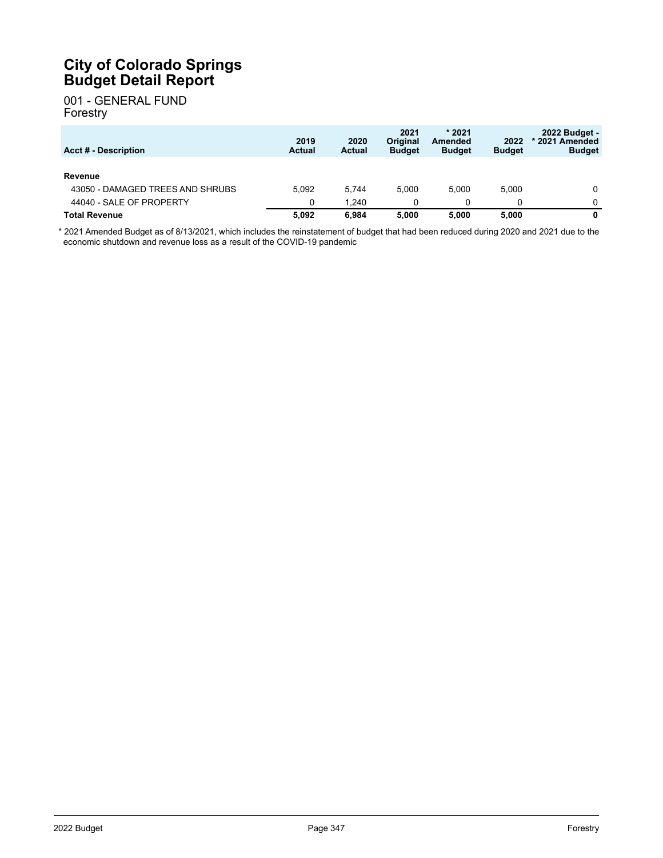001 - GENERAL FUND Forestry

| <b>Acct # - Description</b>      | 2019<br><b>Actual</b> | 2020<br>Actual | 2021<br><b>Original</b><br><b>Budget</b> | $*2021$<br>Amended<br><b>Budget</b> | 2022<br><b>Budget</b> | 2022 Budget -<br>* 2021 Amended<br><b>Budget</b> |
|----------------------------------|-----------------------|----------------|------------------------------------------|-------------------------------------|-----------------------|--------------------------------------------------|
| Revenue                          |                       |                |                                          |                                     |                       |                                                  |
| 43050 - DAMAGED TREES AND SHRUBS | 5.092                 | 5.744          | 5.000                                    | 5.000                               | 5.000                 | 0                                                |
| 44040 - SALE OF PROPERTY         |                       | 1.240          |                                          |                                     |                       | 0                                                |
| <b>Total Revenue</b>             | 5.092                 | 6.984          | 5.000                                    | 5.000                               | 5.000                 | 0                                                |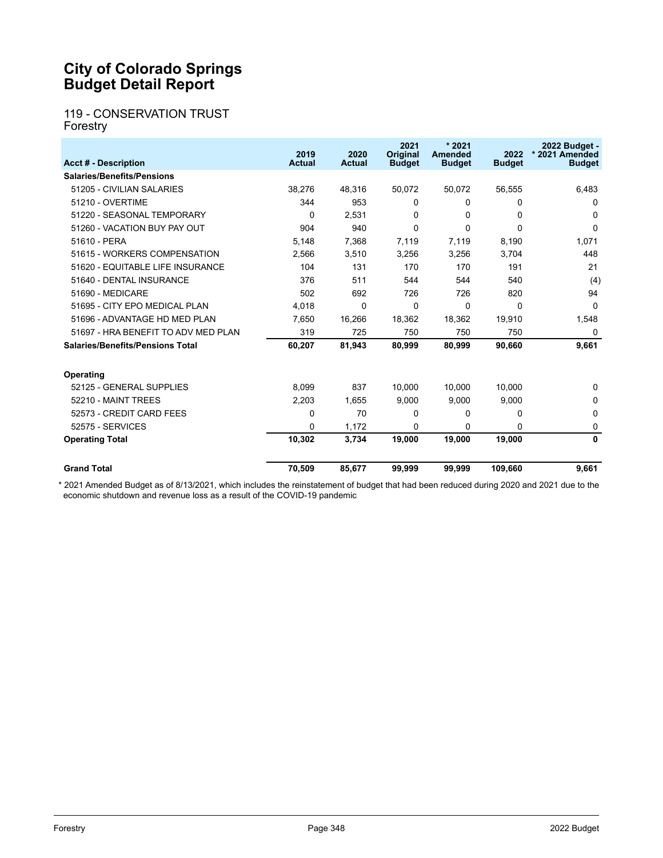#### 119 - CONSERVATION TRUST Forestry

|                                         | 2019          | 2020          | 2021<br><b>Original</b> | $*2021$<br>Amended | 2022          | 2022 Budget -<br>* 2021 Amended |
|-----------------------------------------|---------------|---------------|-------------------------|--------------------|---------------|---------------------------------|
| <b>Acct # - Description</b>             | <b>Actual</b> | <b>Actual</b> | <b>Budget</b>           | <b>Budget</b>      | <b>Budget</b> | <b>Budget</b>                   |
| <b>Salaries/Benefits/Pensions</b>       |               |               |                         |                    |               |                                 |
| 51205 - CIVILIAN SALARIES               | 38.276        | 48.316        | 50,072                  | 50.072             | 56,555        | 6,483                           |
| 51210 - OVERTIME                        | 344           | 953           | 0                       | 0                  | 0             | 0                               |
| 51220 - SEASONAL TEMPORARY              | 0             | 2.531         | 0                       | 0                  | 0             | 0                               |
| 51260 - VACATION BUY PAY OUT            | 904           | 940           | 0                       | 0                  | $\Omega$      | $\Omega$                        |
| 51610 - PERA                            | 5.148         | 7,368         | 7,119                   | 7,119              | 8,190         | 1,071                           |
| 51615 - WORKERS COMPENSATION            | 2,566         | 3,510         | 3,256                   | 3,256              | 3,704         | 448                             |
| 51620 - EQUITABLE LIFE INSURANCE        | 104           | 131           | 170                     | 170                | 191           | 21                              |
| 51640 - DENTAL INSURANCE                | 376           | 511           | 544                     | 544                | 540           | (4)                             |
| 51690 - MEDICARE                        | 502           | 692           | 726                     | 726                | 820           | 94                              |
| 51695 - CITY EPO MEDICAL PLAN           | 4.018         | $\Omega$      | $\Omega$                | $\Omega$           | $\Omega$      | $\Omega$                        |
| 51696 - ADVANTAGE HD MED PLAN           | 7,650         | 16,266        | 18,362                  | 18,362             | 19,910        | 1,548                           |
| 51697 - HRA BENEFIT TO ADV MED PLAN     | 319           | 725           | 750                     | 750                | 750           | 0                               |
| <b>Salaries/Benefits/Pensions Total</b> | 60,207        | 81,943        | 80,999                  | 80,999             | 90,660        | 9,661                           |
| Operating                               |               |               |                         |                    |               |                                 |
| 52125 - GENERAL SUPPLIES                | 8.099         | 837           | 10.000                  | 10.000             | 10.000        | 0                               |
| 52210 - MAINT TREES                     | 2,203         | 1,655         | 9,000                   | 9,000              | 9,000         | 0                               |
| 52573 - CREDIT CARD FEES                | 0             | 70            | 0                       | 0                  | 0             | 0                               |
| 52575 - SERVICES                        | $\Omega$      | 1,172         | 0                       | 0                  | $\Omega$      | 0                               |
| <b>Operating Total</b>                  | 10,302        | 3,734         | 19,000                  | 19,000             | 19,000        | 0                               |
| <b>Grand Total</b>                      | 70.509        | 85.677        | 99.999                  | 99.999             | 109.660       | 9.661                           |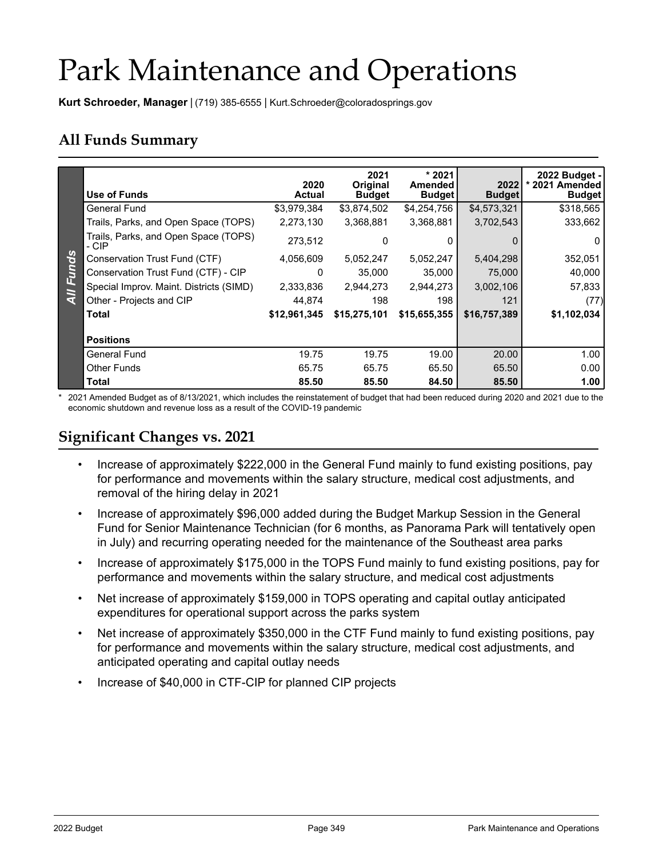# Park Maintenance and Operations

**Kurt Schroeder, Manager** | (719) 385-6555 | Kurt.Schroeder@coloradosprings.gov

# **All Funds Summary**

|              | Use of Funds                                  | 2020<br><b>Actual</b> | 2021<br>Original<br><b>Budget</b> | * 2021<br>Amended<br><b>Budget</b> | <b>20221</b><br><b>Budget</b> | 2022 Budget -<br>* 2021 Amended<br><b>Budget</b> |
|--------------|-----------------------------------------------|-----------------------|-----------------------------------|------------------------------------|-------------------------------|--------------------------------------------------|
|              | <b>General Fund</b>                           | \$3,979,384           | \$3,874,502                       | \$4,254,756                        | \$4,573,321                   | \$318,565                                        |
|              | Trails, Parks, and Open Space (TOPS)          | 2,273,130             | 3,368,881                         | 3,368,881                          | 3,702,543                     | 333,662                                          |
|              | Trails, Parks, and Open Space (TOPS)<br>- CIP | 273,512               | 0                                 |                                    | 0                             | $\Omega$                                         |
|              | Conservation Trust Fund (CTF)                 | 4,056,609             | 5,052,247                         | 5,052,247                          | 5,404,298                     | 352,051                                          |
| <b>Eunds</b> | Conservation Trust Fund (CTF) - CIP           | 0                     | 35,000                            | 35,000                             | 75,000                        | 40,000                                           |
|              | Special Improv. Maint. Districts (SIMD)       | 2,333,836             | 2,944,273                         | 2,944,273                          | 3,002,106                     | 57,833                                           |
|              | Other - Projects and CIP                      | 44.874                | 198                               | 198                                | 121                           | (77)                                             |
|              | <b>Total</b>                                  | \$12,961,345          | \$15,275,101                      | \$15,655,355                       | \$16,757,389                  | \$1,102,034                                      |
|              | <b>Positions</b>                              |                       |                                   |                                    |                               |                                                  |
|              | <b>General Fund</b>                           | 19.75                 | 19.75                             | 19.00                              | 20.00                         | 1.00                                             |
|              | <b>Other Funds</b>                            | 65.75                 | 65.75                             | 65.50                              | 65.50                         | 0.00                                             |
|              | <b>Total</b>                                  | 85.50                 | 85.50                             | 84.50                              | 85.50                         | 1.00                                             |

\* 2021 Amended Budget as of 8/13/2021, which includes the reinstatement of budget that had been reduced during 2020 and 2021 due to the economic shutdown and revenue loss as a result of the COVID-19 pandemic

# **Significant Changes vs. 2021**

- Increase of approximately \$222,000 in the General Fund mainly to fund existing positions, pay for performance and movements within the salary structure, medical cost adjustments, and removal of the hiring delay in 2021
- Increase of approximately \$96,000 added during the Budget Markup Session in the General Fund for Senior Maintenance Technician (for 6 months, as Panorama Park will tentatively open in July) and recurring operating needed for the maintenance of the Southeast area parks
- Increase of approximately \$175,000 in the TOPS Fund mainly to fund existing positions, pay for performance and movements within the salary structure, and medical cost adjustments
- Net increase of approximately \$159,000 in TOPS operating and capital outlay anticipated expenditures for operational support across the parks system
- Net increase of approximately \$350,000 in the CTF Fund mainly to fund existing positions, pay for performance and movements within the salary structure, medical cost adjustments, and anticipated operating and capital outlay needs
- Increase of \$40,000 in CTF-CIP for planned CIP projects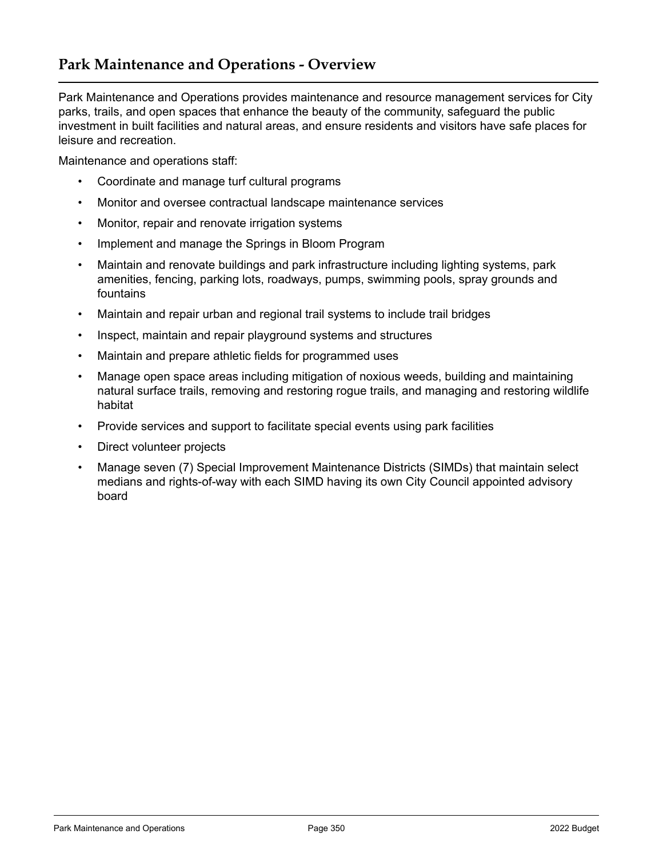#### **Park Maintenance and Operations - Overview**

Park Maintenance and Operations provides maintenance and resource management services for City parks, trails, and open spaces that enhance the beauty of the community, safeguard the public investment in built facilities and natural areas, and ensure residents and visitors have safe places for leisure and recreation.

Maintenance and operations staff:

- Coordinate and manage turf cultural programs
- Monitor and oversee contractual landscape maintenance services
- Monitor, repair and renovate irrigation systems
- Implement and manage the Springs in Bloom Program
- Maintain and renovate buildings and park infrastructure including lighting systems, park amenities, fencing, parking lots, roadways, pumps, swimming pools, spray grounds and fountains
- Maintain and repair urban and regional trail systems to include trail bridges
- Inspect, maintain and repair playground systems and structures
- Maintain and prepare athletic fields for programmed uses
- Manage open space areas including mitigation of noxious weeds, building and maintaining natural surface trails, removing and restoring rogue trails, and managing and restoring wildlife habitat
- Provide services and support to facilitate special events using park facilities
- Direct volunteer projects
- Manage seven (7) Special Improvement Maintenance Districts (SIMDs) that maintain select medians and rights-of-way with each SIMD having its own City Council appointed advisory board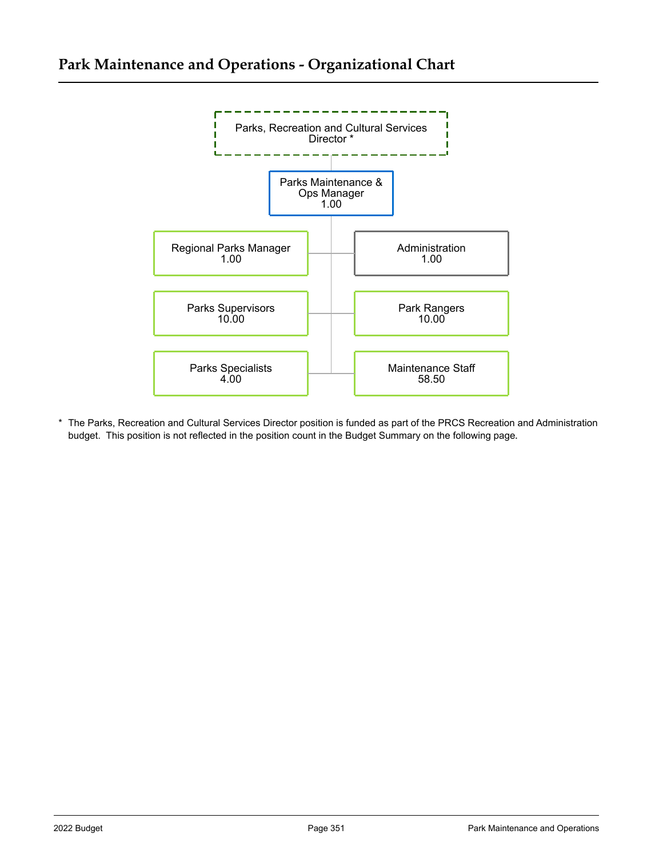

\* The Parks, Recreation and Cultural Services Director position is funded as part of the PRCS Recreation and Administration budget. This position is not reflected in the position count in the Budget Summary on the following page.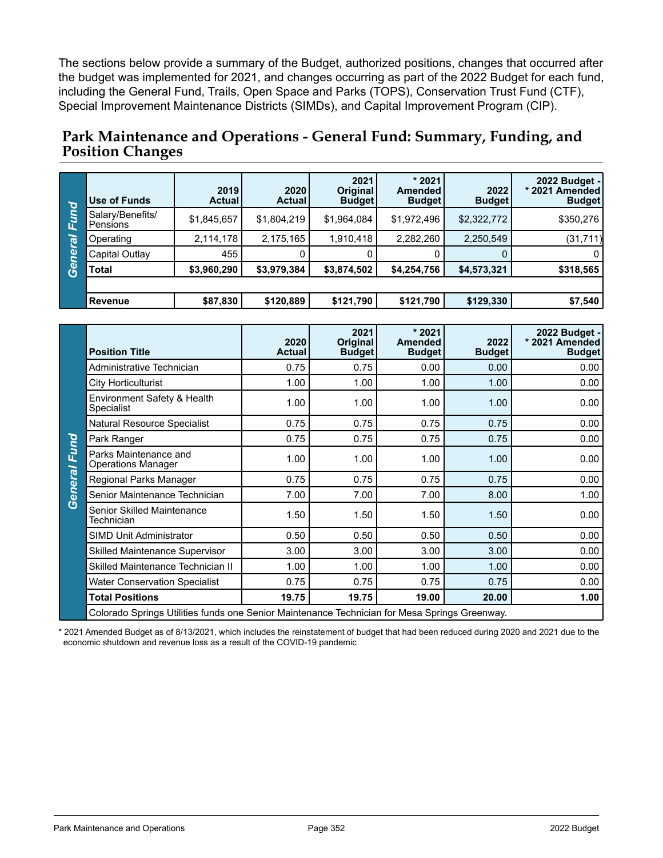The sections below provide a summary of the Budget, authorized positions, changes that occurred after the budget was implemented for 2021, and changes occurring as part of the 2022 Budget for each fund, including the General Fund, Trails, Open Space and Parks (TOPS), Conservation Trust Fund (CTF), Special Improvement Maintenance Districts (SIMDs), and Capital Improvement Program (CIP).

## **Park Maintenance and Operations - General Fund: Summary, Funding, and Position Changes**

|       | <b>Use of Funds</b>          | 2019<br><b>Actual</b> | 2020<br><b>Actual</b> | 2021<br>Original<br><b>Budget</b> | $*2021$<br>Amended<br><b>Budget</b> | 2022<br><b>Budget</b> | 2022 Budget -<br>* 2021 Amended<br><b>Budget</b> |
|-------|------------------------------|-----------------------|-----------------------|-----------------------------------|-------------------------------------|-----------------------|--------------------------------------------------|
| Fund  | Salary/Benefits/<br>Pensions | \$1,845,657           | \$1,804,219           | \$1,964,084                       | \$1,972,496                         | \$2,322,772           | \$350,276                                        |
|       | Operating                    | 2,114,178             | 2,175,165             | 1,910,418                         | 2,282,260                           | 2,250,549             | (31, 711)                                        |
|       | Capital Outlay               | 455                   |                       |                                   |                                     |                       | 0                                                |
| Genei | <b>Total</b>                 | \$3,960,290           | \$3,979,384           | \$3,874,502                       | \$4,254,756                         | \$4,573,321           | \$318,565                                        |
|       |                              |                       |                       |                                   |                                     |                       |                                                  |
|       | Revenue                      | \$87,830              | \$120,889             | \$121,790                         | \$121,790                           | \$129,330             | \$7,540                                          |

|         | <b>Position Title</b>                                                                         | 2020<br><b>Actual</b> | 2021<br>Original<br><b>Budget</b> | * 2021<br><b>Amended</b><br><b>Budget</b> | 2022<br><b>Budget</b> | 2022 Budget -<br>* 2021 Amended<br><b>Budget</b> |
|---------|-----------------------------------------------------------------------------------------------|-----------------------|-----------------------------------|-------------------------------------------|-----------------------|--------------------------------------------------|
|         | Administrative Technician                                                                     | 0.75                  | 0.75                              | 0.00                                      | 0.00                  | 0.00                                             |
|         | City Horticulturist                                                                           | 1.00                  | 1.00                              | 1.00                                      | 1.00                  | 0.00                                             |
|         | Environment Safety & Health<br><b>Specialist</b>                                              | 1.00                  | 1.00                              | 1.00                                      | 1.00                  | 0.00                                             |
|         | Natural Resource Specialist                                                                   | 0.75                  | 0.75                              | 0.75                                      | 0.75                  | 0.00                                             |
|         | Park Ranger                                                                                   | 0.75                  | 0.75                              | 0.75                                      | 0.75                  | 0.00                                             |
| Fund    | Parks Maintenance and<br><b>Operations Manager</b>                                            | 1.00                  | 1.00                              | 1.00                                      | 1.00                  | 0.00                                             |
| General | Regional Parks Manager                                                                        | 0.75                  | 0.75                              | 0.75                                      | 0.75                  | 0.00                                             |
|         | Senior Maintenance Technician                                                                 | 7.00                  | 7.00                              | 7.00                                      | 8.00                  | 1.00                                             |
|         | <b>Senior Skilled Maintenance</b><br>Technician                                               | 1.50                  | 1.50                              | 1.50                                      | 1.50                  | 0.00                                             |
|         | SIMD Unit Administrator                                                                       | 0.50                  | 0.50                              | 0.50                                      | 0.50                  | 0.00                                             |
|         | <b>Skilled Maintenance Supervisor</b>                                                         | 3.00                  | 3.00                              | 3.00                                      | 3.00                  | 0.00                                             |
|         | Skilled Maintenance Technician II                                                             | 1.00                  | 1.00                              | 1.00                                      | 1.00                  | 0.00                                             |
|         | <b>Water Conservation Specialist</b>                                                          | 0.75                  | 0.75                              | 0.75                                      | 0.75                  | 0.00                                             |
|         | <b>Total Positions</b>                                                                        | 19.75                 | 19.75                             | 19.00                                     | 20.00                 | 1.00                                             |
|         | Colorado Springs Utilities funds one Senior Maintenance Technician for Mesa Springs Greenway. |                       |                                   |                                           |                       |                                                  |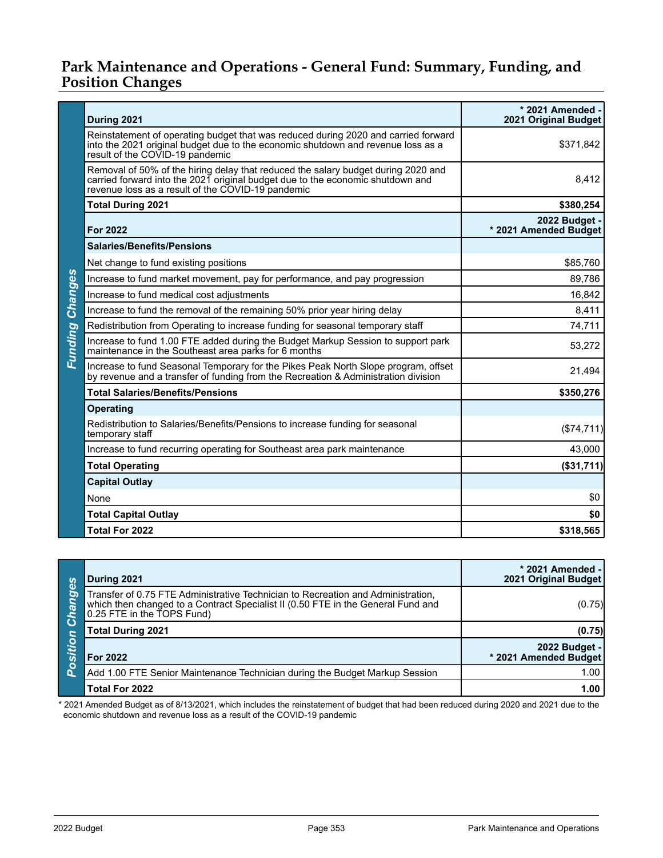#### **Park Maintenance and Operations - General Fund: Summary, Funding, and Position Changes**

|         | During 2021                                                                                                                                                                                                              | * 2021 Amended -<br>2021 Original Budget |
|---------|--------------------------------------------------------------------------------------------------------------------------------------------------------------------------------------------------------------------------|------------------------------------------|
|         | Reinstatement of operating budget that was reduced during 2020 and carried forward<br>into the 2021 original budget due to the economic shutdown and revenue loss as a<br>result of the COVID-19 pandemic                | \$371,842                                |
|         | Removal of 50% of the hiring delay that reduced the salary budget during 2020 and<br>carried forward into the 2021 original budget due to the economic shutdown and<br>revenue loss as a result of the COVID-19 pandemic | 8,412                                    |
|         | <b>Total During 2021</b>                                                                                                                                                                                                 | \$380,254                                |
|         | For 2022                                                                                                                                                                                                                 | 2022 Budget -<br>* 2021 Amended Budget   |
|         | <b>Salaries/Benefits/Pensions</b>                                                                                                                                                                                        |                                          |
|         | Net change to fund existing positions                                                                                                                                                                                    | \$85,760                                 |
| Changes | Increase to fund market movement, pay for performance, and pay progression                                                                                                                                               | 89,786                                   |
|         | Increase to fund medical cost adjustments                                                                                                                                                                                | 16,842                                   |
|         | Increase to fund the removal of the remaining 50% prior year hiring delay                                                                                                                                                | 8,411                                    |
|         | Redistribution from Operating to increase funding for seasonal temporary staff                                                                                                                                           | 74,711                                   |
| Funding | Increase to fund 1.00 FTE added during the Budget Markup Session to support park<br>maintenance in the Southeast area parks for 6 months                                                                                 | 53,272                                   |
|         | Increase to fund Seasonal Temporary for the Pikes Peak North Slope program, offset<br>by revenue and a transfer of funding from the Recreation & Administration division                                                 | 21,494                                   |
|         | <b>Total Salaries/Benefits/Pensions</b>                                                                                                                                                                                  | \$350,276                                |
|         | <b>Operating</b>                                                                                                                                                                                                         |                                          |
|         | Redistribution to Salaries/Benefits/Pensions to increase funding for seasonal<br>temporary staff                                                                                                                         | (\$74,711)                               |
|         | Increase to fund recurring operating for Southeast area park maintenance                                                                                                                                                 | 43,000                                   |
|         | <b>Total Operating</b>                                                                                                                                                                                                   | (\$31,711)                               |
|         | <b>Capital Outlay</b>                                                                                                                                                                                                    |                                          |
|         | None                                                                                                                                                                                                                     | \$0                                      |
|         | <b>Total Capital Outlay</b>                                                                                                                                                                                              | \$0                                      |
|         | Total For 2022                                                                                                                                                                                                           | \$318,565                                |

|            | During 2021                                                                                                                                                                                        | * 2021 Amended -<br>2021 Original Budget |
|------------|----------------------------------------------------------------------------------------------------------------------------------------------------------------------------------------------------|------------------------------------------|
| Changes    | Transfer of 0.75 FTE Administrative Technician to Recreation and Administration,<br>which then changed to a Contract Specialist II (0.50 FTE in the General Fund and<br>0.25 FTE in the TOPS Fund) | (0.75)                                   |
|            | <b>Total During 2021</b>                                                                                                                                                                           | (0.75)                                   |
| ition      | <b>For 2022</b>                                                                                                                                                                                    | 2022 Budget -<br>* 2021 Amended Budget   |
| <b>Pos</b> | Add 1.00 FTE Senior Maintenance Technician during the Budget Markup Session                                                                                                                        | 1.00                                     |
|            | Total For 2022                                                                                                                                                                                     | 1.00                                     |

\* 2021 Amended Budget as of 8/13/2021, which includes the reinstatement of budget that had been reduced during 2020 and 2021 due to the economic shutdown and revenue loss as a result of the COVID-19 pandemic

 $\overline{\mathbf{C}}$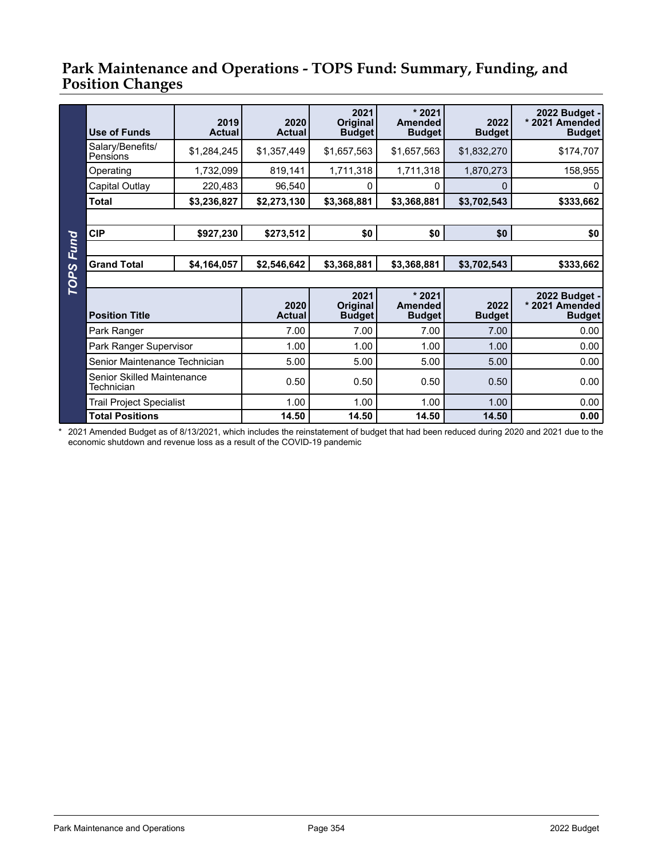## **Park Maintenance and Operations - TOPS Fund: Summary, Funding, and Position Changes**

|             | <b>Use of Funds</b>                      | 2019<br><b>Actual</b> | 2020<br><b>Actual</b> | 2021<br>Original<br><b>Budget</b> | $*2021$<br><b>Amended</b><br><b>Budget</b> | 2022<br><b>Budget</b> | 2022 Budget -<br>* 2021 Amended<br><b>Budget</b> |  |
|-------------|------------------------------------------|-----------------------|-----------------------|-----------------------------------|--------------------------------------------|-----------------------|--------------------------------------------------|--|
|             | Salary/Benefits/<br>Pensions             | \$1,284,245           | \$1,357,449           | \$1,657,563                       | \$1,657,563                                | \$1,832,270           | \$174,707                                        |  |
|             | Operating                                | 1,732,099             | 819,141               | 1,711,318                         | 1,711,318                                  | 1,870,273             | 158,955                                          |  |
|             | <b>Capital Outlay</b>                    | 220,483               | 96,540                | 0                                 | ŋ                                          | 0                     |                                                  |  |
|             | <b>Total</b>                             | \$3,236,827           | \$2,273,130           | \$3,368,881                       | \$3,368,881                                | \$3,702,543           | \$333,662                                        |  |
|             |                                          |                       |                       |                                   |                                            |                       |                                                  |  |
|             | <b>CIP</b>                               | \$927,230             | \$273,512             | \$0                               | \$0                                        | \$0                   | \$0                                              |  |
| Fund        |                                          |                       |                       |                                   |                                            |                       |                                                  |  |
|             | <b>Grand Total</b>                       | \$4,164,057           | \$2,546,642           | \$3,368,881                       | \$3,368,881                                | \$3,702,543           | \$333,662                                        |  |
| <b>TOPS</b> |                                          |                       |                       |                                   |                                            |                       |                                                  |  |
|             | <b>Position Title</b>                    |                       | 2020<br><b>Actual</b> | 2021<br>Original<br><b>Budget</b> | $*2021$<br><b>Amended</b><br><b>Budget</b> | 2022<br><b>Budget</b> | 2022 Budget -<br>* 2021 Amended<br><b>Budget</b> |  |
|             | Park Ranger                              |                       | 7.00                  | 7.00                              | 7.00                                       | 7.00                  | 0.00                                             |  |
|             | Park Ranger Supervisor                   |                       | 1.00                  | 1.00                              | 1.00                                       | 1.00                  | 0.00                                             |  |
|             | Senior Maintenance Technician            |                       | 5.00                  | 5.00                              | 5.00                                       | 5.00                  | 0.00                                             |  |
|             | Senior Skilled Maintenance<br>Technician |                       | 0.50                  | 0.50                              | 0.50                                       | 0.50                  | 0.00                                             |  |
|             | <b>Trail Project Specialist</b>          |                       | 1.00                  | 1.00                              | 1.00                                       | 1.00                  | 0.00                                             |  |
|             | <b>Total Positions</b>                   |                       | 14.50                 | 14.50                             | 14.50                                      | 14.50                 | 0.00                                             |  |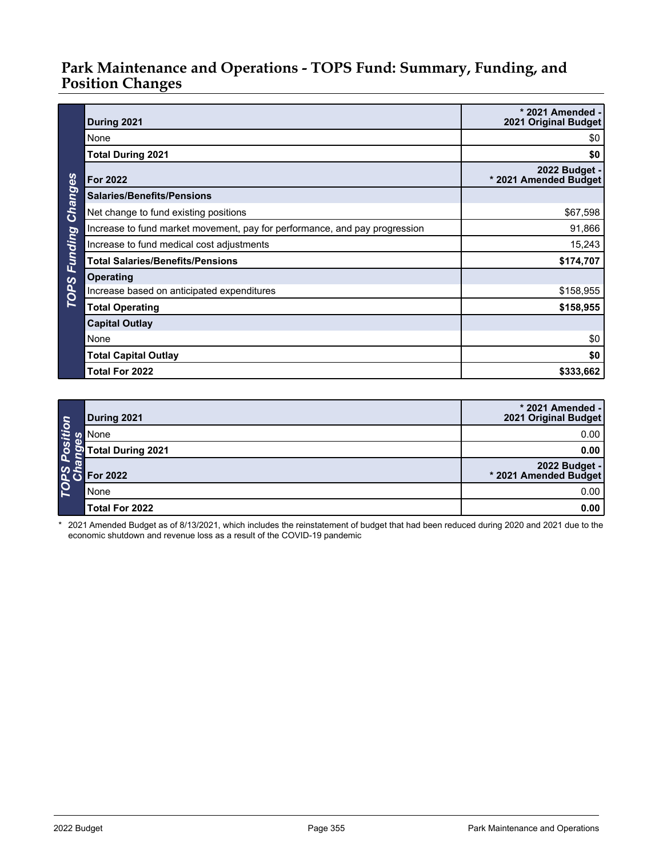## **Park Maintenance and Operations - TOPS Fund: Summary, Funding, and Position Changes**

|                     | During 2021                                                                | * 2021 Amended -<br>2021 Original Budget |
|---------------------|----------------------------------------------------------------------------|------------------------------------------|
|                     | None                                                                       | \$0                                      |
|                     | <b>Total During 2021</b>                                                   | \$0                                      |
|                     | For 2022                                                                   | 2022 Budget -<br>* 2021 Amended Budget   |
| Changes             | <b>Salaries/Benefits/Pensions</b>                                          |                                          |
|                     | Net change to fund existing positions                                      | \$67,598                                 |
|                     | Increase to fund market movement, pay for performance, and pay progression | 91,866                                   |
| <b>TOPS Funding</b> | Increase to fund medical cost adjustments                                  | 15,243                                   |
|                     | <b>Total Salaries/Benefits/Pensions</b>                                    | \$174,707                                |
|                     | <b>Operating</b>                                                           |                                          |
|                     | Increase based on anticipated expenditures                                 | \$158,955                                |
|                     | <b>Total Operating</b>                                                     | \$158,955                                |
|                     | <b>Capital Outlay</b>                                                      |                                          |
|                     | None                                                                       | \$0                                      |
|                     | <b>Total Capital Outlay</b>                                                | \$0                                      |
|                     | <b>Total For 2022</b>                                                      | \$333,662                                |

|                                 | During 2021              | * 2021 Amended -<br>2021 Original Budget |
|---------------------------------|--------------------------|------------------------------------------|
|                                 | None                     | 0.00                                     |
|                                 | <b>Total During 2021</b> | 0.00                                     |
| <b>TOPS Position</b><br>Changes | <b>For 2022</b>          | 2022 Budget -<br>* 2021 Amended Budget   |
|                                 | None                     | 0.00                                     |
|                                 | Total For 2022           | 0.00                                     |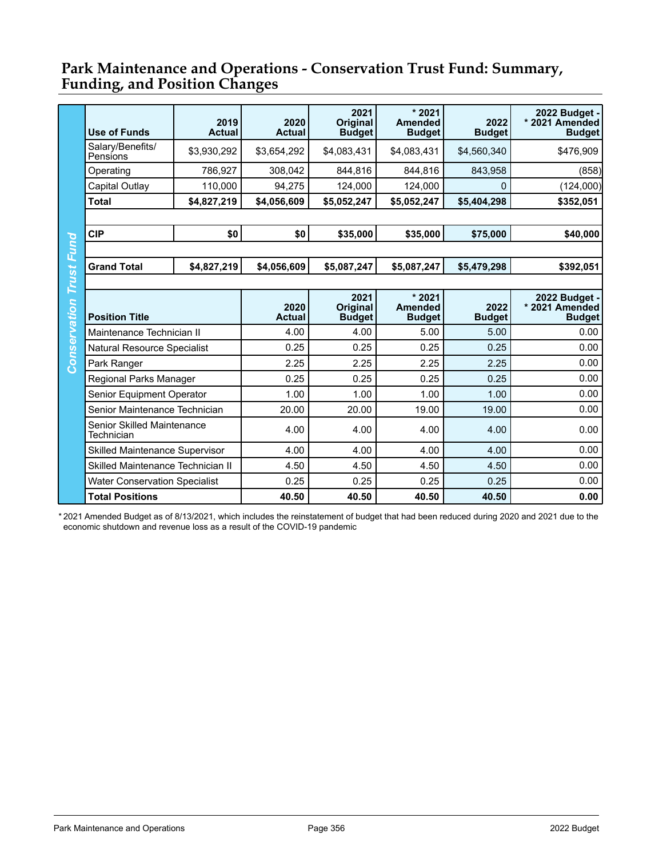## **Park Maintenance and Operations - Conservation Trust Fund: Summary, Funding, and Position Changes**

|              | <b>Use of Funds</b>                      | 2019<br><b>Actual</b> | 2020<br><b>Actual</b> | 2021<br>Original<br><b>Budget</b>        | $*2021$<br><b>Amended</b><br><b>Budget</b> | 2022<br><b>Budget</b> | 2022 Budget -<br>* 2021 Amended<br><b>Budget</b> |
|--------------|------------------------------------------|-----------------------|-----------------------|------------------------------------------|--------------------------------------------|-----------------------|--------------------------------------------------|
|              | Salary/Benefits/<br>Pensions             | \$3,930,292           | \$3,654,292           | \$4,083,431                              | \$4,083,431                                | \$4,560,340           | \$476,909                                        |
|              | Operating                                | 786,927               | 308,042               | 844,816                                  | 844,816                                    | 843,958               | (858)                                            |
|              | Capital Outlay                           | 110,000               | 94,275                | 124,000                                  | 124,000                                    | 0                     | (124,000)                                        |
|              | <b>Total</b>                             | \$4,827,219           | \$4,056,609           | \$5,052,247                              | \$5,052,247                                | \$5,404,298           | \$352,051                                        |
|              |                                          |                       |                       |                                          |                                            |                       |                                                  |
|              | <b>CIP</b>                               | \$0                   | \$0                   | \$35,000                                 | \$35,000                                   | \$75,000              | \$40,000                                         |
| Fund         |                                          |                       |                       |                                          |                                            |                       |                                                  |
|              | <b>Grand Total</b>                       | \$4,827,219           | \$4,056,609           | \$5,087,247                              | \$5,087,247                                | \$5,479,298           | \$392,051                                        |
| Trust        |                                          |                       |                       |                                          |                                            |                       |                                                  |
| Conservation | <b>Position Title</b>                    |                       | 2020<br><b>Actual</b> | 2021<br><b>Original</b><br><b>Budget</b> | $*2021$<br><b>Amended</b><br><b>Budget</b> | 2022<br><b>Budget</b> | 2022 Budget -<br>* 2021 Amended<br><b>Budget</b> |
|              | Maintenance Technician II                |                       | 4.00                  | 4.00                                     | 5.00                                       | 5.00                  | 0.00                                             |
|              | <b>Natural Resource Specialist</b>       |                       | 0.25                  | 0.25                                     | 0.25                                       | 0.25                  | 0.00                                             |
|              | Park Ranger                              |                       | 2.25                  | 2.25                                     | 2.25                                       | 2.25                  | 0.00                                             |
|              | Regional Parks Manager                   |                       | 0.25                  | 0.25                                     | 0.25                                       | 0.25                  | 0.00                                             |
|              | Senior Equipment Operator                |                       | 1.00                  | 1.00                                     | 1.00                                       | 1.00                  | 0.00                                             |
|              | Senior Maintenance Technician            |                       | 20.00                 | 20.00                                    | 19.00                                      | 19.00                 | 0.00                                             |
|              | Senior Skilled Maintenance<br>Technician |                       | 4.00                  | 4.00                                     | 4.00                                       | 4.00                  | 0.00                                             |
|              | <b>Skilled Maintenance Supervisor</b>    |                       | 4.00                  | 4.00                                     | 4.00                                       | 4.00                  | 0.00                                             |
|              | Skilled Maintenance Technician II        |                       | 4.50                  | 4.50                                     | 4.50                                       | 4.50                  | 0.00                                             |
|              | <b>Water Conservation Specialist</b>     |                       | 0.25                  | 0.25                                     | 0.25                                       | 0.25                  | 0.00                                             |
|              | <b>Total Positions</b>                   |                       | 40.50                 | 40.50                                    | 40.50                                      | 40.50                 | 0.00                                             |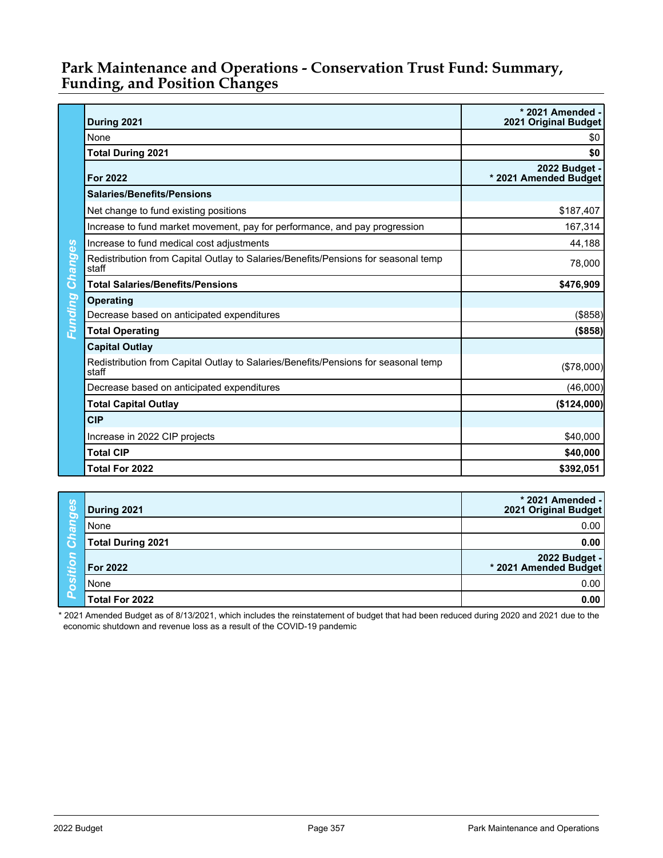#### **Park Maintenance and Operations - Conservation Trust Fund: Summary, Funding, and Position Changes**

|                | During 2021                                                                                 | * 2021 Amended -<br>2021 Original Budget |
|----------------|---------------------------------------------------------------------------------------------|------------------------------------------|
|                | None                                                                                        | \$0                                      |
|                | <b>Total During 2021</b>                                                                    | \$0                                      |
|                | <b>For 2022</b>                                                                             | 2022 Budget -<br>* 2021 Amended Budget   |
|                | <b>Salaries/Benefits/Pensions</b>                                                           |                                          |
|                | Net change to fund existing positions                                                       | \$187,407                                |
|                | Increase to fund market movement, pay for performance, and pay progression                  | 167,314                                  |
| မြိ            | Increase to fund medical cost adjustments                                                   | 44,188                                   |
| Chang          | Redistribution from Capital Outlay to Salaries/Benefits/Pensions for seasonal temp<br>staff | 78,000                                   |
|                | <b>Total Salaries/Benefits/Pensions</b>                                                     | \$476,909                                |
|                | <b>Operating</b>                                                                            |                                          |
| <u>Funding</u> | Decrease based on anticipated expenditures                                                  | (\$858)                                  |
|                | <b>Total Operating</b>                                                                      | (\$858)                                  |
|                | <b>Capital Outlay</b>                                                                       |                                          |
|                | Redistribution from Capital Outlay to Salaries/Benefits/Pensions for seasonal temp<br>staff | (\$78,000)                               |
|                | Decrease based on anticipated expenditures                                                  | (46,000)                                 |
|                | <b>Total Capital Outlay</b>                                                                 | (\$124,000)                              |
|                | <b>CIP</b>                                                                                  |                                          |
|                | Increase in 2022 CIP projects                                                               | \$40,000                                 |
|                | <b>Total CIP</b>                                                                            | \$40,000                                 |
|                | <b>Total For 2022</b>                                                                       | \$392,051                                |

| 8s<br>b                  | During 2021              | * 2021 Amended -<br>2021 Original Budget |
|--------------------------|--------------------------|------------------------------------------|
| l ro                     | None                     | 0.00                                     |
|                          | <b>Total During 2021</b> | 0.00                                     |
| Ĕ<br>$\overline{S}$<br>O | <b>For 2022</b>          | 2022 Budget -<br>* 2021 Amended Budget   |
|                          | None                     | 0.00                                     |
|                          | Total For 2022           | 0.00                                     |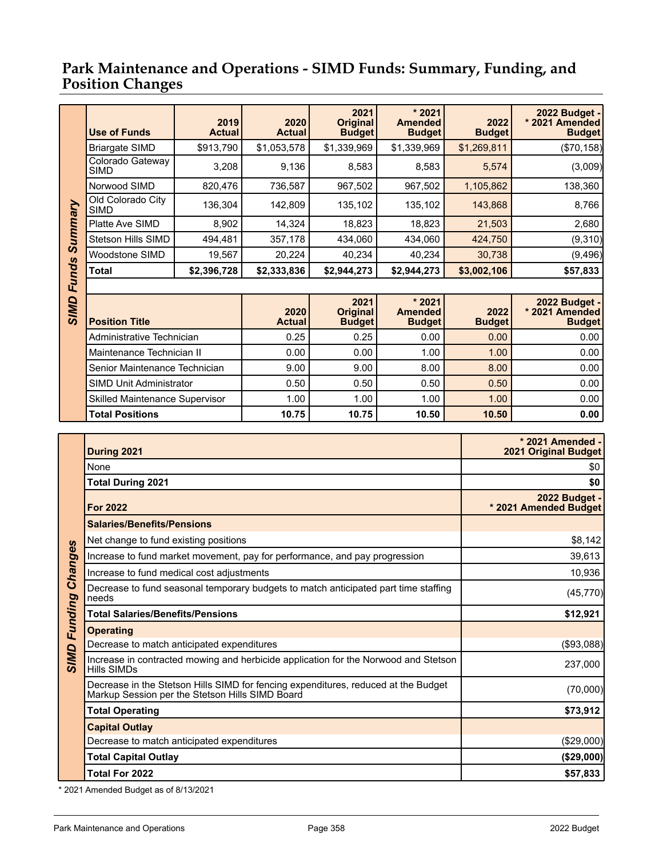## **Park Maintenance and Operations - SIMD Funds: Summary, Funding, and Position Changes**

|              | <b>Use of Funds</b>              | 2019<br><b>Actual</b> | 2020<br><b>Actual</b> | 2021<br><b>Original</b><br><b>Budget</b> | $*2021$<br><b>Amended</b><br><b>Budget</b> | 2022<br><b>Budget</b> | 2022 Budget -<br>* 2021 Amended<br><b>Budget</b> |  |
|--------------|----------------------------------|-----------------------|-----------------------|------------------------------------------|--------------------------------------------|-----------------------|--------------------------------------------------|--|
|              | <b>Briargate SIMD</b>            | \$913,790             | \$1,053,578           | \$1,339,969                              | \$1,339,969                                | \$1,269,811           | (\$70, 158)                                      |  |
|              | Colorado Gateway<br><b>SIMD</b>  | 3,208                 | 9,136                 | 8,583                                    | 8,583                                      | 5,574                 | (3,009)                                          |  |
|              | Norwood SIMD                     | 820,476               | 736,587               | 967,502                                  | 967,502                                    | 1,105,862             | 138,360                                          |  |
| Sunmary      | Old Colorado City<br><b>SIMD</b> | 136,304               | 142,809               | 135,102                                  | 135,102                                    | 143,868               | 8,766                                            |  |
|              | Platte Ave SIMD                  | 8,902                 | 14,324                | 18,823                                   | 18,823                                     | 21,503                | 2,680                                            |  |
|              | <b>Stetson Hills SIMD</b>        | 494,481               | 357,178               | 434,060                                  | 434,060                                    | 424,750               | (9,310)                                          |  |
|              | Woodstone SIMD                   | 19,567                | 20,224                | 40,234                                   | 40,234                                     | 30,738                | (9, 496)                                         |  |
|              | Total                            | \$2,396,728           | \$2,333,836           | \$2,944,273                              | \$2,944,273                                | \$3,002,106           | \$57,833                                         |  |
| <b>Funds</b> |                                  |                       |                       |                                          |                                            |                       |                                                  |  |
| SIMD         | <b>Position Title</b>            |                       | 2020<br><b>Actual</b> | 2021<br><b>Original</b><br><b>Budget</b> | $*2021$<br><b>Amended</b><br><b>Budget</b> | 2022<br><b>Budget</b> | 2022 Budget -<br>* 2021 Amended<br><b>Budget</b> |  |
|              | Administrative Technician        |                       | 0.25                  | 0.25                                     | 0.00                                       | 0.00                  | 0.00                                             |  |
|              | Maintenance Technician II        |                       | 0.00                  | 0.00                                     | 1.00                                       | 1.00                  | 0.00                                             |  |
|              | Senior Maintenance Technician    |                       | 9.00                  | 9.00                                     | 8.00                                       | 8.00                  | 0.00                                             |  |
|              | SIMD Unit Administrator          |                       | 0.50                  | 0.50                                     | 0.50                                       | 0.50                  | 0.00                                             |  |
|              | Skilled Maintenance Supervisor   |                       | 1.00                  | 1.00                                     | 1.00                                       | 1.00                  | 0.00                                             |  |
|              | <b>Total Positions</b>           |                       | 10.75                 | 10.75                                    | 10.50                                      | 10.50                 | 0.00                                             |  |

|              | During 2021                                                                                                                           | * 2021 Amended -<br><b>2021 Original Budget</b> |
|--------------|---------------------------------------------------------------------------------------------------------------------------------------|-------------------------------------------------|
|              | None                                                                                                                                  | \$0                                             |
|              | <b>Total During 2021</b>                                                                                                              | \$0                                             |
|              | <b>For 2022</b>                                                                                                                       | 2022 Budget -<br>* 2021 Amended Budget          |
|              | <b>Salaries/Benefits/Pensions</b>                                                                                                     |                                                 |
|              | Net change to fund existing positions                                                                                                 | \$8,142                                         |
| Changes      | Increase to fund market movement, pay for performance, and pay progression                                                            | 39,613                                          |
|              | Increase to fund medical cost adjustments                                                                                             | 10,936                                          |
|              | Decrease to fund seasonal temporary budgets to match anticipated part time staffing<br>needs                                          | (45, 770)                                       |
| Funding      | <b>Total Salaries/Benefits/Pensions</b>                                                                                               | \$12,921                                        |
|              | <b>Operating</b>                                                                                                                      |                                                 |
|              | Decrease to match anticipated expenditures                                                                                            | (\$93,088)                                      |
| <b>GIMID</b> | Increase in contracted mowing and herbicide application for the Norwood and Stetson<br><b>Hills SIMDs</b>                             | 237,000                                         |
|              | Decrease in the Stetson Hills SIMD for fencing expenditures, reduced at the Budget<br>Markup Session per the Stetson Hills SIMD Board | (70,000)                                        |
|              | <b>Total Operating</b>                                                                                                                | \$73,912                                        |
|              | <b>Capital Outlay</b>                                                                                                                 |                                                 |
|              | Decrease to match anticipated expenditures                                                                                            | (\$29,000)                                      |
|              | <b>Total Capital Outlay</b>                                                                                                           | (\$29,000)                                      |
|              | Total For 2022                                                                                                                        | \$57,833                                        |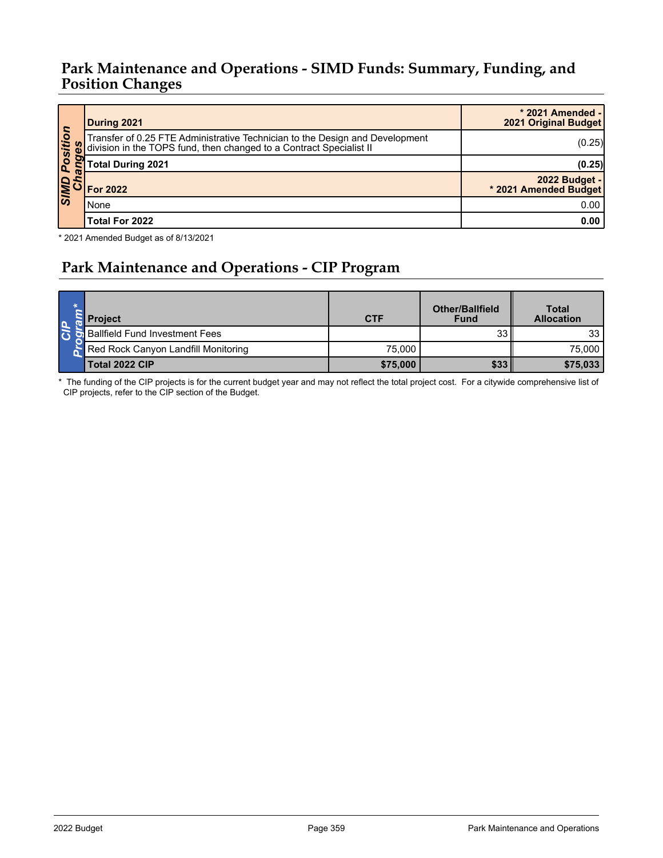# **Park Maintenance and Operations - SIMD Funds: Summary, Funding, and Position Changes**

|                      | During 2021                                                                                                                                         | * 2021 Amended -<br>2021 Original Budget |
|----------------------|-----------------------------------------------------------------------------------------------------------------------------------------------------|------------------------------------------|
| <b>Position</b><br>Φ | Transfer of 0.25 FTE Administrative Technician to the Design and Development<br>division in the TOPS fund, then changed to a Contract Specialist II | (0.25)                                   |
| σ                    | <b>Total During 2021</b>                                                                                                                            | (0.25)                                   |
|                      | <b>For 2022</b>                                                                                                                                     | 2022 Budget -<br>* 2021 Amended Budget   |
|                      | None                                                                                                                                                | 0.00                                     |
|                      | <b>Total For 2022</b>                                                                                                                               | 0.00                                     |

\* 2021 Amended Budget as of 8/13/2021

# **Park Maintenance and Operations - CIP Program**

|            | <b>Project</b>                        | <b>CTF</b> | <b>Other/Ballfield</b><br><b>Fund</b> | <b>Total</b><br><b>Allocation</b> |
|------------|---------------------------------------|------------|---------------------------------------|-----------------------------------|
| <b>GIP</b> | <b>Ballfield Fund Investment Fees</b> |            | 33                                    | 33 <sub>1</sub>                   |
|            | Red Rock Canyon Landfill Monitoring   | 75.000     |                                       | 75,000                            |
|            | Total 2022 CIP                        | \$75,000   | \$33                                  | \$75,033                          |

\* The funding of the CIP projects is for the current budget year and may not reflect the total project cost. For a citywide comprehensive list of CIP projects, refer to the CIP section of the Budget.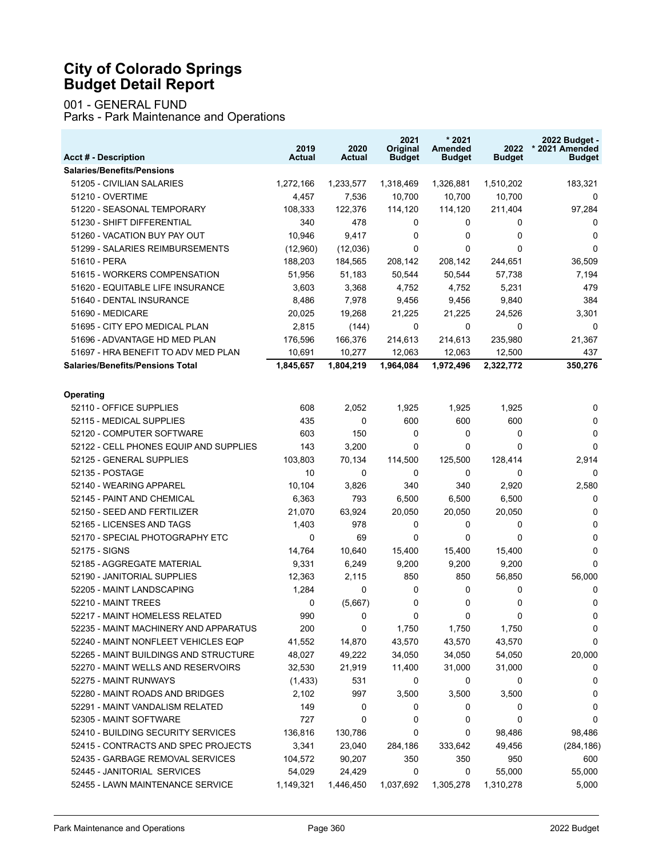#### 001 - GENERAL FUND

|                                                                  | 2019      | 2020          | 2021<br>Original | $*2021$<br>Amended | 2022          | 2022 Budget -<br>* 2021 Amended |
|------------------------------------------------------------------|-----------|---------------|------------------|--------------------|---------------|---------------------------------|
| <b>Acct # - Description</b><br><b>Salaries/Benefits/Pensions</b> | Actual    | <b>Actual</b> | <b>Budget</b>    | <b>Budget</b>      | <b>Budget</b> | <b>Budget</b>                   |
| 51205 - CIVILIAN SALARIES                                        | 1,272,166 | 1,233,577     | 1,318,469        | 1,326,881          | 1,510,202     | 183,321                         |
| 51210 - OVERTIME                                                 | 4,457     | 7,536         | 10,700           | 10,700             | 10,700        | 0                               |
| 51220 - SEASONAL TEMPORARY                                       | 108,333   | 122,376       | 114,120          | 114,120            | 211,404       | 97,284                          |
| 51230 - SHIFT DIFFERENTIAL                                       | 340       | 478           | 0                | 0                  | 0             | 0                               |
| 51260 - VACATION BUY PAY OUT                                     | 10,946    | 9,417         | 0                | 0                  | 0             | 0                               |
| 51299 - SALARIES REIMBURSEMENTS                                  | (12,960)  | (12,036)      | 0                | 0                  | $\mathbf{0}$  | $\Omega$                        |
| 51610 - PERA                                                     | 188,203   | 184,565       | 208,142          | 208,142            | 244,651       | 36,509                          |
| 51615 - WORKERS COMPENSATION                                     | 51,956    | 51,183        | 50,544           | 50,544             | 57,738        | 7,194                           |
| 51620 - EQUITABLE LIFE INSURANCE                                 | 3,603     | 3,368         | 4,752            | 4,752              | 5,231         | 479                             |
|                                                                  |           |               |                  |                    |               |                                 |
| 51640 - DENTAL INSURANCE                                         | 8,486     | 7,978         | 9,456            | 9,456              | 9,840         | 384                             |
| 51690 - MEDICARE                                                 | 20,025    | 19,268        | 21,225<br>0      | 21,225<br>0        | 24,526<br>0   | 3,301                           |
| 51695 - CITY EPO MEDICAL PLAN<br>51696 - ADVANTAGE HD MED PLAN   | 2,815     | (144)         |                  |                    |               | 0                               |
|                                                                  | 176,596   | 166,376       | 214,613          | 214,613            | 235,980       | 21,367                          |
| 51697 - HRA BENEFIT TO ADV MED PLAN                              | 10,691    | 10,277        | 12,063           | 12,063             | 12,500        | 437                             |
| <b>Salaries/Benefits/Pensions Total</b>                          | 1,845,657 | 1,804,219     | 1,964,084        | 1,972,496          | 2,322,772     | 350,276                         |
|                                                                  |           |               |                  |                    |               |                                 |
| Operating                                                        |           |               |                  |                    |               |                                 |
| 52110 - OFFICE SUPPLIES                                          | 608       | 2,052         | 1,925            | 1,925              | 1,925         | 0                               |
| 52115 - MEDICAL SUPPLIES                                         | 435       | 0             | 600              | 600                | 600           | 0                               |
| 52120 - COMPUTER SOFTWARE                                        | 603       | 150           | 0                | 0                  | 0             | 0                               |
| 52122 - CELL PHONES EQUIP AND SUPPLIES                           | 143       | 3,200         | 0                | 0                  | $\mathbf{0}$  | $\Omega$                        |
| 52125 - GENERAL SUPPLIES                                         | 103,803   | 70,134        | 114,500          | 125,500            | 128,414       | 2,914                           |
| 52135 - POSTAGE                                                  | 10        | 0             | 0                | 0                  | 0             | 0                               |
| 52140 - WEARING APPAREL                                          | 10,104    | 3,826         | 340              | 340                | 2,920         | 2,580                           |
| 52145 - PAINT AND CHEMICAL                                       | 6,363     | 793           | 6,500            | 6,500              | 6,500         | 0                               |
| 52150 - SEED AND FERTILIZER                                      | 21,070    | 63,924        | 20,050           | 20,050             | 20,050        | 0                               |
| 52165 - LICENSES AND TAGS                                        | 1,403     | 978           | 0                | 0                  | 0             | 0                               |
| 52170 - SPECIAL PHOTOGRAPHY ETC                                  | 0         | 69            | 0                | 0                  | 0             | 0                               |
| 52175 - SIGNS                                                    | 14,764    | 10,640        | 15,400           | 15,400             | 15,400        | 0                               |
| 52185 - AGGREGATE MATERIAL                                       | 9,331     | 6,249         | 9,200            | 9,200              | 9,200         | $\mathbf 0$                     |
| 52190 - JANITORIAL SUPPLIES                                      | 12,363    | 2,115         | 850              | 850                | 56,850        | 56,000                          |
| 52205 - MAINT LANDSCAPING                                        | 1,284     | 0             | 0                | 0                  | 0             | 0                               |
| 52210 - MAINT TREES                                              | 0         | (5,667)       | 0                | 0                  | 0             | 0                               |
| 52217 - MAINT HOMELESS RELATED                                   | 990       | 0             | 0                | 0                  | $\Omega$      | $\Omega$                        |
| 52235 - MAINT MACHINERY AND APPARATUS                            | 200       | 0             | 1,750            | 1,750              | 1,750         | 0                               |
| 52240 - MAINT NONFLEET VEHICLES EQP                              | 41,552    | 14,870        | 43,570           | 43,570             | 43,570        | 0                               |
| 52265 - MAINT BUILDINGS AND STRUCTURE                            | 48,027    | 49,222        | 34,050           | 34,050             | 54,050        | 20,000                          |
| 52270 - MAINT WELLS AND RESERVOIRS                               | 32,530    | 21,919        | 11,400           | 31,000             | 31,000        | 0                               |
| 52275 - MAINT RUNWAYS                                            | (1, 433)  | 531           | 0                | 0                  | 0             | 0                               |
| 52280 - MAINT ROADS AND BRIDGES                                  | 2,102     | 997           | 3,500            | 3,500              | 3,500         | 0                               |
| 52291 - MAINT VANDALISM RELATED                                  | 149       | 0             | 0                | 0                  | 0             | 0                               |
| 52305 - MAINT SOFTWARE                                           | 727       | 0             | 0                | 0                  | 0             | 0                               |
| 52410 - BUILDING SECURITY SERVICES                               | 136,816   | 130,786       | 0                | 0                  | 98,486        | 98,486                          |
| 52415 - CONTRACTS AND SPEC PROJECTS                              | 3,341     | 23,040        | 284,186          | 333,642            | 49,456        | (284, 186)                      |
| 52435 - GARBAGE REMOVAL SERVICES                                 | 104,572   | 90,207        | 350              | 350                | 950           | 600                             |
| 52445 - JANITORIAL SERVICES                                      | 54,029    | 24,429        | 0                | 0                  | 55,000        | 55,000                          |
| 52455 - LAWN MAINTENANCE SERVICE                                 | 1,149,321 | 1,446,450     | 1,037,692        | 1,305,278          | 1,310,278     | 5,000                           |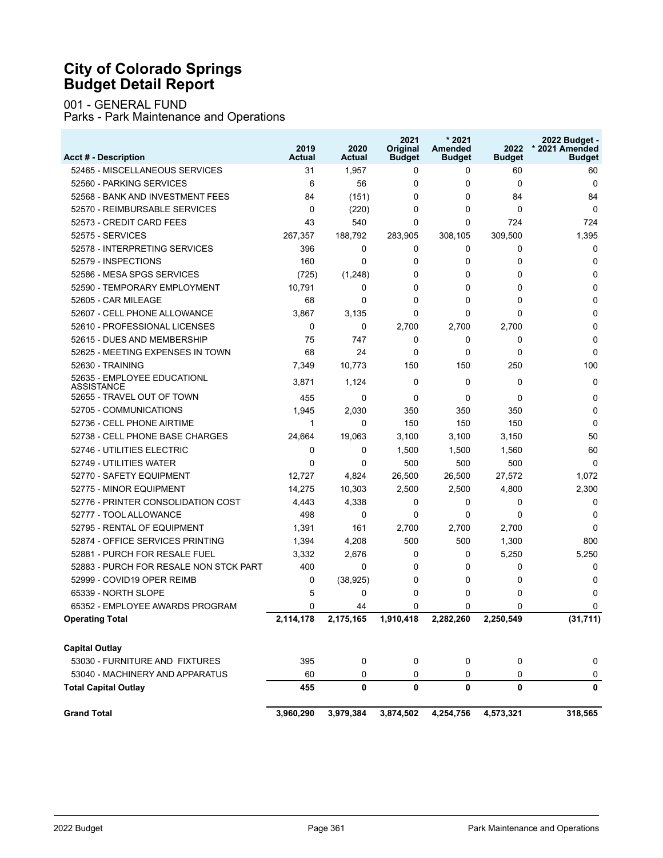001 - GENERAL FUND

| <b>Acct # - Description</b>               | 2019<br>Actual | 2020<br>Actual | 2021<br>Original<br><b>Budget</b> | $*2021$<br>Amended<br><b>Budget</b> | 2022<br><b>Budget</b> | 2022 Budget -<br>* 2021 Amended<br><b>Budget</b> |
|-------------------------------------------|----------------|----------------|-----------------------------------|-------------------------------------|-----------------------|--------------------------------------------------|
| 52465 - MISCELLANEOUS SERVICES            | 31             | 1,957          | 0                                 | 0                                   | 60                    | 60                                               |
| 52560 - PARKING SERVICES                  | 6              | 56             | 0                                 | $\mathbf{0}$                        | 0                     | 0                                                |
| 52568 - BANK AND INVESTMENT FEES          | 84             | (151)          | 0                                 | $\mathbf{0}$                        | 84                    | 84                                               |
| 52570 - REIMBURSABLE SERVICES             | 0              | (220)          | 0                                 | $\mathbf{0}$                        | $\Omega$              | $\Omega$                                         |
| 52573 - CREDIT CARD FEES                  | 43             | 540            | 0                                 | 0                                   | 724                   | 724                                              |
| 52575 - SERVICES                          | 267,357        | 188,792        | 283,905                           | 308,105                             | 309,500               | 1,395                                            |
| 52578 - INTERPRETING SERVICES             | 396            | 0              | 0                                 | 0                                   | 0                     | 0                                                |
| 52579 - INSPECTIONS                       | 160            | $\Omega$       | 0                                 | 0                                   | $\Omega$              | 0                                                |
| 52586 - MESA SPGS SERVICES                | (725)          | (1, 248)       | 0                                 | $\mathbf{0}$                        | 0                     | 0                                                |
| 52590 - TEMPORARY EMPLOYMENT              | 10,791         | 0              | 0                                 | $\mathbf{0}$                        | $\Omega$              | $\Omega$                                         |
| 52605 - CAR MILEAGE                       | 68             | $\Omega$       | 0                                 | $\mathbf{0}$                        | $\Omega$              | $\Omega$                                         |
| 52607 - CELL PHONE ALLOWANCE              | 3,867          | 3,135          | 0                                 | 0                                   | $\Omega$              | $\Omega$                                         |
| 52610 - PROFESSIONAL LICENSES             | 0              | 0              | 2,700                             | 2,700                               | 2,700                 | $\Omega$                                         |
| 52615 - DUES AND MEMBERSHIP               | 75             | 747            | 0                                 | 0                                   | 0                     | $\Omega$                                         |
| 52625 - MEETING EXPENSES IN TOWN          | 68             | 24             | 0                                 | $\mathbf{0}$                        | $\Omega$              | $\Omega$                                         |
| 52630 - TRAINING                          | 7,349          | 10,773         | 150                               | 150                                 | 250                   | 100                                              |
| 52635 - EMPLOYEE EDUCATIONL<br>ASSISTANCE | 3,871          | 1,124          | 0                                 | 0                                   | 0                     | $\Omega$                                         |
| 52655 - TRAVEL OUT OF TOWN                | 455            | 0              | 0                                 | 0                                   | 0                     | 0                                                |
| 52705 - COMMUNICATIONS                    | 1,945          | 2,030          | 350                               | 350                                 | 350                   | $\Omega$                                         |
| 52736 - CELL PHONE AIRTIME                | 1              | 0              | 150                               | 150                                 | 150                   | $\mathbf{0}$                                     |
| 52738 - CELL PHONE BASE CHARGES           | 24,664         | 19,063         | 3,100                             | 3,100                               | 3,150                 | 50                                               |
| 52746 - UTILITIES ELECTRIC                | 0              | 0              | 1,500                             | 1,500                               | 1,560                 | 60                                               |
| 52749 - UTILITIES WATER                   | $\Omega$       | $\Omega$       | 500                               | 500                                 | 500                   | $\Omega$                                         |
| 52770 - SAFETY EQUIPMENT                  | 12,727         | 4,824          | 26,500                            | 26,500                              | 27,572                | 1,072                                            |
| 52775 - MINOR EQUIPMENT                   | 14,275         | 10,303         | 2,500                             | 2,500                               | 4,800                 | 2,300                                            |
| 52776 - PRINTER CONSOLIDATION COST        | 4,443          | 4,338          | 0                                 | 0                                   | 0                     | 0                                                |
| 52777 - TOOL ALLOWANCE                    | 498            | 0              | 0                                 | 0                                   | $\Omega$              | $\Omega$                                         |
| 52795 - RENTAL OF EQUIPMENT               | 1,391          | 161            | 2,700                             | 2,700                               | 2,700                 | $\Omega$                                         |
| 52874 - OFFICE SERVICES PRINTING          | 1,394          | 4,208          | 500                               | 500                                 | 1,300                 | 800                                              |
| 52881 - PURCH FOR RESALE FUEL             | 3,332          | 2,676          | 0                                 | 0                                   | 5,250                 | 5,250                                            |
| 52883 - PURCH FOR RESALE NON STCK PART    | 400            | 0              | 0                                 | 0                                   | 0                     | 0                                                |
| 52999 - COVID19 OPER REIMB                | 0              | (38, 925)      | 0                                 | 0                                   | $\Omega$              | 0                                                |
| 65339 - NORTH SLOPE                       | 5              | 0              | 0                                 | 0                                   | $\Omega$              | $\Omega$                                         |
| 65352 - EMPLOYEE AWARDS PROGRAM           | 0              | 44             | 0                                 | 0                                   | 0                     | 0                                                |
| <b>Operating Total</b>                    | 2,114,178      | 2,175,165      | 1,910,418                         | 2,282,260                           | 2.250.549             | (31, 711)                                        |
| <b>Capital Outlay</b>                     |                |                |                                   |                                     |                       |                                                  |
| 53030 - FURNITURE AND FIXTURES            | 395            | 0              | 0                                 | 0                                   | 0                     | 0                                                |
| 53040 - MACHINERY AND APPARATUS           | 60             | 0              | 0                                 | 0                                   | 0                     | 0                                                |
| <b>Total Capital Outlay</b>               | 455            | 0              | 0                                 | 0                                   | 0                     | 0                                                |
| <b>Grand Total</b>                        | 3,960,290      | 3,979,384      | 3,874,502                         | 4,254,756                           | 4,573,321             | 318,565                                          |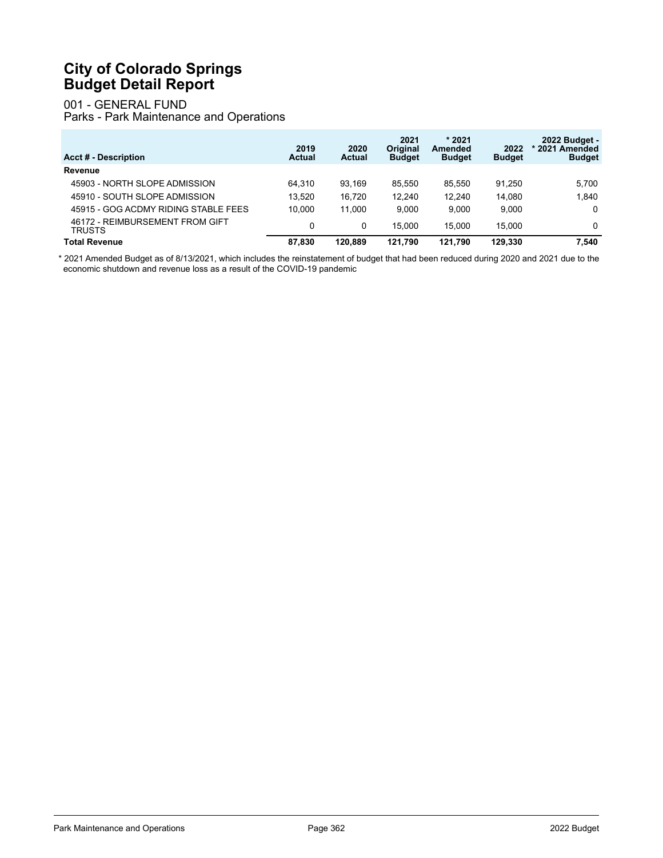#### 001 - GENERAL FUND

Parks - Park Maintenance and Operations

| <b>Acct # - Description</b>                      | 2019<br>Actual | 2020<br>Actual | 2021<br>Original<br><b>Budget</b> | $*2021$<br>Amended<br><b>Budget</b> | 2022<br><b>Budget</b> | 2022 Budget -<br>* 2021 Amended<br><b>Budget</b> |
|--------------------------------------------------|----------------|----------------|-----------------------------------|-------------------------------------|-----------------------|--------------------------------------------------|
| Revenue                                          |                |                |                                   |                                     |                       |                                                  |
| 45903 - NORTH SLOPE ADMISSION                    | 64.310         | 93.169         | 85.550                            | 85.550                              | 91,250                | 5,700                                            |
| 45910 - SOUTH SLOPE ADMISSION                    | 13.520         | 16.720         | 12.240                            | 12.240                              | 14.080                | 1.840                                            |
| 45915 - GOG ACDMY RIDING STABLE FEES             | 10.000         | 11.000         | 9.000                             | 9.000                               | 9.000                 | $\Omega$                                         |
| 46172 - REIMBURSEMENT FROM GIFT<br><b>TRUSTS</b> | 0              | 0              | 15.000                            | 15.000                              | 15.000                | 0                                                |
| Total Revenue                                    | 87.830         | 120.889        | 121.790                           | 121.790                             | 129.330               | 7.540                                            |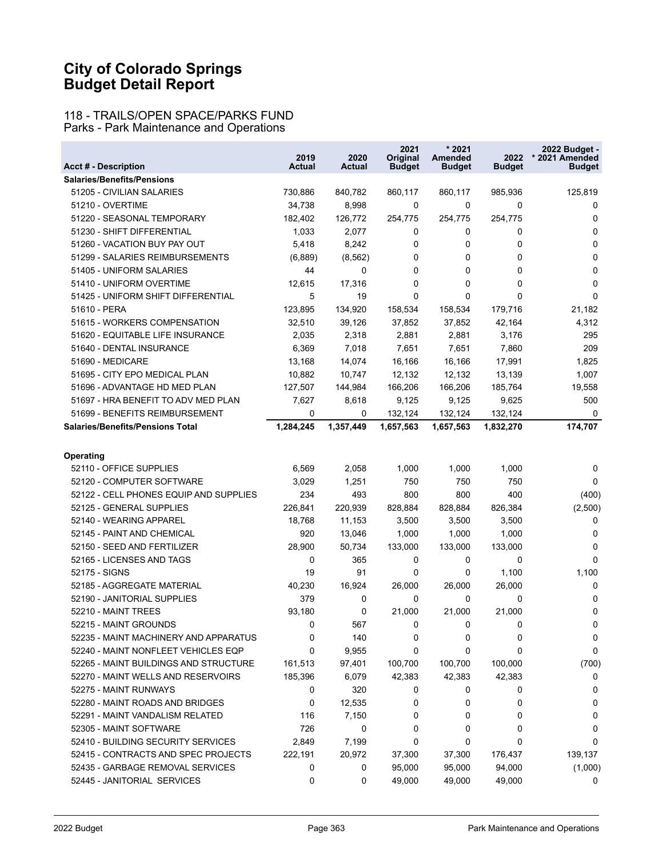#### 118 - TRAILS/OPEN SPACE/PARKS FUND Parks - Park Maintenance and Operations

| <b>Acct # - Description</b>             | 2019<br>Actual | 2020<br><b>Actual</b> | 2021<br>Original<br><b>Budget</b> | * 2021<br>Amended<br><b>Budget</b> | 2022<br><b>Budget</b> | 2022 Budget -<br>* 2021 Amended<br><b>Budget</b> |
|-----------------------------------------|----------------|-----------------------|-----------------------------------|------------------------------------|-----------------------|--------------------------------------------------|
| <b>Salaries/Benefits/Pensions</b>       |                |                       |                                   |                                    |                       |                                                  |
| 51205 - CIVILIAN SALARIES               | 730,886        | 840,782               | 860,117                           | 860,117                            | 985,936               | 125,819                                          |
| 51210 - OVERTIME                        | 34,738         | 8,998                 | 0                                 | 0                                  | 0                     | 0                                                |
| 51220 - SEASONAL TEMPORARY              | 182,402        | 126,772               | 254,775                           | 254,775                            | 254,775               | 0                                                |
| 51230 - SHIFT DIFFERENTIAL              | 1,033          | 2,077                 | 0                                 | 0                                  | 0                     | 0                                                |
| 51260 - VACATION BUY PAY OUT            | 5,418          | 8,242                 | 0                                 | 0                                  | 0                     | 0                                                |
| 51299 - SALARIES REIMBURSEMENTS         | (6,889)        | (8, 562)              | 0                                 | 0                                  | 0                     | 0                                                |
| 51405 - UNIFORM SALARIES                | 44             | 0                     | 0                                 | 0                                  | 0                     | 0                                                |
| 51410 - UNIFORM OVERTIME                | 12,615         | 17,316                | 0                                 | 0                                  | 0                     | 0                                                |
| 51425 - UNIFORM SHIFT DIFFERENTIAL      | 5              | 19                    | 0                                 | 0                                  | 0                     | 0                                                |
| 51610 - PERA                            | 123,895        | 134,920               | 158,534                           | 158,534                            | 179,716               | 21,182                                           |
| 51615 - WORKERS COMPENSATION            | 32,510         | 39,126                | 37,852                            | 37,852                             | 42,164                | 4,312                                            |
| 51620 - EQUITABLE LIFE INSURANCE        | 2,035          | 2,318                 | 2,881                             | 2,881                              | 3,176                 | 295                                              |
| 51640 - DENTAL INSURANCE                | 6,369          | 7,018                 | 7,651                             | 7,651                              | 7,860                 | 209                                              |
| 51690 - MEDICARE                        | 13,168         | 14,074                | 16,166                            | 16,166                             | 17,991                | 1,825                                            |
| 51695 - CITY EPO MEDICAL PLAN           | 10,882         | 10,747                | 12,132                            | 12,132                             | 13,139                | 1,007                                            |
| 51696 - ADVANTAGE HD MED PLAN           | 127,507        | 144,984               | 166,206                           | 166,206                            | 185,764               | 19,558                                           |
| 51697 - HRA BENEFIT TO ADV MED PLAN     | 7,627          | 8,618                 | 9,125                             | 9,125                              | 9,625                 | 500                                              |
| 51699 - BENEFITS REIMBURSEMENT          | 0              | 0                     | 132,124                           | 132,124                            | 132,124               | 0                                                |
| <b>Salaries/Benefits/Pensions Total</b> | 1,284,245      | 1,357,449             | 1,657,563                         | 1,657,563                          | 1,832,270             | 174,707                                          |
| Operating                               |                |                       |                                   |                                    |                       |                                                  |
| 52110 - OFFICE SUPPLIES                 | 6,569          | 2,058                 | 1,000                             | 1,000                              | 1,000                 | 0                                                |
| 52120 - COMPUTER SOFTWARE               | 3,029          | 1,251                 | 750                               | 750                                | 750                   | 0                                                |
| 52122 - CELL PHONES EQUIP AND SUPPLIES  | 234            | 493                   | 800                               | 800                                | 400                   | (400)                                            |
| 52125 - GENERAL SUPPLIES                | 226,841        | 220,939               | 828,884                           | 828,884                            | 826,384               |                                                  |
| 52140 - WEARING APPAREL                 |                | 11,153                | 3,500                             |                                    |                       | (2,500)                                          |
| 52145 - PAINT AND CHEMICAL              | 18,768<br>920  | 13,046                | 1,000                             | 3,500                              | 3,500<br>1,000        | 0<br>0                                           |
| 52150 - SEED AND FERTILIZER             | 28,900         | 50,734                | 133,000                           | 1,000<br>133,000                   | 133,000               | 0                                                |
| 52165 - LICENSES AND TAGS               |                |                       |                                   |                                    |                       | $\mathbf 0$                                      |
|                                         | 0              | 365                   | 0                                 | 0                                  | 0                     |                                                  |
| 52175 - SIGNS                           | 19             | 91                    | 0                                 | 0                                  | 1,100                 | 1,100                                            |
| 52185 - AGGREGATE MATERIAL              | 40,230         | 16,924                | 26,000                            | 26,000                             | 26,000                | 0                                                |
| 52190 - JANITORIAL SUPPLIES             | 379            | 0                     | 0                                 | 0                                  | 0                     | 0                                                |
| 52210 - MAINT TREES                     | 93,180         | 0                     | 21,000                            | 21,000                             | 21,000                | 0                                                |
| 52215 - MAINT GROUNDS                   | 0              | 567                   | 0                                 | 0                                  | 0                     | 0                                                |
| 52235 - MAINT MACHINERY AND APPARATUS   | 0              | 140                   | 0                                 | 0                                  | 0                     | 0                                                |
| 52240 - MAINT NONFLEET VEHICLES EQP     | 0              | 9,955                 | 0                                 | 0                                  | 0                     | 0                                                |
| 52265 - MAINT BUILDINGS AND STRUCTURE   | 161,513        | 97,401                | 100,700                           | 100,700                            | 100,000               | (700)                                            |
| 52270 - MAINT WELLS AND RESERVOIRS      | 185,396        | 6,079                 | 42,383                            | 42,383                             | 42,383                | 0                                                |
| 52275 - MAINT RUNWAYS                   | 0              | 320                   | 0                                 | 0                                  | 0                     | 0                                                |
| 52280 - MAINT ROADS AND BRIDGES         | 0              | 12,535                | 0                                 | 0                                  | 0                     | 0                                                |
| 52291 - MAINT VANDALISM RELATED         | 116            | 7,150                 | 0                                 | 0                                  | 0                     | 0                                                |
| 52305 - MAINT SOFTWARE                  | 726            | 0                     | 0                                 | 0                                  | 0                     | 0                                                |
| 52410 - BUILDING SECURITY SERVICES      | 2,849          | 7,199                 | 0                                 | 0                                  | 0                     | 0                                                |
| 52415 - CONTRACTS AND SPEC PROJECTS     | 222,191        | 20,972                | 37,300                            | 37,300                             | 176,437               | 139,137                                          |
| 52435 - GARBAGE REMOVAL SERVICES        | 0              | 0                     | 95,000                            | 95,000                             | 94,000                | (1,000)                                          |
| 52445 - JANITORIAL SERVICES             | 0              | 0                     | 49,000                            | 49,000                             | 49,000                | 0                                                |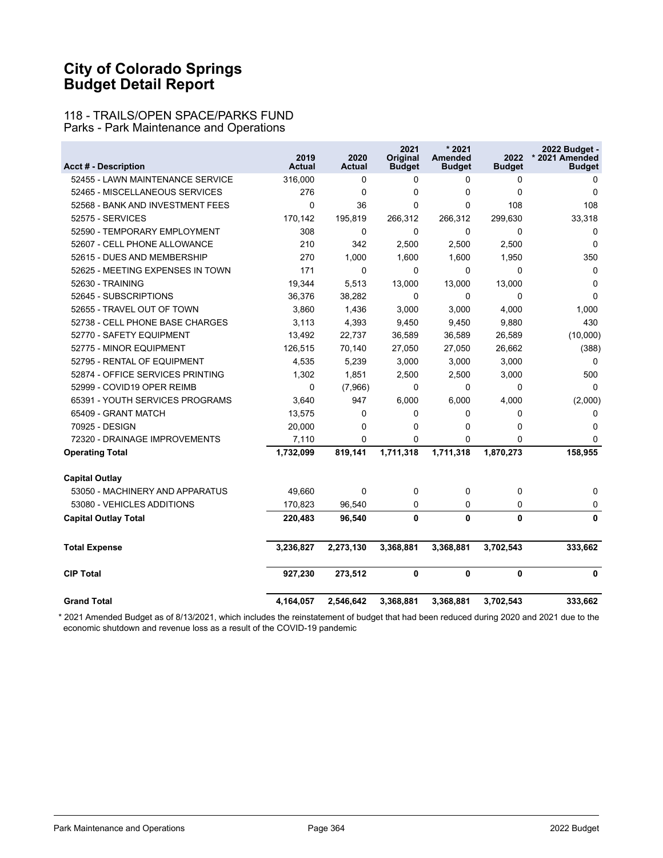#### 118 - TRAILS/OPEN SPACE/PARKS FUND Parks - Park Maintenance and Operations

| <b>Acct # - Description</b>      | 2019<br>Actual | 2020<br>Actual | 2021<br><b>Original</b><br><b>Budget</b> | $*2021$<br>Amended<br><b>Budget</b> | 2022<br><b>Budget</b> | 2022 Budget -<br>* 2021 Amended<br><b>Budget</b> |
|----------------------------------|----------------|----------------|------------------------------------------|-------------------------------------|-----------------------|--------------------------------------------------|
| 52455 - LAWN MAINTENANCE SERVICE | 316,000        | $\Omega$       | 0                                        | 0                                   | 0                     | 0                                                |
| 52465 - MISCELLANEOUS SERVICES   | 276            | $\mathbf{0}$   | $\Omega$                                 | 0                                   | $\mathbf{0}$          | $\Omega$                                         |
| 52568 - BANK AND INVESTMENT FEES | $\Omega$       | 36             | 0                                        | 0                                   | 108                   | 108                                              |
| 52575 - SERVICES                 | 170.142        | 195.819        | 266,312                                  | 266,312                             | 299,630               | 33,318                                           |
| 52590 - TEMPORARY EMPLOYMENT     | 308            | $\Omega$       | $\Omega$                                 | $\Omega$                            | $\mathbf{0}$          | 0                                                |
| 52607 - CELL PHONE ALLOWANCE     | 210            | 342            | 2,500                                    | 2,500                               | 2,500                 | $\mathbf 0$                                      |
| 52615 - DUES AND MEMBERSHIP      | 270            | 1,000          | 1,600                                    | 1,600                               | 1,950                 | 350                                              |
| 52625 - MEETING EXPENSES IN TOWN | 171            | $\Omega$       | 0                                        | 0                                   | 0                     | 0                                                |
| 52630 - TRAINING                 | 19,344         | 5,513          | 13,000                                   | 13.000                              | 13,000                | $\Omega$                                         |
| 52645 - SUBSCRIPTIONS            | 36,376         | 38,282         | $\Omega$                                 | 0                                   | $\mathbf{0}$          | $\Omega$                                         |
| 52655 - TRAVEL OUT OF TOWN       | 3,860          | 1,436          | 3,000                                    | 3,000                               | 4,000                 | 1,000                                            |
| 52738 - CELL PHONE BASE CHARGES  | 3,113          | 4,393          | 9,450                                    | 9,450                               | 9,880                 | 430                                              |
| 52770 - SAFETY EQUIPMENT         | 13,492         | 22,737         | 36,589                                   | 36,589                              | 26,589                | (10,000)                                         |
| 52775 - MINOR EQUIPMENT          | 126.515        | 70,140         | 27,050                                   | 27,050                              | 26,662                | (388)                                            |
| 52795 - RENTAL OF EQUIPMENT      | 4,535          | 5,239          | 3,000                                    | 3,000                               | 3,000                 | 0                                                |
| 52874 - OFFICE SERVICES PRINTING | 1,302          | 1,851          | 2,500                                    | 2,500                               | 3,000                 | 500                                              |
| 52999 - COVID19 OPER REIMB       | 0              | (7,966)        | $\Omega$                                 | 0                                   | 0                     | 0                                                |
| 65391 - YOUTH SERVICES PROGRAMS  | 3,640          | 947            | 6,000                                    | 6,000                               | 4,000                 | (2,000)                                          |
| 65409 - GRANT MATCH              | 13,575         | 0              | 0                                        | 0                                   | 0                     | 0                                                |
| 70925 - DESIGN                   | 20,000         | $\mathbf 0$    | 0                                        | 0                                   | 0                     | $\Omega$                                         |
| 72320 - DRAINAGE IMPROVEMENTS    | 7,110          | $\Omega$       | 0                                        | 0                                   | $\mathbf{0}$          | $\Omega$                                         |
| <b>Operating Total</b>           | 1,732,099      | 819,141        | 1,711,318                                | 1,711,318                           | 1,870,273             | 158,955                                          |
| <b>Capital Outlay</b>            |                |                |                                          |                                     |                       |                                                  |
| 53050 - MACHINERY AND APPARATUS  | 49,660         | 0              | 0                                        | 0                                   | 0                     | 0                                                |
| 53080 - VEHICLES ADDITIONS       | 170,823        | 96,540         | 0                                        | 0                                   | 0                     | 0                                                |
| <b>Capital Outlay Total</b>      | 220,483        | 96,540         | 0                                        | 0                                   | $\mathbf{0}$          | 0                                                |
| <b>Total Expense</b>             | 3,236,827      | 2,273,130      | 3,368,881                                | 3,368,881                           | 3,702,543             | 333,662                                          |
| <b>CIP Total</b>                 | 927,230        | 273,512        | 0                                        | 0                                   | 0                     | 0                                                |
| <b>Grand Total</b>               | 4,164,057      | 2,546,642      | 3,368,881                                | 3,368,881                           | 3.702.543             | 333.662                                          |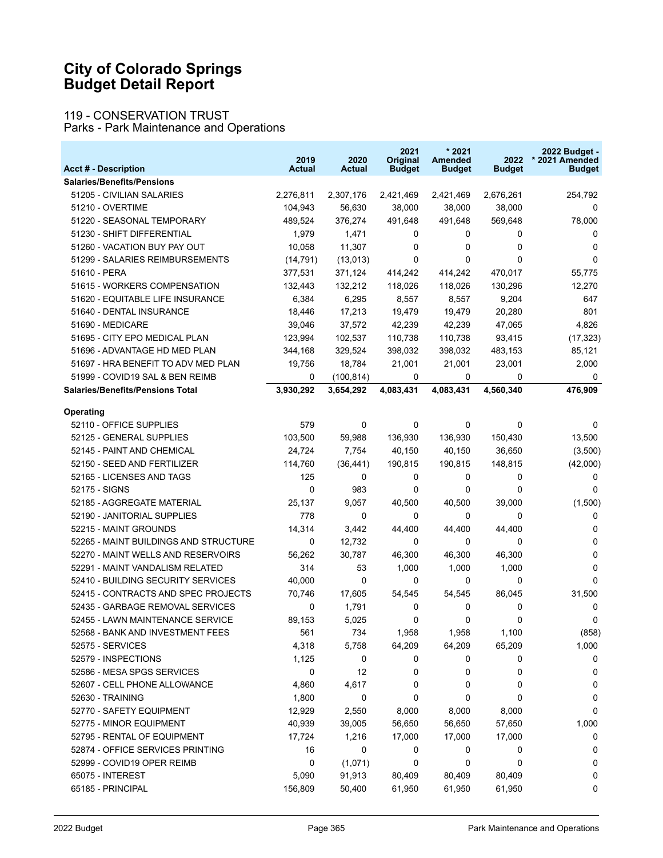#### 119 - CONSERVATION TRUST

| <b>Acct # - Description</b>             | 2019<br>Actual | 2020<br><b>Actual</b> | 2021<br>Original<br><b>Budget</b> | $*2021$<br><b>Amended</b><br><b>Budget</b> | 2022<br><b>Budget</b> | 2022 Budget -<br>* 2021 Amended<br><b>Budget</b> |
|-----------------------------------------|----------------|-----------------------|-----------------------------------|--------------------------------------------|-----------------------|--------------------------------------------------|
| <b>Salaries/Benefits/Pensions</b>       |                |                       |                                   |                                            |                       |                                                  |
| 51205 - CIVILIAN SALARIES               | 2,276,811      | 2,307,176             | 2,421,469                         | 2,421,469                                  | 2,676,261             | 254,792                                          |
| 51210 - OVERTIME                        | 104,943        | 56,630                | 38,000                            | 38,000                                     | 38,000                | 0                                                |
| 51220 - SEASONAL TEMPORARY              | 489,524        | 376,274               | 491,648                           | 491,648                                    | 569,648               | 78,000                                           |
| 51230 - SHIFT DIFFERENTIAL              | 1,979          | 1,471                 | 0                                 | 0                                          | 0                     | 0                                                |
| 51260 - VACATION BUY PAY OUT            | 10,058         | 11,307                | 0                                 | 0                                          | 0                     | 0                                                |
| 51299 - SALARIES REIMBURSEMENTS         | (14, 791)      | (13,013)              | 0                                 | 0                                          | $\Omega$              | $\Omega$                                         |
| 51610 - PERA                            | 377,531        | 371,124               | 414,242                           | 414.242                                    | 470,017               | 55,775                                           |
| 51615 - WORKERS COMPENSATION            | 132,443        | 132,212               | 118,026                           | 118,026                                    | 130,296               | 12,270                                           |
| 51620 - EQUITABLE LIFE INSURANCE        | 6,384          | 6,295                 | 8,557                             | 8,557                                      | 9,204                 | 647                                              |
| 51640 - DENTAL INSURANCE                | 18,446         | 17,213                | 19,479                            | 19,479                                     | 20,280                | 801                                              |
| 51690 - MEDICARE                        | 39,046         | 37,572                | 42,239                            | 42,239                                     | 47,065                | 4,826                                            |
| 51695 - CITY EPO MEDICAL PLAN           | 123,994        | 102,537               | 110,738                           | 110,738                                    | 93,415                | (17, 323)                                        |
| 51696 - ADVANTAGE HD MED PLAN           | 344,168        | 329,524               | 398,032                           | 398,032                                    | 483,153               | 85,121                                           |
| 51697 - HRA BENEFIT TO ADV MED PLAN     | 19,756         | 18,784                | 21,001                            | 21,001                                     | 23,001                | 2,000                                            |
| 51999 - COVID19 SAL & BEN REIMB         | 0              | (100, 814)            | 0                                 | 0                                          | $\Omega$              | 0                                                |
| <b>Salaries/Benefits/Pensions Total</b> | 3,930,292      | 3,654,292             | 4,083,431                         | 4,083,431                                  | 4,560,340             | 476,909                                          |
| Operating                               |                |                       |                                   |                                            |                       |                                                  |
| 52110 - OFFICE SUPPLIES                 | 579            | $\Omega$              | 0                                 | 0                                          | 0                     | 0                                                |
| 52125 - GENERAL SUPPLIES                | 103,500        | 59,988                | 136,930                           | 136,930                                    | 150,430               | 13,500                                           |
| 52145 - PAINT AND CHEMICAL              | 24,724         | 7,754                 | 40,150                            | 40,150                                     | 36,650                | (3,500)                                          |
| 52150 - SEED AND FERTILIZER             | 114,760        | (36, 441)             | 190,815                           | 190,815                                    | 148,815               | (42,000)                                         |
| 52165 - LICENSES AND TAGS               | 125            | 0                     | 0                                 | 0                                          | 0                     | 0                                                |
| 52175 - SIGNS                           | 0              | 983                   | $\Omega$                          | 0                                          | $\Omega$              | $\Omega$                                         |
| 52185 - AGGREGATE MATERIAL              | 25,137         | 9,057                 | 40,500                            | 40,500                                     | 39,000                | (1,500)                                          |
| 52190 - JANITORIAL SUPPLIES             | 778            | $\Omega$              | 0                                 | 0                                          | 0                     | 0                                                |
| 52215 - MAINT GROUNDS                   | 14,314         | 3,442                 | 44,400                            | 44,400                                     | 44,400                | $\Omega$                                         |
| 52265 - MAINT BUILDINGS AND STRUCTURE   | 0              | 12,732                | 0                                 | 0                                          | $\Omega$              | $\Omega$                                         |
| 52270 - MAINT WELLS AND RESERVOIRS      | 56,262         | 30,787                | 46,300                            | 46,300                                     | 46,300                | $\Omega$                                         |
| 52291 - MAINT VANDALISM RELATED         | 314            | 53                    | 1,000                             | 1,000                                      | 1,000                 | $\Omega$                                         |
| 52410 - BUILDING SECURITY SERVICES      | 40,000         | 0                     | 0                                 | 0                                          | 0                     | $\Omega$                                         |
| 52415 - CONTRACTS AND SPEC PROJECTS     | 70,746         | 17,605                | 54,545                            | 54,545                                     | 86,045                | 31,500                                           |
| 52435 - GARBAGE REMOVAL SERVICES        | 0              | 1,791                 | 0                                 | 0                                          | 0                     | 0                                                |
| 52455 - LAWN MAINTENANCE SERVICE        | 89,153         | 5,025                 | 0                                 | 0                                          | 0                     | 0                                                |
| 52568 - BANK AND INVESTMENT FEES        | 561            | 734                   | 1,958                             | 1,958                                      | 1,100                 | (858)                                            |
| 52575 - SERVICES                        | 4,318          | 5,758                 | 64,209                            | 64,209                                     | 65,209                | 1,000                                            |
| 52579 - INSPECTIONS                     | 1,125          | 0                     | 0                                 | 0                                          | 0                     | 0                                                |
| 52586 - MESA SPGS SERVICES              | 0              | 12                    | 0                                 | 0                                          | 0                     | 0                                                |
| 52607 - CELL PHONE ALLOWANCE            | 4,860          | 4,617                 | 0                                 | 0                                          | 0                     | 0                                                |
| 52630 - TRAINING                        | 1,800          | 0                     | 0                                 | 0                                          | 0                     | 0                                                |
| 52770 - SAFETY EQUIPMENT                | 12,929         | 2,550                 | 8,000                             | 8,000                                      | 8,000                 | 0                                                |
| 52775 - MINOR EQUIPMENT                 | 40,939         | 39,005                | 56,650                            | 56,650                                     | 57,650                | 1,000                                            |
| 52795 - RENTAL OF EQUIPMENT             | 17,724         | 1,216                 | 17,000                            | 17,000                                     | 17,000                | 0                                                |
| 52874 - OFFICE SERVICES PRINTING        | 16             | 0                     | 0                                 | 0                                          | 0                     | 0                                                |
| 52999 - COVID19 OPER REIMB              | 0              | (1,071)               | 0                                 | 0                                          | 0                     | 0                                                |
| 65075 - INTEREST                        | 5,090          | 91,913                | 80,409                            | 80,409                                     | 80,409                | 0                                                |
| 65185 - PRINCIPAL                       | 156,809        | 50,400                | 61,950                            | 61,950                                     | 61,950                | 0                                                |
|                                         |                |                       |                                   |                                            |                       |                                                  |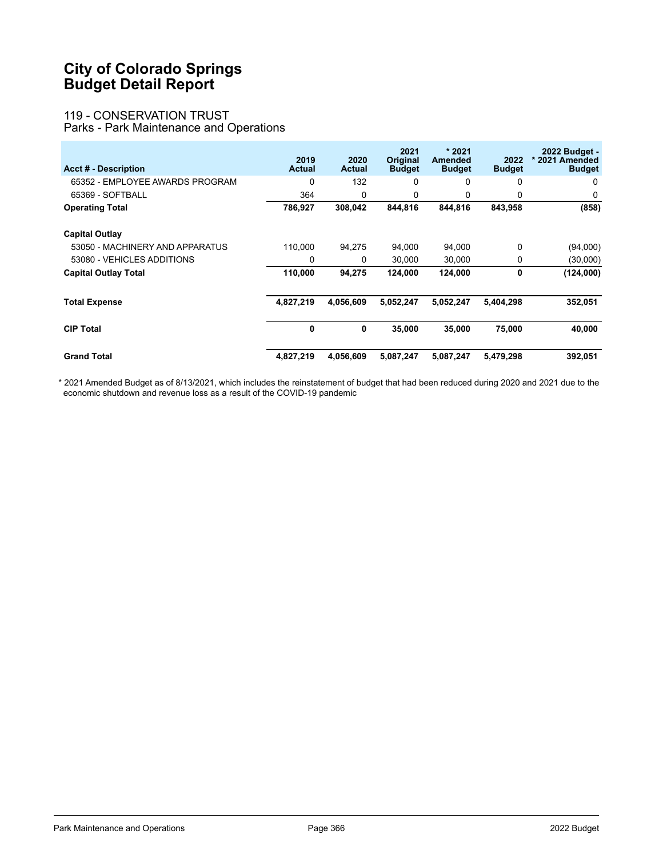#### 119 - CONSERVATION TRUST

Parks - Park Maintenance and Operations

| <b>Acct # - Description</b>     | 2019<br><b>Actual</b> | 2020<br>Actual | 2021<br><b>Original</b><br><b>Budget</b> | $*2021$<br>Amended<br><b>Budget</b> | 2022<br><b>Budget</b> | 2022 Budget -<br>* 2021 Amended<br><b>Budget</b> |
|---------------------------------|-----------------------|----------------|------------------------------------------|-------------------------------------|-----------------------|--------------------------------------------------|
| 65352 - EMPLOYEE AWARDS PROGRAM | 0                     | 132            | 0                                        | 0                                   | 0                     | 0                                                |
| 65369 - SOFTBALL                | 364                   | 0              | 0                                        | 0                                   | 0                     | 0                                                |
| <b>Operating Total</b>          | 786,927               | 308,042        | 844.816                                  | 844.816                             | 843,958               | (858)                                            |
| <b>Capital Outlay</b>           |                       |                |                                          |                                     |                       |                                                  |
| 53050 - MACHINERY AND APPARATUS | 110.000               | 94,275         | 94,000                                   | 94,000                              | 0                     | (94,000)                                         |
| 53080 - VEHICLES ADDITIONS      | 0                     | 0              | 30,000                                   | 30,000                              | 0                     | (30,000)                                         |
| <b>Capital Outlay Total</b>     | 110,000               | 94,275         | 124.000                                  | 124,000                             | 0                     | (124,000)                                        |
| <b>Total Expense</b>            | 4,827,219             | 4,056,609      | 5,052,247                                | 5,052,247                           | 5,404,298             | 352,051                                          |
| <b>CIP Total</b>                | 0                     | $\bf{0}$       | 35,000                                   | 35.000                              | 75,000                | 40,000                                           |
| <b>Grand Total</b>              | 4,827,219             | 4,056,609      | 5,087,247                                | 5,087,247                           | 5,479,298             | 392,051                                          |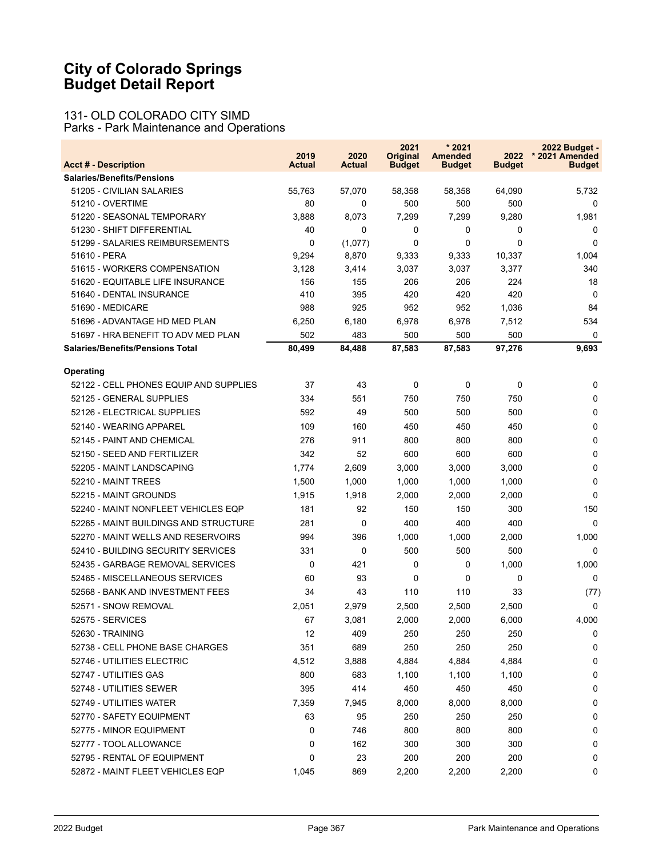#### 131- OLD COLORADO CITY SIMD

| <b>Salaries/Benefits/Pensions</b><br>51205 - CIVILIAN SALARIES<br>55,763<br>57,070<br>58,358<br>58,358<br>5,732<br>64,090<br>500<br>51210 - OVERTIME<br>80<br>0<br>500<br>500<br>0<br>51220 - SEASONAL TEMPORARY<br>3.888<br>8,073<br>7,299<br>7,299<br>9,280<br>1,981<br>51230 - SHIFT DIFFERENTIAL<br>40<br>0<br>0<br>0<br>0<br>0<br>0<br>0<br>0<br>51299 - SALARIES REIMBURSEMENTS<br>0<br>(1,077)<br>0<br>51610 - PERA<br>9,294<br>8,870<br>9,333<br>9,333<br>10,337<br>1,004<br>51615 - WORKERS COMPENSATION<br>3,128<br>3,414<br>3,037<br>3,037<br>3,377<br>340<br>206<br>51620 - EQUITABLE LIFE INSURANCE<br>156<br>155<br>206<br>224<br>18<br>420<br>51640 - DENTAL INSURANCE<br>410<br>395<br>420<br>420<br>0<br>952<br>84<br>51690 - MEDICARE<br>988<br>925<br>952<br>1,036<br>51696 - ADVANTAGE HD MED PLAN<br>6,250<br>6,978<br>6,978<br>7,512<br>534<br>6,180<br>502<br>483<br>500<br>500<br>500<br>51697 - HRA BENEFIT TO ADV MED PLAN<br>0<br><b>Salaries/Benefits/Pensions Total</b><br>80,499<br>84,488<br>87,583<br>87,583<br>97,276<br>9,693<br>Operating<br>52122 - CELL PHONES EQUIP AND SUPPLIES<br>37<br>43<br>0<br>0<br>0<br>0<br>551<br>750<br>750<br>52125 - GENERAL SUPPLIES<br>334<br>750<br>0<br>52126 - ELECTRICAL SUPPLIES<br>592<br>49<br>500<br>500<br>500<br>0<br>109<br>450<br>52140 - WEARING APPAREL<br>160<br>450<br>450<br>0<br>52145 - PAINT AND CHEMICAL<br>276<br>911<br>800<br>800<br>800<br>0<br>52150 - SEED AND FERTILIZER<br>342<br>52<br>600<br>600<br>$\mathbf 0$<br>600<br>52205 - MAINT LANDSCAPING<br>1,774<br>2,609<br>3,000<br>3,000<br>3,000<br>0<br>$\mathbf 0$<br>52210 - MAINT TREES<br>1,500<br>1,000<br>1,000<br>1,000<br>1,000<br>52215 - MAINT GROUNDS<br>1,918<br>2,000<br>2,000<br>2,000<br>$\Omega$<br>1,915<br>181<br>92<br>150<br>52240 - MAINT NONFLEET VEHICLES EQP<br>150<br>300<br>150<br>52265 - MAINT BUILDINGS AND STRUCTURE<br>281<br>0<br>400<br>400<br>400<br>$\Omega$<br>396<br>52270 - MAINT WELLS AND RESERVOIRS<br>994<br>1,000<br>1,000<br>2,000<br>1,000<br>52410 - BUILDING SECURITY SERVICES<br>331<br>0<br>500<br>500<br>500<br>$\Omega$<br>52435 - GARBAGE REMOVAL SERVICES<br>0<br>421<br>0<br>0<br>1,000<br>1,000<br>52465 - MISCELLANEOUS SERVICES<br>60<br>93<br>0<br>0<br>0<br>0<br>33<br>52568 - BANK AND INVESTMENT FEES<br>34<br>43<br>110<br>110<br>(77)<br>52571 - SNOW REMOVAL<br>2,051<br>2,979<br>2,500<br>2,500<br>0<br>2,500<br>52575 - SERVICES<br>67<br>3,081<br>2,000<br>2,000<br>6,000<br>4,000<br>52630 - TRAINING<br>12<br>409<br>250<br>250<br>250<br>0 |
|----------------------------------------------------------------------------------------------------------------------------------------------------------------------------------------------------------------------------------------------------------------------------------------------------------------------------------------------------------------------------------------------------------------------------------------------------------------------------------------------------------------------------------------------------------------------------------------------------------------------------------------------------------------------------------------------------------------------------------------------------------------------------------------------------------------------------------------------------------------------------------------------------------------------------------------------------------------------------------------------------------------------------------------------------------------------------------------------------------------------------------------------------------------------------------------------------------------------------------------------------------------------------------------------------------------------------------------------------------------------------------------------------------------------------------------------------------------------------------------------------------------------------------------------------------------------------------------------------------------------------------------------------------------------------------------------------------------------------------------------------------------------------------------------------------------------------------------------------------------------------------------------------------------------------------------------------------------------------------------------------------------------------------------------------------------------------------------------------------------------------------------------------------------------------------------------------------------------------------------------------------------------------------------------------------------------------------------------------------------------------------------------------------------------------------------------------------------------------------------------------------------------------------------------------------------------|
|                                                                                                                                                                                                                                                                                                                                                                                                                                                                                                                                                                                                                                                                                                                                                                                                                                                                                                                                                                                                                                                                                                                                                                                                                                                                                                                                                                                                                                                                                                                                                                                                                                                                                                                                                                                                                                                                                                                                                                                                                                                                                                                                                                                                                                                                                                                                                                                                                                                                                                                                                                      |
|                                                                                                                                                                                                                                                                                                                                                                                                                                                                                                                                                                                                                                                                                                                                                                                                                                                                                                                                                                                                                                                                                                                                                                                                                                                                                                                                                                                                                                                                                                                                                                                                                                                                                                                                                                                                                                                                                                                                                                                                                                                                                                                                                                                                                                                                                                                                                                                                                                                                                                                                                                      |
|                                                                                                                                                                                                                                                                                                                                                                                                                                                                                                                                                                                                                                                                                                                                                                                                                                                                                                                                                                                                                                                                                                                                                                                                                                                                                                                                                                                                                                                                                                                                                                                                                                                                                                                                                                                                                                                                                                                                                                                                                                                                                                                                                                                                                                                                                                                                                                                                                                                                                                                                                                      |
|                                                                                                                                                                                                                                                                                                                                                                                                                                                                                                                                                                                                                                                                                                                                                                                                                                                                                                                                                                                                                                                                                                                                                                                                                                                                                                                                                                                                                                                                                                                                                                                                                                                                                                                                                                                                                                                                                                                                                                                                                                                                                                                                                                                                                                                                                                                                                                                                                                                                                                                                                                      |
|                                                                                                                                                                                                                                                                                                                                                                                                                                                                                                                                                                                                                                                                                                                                                                                                                                                                                                                                                                                                                                                                                                                                                                                                                                                                                                                                                                                                                                                                                                                                                                                                                                                                                                                                                                                                                                                                                                                                                                                                                                                                                                                                                                                                                                                                                                                                                                                                                                                                                                                                                                      |
|                                                                                                                                                                                                                                                                                                                                                                                                                                                                                                                                                                                                                                                                                                                                                                                                                                                                                                                                                                                                                                                                                                                                                                                                                                                                                                                                                                                                                                                                                                                                                                                                                                                                                                                                                                                                                                                                                                                                                                                                                                                                                                                                                                                                                                                                                                                                                                                                                                                                                                                                                                      |
|                                                                                                                                                                                                                                                                                                                                                                                                                                                                                                                                                                                                                                                                                                                                                                                                                                                                                                                                                                                                                                                                                                                                                                                                                                                                                                                                                                                                                                                                                                                                                                                                                                                                                                                                                                                                                                                                                                                                                                                                                                                                                                                                                                                                                                                                                                                                                                                                                                                                                                                                                                      |
|                                                                                                                                                                                                                                                                                                                                                                                                                                                                                                                                                                                                                                                                                                                                                                                                                                                                                                                                                                                                                                                                                                                                                                                                                                                                                                                                                                                                                                                                                                                                                                                                                                                                                                                                                                                                                                                                                                                                                                                                                                                                                                                                                                                                                                                                                                                                                                                                                                                                                                                                                                      |
|                                                                                                                                                                                                                                                                                                                                                                                                                                                                                                                                                                                                                                                                                                                                                                                                                                                                                                                                                                                                                                                                                                                                                                                                                                                                                                                                                                                                                                                                                                                                                                                                                                                                                                                                                                                                                                                                                                                                                                                                                                                                                                                                                                                                                                                                                                                                                                                                                                                                                                                                                                      |
|                                                                                                                                                                                                                                                                                                                                                                                                                                                                                                                                                                                                                                                                                                                                                                                                                                                                                                                                                                                                                                                                                                                                                                                                                                                                                                                                                                                                                                                                                                                                                                                                                                                                                                                                                                                                                                                                                                                                                                                                                                                                                                                                                                                                                                                                                                                                                                                                                                                                                                                                                                      |
|                                                                                                                                                                                                                                                                                                                                                                                                                                                                                                                                                                                                                                                                                                                                                                                                                                                                                                                                                                                                                                                                                                                                                                                                                                                                                                                                                                                                                                                                                                                                                                                                                                                                                                                                                                                                                                                                                                                                                                                                                                                                                                                                                                                                                                                                                                                                                                                                                                                                                                                                                                      |
|                                                                                                                                                                                                                                                                                                                                                                                                                                                                                                                                                                                                                                                                                                                                                                                                                                                                                                                                                                                                                                                                                                                                                                                                                                                                                                                                                                                                                                                                                                                                                                                                                                                                                                                                                                                                                                                                                                                                                                                                                                                                                                                                                                                                                                                                                                                                                                                                                                                                                                                                                                      |
|                                                                                                                                                                                                                                                                                                                                                                                                                                                                                                                                                                                                                                                                                                                                                                                                                                                                                                                                                                                                                                                                                                                                                                                                                                                                                                                                                                                                                                                                                                                                                                                                                                                                                                                                                                                                                                                                                                                                                                                                                                                                                                                                                                                                                                                                                                                                                                                                                                                                                                                                                                      |
|                                                                                                                                                                                                                                                                                                                                                                                                                                                                                                                                                                                                                                                                                                                                                                                                                                                                                                                                                                                                                                                                                                                                                                                                                                                                                                                                                                                                                                                                                                                                                                                                                                                                                                                                                                                                                                                                                                                                                                                                                                                                                                                                                                                                                                                                                                                                                                                                                                                                                                                                                                      |
|                                                                                                                                                                                                                                                                                                                                                                                                                                                                                                                                                                                                                                                                                                                                                                                                                                                                                                                                                                                                                                                                                                                                                                                                                                                                                                                                                                                                                                                                                                                                                                                                                                                                                                                                                                                                                                                                                                                                                                                                                                                                                                                                                                                                                                                                                                                                                                                                                                                                                                                                                                      |
|                                                                                                                                                                                                                                                                                                                                                                                                                                                                                                                                                                                                                                                                                                                                                                                                                                                                                                                                                                                                                                                                                                                                                                                                                                                                                                                                                                                                                                                                                                                                                                                                                                                                                                                                                                                                                                                                                                                                                                                                                                                                                                                                                                                                                                                                                                                                                                                                                                                                                                                                                                      |
|                                                                                                                                                                                                                                                                                                                                                                                                                                                                                                                                                                                                                                                                                                                                                                                                                                                                                                                                                                                                                                                                                                                                                                                                                                                                                                                                                                                                                                                                                                                                                                                                                                                                                                                                                                                                                                                                                                                                                                                                                                                                                                                                                                                                                                                                                                                                                                                                                                                                                                                                                                      |
|                                                                                                                                                                                                                                                                                                                                                                                                                                                                                                                                                                                                                                                                                                                                                                                                                                                                                                                                                                                                                                                                                                                                                                                                                                                                                                                                                                                                                                                                                                                                                                                                                                                                                                                                                                                                                                                                                                                                                                                                                                                                                                                                                                                                                                                                                                                                                                                                                                                                                                                                                                      |
|                                                                                                                                                                                                                                                                                                                                                                                                                                                                                                                                                                                                                                                                                                                                                                                                                                                                                                                                                                                                                                                                                                                                                                                                                                                                                                                                                                                                                                                                                                                                                                                                                                                                                                                                                                                                                                                                                                                                                                                                                                                                                                                                                                                                                                                                                                                                                                                                                                                                                                                                                                      |
|                                                                                                                                                                                                                                                                                                                                                                                                                                                                                                                                                                                                                                                                                                                                                                                                                                                                                                                                                                                                                                                                                                                                                                                                                                                                                                                                                                                                                                                                                                                                                                                                                                                                                                                                                                                                                                                                                                                                                                                                                                                                                                                                                                                                                                                                                                                                                                                                                                                                                                                                                                      |
|                                                                                                                                                                                                                                                                                                                                                                                                                                                                                                                                                                                                                                                                                                                                                                                                                                                                                                                                                                                                                                                                                                                                                                                                                                                                                                                                                                                                                                                                                                                                                                                                                                                                                                                                                                                                                                                                                                                                                                                                                                                                                                                                                                                                                                                                                                                                                                                                                                                                                                                                                                      |
|                                                                                                                                                                                                                                                                                                                                                                                                                                                                                                                                                                                                                                                                                                                                                                                                                                                                                                                                                                                                                                                                                                                                                                                                                                                                                                                                                                                                                                                                                                                                                                                                                                                                                                                                                                                                                                                                                                                                                                                                                                                                                                                                                                                                                                                                                                                                                                                                                                                                                                                                                                      |
|                                                                                                                                                                                                                                                                                                                                                                                                                                                                                                                                                                                                                                                                                                                                                                                                                                                                                                                                                                                                                                                                                                                                                                                                                                                                                                                                                                                                                                                                                                                                                                                                                                                                                                                                                                                                                                                                                                                                                                                                                                                                                                                                                                                                                                                                                                                                                                                                                                                                                                                                                                      |
|                                                                                                                                                                                                                                                                                                                                                                                                                                                                                                                                                                                                                                                                                                                                                                                                                                                                                                                                                                                                                                                                                                                                                                                                                                                                                                                                                                                                                                                                                                                                                                                                                                                                                                                                                                                                                                                                                                                                                                                                                                                                                                                                                                                                                                                                                                                                                                                                                                                                                                                                                                      |
|                                                                                                                                                                                                                                                                                                                                                                                                                                                                                                                                                                                                                                                                                                                                                                                                                                                                                                                                                                                                                                                                                                                                                                                                                                                                                                                                                                                                                                                                                                                                                                                                                                                                                                                                                                                                                                                                                                                                                                                                                                                                                                                                                                                                                                                                                                                                                                                                                                                                                                                                                                      |
|                                                                                                                                                                                                                                                                                                                                                                                                                                                                                                                                                                                                                                                                                                                                                                                                                                                                                                                                                                                                                                                                                                                                                                                                                                                                                                                                                                                                                                                                                                                                                                                                                                                                                                                                                                                                                                                                                                                                                                                                                                                                                                                                                                                                                                                                                                                                                                                                                                                                                                                                                                      |
|                                                                                                                                                                                                                                                                                                                                                                                                                                                                                                                                                                                                                                                                                                                                                                                                                                                                                                                                                                                                                                                                                                                                                                                                                                                                                                                                                                                                                                                                                                                                                                                                                                                                                                                                                                                                                                                                                                                                                                                                                                                                                                                                                                                                                                                                                                                                                                                                                                                                                                                                                                      |
|                                                                                                                                                                                                                                                                                                                                                                                                                                                                                                                                                                                                                                                                                                                                                                                                                                                                                                                                                                                                                                                                                                                                                                                                                                                                                                                                                                                                                                                                                                                                                                                                                                                                                                                                                                                                                                                                                                                                                                                                                                                                                                                                                                                                                                                                                                                                                                                                                                                                                                                                                                      |
|                                                                                                                                                                                                                                                                                                                                                                                                                                                                                                                                                                                                                                                                                                                                                                                                                                                                                                                                                                                                                                                                                                                                                                                                                                                                                                                                                                                                                                                                                                                                                                                                                                                                                                                                                                                                                                                                                                                                                                                                                                                                                                                                                                                                                                                                                                                                                                                                                                                                                                                                                                      |
|                                                                                                                                                                                                                                                                                                                                                                                                                                                                                                                                                                                                                                                                                                                                                                                                                                                                                                                                                                                                                                                                                                                                                                                                                                                                                                                                                                                                                                                                                                                                                                                                                                                                                                                                                                                                                                                                                                                                                                                                                                                                                                                                                                                                                                                                                                                                                                                                                                                                                                                                                                      |
|                                                                                                                                                                                                                                                                                                                                                                                                                                                                                                                                                                                                                                                                                                                                                                                                                                                                                                                                                                                                                                                                                                                                                                                                                                                                                                                                                                                                                                                                                                                                                                                                                                                                                                                                                                                                                                                                                                                                                                                                                                                                                                                                                                                                                                                                                                                                                                                                                                                                                                                                                                      |
|                                                                                                                                                                                                                                                                                                                                                                                                                                                                                                                                                                                                                                                                                                                                                                                                                                                                                                                                                                                                                                                                                                                                                                                                                                                                                                                                                                                                                                                                                                                                                                                                                                                                                                                                                                                                                                                                                                                                                                                                                                                                                                                                                                                                                                                                                                                                                                                                                                                                                                                                                                      |
|                                                                                                                                                                                                                                                                                                                                                                                                                                                                                                                                                                                                                                                                                                                                                                                                                                                                                                                                                                                                                                                                                                                                                                                                                                                                                                                                                                                                                                                                                                                                                                                                                                                                                                                                                                                                                                                                                                                                                                                                                                                                                                                                                                                                                                                                                                                                                                                                                                                                                                                                                                      |
|                                                                                                                                                                                                                                                                                                                                                                                                                                                                                                                                                                                                                                                                                                                                                                                                                                                                                                                                                                                                                                                                                                                                                                                                                                                                                                                                                                                                                                                                                                                                                                                                                                                                                                                                                                                                                                                                                                                                                                                                                                                                                                                                                                                                                                                                                                                                                                                                                                                                                                                                                                      |
| 351<br>689<br>250<br>250<br>250<br>52738 - CELL PHONE BASE CHARGES<br>0                                                                                                                                                                                                                                                                                                                                                                                                                                                                                                                                                                                                                                                                                                                                                                                                                                                                                                                                                                                                                                                                                                                                                                                                                                                                                                                                                                                                                                                                                                                                                                                                                                                                                                                                                                                                                                                                                                                                                                                                                                                                                                                                                                                                                                                                                                                                                                                                                                                                                              |
| 52746 - UTILITIES ELECTRIC<br>4,512<br>3,888<br>4,884<br>4,884<br>4,884<br>0                                                                                                                                                                                                                                                                                                                                                                                                                                                                                                                                                                                                                                                                                                                                                                                                                                                                                                                                                                                                                                                                                                                                                                                                                                                                                                                                                                                                                                                                                                                                                                                                                                                                                                                                                                                                                                                                                                                                                                                                                                                                                                                                                                                                                                                                                                                                                                                                                                                                                         |
| 52747 - UTILITIES GAS<br>800<br>683<br>0<br>1,100<br>1,100<br>1,100                                                                                                                                                                                                                                                                                                                                                                                                                                                                                                                                                                                                                                                                                                                                                                                                                                                                                                                                                                                                                                                                                                                                                                                                                                                                                                                                                                                                                                                                                                                                                                                                                                                                                                                                                                                                                                                                                                                                                                                                                                                                                                                                                                                                                                                                                                                                                                                                                                                                                                  |
| 52748 - UTILITIES SEWER<br>395<br>414<br>450<br>450<br>0<br>450                                                                                                                                                                                                                                                                                                                                                                                                                                                                                                                                                                                                                                                                                                                                                                                                                                                                                                                                                                                                                                                                                                                                                                                                                                                                                                                                                                                                                                                                                                                                                                                                                                                                                                                                                                                                                                                                                                                                                                                                                                                                                                                                                                                                                                                                                                                                                                                                                                                                                                      |
| 52749 - UTILITIES WATER<br>7,359<br>8,000<br>8,000<br>8,000<br>0<br>7,945                                                                                                                                                                                                                                                                                                                                                                                                                                                                                                                                                                                                                                                                                                                                                                                                                                                                                                                                                                                                                                                                                                                                                                                                                                                                                                                                                                                                                                                                                                                                                                                                                                                                                                                                                                                                                                                                                                                                                                                                                                                                                                                                                                                                                                                                                                                                                                                                                                                                                            |
| 52770 - SAFETY EQUIPMENT<br>63<br>95<br>250<br>250<br>250<br>0                                                                                                                                                                                                                                                                                                                                                                                                                                                                                                                                                                                                                                                                                                                                                                                                                                                                                                                                                                                                                                                                                                                                                                                                                                                                                                                                                                                                                                                                                                                                                                                                                                                                                                                                                                                                                                                                                                                                                                                                                                                                                                                                                                                                                                                                                                                                                                                                                                                                                                       |
| 800<br>800<br>0<br>52775 - MINOR EQUIPMENT<br>0<br>746<br>800                                                                                                                                                                                                                                                                                                                                                                                                                                                                                                                                                                                                                                                                                                                                                                                                                                                                                                                                                                                                                                                                                                                                                                                                                                                                                                                                                                                                                                                                                                                                                                                                                                                                                                                                                                                                                                                                                                                                                                                                                                                                                                                                                                                                                                                                                                                                                                                                                                                                                                        |
| 52777 - TOOL ALLOWANCE<br>0<br>162<br>300<br>300<br>300<br>0                                                                                                                                                                                                                                                                                                                                                                                                                                                                                                                                                                                                                                                                                                                                                                                                                                                                                                                                                                                                                                                                                                                                                                                                                                                                                                                                                                                                                                                                                                                                                                                                                                                                                                                                                                                                                                                                                                                                                                                                                                                                                                                                                                                                                                                                                                                                                                                                                                                                                                         |
| 23<br>52795 - RENTAL OF EQUIPMENT<br>0<br>200<br>200<br>200<br>0                                                                                                                                                                                                                                                                                                                                                                                                                                                                                                                                                                                                                                                                                                                                                                                                                                                                                                                                                                                                                                                                                                                                                                                                                                                                                                                                                                                                                                                                                                                                                                                                                                                                                                                                                                                                                                                                                                                                                                                                                                                                                                                                                                                                                                                                                                                                                                                                                                                                                                     |
| 52872 - MAINT FLEET VEHICLES EQP<br>1,045<br>869<br>2,200<br>2,200<br>2,200<br>0                                                                                                                                                                                                                                                                                                                                                                                                                                                                                                                                                                                                                                                                                                                                                                                                                                                                                                                                                                                                                                                                                                                                                                                                                                                                                                                                                                                                                                                                                                                                                                                                                                                                                                                                                                                                                                                                                                                                                                                                                                                                                                                                                                                                                                                                                                                                                                                                                                                                                     |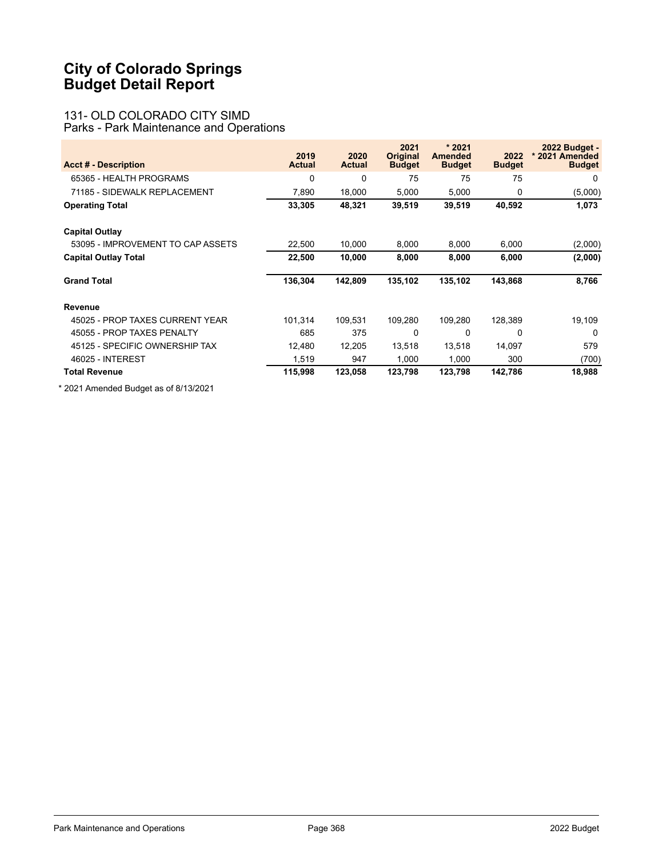#### 131- OLD COLORADO CITY SIMD

Parks - Park Maintenance and Operations

| <b>Acct # - Description</b>                       | 2019<br><b>Actual</b> | 2020<br><b>Actual</b> | 2021<br><b>Original</b><br><b>Budget</b> | $*2021$<br><b>Amended</b><br><b>Budget</b> | 2022<br><b>Budget</b> | 2022 Budget -<br>* 2021 Amended<br><b>Budget</b> |
|---------------------------------------------------|-----------------------|-----------------------|------------------------------------------|--------------------------------------------|-----------------------|--------------------------------------------------|
| 65365 - HEALTH PROGRAMS                           | 0                     | 0                     | 75                                       | 75                                         | 75                    | 0                                                |
| 71185 - SIDEWALK REPLACEMENT                      | 7,890                 | 18,000                | 5,000                                    | 5,000                                      | 0                     | (5,000)                                          |
| <b>Operating Total</b>                            | 33,305                | 48,321                | 39,519                                   | 39,519                                     | 40,592                | 1,073                                            |
| <b>Capital Outlay</b>                             |                       |                       |                                          |                                            |                       |                                                  |
| 53095 - IMPROVEMENT TO CAP ASSETS                 | 22,500                | 10,000                | 8,000                                    | 8,000                                      | 6,000                 | (2,000)                                          |
| <b>Capital Outlay Total</b>                       | 22,500                | 10,000                | 8,000                                    | 8,000                                      | 6,000                 | (2,000)                                          |
| <b>Grand Total</b>                                | 136,304               | 142,809               | 135,102                                  | 135,102                                    | 143,868               | 8,766                                            |
| Revenue                                           |                       |                       |                                          |                                            |                       |                                                  |
| 45025 - PROP TAXES CURRENT YEAR                   | 101,314               | 109,531               | 109,280                                  | 109,280                                    | 128,389               | 19,109                                           |
| 45055 - PROP TAXES PENALTY                        | 685                   | 375                   | 0                                        | 0                                          | 0                     | 0                                                |
| 45125 - SPECIFIC OWNERSHIP TAX                    | 12,480                | 12,205                | 13,518                                   | 13,518                                     | 14,097                | 579                                              |
| 46025 - INTEREST                                  | 1,519                 | 947                   | 1,000                                    | 1,000                                      | 300                   | (700)                                            |
| <b>Total Revenue</b><br>$    -$<br>.<br>201101000 | 115,998               | 123,058               | 123,798                                  | 123,798                                    | 142,786               | 18,988                                           |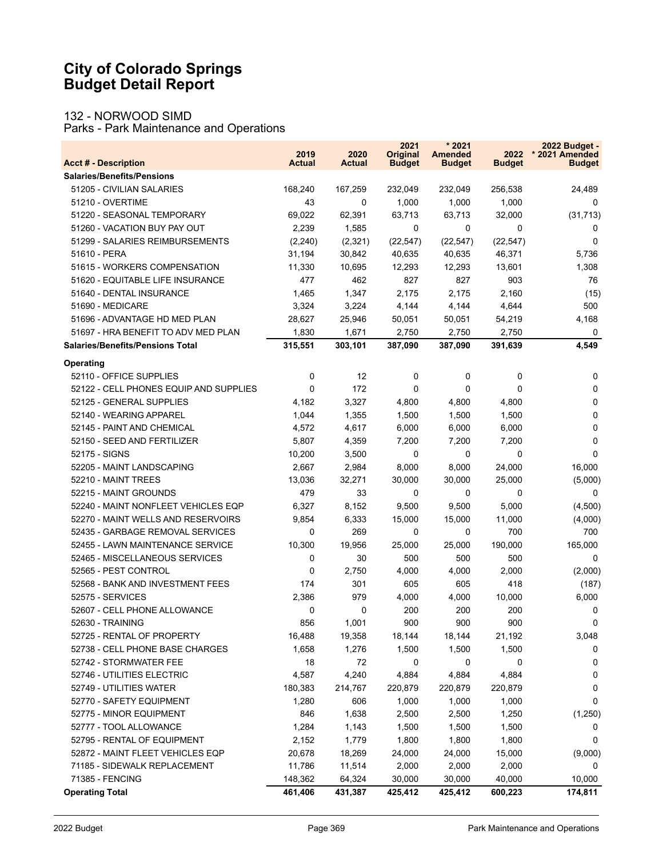#### 132 - NORWOOD SIMD

|                                                                  | 2019          | 2020                   | 2021<br><b>Original</b> | $*2021$<br><b>Amended</b> | 2022            | 2022 Budget -<br>* 2021 Amended |
|------------------------------------------------------------------|---------------|------------------------|-------------------------|---------------------------|-----------------|---------------------------------|
| <b>Acct # - Description</b><br><b>Salaries/Benefits/Pensions</b> | <b>Actual</b> | <b>Actual</b>          | <b>Budget</b>           | <b>Budget</b>             | <b>Budget</b>   | <b>Budget</b>                   |
|                                                                  |               |                        |                         |                           |                 |                                 |
| 51205 - CIVILIAN SALARIES                                        | 168,240<br>43 | 167,259<br>$\mathbf 0$ | 232,049                 | 232,049                   | 256,538         | 24,489                          |
| 51210 - OVERTIME<br>51220 - SEASONAL TEMPORARY                   | 69,022        | 62,391                 | 1,000<br>63,713         | 1,000                     | 1,000<br>32,000 | 0                               |
| 51260 - VACATION BUY PAY OUT                                     | 2,239         | 1,585                  | 0                       | 63,713<br>0               | 0               | (31, 713)<br>0                  |
|                                                                  |               |                        |                         |                           |                 | $\Omega$                        |
| 51299 - SALARIES REIMBURSEMENTS                                  | (2,240)       | (2,321)                | (22, 547)               | (22, 547)                 | (22, 547)       |                                 |
| 51610 - PERA                                                     | 31,194        | 30,842                 | 40,635                  | 40,635                    | 46,371          | 5,736                           |
| 51615 - WORKERS COMPENSATION                                     | 11,330        | 10,695                 | 12,293<br>827           | 12,293                    | 13,601          | 1,308                           |
| 51620 - EQUITABLE LIFE INSURANCE                                 | 477           | 462                    |                         | 827                       | 903             | 76                              |
| 51640 - DENTAL INSURANCE                                         | 1,465         | 1,347                  | 2,175                   | 2,175                     | 2,160           | (15)                            |
| 51690 - MEDICARE                                                 | 3,324         | 3,224                  | 4,144                   | 4,144                     | 4,644           | 500                             |
| 51696 - ADVANTAGE HD MED PLAN                                    | 28,627        | 25,946                 | 50,051                  | 50,051                    | 54,219          | 4,168                           |
| 51697 - HRA BENEFIT TO ADV MED PLAN                              | 1,830         | 1,671                  | 2,750                   | 2,750                     | 2,750           | 0                               |
| <b>Salaries/Benefits/Pensions Total</b>                          | 315,551       | 303,101                | 387,090                 | 387,090                   | 391,639         | 4,549                           |
| Operating                                                        |               |                        |                         |                           |                 |                                 |
| 52110 - OFFICE SUPPLIES                                          | 0             | 12                     | 0                       | 0                         | 0               | 0                               |
| 52122 - CELL PHONES EQUIP AND SUPPLIES                           | 0             | 172                    | 0                       | 0                         | 0               | 0                               |
| 52125 - GENERAL SUPPLIES                                         | 4,182         | 3,327                  | 4,800                   | 4,800                     | 4,800           | 0                               |
| 52140 - WEARING APPAREL                                          | 1,044         | 1,355                  | 1,500                   | 1,500                     | 1,500           | 0                               |
| 52145 - PAINT AND CHEMICAL                                       | 4,572         | 4,617                  | 6,000                   | 6,000                     | 6,000           | 0                               |
| 52150 - SEED AND FERTILIZER                                      | 5,807         | 4,359                  | 7,200                   | 7,200                     | 7,200           | 0                               |
| 52175 - SIGNS                                                    | 10,200        | 3,500                  | 0                       | 0                         | 0               | $\mathbf{0}$                    |
| 52205 - MAINT LANDSCAPING                                        | 2,667         | 2,984                  | 8,000                   | 8,000                     | 24,000          | 16,000                          |
| 52210 - MAINT TREES                                              | 13,036        | 32,271                 | 30,000                  | 30,000                    | 25,000          | (5,000)                         |
| 52215 - MAINT GROUNDS                                            | 479           | 33                     | 0                       | 0                         | 0               | 0                               |
| 52240 - MAINT NONFLEET VEHICLES EQP                              | 6,327         | 8,152                  | 9,500                   | 9,500                     | 5,000           | (4,500)                         |
| 52270 - MAINT WELLS AND RESERVOIRS                               | 9,854         | 6,333                  | 15,000                  | 15,000                    | 11,000          | (4,000)                         |
| 52435 - GARBAGE REMOVAL SERVICES                                 | 0             | 269                    | 0                       | 0                         | 700             | 700                             |
| 52455 - LAWN MAINTENANCE SERVICE                                 | 10,300        | 19,956                 | 25,000                  | 25,000                    | 190,000         | 165,000                         |
| 52465 - MISCELLANEOUS SERVICES                                   | 0             | 30                     | 500                     | 500                       | 500             | 0                               |
| 52565 - PEST CONTROL                                             | 0             | 2,750                  | 4,000                   | 4,000                     | 2,000           | (2,000)                         |
| 52568 - BANK AND INVESTMENT FEES                                 | 174           | 301                    | 605                     | 605                       | 418             | (187)                           |
| 52575 - SERVICES                                                 | 2,386         | 979                    | 4,000                   | 4,000                     | 10,000          | 6,000                           |
| 52607 - CELL PHONE ALLOWANCE                                     | 0             | 0                      | 200                     | 200                       | 200             | 0                               |
| 52630 - TRAINING                                                 | 856           | 1.001                  | 900                     | 900                       | 900             | 0                               |
| 52725 - RENTAL OF PROPERTY                                       | 16,488        | 19,358                 | 18,144                  | 18,144                    | 21,192          | 3,048                           |
| 52738 - CELL PHONE BASE CHARGES                                  | 1,658         | 1,276                  | 1,500                   | 1,500                     | 1,500           | 0                               |
| 52742 - STORMWATER FEE                                           | 18            | 72                     | 0                       | 0                         | 0               | 0                               |
| 52746 - UTILITIES ELECTRIC                                       | 4,587         | 4,240                  | 4,884                   | 4,884                     | 4,884           | 0                               |
| 52749 - UTILITIES WATER                                          | 180,383       | 214,767                | 220,879                 | 220,879                   | 220,879         | 0                               |
| 52770 - SAFETY EQUIPMENT                                         | 1,280         | 606                    | 1,000                   | 1,000                     | 1,000           | 0                               |
| 52775 - MINOR EQUIPMENT                                          | 846           | 1,638                  | 2,500                   | 2,500                     | 1,250           | (1,250)                         |
| 52777 - TOOL ALLOWANCE                                           | 1,284         | 1,143                  | 1,500                   | 1,500                     | 1,500           | 0                               |
| 52795 - RENTAL OF EQUIPMENT                                      | 2,152         | 1,779                  | 1,800                   | 1,800                     | 1,800           | 0                               |
| 52872 - MAINT FLEET VEHICLES EQP                                 | 20,678        | 18,269                 | 24,000                  | 24,000                    | 15,000          | (9,000)                         |
| 71185 - SIDEWALK REPLACEMENT                                     | 11,786        | 11,514                 | 2,000                   | 2,000                     | 2,000           | 0                               |
| 71385 - FENCING                                                  | 148,362       | 64,324                 | 30,000                  | 30,000                    | 40,000          | 10,000                          |
| <b>Operating Total</b>                                           | 461,406       | 431,387                | 425,412                 | 425,412                   | 600,223         | 174,811                         |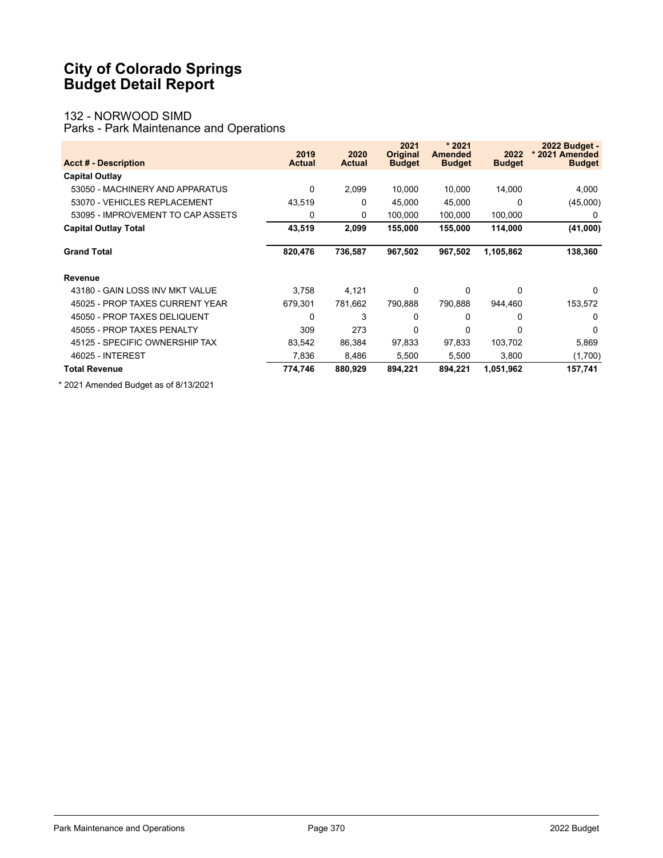#### 132 - NORWOOD SIMD

| <b>Acct # - Description</b>             | 2019<br><b>Actual</b> | 2020<br><b>Actual</b> | 2021<br><b>Original</b><br><b>Budget</b> | $*2021$<br><b>Amended</b><br><b>Budget</b> | 2022<br><b>Budget</b> | 2022 Budget -<br>* 2021 Amended<br><b>Budget</b> |
|-----------------------------------------|-----------------------|-----------------------|------------------------------------------|--------------------------------------------|-----------------------|--------------------------------------------------|
| <b>Capital Outlay</b>                   |                       |                       |                                          |                                            |                       |                                                  |
| 53050 - MACHINERY AND APPARATUS         | $\Omega$              | 2,099                 | 10,000                                   | 10,000                                     | 14,000                | 4,000                                            |
| 53070 - VEHICLES REPLACEMENT            | 43,519                | 0                     | 45,000                                   | 45,000                                     | 0                     | (45,000)                                         |
| 53095 - IMPROVEMENT TO CAP ASSETS       | 0                     | 0                     | 100,000                                  | 100,000                                    | 100,000               | 0                                                |
| <b>Capital Outlay Total</b>             | 43,519                | 2,099                 | 155,000                                  | 155,000                                    | 114,000               | (41,000)                                         |
| <b>Grand Total</b>                      | 820,476               | 736,587               | 967,502                                  | 967,502                                    | 1,105,862             | 138,360                                          |
| Revenue                                 |                       |                       |                                          |                                            |                       |                                                  |
| 43180 - GAIN LOSS INV MKT VALUE         | 3,758                 | 4,121                 | $\Omega$                                 | $\Omega$                                   | $\Omega$              | $\Omega$                                         |
| 45025 - PROP TAXES CURRENT YEAR         | 679,301               | 781,662               | 790,888                                  | 790,888                                    | 944,460               | 153,572                                          |
| 45050 - PROP TAXES DELIQUENT            | 0                     | 3                     | 0                                        | 0                                          | 0                     | 0                                                |
| 45055 - PROP TAXES PENALTY              | 309                   | 273                   | 0                                        | $\Omega$                                   | 0                     | 0                                                |
| 45125 - SPECIFIC OWNERSHIP TAX          | 83,542                | 86,384                | 97,833                                   | 97,833                                     | 103,702               | 5,869                                            |
| 46025 - INTEREST                        | 7,836                 | 8,486                 | 5,500                                    | 5,500                                      | 3,800                 | (1,700)                                          |
| <b>Total Revenue</b>                    | 774,746               | 880,929               | 894,221                                  | 894,221                                    | 1,051,962             | 157,741                                          |
| $*$ 2021 Amended Budget as of 8/13/2021 |                       |                       |                                          |                                            |                       |                                                  |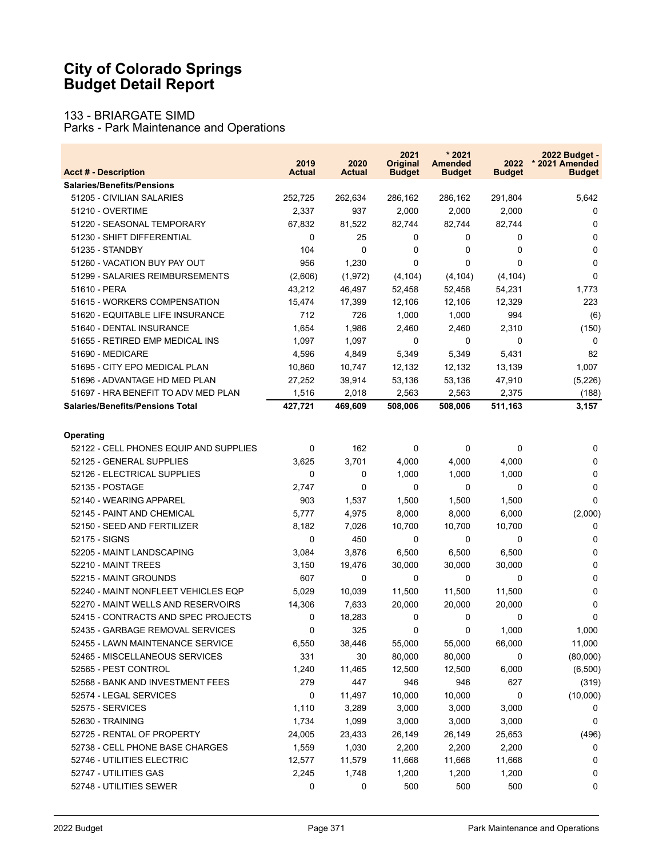#### 133 - BRIARGATE SIMD

| <b>Acct # - Description</b>             | 2019<br><b>Actual</b> | 2020<br><b>Actual</b> | 2021<br>Original<br><b>Budget</b> | $*2021$<br><b>Amended</b><br><b>Budget</b> | 2022<br><b>Budget</b> | 2022 Budget -<br>* 2021 Amended<br><b>Budget</b> |
|-----------------------------------------|-----------------------|-----------------------|-----------------------------------|--------------------------------------------|-----------------------|--------------------------------------------------|
| <b>Salaries/Benefits/Pensions</b>       |                       |                       |                                   |                                            |                       |                                                  |
| 51205 - CIVILIAN SALARIES               | 252,725               | 262,634               | 286,162                           | 286,162                                    | 291,804               | 5,642                                            |
| 51210 - OVERTIME                        | 2,337                 | 937                   | 2,000                             | 2,000                                      | 2,000                 | 0                                                |
| 51220 - SEASONAL TEMPORARY              | 67,832                | 81,522                | 82,744                            | 82,744                                     | 82,744                | 0                                                |
| 51230 - SHIFT DIFFERENTIAL              | 0                     | 25                    | 0                                 | 0                                          | 0                     | 0                                                |
| 51235 - STANDBY                         | 104                   | 0                     | 0                                 | 0                                          | 0                     | 0                                                |
| 51260 - VACATION BUY PAY OUT            | 956                   | 1,230                 | 0                                 | 0                                          | 0                     | 0                                                |
| 51299 - SALARIES REIMBURSEMENTS         | (2,606)               | (1, 972)              | (4, 104)                          | (4, 104)                                   | (4, 104)              | 0                                                |
| 51610 - PERA                            | 43,212                | 46,497                | 52,458                            | 52,458                                     | 54,231                | 1,773                                            |
| 51615 - WORKERS COMPENSATION            | 15,474                | 17,399                | 12,106                            | 12,106                                     | 12,329                | 223                                              |
| 51620 - EQUITABLE LIFE INSURANCE        | 712                   | 726                   | 1,000                             | 1,000                                      | 994                   | (6)                                              |
| 51640 - DENTAL INSURANCE                | 1,654                 | 1,986                 | 2,460                             | 2,460                                      | 2,310                 | (150)                                            |
| 51655 - RETIRED EMP MEDICAL INS         | 1,097                 | 1,097                 | 0                                 | 0                                          | 0                     | 0                                                |
| 51690 - MEDICARE                        | 4,596                 | 4,849                 | 5,349                             | 5,349                                      | 5,431                 | 82                                               |
| 51695 - CITY EPO MEDICAL PLAN           | 10,860                | 10,747                | 12,132                            | 12,132                                     | 13,139                | 1,007                                            |
| 51696 - ADVANTAGE HD MED PLAN           | 27,252                | 39,914                | 53,136                            | 53,136                                     | 47,910                | (5,226)                                          |
| 51697 - HRA BENEFIT TO ADV MED PLAN     | 1,516                 | 2,018                 | 2,563                             | 2,563                                      | 2,375                 | (188)                                            |
| <b>Salaries/Benefits/Pensions Total</b> | 427,721               | 469,609               | 508,006                           | 508,006                                    | 511,163               | 3,157                                            |
|                                         |                       |                       |                                   |                                            |                       |                                                  |
| Operating                               |                       |                       |                                   |                                            |                       |                                                  |
| 52122 - CELL PHONES EQUIP AND SUPPLIES  | 0                     | 162                   | 0                                 | 0                                          | 0                     | 0                                                |
| 52125 - GENERAL SUPPLIES                | 3,625                 | 3,701                 | 4,000                             | 4,000                                      | 4,000                 | 0                                                |
| 52126 - ELECTRICAL SUPPLIES             | 0                     | 0                     | 1,000                             | 1,000                                      | 1,000                 | 0                                                |
| 52135 - POSTAGE                         | 2,747                 | 0                     | 0                                 | 0                                          | 0                     | 0                                                |
| 52140 - WEARING APPAREL                 | 903                   | 1,537                 | 1,500                             | 1,500                                      | 1,500                 | $\Omega$                                         |
| 52145 - PAINT AND CHEMICAL              | 5,777                 | 4,975                 | 8,000                             | 8,000                                      | 6,000                 | (2,000)                                          |
| 52150 - SEED AND FERTILIZER             | 8,182                 | 7,026                 | 10,700                            | 10,700                                     | 10,700                | 0                                                |
| 52175 - SIGNS                           | 0                     | 450                   | 0                                 | 0                                          | 0                     | 0                                                |
| 52205 - MAINT LANDSCAPING               | 3,084                 | 3,876                 | 6,500                             | 6,500                                      | 6,500                 | 0                                                |
| 52210 - MAINT TREES                     | 3,150                 | 19,476                | 30,000                            | 30,000                                     | 30,000                | 0                                                |
| 52215 - MAINT GROUNDS                   | 607                   | 0                     | 0                                 | 0                                          | 0                     | 0                                                |
| 52240 - MAINT NONFLEET VEHICLES EQP     | 5,029                 | 10,039                | 11,500                            | 11,500                                     | 11,500                | 0                                                |
| 52270 - MAINT WELLS AND RESERVOIRS      | 14,306                | 7,633                 | 20,000                            | 20,000                                     | 20,000                | 0                                                |
| 52415 - CONTRACTS AND SPEC PROJECTS     | 0                     | 18,283                | 0                                 | 0                                          | 0                     | 0                                                |
| 52435 - GARBAGE REMOVAL SERVICES        | 0                     | 325                   | 0                                 | 0                                          | 1,000                 | 1,000                                            |
| 52455 - LAWN MAINTENANCE SERVICE        | 6,550                 | 38,446                | 55,000                            | 55,000                                     | 66,000                | 11,000                                           |
| 52465 - MISCELLANEOUS SERVICES          | 331                   | 30                    | 80,000                            | 80,000                                     | 0                     | (80,000)                                         |
| 52565 - PEST CONTROL                    | 1,240                 | 11,465                | 12,500                            | 12,500                                     | 6,000                 | (6,500)                                          |
| 52568 - BANK AND INVESTMENT FEES        | 279                   | 447                   | 946                               | 946                                        | 627                   | (319)                                            |
| 52574 - LEGAL SERVICES                  | 0                     | 11,497                | 10,000                            | 10,000                                     | 0                     | (10,000)                                         |
| 52575 - SERVICES                        | 1,110                 | 3,289                 | 3,000                             | 3,000                                      | 3,000                 | 0                                                |
| 52630 - TRAINING                        | 1,734                 | 1,099                 | 3,000                             | 3,000                                      | 3,000                 | 0                                                |
| 52725 - RENTAL OF PROPERTY              | 24,005                | 23,433                | 26,149                            | 26,149                                     | 25,653                | (496)                                            |
| 52738 - CELL PHONE BASE CHARGES         | 1,559                 | 1,030                 | 2,200                             | 2,200                                      | 2,200                 | 0                                                |
| 52746 - UTILITIES ELECTRIC              | 12,577                | 11,579                | 11,668                            | 11,668                                     | 11,668                | 0                                                |
| 52747 - UTILITIES GAS                   | 2,245                 | 1,748                 | 1,200                             | 1,200                                      | 1,200                 | 0                                                |
| 52748 - UTILITIES SEWER                 | 0                     | 0                     | 500                               | 500                                        | 500                   | 0                                                |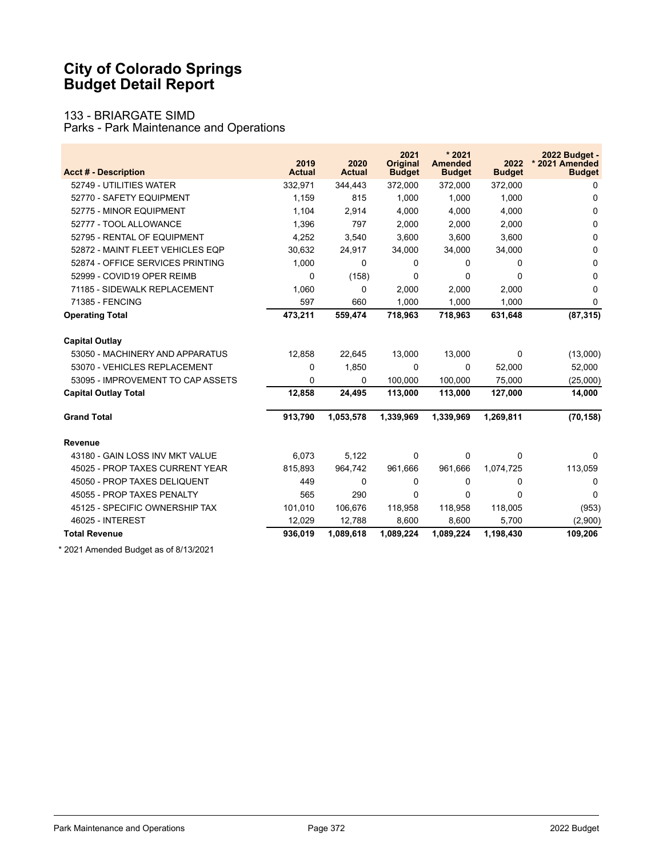#### 133 - BRIARGATE SIMD

Parks - Park Maintenance and Operations

| <b>Acct # - Description</b>       | 2019<br><b>Actual</b> | 2020<br><b>Actual</b> | 2021<br><b>Original</b><br><b>Budget</b> | $*2021$<br><b>Amended</b><br><b>Budget</b> | 2022<br><b>Budget</b> | 2022 Budget -<br>* 2021 Amended<br><b>Budget</b> |
|-----------------------------------|-----------------------|-----------------------|------------------------------------------|--------------------------------------------|-----------------------|--------------------------------------------------|
| 52749 - UTILITIES WATER           | 332.971               | 344,443               | 372.000                                  | 372.000                                    | 372.000               | 0                                                |
| 52770 - SAFETY EQUIPMENT          | 1,159                 | 815                   | 1,000                                    | 1,000                                      | 1,000                 | $\Omega$                                         |
| 52775 - MINOR EQUIPMENT           | 1,104                 | 2,914                 | 4,000                                    | 4,000                                      | 4,000                 | $\Omega$                                         |
| 52777 - TOOL ALLOWANCE            | 1,396                 | 797                   | 2,000                                    | 2,000                                      | 2,000                 | 0                                                |
| 52795 - RENTAL OF EQUIPMENT       | 4,252                 | 3,540                 | 3,600                                    | 3,600                                      | 3,600                 | $\Omega$                                         |
| 52872 - MAINT FLEET VEHICLES EQP  | 30,632                | 24,917                | 34,000                                   | 34,000                                     | 34,000                | 0                                                |
| 52874 - OFFICE SERVICES PRINTING  | 1,000                 | $\Omega$              | 0                                        | 0                                          | 0                     | $\mathbf 0$                                      |
| 52999 - COVID19 OPER REIMB        | 0                     | (158)                 | 0                                        | 0                                          | $\Omega$              | 0                                                |
| 71185 - SIDEWALK REPLACEMENT      | 1,060                 | $\Omega$              | 2,000                                    | 2,000                                      | 2,000                 | $\Omega$                                         |
| 71385 - FENCING                   | 597                   | 660                   | 1,000                                    | 1,000                                      | 1,000                 | 0                                                |
| <b>Operating Total</b>            | 473,211               | 559,474               | 718,963                                  | 718,963                                    | 631,648               | (87, 315)                                        |
| <b>Capital Outlay</b>             |                       |                       |                                          |                                            |                       |                                                  |
| 53050 - MACHINERY AND APPARATUS   | 12,858                | 22,645                | 13,000                                   | 13,000                                     | 0                     | (13,000)                                         |
| 53070 - VEHICLES REPLACEMENT      | 0                     | 1,850                 | 0                                        | 0                                          | 52,000                | 52,000                                           |
| 53095 - IMPROVEMENT TO CAP ASSETS | $\Omega$              | $\Omega$              | 100,000                                  | 100,000                                    | 75,000                | (25,000)                                         |
| <b>Capital Outlay Total</b>       | 12,858                | 24,495                | 113,000                                  | 113,000                                    | 127,000               | 14,000                                           |
| <b>Grand Total</b>                | 913,790               | 1,053,578             | 1,339,969                                | 1,339,969                                  | 1,269,811             | (70, 158)                                        |
| <b>Revenue</b>                    |                       |                       |                                          |                                            |                       |                                                  |
| 43180 - GAIN LOSS INV MKT VALUE   | 6,073                 | 5,122                 | $\Omega$                                 | 0                                          | $\Omega$              | 0                                                |
| 45025 - PROP TAXES CURRENT YEAR   | 815,893               | 964,742               | 961,666                                  | 961,666                                    | 1,074,725             | 113,059                                          |
| 45050 - PROP TAXES DELIQUENT      | 449                   | $\Omega$              | 0                                        | 0                                          | $\Omega$              | 0                                                |
| 45055 - PROP TAXES PENALTY        | 565                   | 290                   | $\Omega$                                 | $\Omega$                                   | $\Omega$              | 0                                                |
| 45125 - SPECIFIC OWNERSHIP TAX    | 101,010               | 106,676               | 118,958                                  | 118,958                                    | 118,005               | (953)                                            |
| 46025 - INTEREST                  | 12,029                | 12,788                | 8,600                                    | 8,600                                      | 5,700                 | (2,900)                                          |
| <b>Total Revenue</b>              | 936,019               | 1,089,618             | 1,089,224                                | 1,089,224                                  | 1,198,430             | 109,206                                          |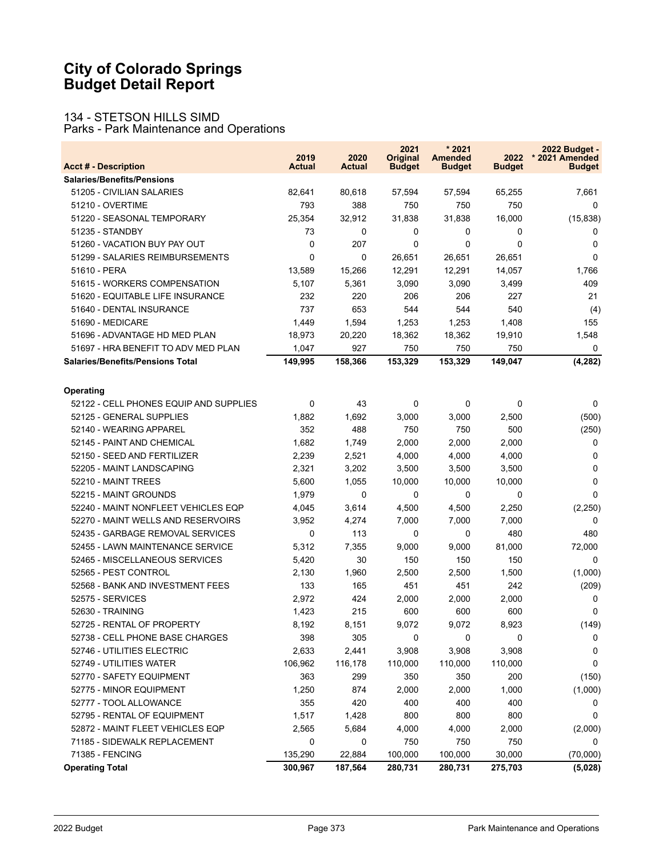#### 134 - STETSON HILLS SIMD

| <b>Acct # - Description</b>             | 2019<br><b>Actual</b> | 2020<br><b>Actual</b> | 2021<br><b>Original</b><br><b>Budget</b> | $*2021$<br><b>Amended</b><br><b>Budget</b> | 2022<br><b>Budget</b> | 2022 Budget -<br>* 2021 Amended<br><b>Budget</b> |
|-----------------------------------------|-----------------------|-----------------------|------------------------------------------|--------------------------------------------|-----------------------|--------------------------------------------------|
| <b>Salaries/Benefits/Pensions</b>       |                       |                       |                                          |                                            |                       |                                                  |
| 51205 - CIVILIAN SALARIES               | 82,641                | 80,618                | 57,594                                   | 57,594                                     | 65,255                | 7,661                                            |
| 51210 - OVERTIME                        | 793                   | 388                   | 750                                      | 750                                        | 750                   | 0                                                |
| 51220 - SEASONAL TEMPORARY              | 25,354                | 32,912                | 31,838                                   | 31,838                                     | 16,000                | (15, 838)                                        |
| 51235 - STANDBY                         | 73                    | 0                     | 0                                        | 0                                          | 0                     | 0                                                |
| 51260 - VACATION BUY PAY OUT            | 0                     | 207                   | $\Omega$                                 | 0                                          | $\Omega$              | 0                                                |
| 51299 - SALARIES REIMBURSEMENTS         | 0                     | 0                     | 26,651                                   | 26,651                                     | 26,651                | $\Omega$                                         |
| 51610 - PERA                            | 13,589                | 15,266                | 12,291                                   | 12,291                                     | 14,057                | 1,766                                            |
| 51615 - WORKERS COMPENSATION            | 5,107                 | 5,361                 | 3,090                                    | 3,090                                      | 3,499                 | 409                                              |
| 51620 - EQUITABLE LIFE INSURANCE        | 232                   | 220                   | 206                                      | 206                                        | 227                   | 21                                               |
| 51640 - DENTAL INSURANCE                | 737                   | 653                   | 544                                      | 544                                        | 540                   | (4)                                              |
| 51690 - MEDICARE                        | 1,449                 | 1,594                 | 1,253                                    | 1,253                                      | 1,408                 | 155                                              |
| 51696 - ADVANTAGE HD MED PLAN           | 18,973                | 20,220                | 18,362                                   | 18,362                                     | 19,910                | 1,548                                            |
| 51697 - HRA BENEFIT TO ADV MED PLAN     | 1,047                 | 927                   | 750                                      | 750                                        | 750                   | 0                                                |
| <b>Salaries/Benefits/Pensions Total</b> | 149,995               | 158,366               | 153,329                                  | 153,329                                    | 149,047               | (4, 282)                                         |
| <b>Operating</b>                        |                       |                       |                                          |                                            |                       |                                                  |
| 52122 - CELL PHONES EQUIP AND SUPPLIES  | 0                     | 43                    | 0                                        | 0                                          | 0                     | 0                                                |
| 52125 - GENERAL SUPPLIES                | 1,882                 | 1,692                 | 3,000                                    | 3,000                                      | 2,500                 | (500)                                            |
| 52140 - WEARING APPAREL                 | 352                   | 488                   | 750                                      | 750                                        | 500                   | (250)                                            |
| 52145 - PAINT AND CHEMICAL              | 1,682                 | 1,749                 | 2,000                                    | 2,000                                      | 2,000                 | 0                                                |
|                                         |                       |                       |                                          |                                            |                       |                                                  |
| 52150 - SEED AND FERTILIZER             | 2,239                 | 2,521                 | 4,000                                    | 4,000                                      | 4,000                 | 0                                                |
| 52205 - MAINT LANDSCAPING               | 2,321                 | 3,202                 | 3,500                                    | 3,500                                      | 3,500                 | 0                                                |
| 52210 - MAINT TREES                     | 5,600                 | 1,055                 | 10,000                                   | 10,000                                     | 10,000                | 0                                                |
| 52215 - MAINT GROUNDS                   | 1,979                 | 0                     | 0                                        | 0                                          | 0                     | 0                                                |
| 52240 - MAINT NONFLEET VEHICLES EQP     | 4,045                 | 3,614                 | 4,500                                    | 4,500                                      | 2,250                 | (2, 250)                                         |
| 52270 - MAINT WELLS AND RESERVOIRS      | 3,952                 | 4,274                 | 7,000                                    | 7,000                                      | 7,000                 | 0                                                |
| 52435 - GARBAGE REMOVAL SERVICES        | 0                     | 113                   | 0                                        | 0                                          | 480                   | 480                                              |
| 52455 - LAWN MAINTENANCE SERVICE        | 5,312                 | 7,355                 | 9,000                                    | 9,000                                      | 81,000                | 72,000                                           |
| 52465 - MISCELLANEOUS SERVICES          | 5,420                 | 30                    | 150                                      | 150                                        | 150                   | 0                                                |
| 52565 - PEST CONTROL                    | 2,130                 | 1,960                 | 2,500                                    | 2,500                                      | 1,500                 | (1,000)                                          |
| 52568 - BANK AND INVESTMENT FEES        | 133                   | 165                   | 451                                      | 451                                        | 242                   | (209)                                            |
| 52575 - SERVICES                        | 2,972                 | 424                   | 2,000                                    | 2,000                                      | 2,000                 | 0                                                |
| 52630 - TRAINING                        | 1,423                 | 215                   | 600                                      | 600                                        | 600                   | 0                                                |
| 52725 - RENTAL OF PROPERTY              | 8,192                 | 8,151                 | 9,072                                    | 9,072                                      | 8,923                 | (149)                                            |
| 52738 - CELL PHONE BASE CHARGES         | 398                   | 305                   | 0                                        | 0                                          | 0                     | 0                                                |
| 52746 - UTILITIES ELECTRIC              | 2,633                 | 2,441                 | 3,908                                    | 3,908                                      | 3,908                 | 0                                                |
| 52749 - UTILITIES WATER                 | 106,962               | 116,178               | 110,000                                  | 110,000                                    | 110,000               | 0                                                |
| 52770 - SAFETY EQUIPMENT                | 363                   | 299                   | 350                                      | 350                                        | 200                   | (150)                                            |
| 52775 - MINOR EQUIPMENT                 | 1,250                 | 874                   | 2,000                                    | 2,000                                      | 1,000                 | (1,000)                                          |
| 52777 - TOOL ALLOWANCE                  | 355                   | 420                   | 400                                      | 400                                        | 400                   | 0                                                |
| 52795 - RENTAL OF EQUIPMENT             | 1,517                 | 1,428                 | 800                                      | 800                                        | 800                   | 0                                                |
| 52872 - MAINT FLEET VEHICLES EQP        | 2,565                 | 5,684                 | 4,000                                    | 4,000                                      | 2,000                 | (2,000)                                          |
| 71185 - SIDEWALK REPLACEMENT            | 0                     | 0                     | 750                                      | 750                                        | 750                   | 0                                                |
| 71385 - FENCING                         | 135,290               | 22,884                | 100,000                                  | 100,000                                    | 30,000                | (70,000)                                         |
| <b>Operating Total</b>                  | 300,967               | 187,564               | 280,731                                  | 280,731                                    | 275,703               | (5,028)                                          |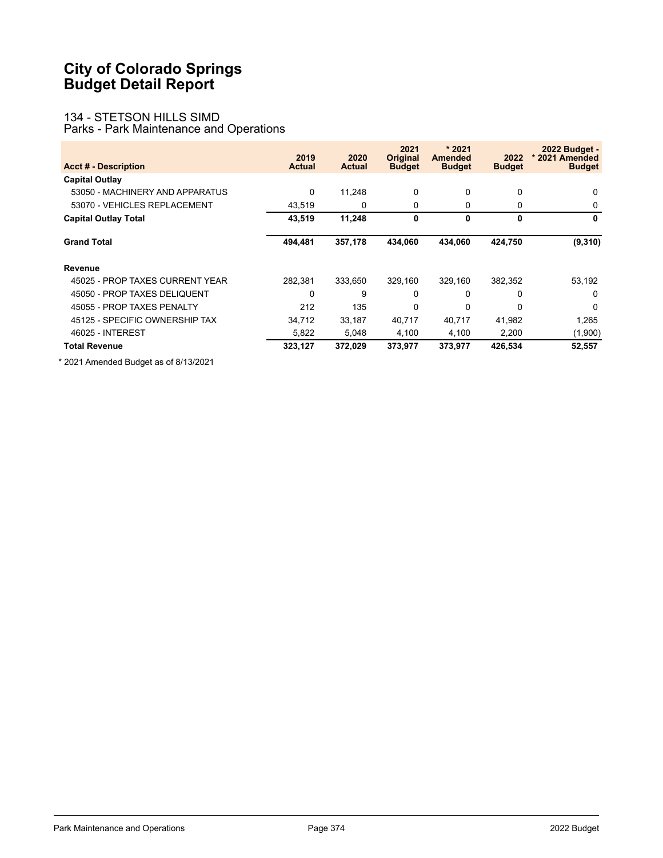#### 134 - STETSON HILLS SIMD

Parks - Park Maintenance and Operations

|                                 | 2019          | 2020          | 2021<br><b>Original</b> | $*2021$<br><b>Amended</b> | 2022          | 2022 Budget -<br>* 2021 Amended |
|---------------------------------|---------------|---------------|-------------------------|---------------------------|---------------|---------------------------------|
| <b>Acct # - Description</b>     | <b>Actual</b> | <b>Actual</b> | <b>Budget</b>           | <b>Budget</b>             | <b>Budget</b> | <b>Budget</b>                   |
| <b>Capital Outlay</b>           |               |               |                         |                           |               |                                 |
| 53050 - MACHINERY AND APPARATUS | 0             | 11.248        | 0                       | 0                         | 0             | 0                               |
| 53070 - VEHICLES REPLACEMENT    | 43,519        | $\Omega$      | 0                       | 0                         | 0             | 0                               |
| <b>Capital Outlay Total</b>     | 43,519        | 11,248        | 0                       | 0                         | $\bf{0}$      | $\bf{0}$                        |
| <b>Grand Total</b>              | 494,481       | 357,178       | 434,060                 | 434,060                   | 424,750       | (9,310)                         |
| Revenue                         |               |               |                         |                           |               |                                 |
| 45025 - PROP TAXES CURRENT YEAR | 282,381       | 333,650       | 329,160                 | 329,160                   | 382,352       | 53,192                          |
| 45050 - PROP TAXES DELIQUENT    | $\Omega$      | 9             | 0                       | 0                         | 0             | $\Omega$                        |
| 45055 - PROP TAXES PENALTY      | 212           | 135           | 0                       | 0                         | 0             | 0                               |
| 45125 - SPECIFIC OWNERSHIP TAX  | 34,712        | 33,187        | 40,717                  | 40,717                    | 41,982        | 1,265                           |
| 46025 - INTEREST                | 5,822         | 5,048         | 4,100                   | 4,100                     | 2,200         | (1,900)                         |
| <b>Total Revenue</b>            | 323,127       | 372,029       | 373,977                 | 373,977                   | 426,534       | 52,557                          |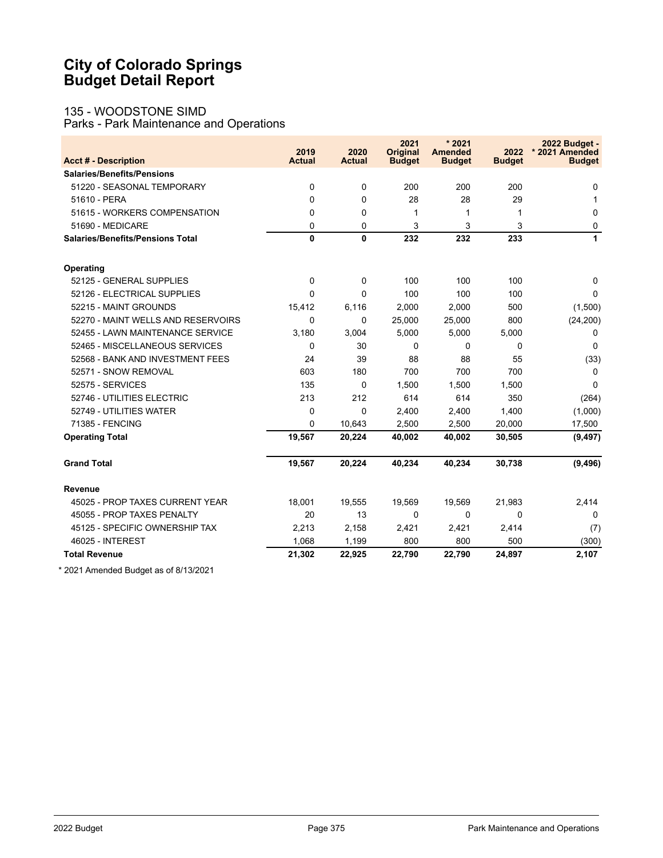#### 135 - WOODSTONE SIMD

Parks - Park Maintenance and Operations

|                                         | 2019          | 2020          | 2021<br><b>Original</b> | $*2021$<br><b>Amended</b> | 2022          | 2022 Budget -<br>* 2021 Amended |
|-----------------------------------------|---------------|---------------|-------------------------|---------------------------|---------------|---------------------------------|
| <b>Acct # - Description</b>             | <b>Actual</b> | <b>Actual</b> | <b>Budget</b>           | <b>Budget</b>             | <b>Budget</b> | <b>Budget</b>                   |
| <b>Salaries/Benefits/Pensions</b>       |               |               |                         |                           | 200           |                                 |
| 51220 - SEASONAL TEMPORARY              | 0             | $\Omega$      | 200                     | 200                       |               | $\Omega$                        |
| 51610 - PERA                            | 0             | $\mathbf{0}$  | 28                      | 28                        | 29            | 1                               |
| 51615 - WORKERS COMPENSATION            | 0             | $\mathbf{0}$  | 1                       | 1                         | 1             | 0                               |
| 51690 - MEDICARE                        | 0             | 0             | 3                       | 3                         | 3             | 0                               |
| <b>Salaries/Benefits/Pensions Total</b> | 0             | 0             | 232                     | 232                       | 233           | 1                               |
| Operating                               |               |               |                         |                           |               |                                 |
| 52125 - GENERAL SUPPLIES                | 0             | $\Omega$      | 100                     | 100                       | 100           | 0                               |
| 52126 - ELECTRICAL SUPPLIES             | 0             | $\mathbf{0}$  | 100                     | 100                       | 100           | 0                               |
| 52215 - MAINT GROUNDS                   | 15,412        | 6,116         | 2,000                   | 2,000                     | 500           | (1,500)                         |
| 52270 - MAINT WELLS AND RESERVOIRS      | 0             | 0             | 25,000                  | 25,000                    | 800           | (24, 200)                       |
| 52455 - LAWN MAINTENANCE SERVICE        | 3,180         | 3,004         | 5,000                   | 5,000                     | 5,000         | 0                               |
| 52465 - MISCELLANEOUS SERVICES          | 0             | 30            | 0                       | 0                         | 0             | 0                               |
| 52568 - BANK AND INVESTMENT FEES        | 24            | 39            | 88                      | 88                        | 55            | (33)                            |
| 52571 - SNOW REMOVAL                    | 603           | 180           | 700                     | 700                       | 700           | 0                               |
| 52575 - SERVICES                        | 135           | $\mathbf 0$   | 1,500                   | 1,500                     | 1,500         | $\Omega$                        |
| 52746 - UTILITIES ELECTRIC              | 213           | 212           | 614                     | 614                       | 350           | (264)                           |
| 52749 - UTILITIES WATER                 | 0             | $\Omega$      | 2,400                   | 2,400                     | 1,400         | (1,000)                         |
| 71385 - FENCING                         | 0             | 10,643        | 2,500                   | 2,500                     | 20,000        | 17,500                          |
| <b>Operating Total</b>                  | 19,567        | 20,224        | 40,002                  | 40.002                    | 30,505        | (9, 497)                        |
| <b>Grand Total</b>                      | 19,567        | 20,224        | 40,234                  | 40,234                    | 30,738        | (9, 496)                        |
| Revenue                                 |               |               |                         |                           |               |                                 |
| 45025 - PROP TAXES CURRENT YEAR         | 18,001        | 19,555        | 19,569                  | 19,569                    | 21,983        | 2,414                           |
| 45055 - PROP TAXES PENALTY              | 20            | 13            | 0                       | 0                         | 0             | 0                               |
| 45125 - SPECIFIC OWNERSHIP TAX          | 2,213         | 2,158         | 2,421                   | 2,421                     | 2,414         | (7)                             |
| 46025 - INTEREST                        | 1,068         | 1,199         | 800                     | 800                       | 500           | (300)                           |
| <b>Total Revenue</b>                    | 21,302        | 22,925        | 22,790                  | 22,790                    | 24,897        | 2,107                           |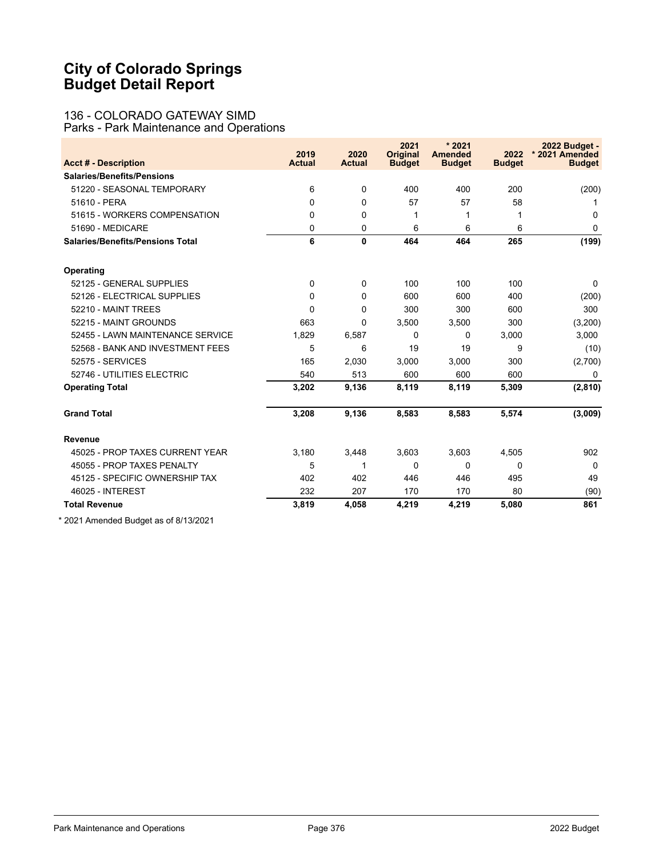#### 136 - COLORADO GATEWAY SIMD

Parks - Park Maintenance and Operations

| <b>Acct # - Description</b>             | 2019<br><b>Actual</b> | 2020<br><b>Actual</b> | 2021<br><b>Original</b><br><b>Budget</b> | $*2021$<br><b>Amended</b><br><b>Budget</b> | 2022<br><b>Budget</b> | 2022 Budget -<br>* 2021 Amended<br><b>Budget</b> |
|-----------------------------------------|-----------------------|-----------------------|------------------------------------------|--------------------------------------------|-----------------------|--------------------------------------------------|
| <b>Salaries/Benefits/Pensions</b>       |                       |                       |                                          |                                            |                       |                                                  |
| 51220 - SEASONAL TEMPORARY              | 6                     | 0                     | 400                                      | 400                                        | 200                   | (200)                                            |
| 51610 - PERA                            | $\Omega$              | 0                     | 57                                       | 57                                         | 58                    | 1                                                |
| 51615 - WORKERS COMPENSATION            | 0                     | $\Omega$              | 1                                        | 1                                          |                       | 0                                                |
| 51690 - MEDICARE                        | $\Omega$              | 0                     | 6                                        | 6                                          | 6                     | $\Omega$                                         |
| <b>Salaries/Benefits/Pensions Total</b> | 6                     | 0                     | 464                                      | 464                                        | 265                   | (199)                                            |
| Operating                               |                       |                       |                                          |                                            |                       |                                                  |
| 52125 - GENERAL SUPPLIES                | $\Omega$              | $\Omega$              | 100                                      | 100                                        | 100                   | 0                                                |
| 52126 - ELECTRICAL SUPPLIES             | $\Omega$              | 0                     | 600                                      | 600                                        | 400                   | (200)                                            |
| 52210 - MAINT TREES                     | $\Omega$              | $\Omega$              | 300                                      | 300                                        | 600                   | 300                                              |
| 52215 - MAINT GROUNDS                   | 663                   | $\Omega$              | 3,500                                    | 3,500                                      | 300                   | (3,200)                                          |
| 52455 - LAWN MAINTENANCE SERVICE        | 1.829                 | 6,587                 | 0                                        | 0                                          | 3,000                 | 3,000                                            |
| 52568 - BANK AND INVESTMENT FEES        | 5                     | 6                     | 19                                       | 19                                         | 9                     | (10)                                             |
| 52575 - SERVICES                        | 165                   | 2,030                 | 3,000                                    | 3,000                                      | 300                   | (2,700)                                          |
| 52746 - UTILITIES ELECTRIC              | 540                   | 513                   | 600                                      | 600                                        | 600                   | 0                                                |
| <b>Operating Total</b>                  | 3,202                 | 9,136                 | 8,119                                    | 8,119                                      | 5,309                 | (2, 810)                                         |
| <b>Grand Total</b>                      | 3,208                 | 9,136                 | 8,583                                    | 8,583                                      | 5,574                 | (3,009)                                          |
| <b>Revenue</b>                          |                       |                       |                                          |                                            |                       |                                                  |
| 45025 - PROP TAXES CURRENT YEAR         | 3.180                 | 3,448                 | 3,603                                    | 3,603                                      | 4,505                 | 902                                              |
| 45055 - PROP TAXES PENALTY              | 5                     | 1                     | $\Omega$                                 | $\Omega$                                   | $\Omega$              | $\Omega$                                         |
| 45125 - SPECIFIC OWNERSHIP TAX          | 402                   | 402                   | 446                                      | 446                                        | 495                   | 49                                               |
| 46025 - INTEREST                        | 232                   | 207                   | 170                                      | 170                                        | 80                    | (90)                                             |
| <b>Total Revenue</b>                    | 3,819                 | 4,058                 | 4,219                                    | 4,219                                      | 5,080                 | 861                                              |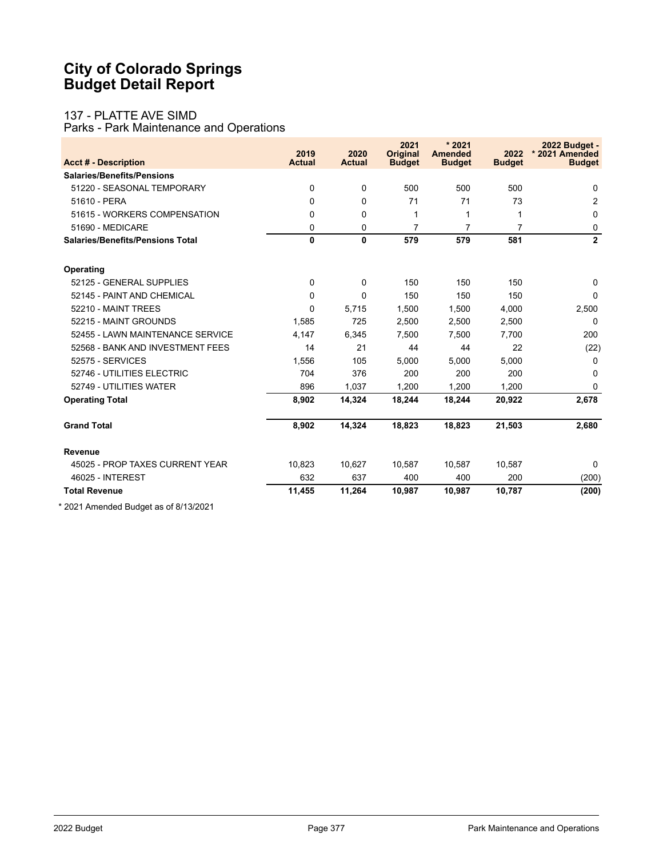#### 137 - PLATTE AVE SIMD

Parks - Park Maintenance and Operations

|                                         | 2019          | 2020          | 2021<br><b>Original</b> | $*2021$<br><b>Amended</b> | 2022          | 2022 Budget -<br>* 2021 Amended |
|-----------------------------------------|---------------|---------------|-------------------------|---------------------------|---------------|---------------------------------|
| <b>Acct # - Description</b>             | <b>Actual</b> | <b>Actual</b> | <b>Budget</b>           | <b>Budget</b>             | <b>Budget</b> | <b>Budget</b>                   |
| <b>Salaries/Benefits/Pensions</b>       |               |               |                         |                           |               |                                 |
| 51220 - SEASONAL TEMPORARY              | 0             | 0             | 500                     | 500                       | 500           | 0                               |
| 51610 - PERA                            | 0             | $\Omega$      | 71                      | 71                        | 73            | 2                               |
| 51615 - WORKERS COMPENSATION            | $\Omega$      | $\Omega$      | 1                       | 1                         | 1             | $\Omega$                        |
| 51690 - MEDICARE                        | 0             | 0             | 7                       | 7                         | 7             | 0                               |
| <b>Salaries/Benefits/Pensions Total</b> | $\bf{0}$      | 0             | 579                     | 579                       | 581           | $\overline{2}$                  |
| Operating                               |               |               |                         |                           |               |                                 |
| 52125 - GENERAL SUPPLIES                | 0             | 0             | 150                     | 150                       | 150           | 0                               |
| 52145 - PAINT AND CHEMICAL              | $\Omega$      | $\Omega$      | 150                     | 150                       | 150           | $\Omega$                        |
| 52210 - MAINT TREES                     | $\Omega$      | 5.715         | 1,500                   | 1,500                     | 4,000         | 2,500                           |
| 52215 - MAINT GROUNDS                   | 1,585         | 725           | 2,500                   | 2,500                     | 2,500         | 0                               |
| 52455 - LAWN MAINTENANCE SERVICE        | 4,147         | 6,345         | 7,500                   | 7,500                     | 7.700         | 200                             |
| 52568 - BANK AND INVESTMENT FEES        | 14            | 21            | 44                      | 44                        | 22            | (22)                            |
| 52575 - SERVICES                        | 1,556         | 105           | 5,000                   | 5,000                     | 5,000         | 0                               |
| 52746 - UTILITIES ELECTRIC              | 704           | 376           | 200                     | 200                       | 200           | 0                               |
| 52749 - UTILITIES WATER                 | 896           | 1.037         | 1.200                   | 1,200                     | 1.200         | $\Omega$                        |
| <b>Operating Total</b>                  | 8,902         | 14,324        | 18,244                  | 18,244                    | 20,922        | 2,678                           |
| <b>Grand Total</b>                      | 8,902         | 14,324        | 18,823                  | 18,823                    | 21,503        | 2,680                           |
| <b>Revenue</b>                          |               |               |                         |                           |               |                                 |
| 45025 - PROP TAXES CURRENT YEAR         | 10,823        | 10,627        | 10,587                  | 10,587                    | 10,587        | 0                               |
| 46025 - INTEREST                        | 632           | 637           | 400                     | 400                       | 200           | (200)                           |
| <b>Total Revenue</b>                    | 11,455        | 11.264        | 10,987                  | 10.987                    | 10.787        | (200)                           |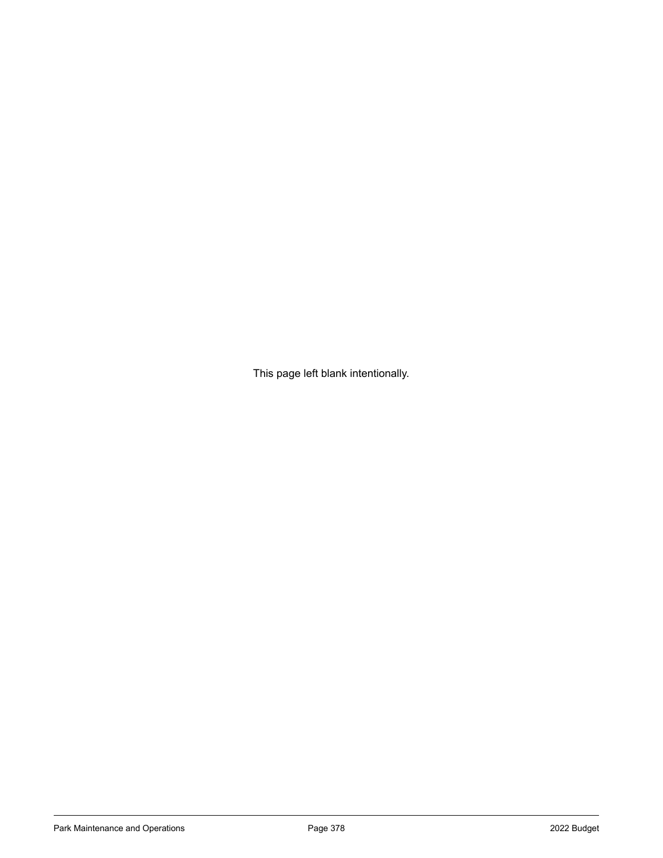This page left blank intentionally.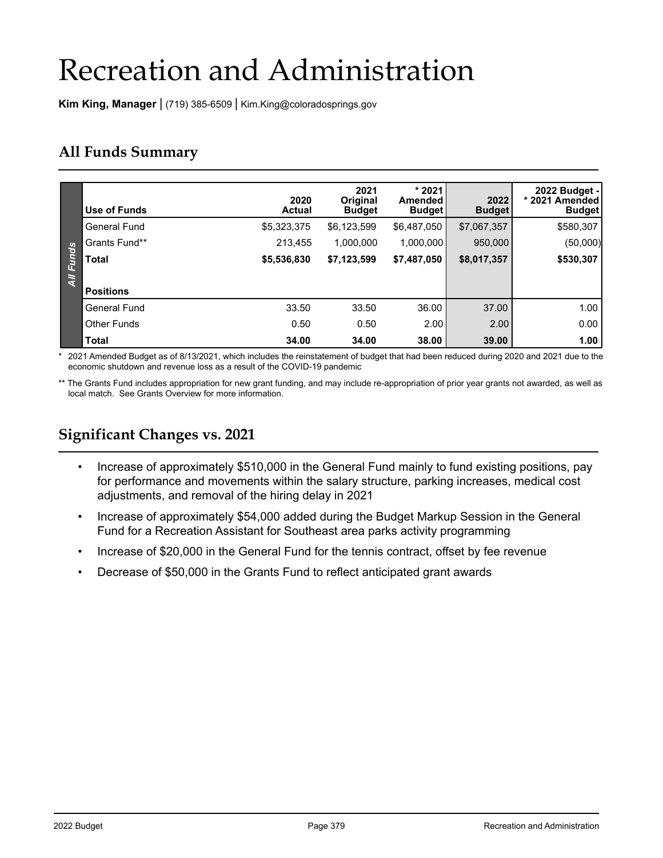# Recreation and Administration

**Kim King, Manager** | (719) 385-6509 | Kim.King@coloradosprings.gov

# **All Funds Summary**

|          | Use of Funds        | 2020<br><b>Actual</b> | 2021<br><b>Original</b><br><b>Budget</b> | $*2021$<br><b>Amended</b><br><b>Budget</b> | 2022<br><b>Budget</b> | 2022 Budget -<br>* 2021 Amended<br><b>Budget</b> |
|----------|---------------------|-----------------------|------------------------------------------|--------------------------------------------|-----------------------|--------------------------------------------------|
|          | General Fund        | \$5,323,375           | \$6,123,599                              | \$6,487,050                                | \$7,067,357           | \$580,307                                        |
| 8p       | Grants Fund**       | 213,455               | 1.000.000                                | 1,000,000                                  | 950,000               | (50,000)                                         |
| <b>R</b> | Total               | \$5,536,830           | \$7,123,599                              | \$7,487,050                                | \$8,017,357           | \$530,307                                        |
|          |                     |                       |                                          |                                            |                       |                                                  |
|          | <b>Positions</b>    |                       |                                          |                                            |                       |                                                  |
|          | <b>General Fund</b> | 33.50                 | 33.50                                    | 36.00                                      | 37.00                 | 1.00                                             |
|          | <b>Other Funds</b>  | 0.50                  | 0.50                                     | 2.00                                       | 2.00                  | 0.00                                             |
|          | <b>Total</b>        | 34.00                 | 34.00                                    | 38.00                                      | 39.00                 | 1.00                                             |

\* 2021 Amended Budget as of 8/13/2021, which includes the reinstatement of budget that had been reduced during 2020 and 2021 due to the economic shutdown and revenue loss as a result of the COVID-19 pandemic

\*\* The Grants Fund includes appropriation for new grant funding, and may include re-appropriation of prior year grants not awarded, as well as local match. See Grants Overview for more information.

# **Significant Changes vs. 2021**

- Increase of approximately \$510,000 in the General Fund mainly to fund existing positions, pay for performance and movements within the salary structure, parking increases, medical cost adjustments, and removal of the hiring delay in 2021
- Increase of approximately \$54,000 added during the Budget Markup Session in the General Fund for a Recreation Assistant for Southeast area parks activity programming
- Increase of \$20,000 in the General Fund for the tennis contract, offset by fee revenue
- Decrease of \$50,000 in the Grants Fund to reflect anticipated grant awards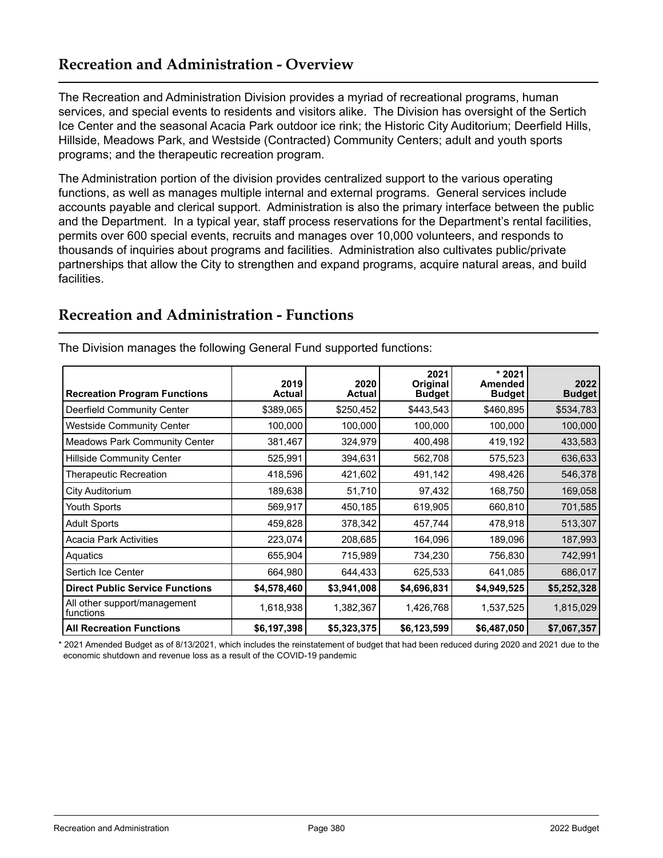# **Recreation and Administration - Overview**

The Recreation and Administration Division provides a myriad of recreational programs, human services, and special events to residents and visitors alike. The Division has oversight of the Sertich Ice Center and the seasonal Acacia Park outdoor ice rink; the Historic City Auditorium; Deerfield Hills, Hillside, Meadows Park, and Westside (Contracted) Community Centers; adult and youth sports programs; and the therapeutic recreation program.

The Administration portion of the division provides centralized support to the various operating functions, as well as manages multiple internal and external programs. General services include accounts payable and clerical support. Administration is also the primary interface between the public and the Department. In a typical year, staff process reservations for the Department's rental facilities, permits over 600 special events, recruits and manages over 10,000 volunteers, and responds to thousands of inquiries about programs and facilities. Administration also cultivates public/private partnerships that allow the City to strengthen and expand programs, acquire natural areas, and build facilities.

## **Recreation and Administration - Functions**

| <b>Recreation Program Functions</b>       | 2019<br><b>Actual</b> | 2020<br><b>Actual</b> | 2021<br>Original<br><b>Budget</b> | $*2021$<br><b>Amended</b><br><b>Budget</b> | 2022<br><b>Budget</b> |
|-------------------------------------------|-----------------------|-----------------------|-----------------------------------|--------------------------------------------|-----------------------|
| Deerfield Community Center                | \$389,065             | \$250,452             | \$443,543                         | \$460,895                                  | \$534,783             |
| <b>Westside Community Center</b>          | 100,000               | 100,000               | 100,000                           | 100,000                                    | 100,000               |
| <b>Meadows Park Community Center</b>      | 381,467               | 324,979               | 400,498                           | 419,192                                    | 433,583               |
| <b>Hillside Community Center</b>          | 525,991               | 394,631               | 562,708                           | 575,523                                    | 636,633               |
| <b>Therapeutic Recreation</b>             | 418,596               | 421,602               | 491,142                           | 498,426                                    | 546,378               |
| City Auditorium                           | 189,638               | 51,710                | 97,432                            | 168,750                                    | 169,058               |
| Youth Sports                              | 569,917               | 450,185               | 619,905                           | 660,810                                    | 701,585               |
| <b>Adult Sports</b>                       | 459,828               | 378,342               | 457,744                           | 478,918                                    | 513,307               |
| <b>Acacia Park Activities</b>             | 223,074               | 208,685               | 164,096                           | 189,096                                    | 187,993               |
| Aquatics                                  | 655,904               | 715,989               | 734,230                           | 756,830                                    | 742,991               |
| Sertich Ice Center                        | 664,980               | 644,433               | 625,533                           | 641,085                                    | 686,017               |
| <b>Direct Public Service Functions</b>    | \$4,578,460           | \$3,941,008           | \$4,696,831                       | \$4,949,525                                | \$5,252,328           |
| All other support/management<br>functions | 1,618,938             | 1,382,367             | 1,426,768                         | 1,537,525                                  | 1,815,029             |
| <b>All Recreation Functions</b>           | \$6,197,398           | \$5,323,375           | \$6,123,599                       | \$6,487,050                                | \$7,067,357           |

The Division manages the following General Fund supported functions: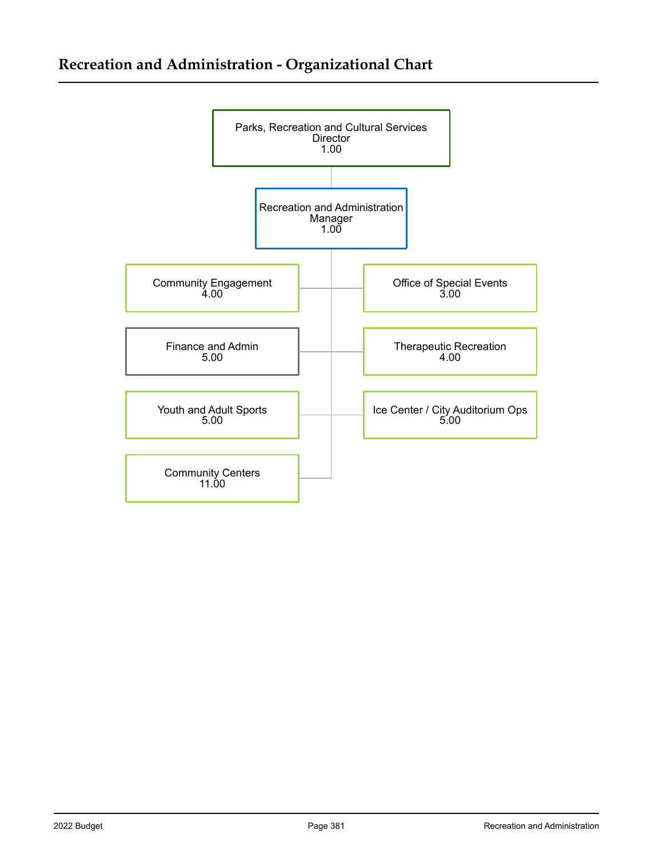# **Recreation and Administration - Organizational Chart**

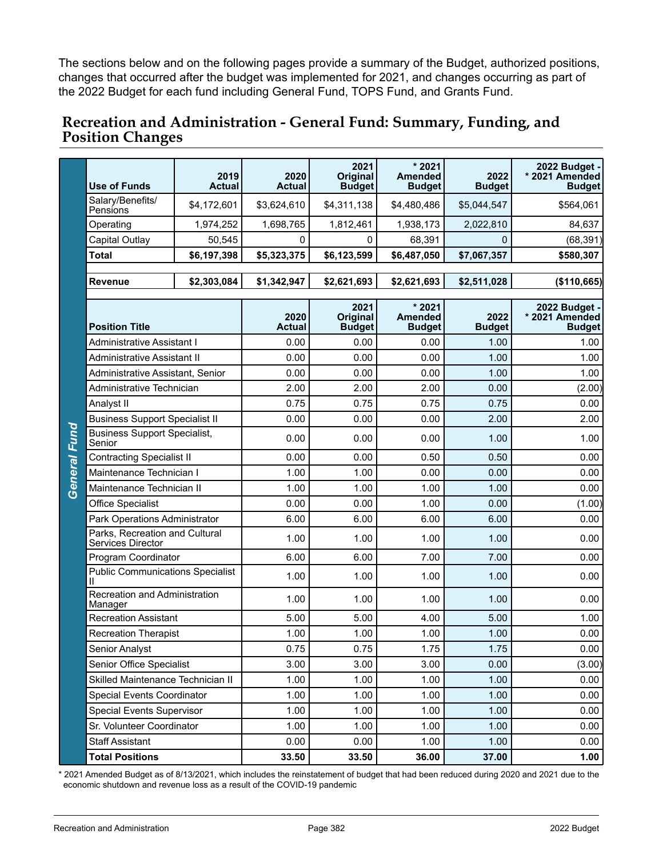The sections below and on the following pages provide a summary of the Budget, authorized positions, changes that occurred after the budget was implemented for 2021, and changes occurring as part of the 2022 Budget for each fund including General Fund, TOPS Fund, and Grants Fund.

## **Recreation and Administration - General Fund: Summary, Funding, and Position Changes**

|                     | <b>Use of Funds</b>                                 | 2019<br><b>Actual</b> | 2020<br><b>Actual</b> | 2021<br>Original<br><b>Budget</b> | $*2021$<br><b>Amended</b><br><b>Budget</b> | 2022<br><b>Budget</b> | 2022 Budget -<br>* 2021 Amended<br><b>Budget</b> |
|---------------------|-----------------------------------------------------|-----------------------|-----------------------|-----------------------------------|--------------------------------------------|-----------------------|--------------------------------------------------|
|                     | Salary/Benefits/<br>Pensions                        | \$4,172,601           | \$3,624,610           | \$4,311,138                       | \$4,480,486                                | \$5,044,547           | \$564,061                                        |
|                     | Operating                                           | 1,974,252             | 1,698,765             | 1,812,461                         | 1,938,173                                  | 2,022,810             | 84,637                                           |
|                     | Capital Outlay                                      | 50,545                | 0                     | $\Omega$                          | 68,391                                     | $\Omega$              | (68, 391)                                        |
|                     | \$6,197,398<br><b>Total</b>                         |                       | \$5,323,375           | \$6,123,599                       | \$6,487,050                                | \$7,067,357           | \$580,307                                        |
|                     |                                                     |                       |                       |                                   |                                            |                       |                                                  |
|                     | \$2,303,084<br><b>Revenue</b>                       |                       | \$1,342,947           | \$2,621,693                       | \$2,621,693                                | \$2,511,028           | (\$110,665)                                      |
|                     | <b>Position Title</b>                               |                       | 2020<br><b>Actual</b> | 2021<br>Original<br><b>Budget</b> | $*2021$<br><b>Amended</b><br><b>Budget</b> | 2022<br><b>Budget</b> | 2022 Budget -<br>* 2021 Amended<br><b>Budget</b> |
|                     | <b>Administrative Assistant I</b>                   |                       | 0.00                  | 0.00                              | 0.00                                       | 1.00                  | 1.00                                             |
|                     | <b>Administrative Assistant II</b>                  |                       | 0.00                  | 0.00                              | 0.00                                       | 1.00                  | 1.00                                             |
|                     | Administrative Assistant, Senior                    |                       | 0.00                  | 0.00                              | 0.00                                       | 1.00                  | 1.00                                             |
|                     | Administrative Technician                           |                       | 2.00                  | 2.00                              | 2.00                                       | 0.00                  | (2.00)                                           |
|                     | Analyst II                                          |                       | 0.75                  | 0.75                              | 0.75                                       | 0.75                  | 0.00                                             |
|                     | <b>Business Support Specialist II</b>               |                       | 0.00                  | 0.00                              | 0.00                                       | 2.00                  | 2.00                                             |
| <b>General Fund</b> | <b>Business Support Specialist,</b><br>Senior       |                       | 0.00                  | 0.00                              | 0.00                                       | 1.00                  | 1.00                                             |
|                     | <b>Contracting Specialist II</b>                    |                       | 0.00                  | 0.00                              | 0.50                                       | 0.50                  | 0.00                                             |
|                     | Maintenance Technician I                            |                       | 1.00                  | 1.00                              | 0.00                                       | 0.00                  | 0.00                                             |
|                     | Maintenance Technician II                           |                       | 1.00                  | 1.00                              | 1.00                                       | 1.00                  | 0.00                                             |
|                     | <b>Office Specialist</b>                            |                       | 0.00                  | 0.00                              | 1.00                                       | 0.00                  | (1.00)                                           |
|                     | Park Operations Administrator                       |                       | 6.00                  | 6.00                              | 6.00                                       | 6.00                  | 0.00                                             |
|                     | Parks, Recreation and Cultural<br>Services Director |                       | 1.00                  | 1.00                              | 1.00                                       | 1.00                  | 0.00                                             |
|                     | Program Coordinator                                 |                       | 6.00                  | 6.00                              | 7.00                                       | 7.00                  | 0.00                                             |
|                     | <b>Public Communications Specialist</b><br>Ш        |                       | 1.00                  | 1.00                              | 1.00                                       | 1.00                  | 0.00                                             |
|                     | Recreation and Administration<br>Manager            |                       | 1.00                  | 1.00                              | 1.00                                       | 1.00                  | 0.00                                             |
|                     | <b>Recreation Assistant</b>                         |                       | 5.00                  | 5.00                              | 4.00                                       | 5.00                  | 1.00                                             |
|                     | <b>Recreation Therapist</b>                         |                       | 1.00                  | 1.00                              | 1.00                                       | 1.00                  | 0.00                                             |
|                     | Senior Analyst                                      |                       | 0.75                  | 0.75                              | 1.75                                       | 1.75                  | 0.00                                             |
|                     | Senior Office Specialist                            |                       | 3.00                  | 3.00                              | 3.00                                       | 0.00                  | (3.00)                                           |
|                     | Skilled Maintenance Technician II                   |                       | 1.00                  | 1.00                              | 1.00                                       | 1.00                  | 0.00                                             |
|                     | <b>Special Events Coordinator</b>                   |                       | 1.00                  | 1.00                              | 1.00                                       | 1.00                  | 0.00                                             |
|                     | <b>Special Events Supervisor</b>                    |                       | 1.00                  | 1.00                              | 1.00                                       | 1.00                  | 0.00                                             |
|                     | Sr. Volunteer Coordinator                           |                       | 1.00                  | 1.00                              | 1.00                                       | 1.00                  | 0.00                                             |
|                     | <b>Staff Assistant</b>                              |                       | 0.00                  | 0.00                              | 1.00                                       | 1.00                  | 0.00                                             |
|                     | <b>Total Positions</b>                              |                       | 33.50                 | 33.50                             | 36.00                                      | 37.00                 | 1.00                                             |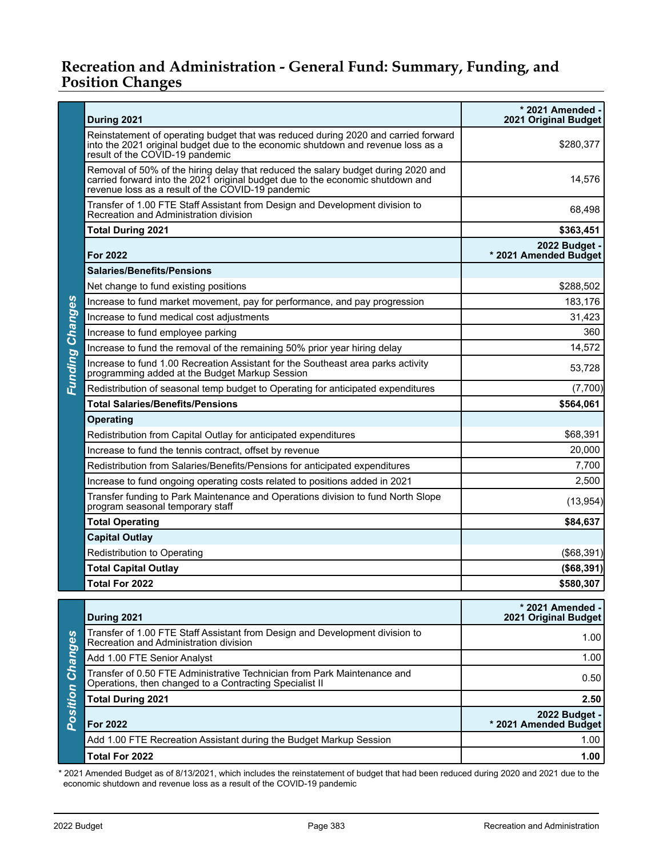## **Recreation and Administration - General Fund: Summary, Funding, and Position Changes**

|                        | During 2021                                                                                                                                                                                                              | * 2021 Amended -<br>2021 Original Budget |
|------------------------|--------------------------------------------------------------------------------------------------------------------------------------------------------------------------------------------------------------------------|------------------------------------------|
|                        | Reinstatement of operating budget that was reduced during 2020 and carried forward<br>into the 2021 original budget due to the economic shutdown and revenue loss as a<br>result of the COVID-19 pandemic                | \$280,377                                |
|                        | Removal of 50% of the hiring delay that reduced the salary budget during 2020 and<br>carried forward into the 2021 original budget due to the economic shutdown and<br>revenue loss as a result of the COVID-19 pandemic | 14,576                                   |
|                        | Transfer of 1.00 FTE Staff Assistant from Design and Development division to<br>Recreation and Administration division                                                                                                   | 68,498                                   |
|                        | <b>Total During 2021</b>                                                                                                                                                                                                 | \$363,451                                |
|                        | For 2022                                                                                                                                                                                                                 | 2022 Budget -<br>* 2021 Amended Budget   |
|                        | <b>Salaries/Benefits/Pensions</b>                                                                                                                                                                                        |                                          |
|                        | Net change to fund existing positions                                                                                                                                                                                    | \$288,502                                |
|                        | Increase to fund market movement, pay for performance, and pay progression                                                                                                                                               | 183,176                                  |
|                        | Increase to fund medical cost adjustments                                                                                                                                                                                | 31,423                                   |
|                        | Increase to fund employee parking                                                                                                                                                                                        | 360                                      |
|                        | Increase to fund the removal of the remaining 50% prior year hiring delay                                                                                                                                                | 14,572                                   |
| <b>Funding Changes</b> | Increase to fund 1.00 Recreation Assistant for the Southeast area parks activity<br>programming added at the Budget Markup Session                                                                                       | 53,728                                   |
|                        | Redistribution of seasonal temp budget to Operating for anticipated expenditures                                                                                                                                         | (7,700)                                  |
|                        | <b>Total Salaries/Benefits/Pensions</b>                                                                                                                                                                                  | \$564,061                                |
|                        | <b>Operating</b>                                                                                                                                                                                                         |                                          |
|                        | Redistribution from Capital Outlay for anticipated expenditures                                                                                                                                                          | \$68,391                                 |
|                        | Increase to fund the tennis contract, offset by revenue                                                                                                                                                                  | 20,000                                   |
|                        | Redistribution from Salaries/Benefits/Pensions for anticipated expenditures                                                                                                                                              | 7,700                                    |
|                        | Increase to fund ongoing operating costs related to positions added in 2021                                                                                                                                              | 2,500                                    |
|                        | Transfer funding to Park Maintenance and Operations division to fund North Slope<br>program seasonal temporary staff                                                                                                     | (13, 954)                                |
|                        | <b>Total Operating</b>                                                                                                                                                                                                   | \$84,637                                 |
|                        | <b>Capital Outlay</b>                                                                                                                                                                                                    |                                          |
|                        | <b>Redistribution to Operating</b>                                                                                                                                                                                       | (\$68,391)                               |
|                        | <b>Total Capital Outlay</b>                                                                                                                                                                                              | (\$68,391)                               |
|                        | Total For 2022                                                                                                                                                                                                           | \$580,307                                |
|                        |                                                                                                                                                                                                                          | * 2021 Amended -                         |
|                        | During 2021                                                                                                                                                                                                              | 2021 Original Budget                     |
| Changes                | Transfer of 1.00 FTE Staff Assistant from Design and Development division to<br>Recreation and Administration division                                                                                                   | 1.00                                     |
|                        | Add 1.00 FTE Senior Analyst                                                                                                                                                                                              | 1.00                                     |
|                        | Transfer of 0.50 FTE Administrative Technician from Park Maintenance and<br>Operations, then changed to a Contracting Specialist II                                                                                      | 0.50                                     |
|                        | <b>Total During 2021</b>                                                                                                                                                                                                 | 2.50                                     |
| Position               | <b>For 2022</b>                                                                                                                                                                                                          | 2022 Budget -<br>* 2021 Amended Budget   |

**Total During 2021 2.50** Positi **2022 Budget - For 2022 \* 2021 Amended Budget** Add 1.00 FTE Recreation Assistant during the Budget Markup Session **1.00** Add 1.00 **Total For 2022** 1.00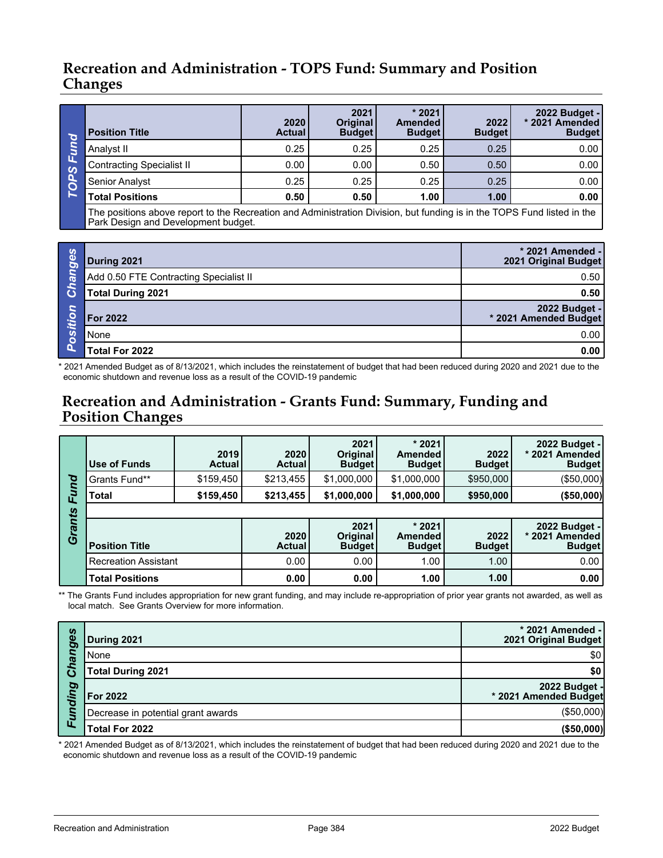# **Recreation and Administration - TOPS Fund: Summary and Position Changes**

| $\sigma$<br>l.<br><b>TOPS</b> | <b>Position Title</b>                                                                                                   | 2020<br><b>Actual</b> | 2021<br>Original<br><b>Budget</b> | $*2021$<br><b>Amended</b><br><b>Budget</b> | 2022<br><b>Budget</b> | 2022 Budget -<br>* 2021 Amended<br><b>Budget</b> |
|-------------------------------|-------------------------------------------------------------------------------------------------------------------------|-----------------------|-----------------------------------|--------------------------------------------|-----------------------|--------------------------------------------------|
|                               | Analyst II                                                                                                              | 0.25                  | 0.25                              | 0.25                                       | 0.25                  | 0.00                                             |
|                               | <b>Contracting Specialist II</b>                                                                                        | 0.00                  | 0.00                              | 0.50                                       | 0.50                  | 0.00                                             |
|                               | <b>Senior Analyst</b>                                                                                                   | 0.25                  | 0.25                              | 0.25                                       | 0.25                  | 0.00                                             |
|                               | <b>Total Positions</b>                                                                                                  | 0.50                  | 0.50                              | 1.00                                       | 1.00                  | 0.00                                             |
|                               | The positions above report to the Recreation and Administration Division, but funding is in the TOPS Fund listed in the |                       |                                   |                                            |                       |                                                  |

Park Design and Development budget.

| <b>Sab</b> | During 2021                            | * 2021 Amended -<br>2021 Original Budget |
|------------|----------------------------------------|------------------------------------------|
| <b>Gy</b>  | Add 0.50 FTE Contracting Specialist II | 0.50                                     |
|            | <b>Total During 2021</b>               | 0.50                                     |
| O          | <b>For 2022</b>                        | 2022 Budget -<br>* 2021 Amended Budget   |
| SO         | None                                   | 0.00                                     |
|            | Total For 2022                         | 0.00                                     |

\* 2021 Amended Budget as of 8/13/2021, which includes the reinstatement of budget that had been reduced during 2020 and 2021 due to the economic shutdown and revenue loss as a result of the COVID-19 pandemic

## **Recreation and Administration - Grants Fund: Summary, Funding and Position Changes**

|        | Use of Funds                | 2019<br><b>Actual</b> | 2020<br><b>Actual</b> | 2021<br>Original<br><b>Budget</b>        | $*2021$<br><b>Amended</b><br><b>Budget</b> | 2022<br><b>Budget</b> | 2022 Budget -<br>* 2021 Amended<br><b>Budget</b> |  |
|--------|-----------------------------|-----------------------|-----------------------|------------------------------------------|--------------------------------------------|-----------------------|--------------------------------------------------|--|
|        | Grants Fund**               | \$159,450             | \$213,455             | \$1,000,000                              | \$1,000,000                                | \$950,000             | (\$50,000)                                       |  |
| Fund   | <b>Total</b>                | \$159,450             | \$213,455             | \$1,000,000                              | \$1,000,000                                | \$950,000             | (\$50,000)                                       |  |
|        |                             |                       |                       |                                          |                                            |                       |                                                  |  |
| Grants | <b>Position Title</b>       |                       | 2020<br><b>Actual</b> | 2021<br><b>Original</b><br><b>Budget</b> | $*2021$<br><b>Amended</b><br><b>Budget</b> | 2022<br><b>Budget</b> | 2022 Budget -<br>* 2021 Amended<br><b>Budget</b> |  |
|        | <b>Recreation Assistant</b> |                       | 0.00                  | 0.00                                     | 1.00                                       | 1.00                  | 0.00                                             |  |
|        | <b>Total Positions</b>      |                       | 0.00                  | 0.00                                     | 1.00                                       | 1.00                  | 0.00                                             |  |

\*\* The Grants Fund includes appropriation for new grant funding, and may include re-appropriation of prior year grants not awarded, as well as local match. See Grants Overview for more information.

| ges     | During 2021                        | * 2021 Amended -<br>2021 Original Budget |
|---------|------------------------------------|------------------------------------------|
|         | None                               | \$0                                      |
| Chan    | <b>Total During 2021</b>           | \$0                                      |
| Funding | <b>For 2022</b>                    | 2022 Budget -<br>* 2021 Amended Budget   |
|         | Decrease in potential grant awards | (\$50,000)                               |
|         | Total For 2022                     | (\$50,000)                               |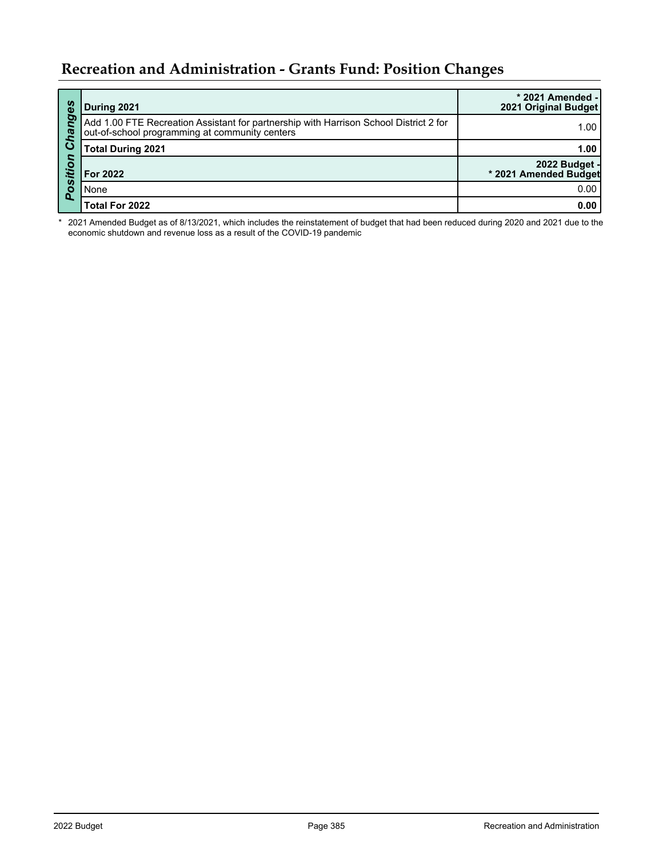# **Recreation and Administration - Grants Fund: Position Changes**

| n,<br>Φ                                        | During 2021                                                                                                                             | * 2021 Amended -<br>2021 Original Budget |
|------------------------------------------------|-----------------------------------------------------------------------------------------------------------------------------------------|------------------------------------------|
| ρū<br>ñЧ                                       | Add 1.00 FTE Recreation Assistant for partnership with Harrison School District 2 for<br>out-of-school programming at community centers | 1.00                                     |
| $\mathbf C$<br>itio<br>U)<br>O<br>$\mathbf{a}$ | <b>Total During 2021</b>                                                                                                                | 1.00                                     |
|                                                | For 2022                                                                                                                                | 2022 Budget -<br>* 2021 Amended Budget   |
|                                                | None                                                                                                                                    | 0.00                                     |
|                                                | Total For 2022                                                                                                                          | 0.00                                     |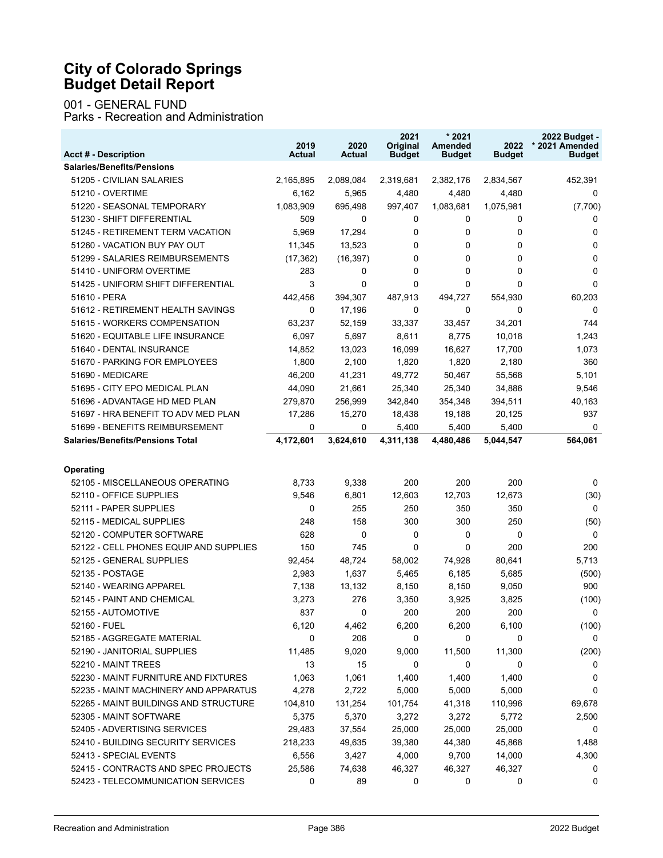001 - GENERAL FUND

Parks - Recreation and Administration

|                                         | 2019      | 2020        | 2021<br>Original | * 2021<br><b>Amended</b> | 2022          | 2022 Budget -<br>* 2021 Amended |
|-----------------------------------------|-----------|-------------|------------------|--------------------------|---------------|---------------------------------|
| <b>Acct # - Description</b>             | Actual    | Actual      | <b>Budget</b>    | <b>Budget</b>            | <b>Budget</b> | <b>Budget</b>                   |
| <b>Salaries/Benefits/Pensions</b>       |           |             |                  |                          |               |                                 |
| 51205 - CIVILIAN SALARIES               | 2,165,895 | 2,089,084   | 2,319,681        | 2,382,176                | 2,834,567     | 452,391                         |
| 51210 - OVERTIME                        | 6,162     | 5,965       | 4,480            | 4,480                    | 4,480         | 0                               |
| 51220 - SEASONAL TEMPORARY              | 1,083,909 | 695,498     | 997,407          | 1,083,681                | 1,075,981     | (7,700)                         |
| 51230 - SHIFT DIFFERENTIAL              | 509       | 0           | 0                | 0                        | 0             | 0                               |
| 51245 - RETIREMENT TERM VACATION        | 5,969     | 17,294      | 0                | 0                        | 0             | 0                               |
| 51260 - VACATION BUY PAY OUT            | 11,345    | 13,523      | 0                | 0                        | 0             | 0                               |
| 51299 - SALARIES REIMBURSEMENTS         | (17, 362) | (16, 397)   | 0                | 0                        | 0             | 0                               |
| 51410 - UNIFORM OVERTIME                | 283       | 0           | 0                | 0                        | 0             | $\mathbf 0$                     |
| 51425 - UNIFORM SHIFT DIFFERENTIAL      | 3         | $\mathbf 0$ | 0                | 0                        | $\mathbf{0}$  | $\mathbf{0}$                    |
| 51610 - PERA                            | 442,456   | 394,307     | 487,913          | 494,727                  | 554,930       | 60,203                          |
| 51612 - RETIREMENT HEALTH SAVINGS       | 0         | 17,196      | 0                | 0                        | 0             | 0                               |
| 51615 - WORKERS COMPENSATION            | 63,237    | 52,159      | 33,337           | 33,457                   | 34,201        | 744                             |
| 51620 - EQUITABLE LIFE INSURANCE        | 6,097     | 5,697       | 8,611            | 8,775                    | 10,018        | 1,243                           |
| 51640 - DENTAL INSURANCE                | 14,852    | 13,023      | 16,099           | 16,627                   | 17,700        | 1,073                           |
| 51670 - PARKING FOR EMPLOYEES           | 1,800     | 2,100       | 1,820            | 1,820                    | 2,180         | 360                             |
| 51690 - MEDICARE                        | 46,200    | 41,231      | 49,772           | 50,467                   | 55,568        | 5,101                           |
| 51695 - CITY EPO MEDICAL PLAN           | 44,090    | 21,661      | 25,340           | 25,340                   | 34,886        | 9,546                           |
| 51696 - ADVANTAGE HD MED PLAN           | 279,870   | 256,999     | 342,840          | 354,348                  | 394,511       | 40,163                          |
| 51697 - HRA BENEFIT TO ADV MED PLAN     | 17,286    | 15,270      | 18,438           | 19,188                   | 20,125        | 937                             |
| 51699 - BENEFITS REIMBURSEMENT          | 0         | 0           | 5,400            | 5,400                    | 5,400         | 0                               |
| <b>Salaries/Benefits/Pensions Total</b> | 4,172,601 | 3,624,610   | 4,311,138        | 4,480,486                | 5,044,547     | 564,061                         |
|                                         |           |             |                  |                          |               |                                 |
| Operating                               |           |             |                  |                          |               |                                 |
| 52105 - MISCELLANEOUS OPERATING         | 8,733     | 9,338       | 200              | 200                      | 200           | 0                               |
| 52110 - OFFICE SUPPLIES                 | 9,546     | 6,801       | 12,603           | 12,703                   | 12,673        | (30)                            |
| 52111 - PAPER SUPPLIES                  | 0         | 255         | 250              | 350                      | 350           | 0                               |
| 52115 - MEDICAL SUPPLIES                | 248       | 158         | 300              | 300                      | 250           | (50)                            |
| 52120 - COMPUTER SOFTWARE               | 628       | 0           | 0                | 0                        | 0             | 0                               |
| 52122 - CELL PHONES EQUIP AND SUPPLIES  | 150       | 745         | 0                | 0                        | 200           | 200                             |
| 52125 - GENERAL SUPPLIES                | 92,454    | 48,724      | 58,002           | 74,928                   | 80,641        | 5,713                           |
| 52135 - POSTAGE                         | 2,983     | 1,637       | 5,465            | 6,185                    | 5,685         | (500)                           |
| 52140 - WEARING APPAREL                 | 7,138     | 13,132      | 8,150            | 8,150                    | 9,050         | 900                             |
| 52145 - PAINT AND CHEMICAL              | 3,273     | 276         | 3,350            | 3,925                    | 3,825         | (100)                           |
| 52155 - AUTOMOTIVE                      | 837       | 0           | 200              | 200                      | 200           | 0                               |
| 52160 - FUEL                            | 6,120     | 4,462       | 6,200            | 6,200                    | 6,100         | (100)                           |
| 52185 - AGGREGATE MATERIAL              | 0         | 206         | 0                | 0                        | 0             | 0                               |
| 52190 - JANITORIAL SUPPLIES             | 11,485    | 9,020       | 9,000            | 11,500                   | 11,300        | (200)                           |
| 52210 - MAINT TREES                     | 13        | 15          | 0                | 0                        | 0             | 0                               |
| 52230 - MAINT FURNITURE AND FIXTURES    |           |             |                  |                          |               |                                 |
| 52235 - MAINT MACHINERY AND APPARATUS   | 1,063     | 1,061       | 1,400            | 1,400                    | 1,400         | 0                               |
|                                         | 4,278     | 2,722       | 5,000            | 5,000                    | 5,000         | 0                               |
| 52265 - MAINT BUILDINGS AND STRUCTURE   | 104,810   | 131,254     | 101,754          |                          | 110,996       | 69,678                          |
| 52305 - MAINT SOFTWARE                  | 5,375     | 5,370       | 3,272            | 41,318<br>3,272          | 5,772         | 2,500                           |
| 52405 - ADVERTISING SERVICES            | 29,483    | 37,554      | 25,000           | 25,000                   | 25,000        | 0                               |
| 52410 - BUILDING SECURITY SERVICES      | 218,233   | 49,635      | 39,380           | 44,380                   | 45,868        | 1,488                           |
| 52413 - SPECIAL EVENTS                  | 6,556     | 3,427       | 4,000            | 9,700                    | 14,000        | 4,300                           |
| 52415 - CONTRACTS AND SPEC PROJECTS     | 25,586    | 74,638      | 46,327           | 46,327                   | 46,327        | 0                               |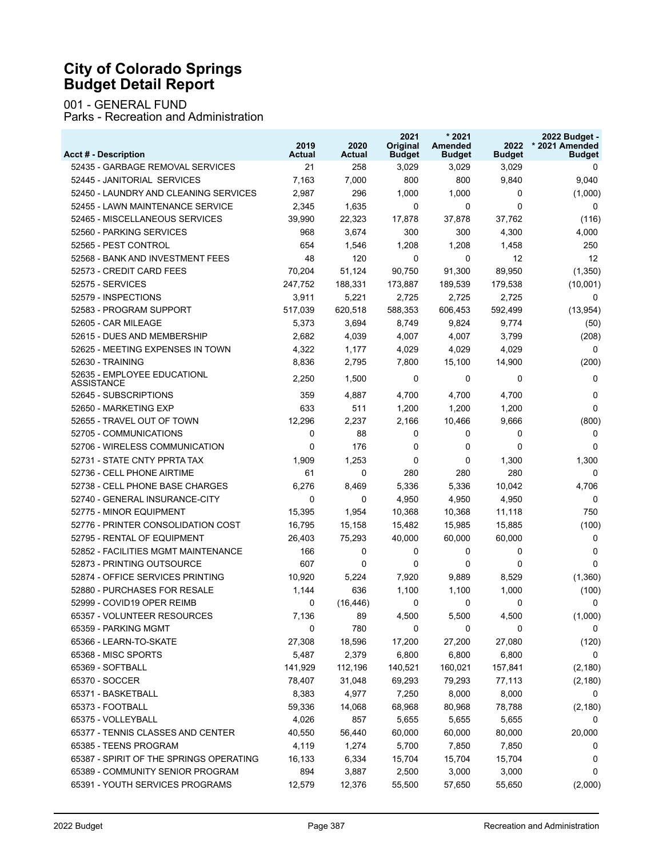# **City of Colorado Springs Budget Detail Report**

001 - GENERAL FUND

Parks - Recreation and Administration

| <b>Acct # - Description</b>                      | 2019<br>Actual | 2020<br>Actual | 2021<br>Original<br><b>Budget</b> | * 2021<br><b>Amended</b><br><b>Budget</b> | 2022<br><b>Budget</b> | 2022 Budget -<br>* 2021 Amended<br><b>Budget</b> |
|--------------------------------------------------|----------------|----------------|-----------------------------------|-------------------------------------------|-----------------------|--------------------------------------------------|
| 52435 - GARBAGE REMOVAL SERVICES                 | 21             | 258            | 3,029                             | 3,029                                     | 3,029                 | 0                                                |
| 52445 - JANITORIAL SERVICES                      | 7,163          | 7,000          | 800                               | 800                                       | 9,840                 | 9,040                                            |
| 52450 - LAUNDRY AND CLEANING SERVICES            | 2,987          | 296            | 1,000                             | 1,000                                     | 0                     | (1,000)                                          |
| 52455 - LAWN MAINTENANCE SERVICE                 | 2,345          | 1,635          | 0                                 | 0                                         | $\Omega$              | 0                                                |
| 52465 - MISCELLANEOUS SERVICES                   | 39,990         | 22,323         | 17,878                            | 37,878                                    | 37,762                | (116)                                            |
| 52560 - PARKING SERVICES                         | 968            | 3,674          | 300                               | 300                                       | 4,300                 | 4,000                                            |
| 52565 - PEST CONTROL                             | 654            | 1,546          | 1,208                             | 1,208                                     | 1,458                 | 250                                              |
| 52568 - BANK AND INVESTMENT FEES                 | 48             | 120            | 0                                 | 0                                         | 12                    | 12                                               |
| 52573 - CREDIT CARD FEES                         | 70,204         | 51.124         | 90.750                            | 91,300                                    | 89,950                | (1,350)                                          |
| 52575 - SERVICES                                 | 247,752        | 188,331        | 173,887                           | 189,539                                   | 179,538               | (10,001)                                         |
| 52579 - INSPECTIONS                              | 3,911          | 5,221          | 2,725                             | 2,725                                     | 2,725                 | 0                                                |
| 52583 - PROGRAM SUPPORT                          | 517,039        | 620,518        | 588,353                           | 606,453                                   | 592,499               | (13, 954)                                        |
| 52605 - CAR MILEAGE                              | 5,373          | 3,694          | 8,749                             | 9,824                                     | 9,774                 | (50)                                             |
| 52615 - DUES AND MEMBERSHIP                      | 2,682          | 4,039          | 4,007                             | 4,007                                     | 3,799                 | (208)                                            |
| 52625 - MEETING EXPENSES IN TOWN                 | 4,322          | 1,177          | 4,029                             | 4,029                                     | 4,029                 | 0                                                |
| 52630 - TRAINING                                 | 8,836          | 2,795          | 7,800                             | 15,100                                    | 14,900                | (200)                                            |
| 52635 - EMPLOYEE EDUCATIONL<br><b>ASSISTANCE</b> | 2,250          | 1,500          | 0                                 | 0                                         | 0                     | 0                                                |
| 52645 - SUBSCRIPTIONS                            | 359            | 4,887          | 4,700                             | 4,700                                     | 4,700                 | 0                                                |
| 52650 - MARKETING EXP                            | 633            | 511            | 1,200                             | 1,200                                     | 1,200                 | 0                                                |
| 52655 - TRAVEL OUT OF TOWN                       | 12,296         | 2,237          | 2,166                             | 10,466                                    | 9,666                 | (800)                                            |
| 52705 - COMMUNICATIONS                           | 0              | 88             | 0                                 | 0                                         | 0                     | 0                                                |
| 52706 - WIRELESS COMMUNICATION                   | 0              | 176            | 0                                 | 0                                         | $\Omega$              | $\Omega$                                         |
| 52731 - STATE CNTY PPRTA TAX                     | 1,909          | 1,253          | 0                                 | 0                                         | 1,300                 | 1,300                                            |
| 52736 - CELL PHONE AIRTIME                       | 61             | 0              | 280                               | 280                                       | 280                   | 0                                                |
| 52738 - CELL PHONE BASE CHARGES                  | 6,276          | 8,469          | 5,336                             | 5,336                                     | 10,042                | 4,706                                            |
| 52740 - GENERAL INSURANCE-CITY                   | 0              | 0              | 4,950                             | 4,950                                     | 4,950                 | 0                                                |
| 52775 - MINOR EQUIPMENT                          | 15,395         | 1,954          | 10,368                            | 10,368                                    | 11,118                | 750                                              |
| 52776 - PRINTER CONSOLIDATION COST               | 16,795         | 15,158         | 15,482                            | 15,985                                    | 15,885                | (100)                                            |
| 52795 - RENTAL OF EQUIPMENT                      | 26,403         | 75,293         | 40,000                            | 60,000                                    | 60,000                | 0                                                |
| 52852 - FACILITIES MGMT MAINTENANCE              | 166            | 0              | 0                                 | 0                                         | 0                     | 0                                                |
| 52873 - PRINTING OUTSOURCE                       | 607            | 0              | 0                                 | 0                                         | 0                     | $\Omega$                                         |
| 52874 - OFFICE SERVICES PRINTING                 | 10,920         | 5,224          | 7,920                             | 9,889                                     | 8,529                 | (1,360)                                          |
| 52880 - PURCHASES FOR RESALE                     | 1,144          | 636            | 1,100                             | 1,100                                     | 1,000                 | (100)                                            |
| 52999 - COVID19 OPER REIMB                       | 0              | (16, 446)      | 0                                 | 0                                         | 0                     | 0                                                |
| 65357 - VOLUNTEER RESOURCES                      | 7,136          | 89             | 4,500                             | 5,500                                     | 4,500                 | (1,000)                                          |
| 65359 - PARKING MGMT                             | 0              | 780            | 0                                 | 0                                         | 0                     | 0                                                |
| 65366 - LEARN-TO-SKATE                           | 27,308         | 18,596         | 17,200                            | 27,200                                    | 27,080                | (120)                                            |
| 65368 - MISC SPORTS                              | 5,487          | 2,379          | 6,800                             | 6,800                                     | 6,800                 | 0                                                |
| 65369 - SOFTBALL                                 | 141,929        | 112,196        | 140,521                           | 160,021                                   | 157,841               | (2, 180)                                         |
| 65370 - SOCCER                                   | 78,407         | 31,048         | 69,293                            | 79,293                                    | 77,113                | (2, 180)                                         |
| 65371 - BASKETBALL                               | 8,383          | 4,977          | 7,250                             | 8,000                                     | 8,000                 | 0                                                |
| 65373 - FOOTBALL                                 | 59,336         | 14,068         | 68,968                            | 80,968                                    | 78,788                | (2, 180)                                         |
| 65375 - VOLLEYBALL                               | 4,026          | 857            | 5,655                             | 5,655                                     | 5,655                 | 0                                                |
| 65377 - TENNIS CLASSES AND CENTER                | 40,550         | 56,440         | 60,000                            | 60,000                                    | 80,000                | 20,000                                           |
| 65385 - TEENS PROGRAM                            | 4,119          | 1,274          | 5,700                             | 7,850                                     | 7,850                 | 0                                                |
| 65387 - SPIRIT OF THE SPRINGS OPERATING          | 16,133         | 6,334          | 15,704                            | 15,704                                    | 15,704                | 0                                                |
| 65389 - COMMUNITY SENIOR PROGRAM                 | 894            | 3,887          | 2,500                             | 3,000                                     | 3,000                 | 0                                                |
| 65391 - YOUTH SERVICES PROGRAMS                  | 12,579         | 12,376         | 55,500                            | 57,650                                    | 55,650                | (2,000)                                          |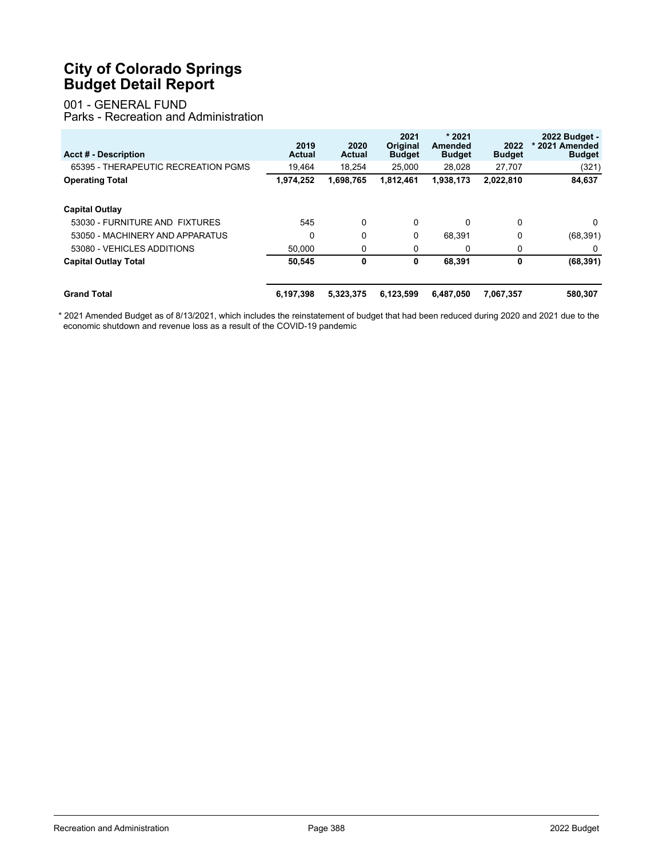# **City of Colorado Springs Budget Detail Report**

#### 001 - GENERAL FUND

Parks - Recreation and Administration

| <b>Acct # - Description</b>         | 2019<br>Actual | 2020<br>Actual | 2021<br><b>Original</b><br><b>Budget</b> | $*2021$<br>Amended<br><b>Budget</b> | 2022<br><b>Budget</b> | 2022 Budget -<br>* 2021 Amended<br><b>Budget</b> |
|-------------------------------------|----------------|----------------|------------------------------------------|-------------------------------------|-----------------------|--------------------------------------------------|
|                                     |                |                |                                          |                                     |                       |                                                  |
| 65395 - THERAPEUTIC RECREATION PGMS | 19.464         | 18.254         | 25.000                                   | 28.028                              | 27,707                | (321)                                            |
| <b>Operating Total</b>              | 1,974,252      | 1,698,765      | 1,812,461                                | 1,938,173                           | 2,022,810             | 84,637                                           |
| <b>Capital Outlay</b>               |                |                |                                          |                                     |                       |                                                  |
| 53030 - FURNITURE AND FIXTURES      | 545            | $\Omega$       | 0                                        | 0                                   | $\Omega$              | $\Omega$                                         |
| 53050 - MACHINERY AND APPARATUS     | 0              | 0              | 0                                        | 68.391                              | 0                     | (68, 391)                                        |
| 53080 - VEHICLES ADDITIONS          | 50.000         | 0              | 0                                        | 0                                   | 0                     | 0                                                |
| <b>Capital Outlay Total</b>         | 50,545         | 0              | 0                                        | 68,391                              | 0                     | (68, 391)                                        |
| <b>Grand Total</b>                  | 6,197,398      | 5.323.375      | 6.123.599                                | 6.487.050                           | 7.067.357             | 580,307                                          |

\* 2021 Amended Budget as of 8/13/2021, which includes the reinstatement of budget that had been reduced during 2020 and 2021 due to the economic shutdown and revenue loss as a result of the COVID-19 pandemic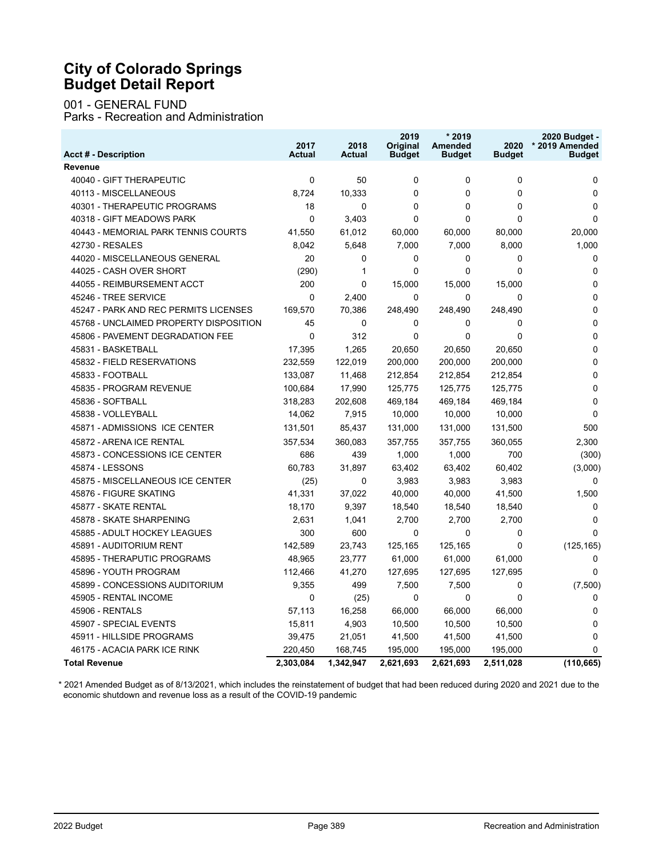# **City of Colorado Springs Budget Detail Report**

### 001 - GENERAL FUND

Parks - Recreation and Administration

| <b>Acct # - Description</b>            | 2017<br>Actual | 2018<br>Actual | 2019<br>Original<br><b>Budget</b> | $*2019$<br><b>Amended</b><br><b>Budget</b> | 2020<br><b>Budget</b> | 2020 Budget -<br>* 2019 Amended<br><b>Budget</b> |
|----------------------------------------|----------------|----------------|-----------------------------------|--------------------------------------------|-----------------------|--------------------------------------------------|
| Revenue                                |                |                |                                   |                                            |                       |                                                  |
| 40040 - GIFT THERAPEUTIC               | $\mathbf 0$    | 50             | 0                                 | 0                                          | 0                     | 0                                                |
| 40113 - MISCELLANEOUS                  | 8,724          | 10,333         | 0                                 | $\mathbf 0$                                | $\mathbf{0}$          | 0                                                |
| 40301 - THERAPEUTIC PROGRAMS           | 18             | 0              | $\Omega$                          | $\mathbf{0}$                               | $\mathbf{0}$          | $\Omega$                                         |
| 40318 - GIFT MEADOWS PARK              | 0              | 3,403          | 0                                 | $\mathbf{0}$                               | $\mathbf{0}$          | $\mathbf{0}$                                     |
| 40443 - MEMORIAL PARK TENNIS COURTS    | 41,550         | 61,012         | 60,000                            | 60,000                                     | 80,000                | 20,000                                           |
| 42730 - RESALES                        | 8,042          | 5,648          | 7,000                             | 7,000                                      | 8,000                 | 1,000                                            |
| 44020 - MISCELLANEOUS GENERAL          | 20             | $\Omega$       | 0                                 | $\Omega$                                   | $\Omega$              | 0                                                |
| 44025 - CASH OVER SHORT                | (290)          | 1              | 0                                 | 0                                          | 0                     | 0                                                |
| 44055 - REIMBURSEMENT ACCT             | 200            | $\Omega$       | 15,000                            | 15,000                                     | 15,000                | $\Omega$                                         |
| 45246 - TREE SERVICE                   | 0              | 2,400          | 0                                 | 0                                          | $\Omega$              | $\Omega$                                         |
| 45247 - PARK AND REC PERMITS LICENSES  | 169,570        | 70,386         | 248,490                           | 248,490                                    | 248,490               | $\Omega$                                         |
| 45768 - UNCLAIMED PROPERTY DISPOSITION | 45             | 0              | 0                                 | 0                                          | 0                     | 0                                                |
| 45806 - PAVEMENT DEGRADATION FEE       | $\mathbf 0$    | 312            | 0                                 | $\Omega$                                   | $\Omega$              | 0                                                |
| 45831 - BASKETBALL                     | 17,395         | 1,265          | 20,650                            | 20,650                                     | 20,650                | $\Omega$                                         |
| 45832 - FIELD RESERVATIONS             | 232,559        | 122,019        | 200,000                           | 200,000                                    | 200,000               | $\Omega$                                         |
| 45833 - FOOTBALL                       | 133,087        | 11,468         | 212,854                           | 212,854                                    | 212,854               | $\Omega$                                         |
| 45835 - PROGRAM REVENUE                | 100,684        | 17,990         | 125,775                           | 125,775                                    | 125,775               | $\Omega$                                         |
| 45836 - SOFTBALL                       | 318,283        | 202,608        | 469,184                           | 469,184                                    | 469,184               | $\Omega$                                         |
| 45838 - VOLLEYBALL                     | 14,062         | 7,915          | 10,000                            | 10,000                                     | 10,000                | $\Omega$                                         |
| 45871 - ADMISSIONS ICE CENTER          | 131,501        | 85,437         | 131,000                           | 131,000                                    | 131,500               | 500                                              |
| 45872 - ARENA ICE RENTAL               | 357,534        | 360,083        | 357,755                           | 357,755                                    | 360,055               | 2,300                                            |
| 45873 - CONCESSIONS ICE CENTER         | 686            | 439            | 1,000                             | 1,000                                      | 700                   | (300)                                            |
| 45874 - LESSONS                        | 60,783         | 31,897         | 63,402                            | 63,402                                     | 60,402                | (3,000)                                          |
| 45875 - MISCELLANEOUS ICE CENTER       | (25)           | 0              | 3,983                             | 3,983                                      | 3,983                 | 0                                                |
| 45876 - FIGURE SKATING                 | 41,331         | 37,022         | 40,000                            | 40,000                                     | 41,500                | 1,500                                            |
| 45877 - SKATE RENTAL                   | 18,170         | 9,397          | 18,540                            | 18,540                                     | 18,540                | $\mathbf 0$                                      |
| 45878 - SKATE SHARPENING               | 2,631          | 1,041          | 2,700                             | 2,700                                      | 2,700                 | $\Omega$                                         |
| 45885 - ADULT HOCKEY LEAGUES           | 300            | 600            | 0                                 | $\mathbf 0$                                | $\mathbf 0$           | $\Omega$                                         |
| 45891 - AUDITORIUM RENT                | 142,589        | 23,743         | 125,165                           | 125,165                                    | $\mathbf 0$           | (125, 165)                                       |
| 45895 - THERAPUTIC PROGRAMS            | 48,965         | 23,777         | 61,000                            | 61,000                                     | 61,000                | 0                                                |
| 45896 - YOUTH PROGRAM                  | 112,466        | 41,270         | 127,695                           | 127,695                                    | 127,695               | $\Omega$                                         |
| 45899 - CONCESSIONS AUDITORIUM         | 9,355          | 499            | 7,500                             | 7,500                                      | 0                     | (7,500)                                          |
| 45905 - RENTAL INCOME                  | 0              | (25)           | 0                                 | 0                                          | 0                     | 0                                                |
| 45906 - RENTALS                        | 57,113         | 16,258         | 66,000                            | 66,000                                     | 66,000                | 0                                                |
| 45907 - SPECIAL EVENTS                 | 15,811         | 4,903          | 10,500                            | 10,500                                     | 10,500                | 0                                                |
| 45911 - HILLSIDE PROGRAMS              | 39,475         | 21,051         | 41,500                            | 41,500                                     | 41,500                | $\Omega$                                         |
| 46175 - ACACIA PARK ICE RINK           | 220,450        | 168,745        | 195,000                           | 195,000                                    | 195,000               | $\Omega$                                         |
| Total Revenue                          | 2,303,084      | 1,342,947      | 2,621,693                         | 2,621,693                                  | 2,511,028             | (110, 665)                                       |

\* 2021 Amended Budget as of 8/13/2021, which includes the reinstatement of budget that had been reduced during 2020 and 2021 due to the economic shutdown and revenue loss as a result of the COVID-19 pandemic